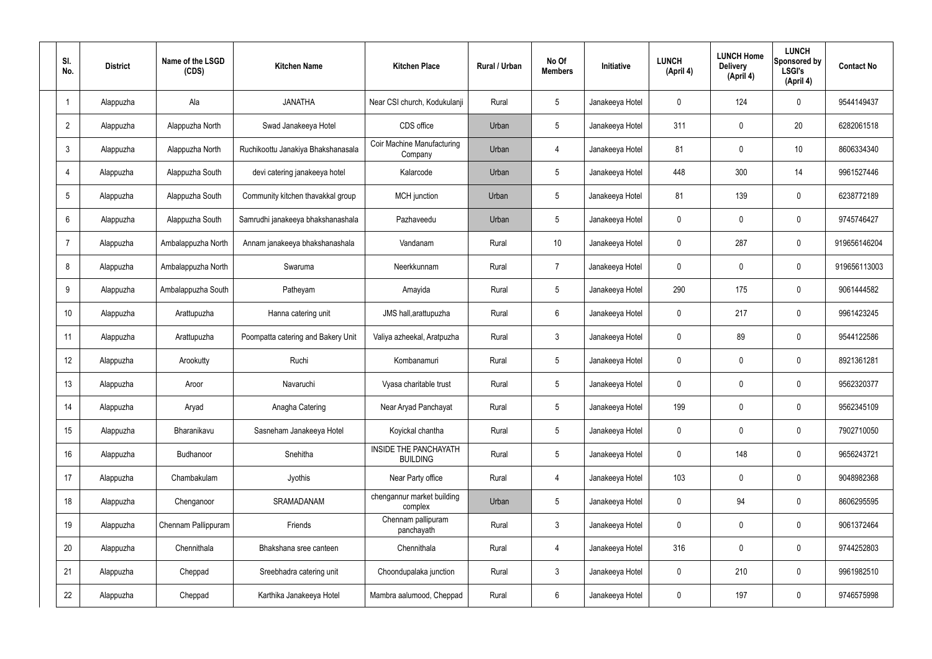| SI.<br>No.      | <b>District</b> | Name of the LSGD<br>(CDS) | <b>Kitchen Name</b>                | <b>Kitchen Place</b>                            | Rural / Urban | No Of<br><b>Members</b> | <b>Initiative</b> | <b>LUNCH</b><br>(April 4) | <b>LUNCH Home</b><br><b>Delivery</b><br>(April 4) | <b>LUNCH</b><br>Sponsored by<br><b>LSGI's</b><br>(April 4) | <b>Contact No</b> |
|-----------------|-----------------|---------------------------|------------------------------------|-------------------------------------------------|---------------|-------------------------|-------------------|---------------------------|---------------------------------------------------|------------------------------------------------------------|-------------------|
|                 | Alappuzha       | Ala                       | <b>JANATHA</b>                     | Near CSI church, Kodukulanji                    | Rural         | $5\phantom{.0}$         | Janakeeya Hotel   | $\mathbf 0$               | 124                                               | $\mathbf 0$                                                | 9544149437        |
| $\overline{2}$  | Alappuzha       | Alappuzha North           | Swad Janakeeya Hotel               | CDS office                                      | Urban         | $5\phantom{.0}$         | Janakeeya Hotel   | 311                       | $\mathbf 0$                                       | 20                                                         | 6282061518        |
| $\mathbf{3}$    | Alappuzha       | Alappuzha North           | Ruchikoottu Janakiya Bhakshanasala | Coir Machine Manufacturing<br>Company           | Urban         | 4                       | Janakeeya Hotel   | 81                        | $\mathbf 0$                                       | 10                                                         | 8606334340        |
| $\overline{4}$  | Alappuzha       | Alappuzha South           | devi catering janakeeya hotel      | Kalarcode                                       | Urban         | $5\phantom{.0}$         | Janakeeya Hotel   | 448                       | 300                                               | 14                                                         | 9961527446        |
| $5\phantom{.0}$ | Alappuzha       | Alappuzha South           | Community kitchen thavakkal group  | MCH junction                                    | Urban         | $5\phantom{.0}$         | Janakeeya Hotel   | 81                        | 139                                               | $\mathbf 0$                                                | 6238772189        |
| 6               | Alappuzha       | Alappuzha South           | Samrudhi janakeeya bhakshanashala  | Pazhaveedu                                      | Urban         | $5\phantom{.0}$         | Janakeeya Hotel   | $\mathbf 0$               | $\mathbf 0$                                       | $\mathbf 0$                                                | 9745746427        |
| $\overline{7}$  | Alappuzha       | Ambalappuzha North        | Annam janakeeya bhakshanashala     | Vandanam                                        | Rural         | 10 <sup>°</sup>         | Janakeeya Hotel   | $\mathbf 0$               | 287                                               | $\mathbf 0$                                                | 919656146204      |
| 8               | Alappuzha       | Ambalappuzha North        | Swaruma                            | Neerkkunnam                                     | Rural         | $\overline{7}$          | Janakeeya Hotel   | $\mathbf 0$               | $\mathbf 0$                                       | $\mathbf 0$                                                | 919656113003      |
| 9               | Alappuzha       | Ambalappuzha South        | Patheyam                           | Amayida                                         | Rural         | $5\phantom{.0}$         | Janakeeya Hotel   | 290                       | 175                                               | $\mathbf 0$                                                | 9061444582        |
| 10              | Alappuzha       | Arattupuzha               | Hanna catering unit                | JMS hall, arattupuzha                           | Rural         | $6\phantom{.}6$         | Janakeeya Hotel   | $\mathbf 0$               | 217                                               | $\mathbf 0$                                                | 9961423245        |
| 11              | Alappuzha       | Arattupuzha               | Poompatta catering and Bakery Unit | Valiya azheekal, Aratpuzha                      | Rural         | $\mathbf{3}$            | Janakeeya Hotel   | $\mathbf 0$               | 89                                                | $\mathbf 0$                                                | 9544122586        |
| 12              | Alappuzha       | Arookutty                 | Ruchi                              | Kombanamuri                                     | Rural         | $5\phantom{.0}$         | Janakeeya Hotel   | $\mathbf 0$               | $\mathbf 0$                                       | $\mathbf 0$                                                | 8921361281        |
| 13              | Alappuzha       | Aroor                     | Navaruchi                          | Vyasa charitable trust                          | Rural         | $5\phantom{.0}$         | Janakeeya Hotel   | $\mathbf 0$               | 0                                                 | 0                                                          | 9562320377        |
| 14              | Alappuzha       | Aryad                     | Anagha Catering                    | Near Aryad Panchayat                            | Rural         | $5\phantom{.0}$         | Janakeeya Hotel   | 199                       | $\mathbf 0$                                       | $\mathbf 0$                                                | 9562345109        |
| 15              | Alappuzha       | Bharanikavu               | Sasneham Janakeeya Hotel           | Koyickal chantha                                | Rural         | $5\phantom{.0}$         | Janakeeya Hotel   | $\mathbf 0$               | $\mathbf 0$                                       | $\mathbf 0$                                                | 7902710050        |
| 16              | Alappuzha       | Budhanoor                 | Snehitha                           | <b>INSIDE THE PANCHAYATH</b><br><b>BUILDING</b> | Rural         | $5\phantom{.0}$         | Janakeeya Hotel   | $\mathbf 0$               | 148                                               | $\mathbf 0$                                                | 9656243721        |
| 17              | Alappuzha       | Chambakulam               | Jyothis                            | Near Party office                               | Rural         | $\overline{4}$          | Janakeeya Hotel   | 103                       | $\mathbf 0$                                       | $\mathbf 0$                                                | 9048982368        |
| 18              | Alappuzha       | Chenganoor                | SRAMADANAM                         | chengannur market building<br>complex           | Urban         | $5\phantom{.0}$         | Janakeeya Hotel   | $\mathbf 0$               | 94                                                | $\mathbf 0$                                                | 8606295595        |
| 19              | Alappuzha       | Chennam Pallippuram       | Friends                            | Chennam pallipuram<br>panchayath                | Rural         | $\mathbf{3}$            | Janakeeya Hotel   | $\mathbf 0$               | 0                                                 | $\mathbf 0$                                                | 9061372464        |
| 20              | Alappuzha       | Chennithala               | Bhakshana sree canteen             | Chennithala                                     | Rural         | $\overline{4}$          | Janakeeya Hotel   | 316                       | 0                                                 | $\mathbf 0$                                                | 9744252803        |
| 21              | Alappuzha       | Cheppad                   | Sreebhadra catering unit           | Choondupalaka junction                          | Rural         | $\mathbf{3}$            | Janakeeya Hotel   | $\mathbf 0$               | 210                                               | $\mathbf 0$                                                | 9961982510        |
| 22              | Alappuzha       | Cheppad                   | Karthika Janakeeya Hotel           | Mambra aalumood, Cheppad                        | Rural         | $6\overline{6}$         | Janakeeya Hotel   | 0                         | 197                                               | $\mathbf 0$                                                | 9746575998        |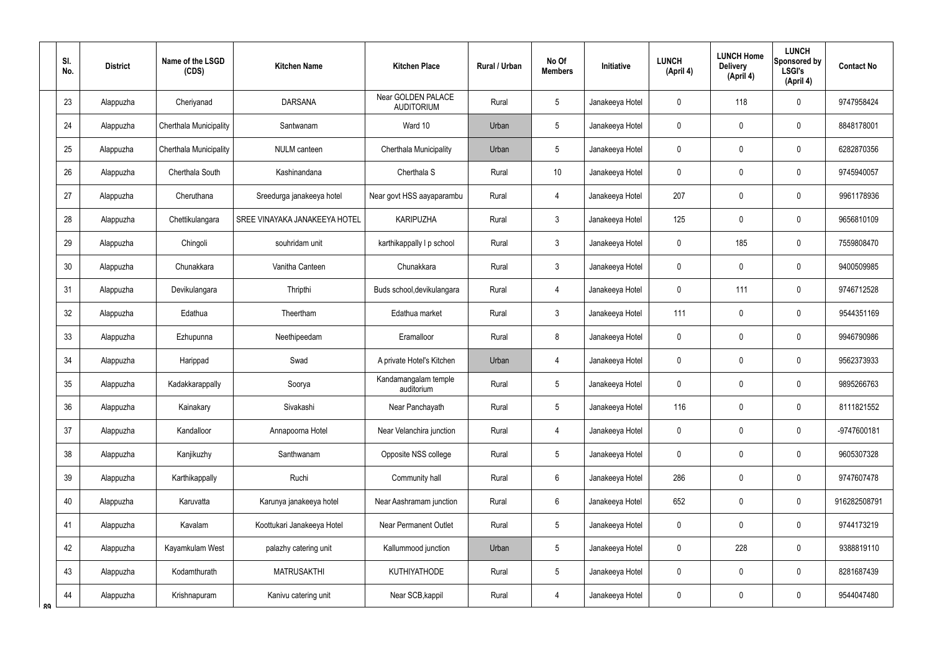|    | SI.<br>No. | <b>District</b> | Name of the LSGD<br>(CDS) | <b>Kitchen Name</b>           | <b>Kitchen Place</b>                    | Rural / Urban | No Of<br><b>Members</b> | Initiative      | <b>LUNCH</b><br>(April 4) | <b>LUNCH Home</b><br><b>Delivery</b><br>(April 4) | <b>LUNCH</b><br>Sponsored by<br><b>LSGI's</b><br>(April 4) | <b>Contact No</b> |
|----|------------|-----------------|---------------------------|-------------------------------|-----------------------------------------|---------------|-------------------------|-----------------|---------------------------|---------------------------------------------------|------------------------------------------------------------|-------------------|
|    | 23         | Alappuzha       | Cheriyanad                | <b>DARSANA</b>                | Near GOLDEN PALACE<br><b>AUDITORIUM</b> | Rural         | 5                       | Janakeeya Hotel | 0                         | 118                                               | $\mathbf 0$                                                | 9747958424        |
|    | 24         | Alappuzha       | Cherthala Municipality    | Santwanam                     | Ward 10                                 | Urban         | 5                       | Janakeeya Hotel | 0                         | $\mathbf 0$                                       | $\boldsymbol{0}$                                           | 8848178001        |
|    | 25         | Alappuzha       | Cherthala Municipality    | <b>NULM</b> canteen           | <b>Cherthala Municipality</b>           | Urban         | 5                       | Janakeeya Hotel | 0                         | $\mathbf 0$                                       | $\mathbf 0$                                                | 6282870356        |
|    | 26         | Alappuzha       | Cherthala South           | Kashinandana                  | Cherthala S                             | Rural         | 10                      | Janakeeya Hotel | 0                         | $\mathbf 0$                                       | $\boldsymbol{0}$                                           | 9745940057        |
|    | 27         | Alappuzha       | Cheruthana                | Sreedurga janakeeya hotel     | Near govt HSS aayaparambu               | Rural         | 4                       | Janakeeya Hotel | 207                       | 0                                                 | $\boldsymbol{0}$                                           | 9961178936        |
|    | 28         | Alappuzha       | Chettikulangara           | SREE VINAYAKA JANAKEEYA HOTEL | <b>KARIPUZHA</b>                        | Rural         | $\mathfrak{Z}$          | Janakeeya Hotel | 125                       | 0                                                 | $\boldsymbol{0}$                                           | 9656810109        |
|    | 29         | Alappuzha       | Chingoli                  | souhridam unit                | karthikappally I p school               | Rural         | $\mathfrak{Z}$          | Janakeeya Hotel | 0                         | 185                                               | $\boldsymbol{0}$                                           | 7559808470        |
|    | 30         | Alappuzha       | Chunakkara                | Vanitha Canteen               | Chunakkara                              | Rural         | $\mathfrak{Z}$          | Janakeeya Hotel | 0                         | 0                                                 | $\boldsymbol{0}$                                           | 9400509985        |
|    | 31         | Alappuzha       | Devikulangara             | Thripthi                      | Buds school, devikulangara              | Rural         | 4                       | Janakeeya Hotel | 0                         | 111                                               | $\mathbf 0$                                                | 9746712528        |
|    | 32         | Alappuzha       | Edathua                   | Theertham                     | Edathua market                          | Rural         | $\mathfrak{Z}$          | Janakeeya Hotel | 111                       | 0                                                 | $\boldsymbol{0}$                                           | 9544351169        |
|    | 33         | Alappuzha       | Ezhupunna                 | Neethipeedam                  | Eramalloor                              | Rural         | 8                       | Janakeeya Hotel | 0                         | $\boldsymbol{0}$                                  | $\pmb{0}$                                                  | 9946790986        |
|    | 34         | Alappuzha       | Harippad                  | Swad                          | A private Hotel's Kitchen               | Urban         | $\overline{4}$          | Janakeeya Hotel | 0                         | 0                                                 | $\boldsymbol{0}$                                           | 9562373933        |
|    | 35         | Alappuzha       | Kadakkarappally           | Soorya                        | Kandamangalam temple<br>auditorium      | Rural         | 5                       | Janakeeya Hotel | 0                         | $\mathbf 0$                                       | $\mathbf 0$                                                | 9895266763        |
|    | 36         | Alappuzha       | Kainakary                 | Sivakashi                     | Near Panchayath                         | Rural         | 5                       | Janakeeya Hotel | 116                       | $\pmb{0}$                                         | $\pmb{0}$                                                  | 8111821552        |
|    | 37         | Alappuzha       | Kandalloor                | Annapoorna Hotel              | Near Velanchira junction                | Rural         | $\overline{4}$          | Janakeeya Hotel | $\mathbf 0$               | $\mathbf 0$                                       | $\pmb{0}$                                                  | -9747600181       |
|    | 38         | Alappuzha       | Kanjikuzhy                | Santhwanam                    | Opposite NSS college                    | Rural         | 5                       | Janakeeya Hotel | 0                         | $\pmb{0}$                                         | $\pmb{0}$                                                  | 9605307328        |
|    | 39         | Alappuzha       | Karthikappally            | Ruchi                         | Community hall                          | Rural         | $6\phantom{.0}$         | Janakeeya Hotel | 286                       | $\pmb{0}$                                         | $\pmb{0}$                                                  | 9747607478        |
|    | 40         | Alappuzha       | Karuvatta                 | Karunya janakeeya hotel       | Near Aashramam junction                 | Rural         | $6\phantom{.0}$         | Janakeeya Hotel | 652                       | $\pmb{0}$                                         | $\pmb{0}$                                                  | 916282508791      |
|    | 41         | Alappuzha       | Kavalam                   | Koottukari Janakeeya Hotel    | <b>Near Permanent Outlet</b>            | Rural         | 5                       | Janakeeya Hotel | 0                         | $\overline{0}$                                    | $\pmb{0}$                                                  | 9744173219        |
|    | 42         | Alappuzha       | Kayamkulam West           | palazhy catering unit         | Kallummood junction                     | Urban         | 5                       | Janakeeya Hotel | 0                         | 228                                               | $\pmb{0}$                                                  | 9388819110        |
|    | 43         | Alappuzha       | Kodamthurath              | <b>MATRUSAKTHI</b>            | <b>KUTHIYATHODE</b>                     | Rural         | $5\,$                   | Janakeeya Hotel | 0                         | $\pmb{0}$                                         | $\pmb{0}$                                                  | 8281687439        |
| ՋQ | 44         | Alappuzha       | Krishnapuram              | Kanivu catering unit          | Near SCB, kappil                        | Rural         | $\overline{4}$          | Janakeeya Hotel | 0                         | $\pmb{0}$                                         | $\pmb{0}$                                                  | 9544047480        |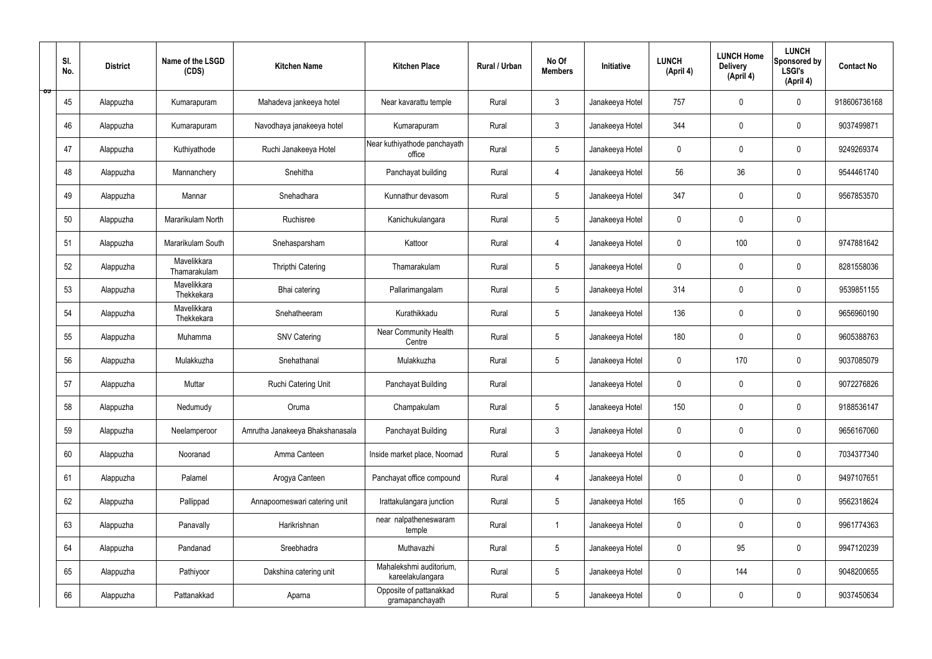|   | SI.<br>No. | <b>District</b> | Name of the LSGD<br>(CDS)   | <b>Kitchen Name</b>             | <b>Kitchen Place</b>                        | Rural / Urban | No Of<br><b>Members</b> | Initiative      | <b>LUNCH</b><br>(April 4) | <b>LUNCH Home</b><br><b>Delivery</b><br>(April 4) | <b>LUNCH</b><br>Sponsored by<br><b>LSGI's</b><br>(April 4) | <b>Contact No</b> |
|---|------------|-----------------|-----------------------------|---------------------------------|---------------------------------------------|---------------|-------------------------|-----------------|---------------------------|---------------------------------------------------|------------------------------------------------------------|-------------------|
| ಾ | 45         | Alappuzha       | Kumarapuram                 | Mahadeva jankeeya hotel         | Near kavarattu temple                       | Rural         | $\mathbf{3}$            | Janakeeya Hotel | 757                       | $\mathbf 0$                                       | $\mathbf 0$                                                | 918606736168      |
|   | 46         | Alappuzha       | Kumarapuram                 | Navodhaya janakeeya hotel       | Kumarapuram                                 | Rural         | $\mathbf{3}$            | Janakeeya Hotel | 344                       | $\mathbf 0$                                       | $\mathbf 0$                                                | 9037499871        |
|   | 47         | Alappuzha       | Kuthiyathode                | Ruchi Janakeeya Hotel           | Near kuthiyathode panchayath<br>office      | Rural         | $5\overline{)}$         | Janakeeya Hotel | $\mathbf 0$               | $\mathbf 0$                                       | $\mathbf 0$                                                | 9249269374        |
|   | 48         | Alappuzha       | Mannanchery                 | Snehitha                        | Panchayat building                          | Rural         | 4                       | Janakeeya Hotel | 56                        | 36                                                | $\mathbf 0$                                                | 9544461740        |
|   | 49         | Alappuzha       | Mannar                      | Snehadhara                      | Kunnathur devasom                           | Rural         | $5\phantom{.0}$         | Janakeeya Hotel | 347                       | $\mathbf 0$                                       | $\mathbf 0$                                                | 9567853570        |
|   | 50         | Alappuzha       | Mararikulam North           | Ruchisree                       | Kanichukulangara                            | Rural         | $5\phantom{.0}$         | Janakeeya Hotel | $\mathbf 0$               | $\mathbf 0$                                       | $\mathbf 0$                                                |                   |
|   | 51         | Alappuzha       | Mararikulam South           | Snehasparsham                   | Kattoor                                     | Rural         | $\overline{4}$          | Janakeeya Hotel | $\mathbf 0$               | 100                                               | $\mathbf 0$                                                | 9747881642        |
|   | 52         | Alappuzha       | Mavelikkara<br>Thamarakulam | Thripthi Catering               | Thamarakulam                                | Rural         | $5\phantom{.0}$         | Janakeeya Hotel | $\mathbf 0$               | $\mathbf 0$                                       | $\mathbf 0$                                                | 8281558036        |
|   | 53         | Alappuzha       | Mavelikkara<br>Thekkekara   | Bhai catering                   | Pallarimangalam                             | Rural         | $5\phantom{.0}$         | Janakeeya Hotel | 314                       | $\mathbf 0$                                       | $\mathbf 0$                                                | 9539851155        |
|   | 54         | Alappuzha       | Mavelikkara<br>Thekkekara   | Snehatheeram                    | Kurathikkadu                                | Rural         | $5\overline{)}$         | Janakeeya Hotel | 136                       | $\mathbf 0$                                       | $\mathbf 0$                                                | 9656960190        |
|   | 55         | Alappuzha       | Muhamma                     | <b>SNV Catering</b>             | Near Community Health<br>Centre             | Rural         | $5\phantom{.0}$         | Janakeeya Hotel | 180                       | $\mathbf 0$                                       | $\mathbf 0$                                                | 9605388763        |
|   | 56         | Alappuzha       | Mulakkuzha                  | Snehathanal                     | Mulakkuzha                                  | Rural         | $5\phantom{.0}$         | Janakeeya Hotel | $\mathbf 0$               | 170                                               | $\mathbf 0$                                                | 9037085079        |
|   | 57         | Alappuzha       | Muttar                      | Ruchi Catering Unit             | Panchayat Building                          | Rural         |                         | Janakeeya Hotel | $\mathbf 0$               | 0                                                 | $\mathbf 0$                                                | 9072276826        |
|   | 58         | Alappuzha       | Nedumudy                    | Oruma                           | Champakulam                                 | Rural         | $5\phantom{.0}$         | Janakeeya Hotel | 150                       | $\mathbf 0$                                       | $\mathbf 0$                                                | 9188536147        |
|   | 59         | Alappuzha       | Neelamperoor                | Amrutha Janakeeya Bhakshanasala | Panchayat Building                          | Rural         | $\mathbf{3}$            | Janakeeya Hotel | $\mathbf 0$               | $\mathbf 0$                                       | $\mathbf 0$                                                | 9656167060        |
|   | 60         | Alappuzha       | Nooranad                    | Amma Canteen                    | Inside market place, Noornad                | Rural         | $5\overline{)}$         | Janakeeya Hotel | $\pmb{0}$                 | $\pmb{0}$                                         | $\mathbf 0$                                                | 7034377340        |
|   | 61         | Alappuzha       | Palamel                     | Arogya Canteen                  | Panchayat office compound                   | Rural         | $\overline{4}$          | Janakeeya Hotel | $\pmb{0}$                 | $\pmb{0}$                                         | $\mathbf 0$                                                | 9497107651        |
|   | 62         | Alappuzha       | Pallippad                   | Annapoorneswari catering unit   | Irattakulangara junction                    | Rural         | $5\phantom{.0}$         | Janakeeya Hotel | 165                       | $\pmb{0}$                                         | $\mathbf 0$                                                | 9562318624        |
|   | 63         | Alappuzha       | Panavally                   | Harikrishnan                    | near nalpatheneswaram<br>temple             | Rural         | $\mathbf{1}$            | Janakeeya Hotel | $\pmb{0}$                 | $\pmb{0}$                                         | $\mathbf 0$                                                | 9961774363        |
|   | 64         | Alappuzha       | Pandanad                    | Sreebhadra                      | Muthavazhi                                  | Rural         | $5\phantom{.0}$         | Janakeeya Hotel | $\pmb{0}$                 | 95                                                | $\mathbf 0$                                                | 9947120239        |
|   | 65         | Alappuzha       | Pathiyoor                   | Dakshina catering unit          | Mahalekshmi auditorium,<br>kareelakulangara | Rural         | $5\phantom{.0}$         | Janakeeya Hotel | $\pmb{0}$                 | 144                                               | $\mathbf 0$                                                | 9048200655        |
|   | 66         | Alappuzha       | Pattanakkad                 | Aparna                          | Opposite of pattanakkad<br>gramapanchayath  | Rural         | $5\phantom{.0}$         | Janakeeya Hotel | 0                         | $\pmb{0}$                                         | $\boldsymbol{0}$                                           | 9037450634        |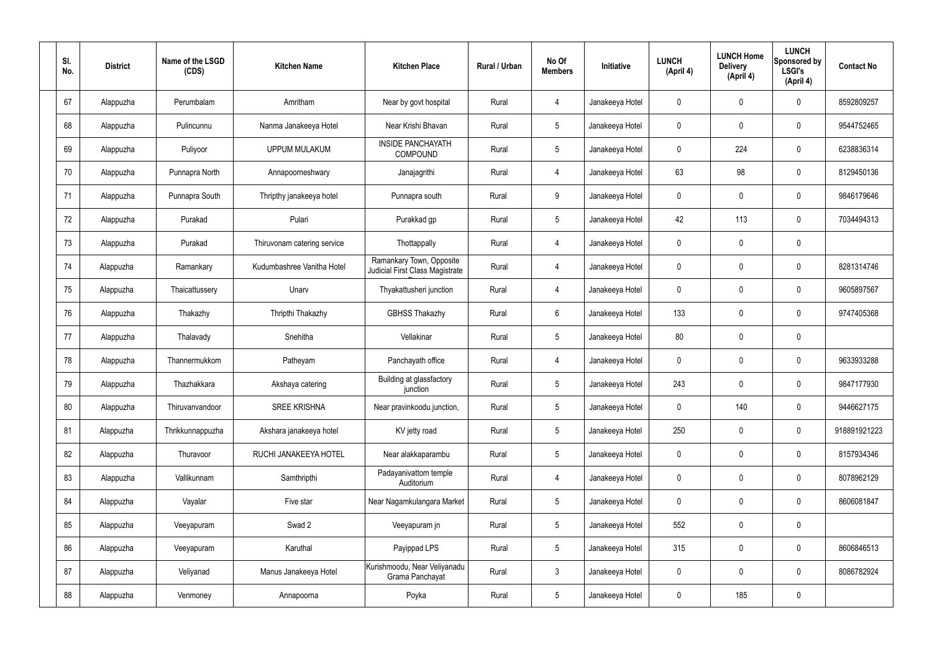| SI.<br>No. | <b>District</b> | Name of the LSGD<br>(CDS) | <b>Kitchen Name</b>         | <b>Kitchen Place</b>                                        | Rural / Urban | No Of<br><b>Members</b> | Initiative      | <b>LUNCH</b><br>(April 4) | <b>LUNCH Home</b><br><b>Delivery</b><br>(April 4) | <b>LUNCH</b><br>Sponsored by<br><b>LSGI's</b><br>(April 4) | <b>Contact No</b> |
|------------|-----------------|---------------------------|-----------------------------|-------------------------------------------------------------|---------------|-------------------------|-----------------|---------------------------|---------------------------------------------------|------------------------------------------------------------|-------------------|
| 67         | Alappuzha       | Perumbalam                | Amritham                    | Near by govt hospital                                       | Rural         | $\overline{4}$          | Janakeeya Hotel | $\mathbf 0$               | $\mathbf 0$                                       | $\mathbf 0$                                                | 8592809257        |
| 68         | Alappuzha       | Pulincunnu                | Nanma Janakeeya Hotel       | Near Krishi Bhavan                                          | Rural         | $5\phantom{.0}$         | Janakeeya Hotel | $\mathbf 0$               | $\mathbf 0$                                       | $\pmb{0}$                                                  | 9544752465        |
| 69         | Alappuzha       | Puliyoor                  | <b>UPPUM MULAKUM</b>        | <b>INSIDE PANCHAYATH</b><br><b>COMPOUND</b>                 | Rural         | $5\phantom{.0}$         | Janakeeya Hotel | $\mathbf 0$               | 224                                               | $\mathbf 0$                                                | 6238836314        |
| 70         | Alappuzha       | Punnapra North            | Annapoorneshwary            | Janajagrithi                                                | Rural         | 4                       | Janakeeya Hotel | 63                        | 98                                                | $\pmb{0}$                                                  | 8129450136        |
| 71         | Alappuzha       | Punnapra South            | Thripthy janakeeya hotel    | Punnapra south                                              | Rural         | 9                       | Janakeeya Hotel | $\mathbf 0$               | $\mathbf 0$                                       | $\mathbf 0$                                                | 9846179646        |
| 72         | Alappuzha       | Purakad                   | Pulari                      | Purakkad gp                                                 | Rural         | $5\phantom{.0}$         | Janakeeya Hotel | 42                        | 113                                               | $\pmb{0}$                                                  | 7034494313        |
| 73         | Alappuzha       | Purakad                   | Thiruvonam catering service | Thottappally                                                | Rural         | $\overline{4}$          | Janakeeya Hotel | $\mathbf 0$               | $\mathbf 0$                                       | $\mathbf 0$                                                |                   |
| 74         | Alappuzha       | Ramankary                 | Kudumbashree Vanitha Hotel  | Ramankary Town, Opposite<br>Judicial First Class Magistrate | Rural         | $\overline{4}$          | Janakeeya Hotel | $\mathbf 0$               | $\mathbf 0$                                       | $\pmb{0}$                                                  | 8281314746        |
| 75         | Alappuzha       | Thaicattussery            | Unarv                       | Thyakattusheri junction                                     | Rural         | 4                       | Janakeeya Hotel | $\mathbf 0$               | $\mathbf 0$                                       | $\mathbf 0$                                                | 9605897567        |
| 76         | Alappuzha       | Thakazhy                  | Thripthi Thakazhy           | <b>GBHSS Thakazhy</b>                                       | Rural         | $6\overline{6}$         | Janakeeya Hotel | 133                       | $\mathbf 0$                                       | $\pmb{0}$                                                  | 9747405368        |
| 77         | Alappuzha       | Thalavady                 | Snehitha                    | Vellakinar                                                  | Rural         | $5\phantom{.0}$         | Janakeeya Hotel | 80                        | $\mathbf 0$                                       | $\pmb{0}$                                                  |                   |
| 78         | Alappuzha       | Thannermukkom             | Patheyam                    | Panchayath office                                           | Rural         | $\overline{4}$          | Janakeeya Hotel | $\mathbf 0$               | $\mathbf 0$                                       | $\pmb{0}$                                                  | 9633933288        |
| 79         | Alappuzha       | Thazhakkara               | Akshaya catering            | Building at glassfactory<br>junction                        | Rural         | 5                       | Janakeeya Hotel | 243                       | $\mathbf 0$                                       | $\mathbf 0$                                                | 9847177930        |
| 80         | Alappuzha       | Thiruvanvandoor           | <b>SREE KRISHNA</b>         | Near pravinkoodu junction,                                  | Rural         | $5\phantom{.0}$         | Janakeeya Hotel | $\mathbf 0$               | 140                                               | $\pmb{0}$                                                  | 9446627175        |
| 81         | Alappuzha       | Thrikkunnappuzha          | Akshara janakeeya hotel     | KV jetty road                                               | Rural         | $5\overline{)}$         | Janakeeya Hotel | 250                       | $\pmb{0}$                                         | $\mathbf 0$                                                | 918891921223      |
| 82         | Alappuzha       | Thuravoor                 | RUCHI JANAKEEYA HOTEL       | Near alakkaparambu                                          | Rural         | $5\overline{)}$         | Janakeeya Hotel | $\mathbf 0$               | $\pmb{0}$                                         | $\pmb{0}$                                                  | 8157934346        |
| 83         | Alappuzha       | Vallikunnam               | Samthripthi                 | Padayanivattom temple<br>Auditorium                         | Rural         | $\overline{4}$          | Janakeeya Hotel | $\mathbf 0$               | $\pmb{0}$                                         | $\mathbf 0$                                                | 8078962129        |
| 84         | Alappuzha       | Vayalar                   | Five star                   | Near Nagamkulangara Market                                  | Rural         | $5\overline{)}$         | Janakeeya Hotel | $\pmb{0}$                 | $\pmb{0}$                                         | $\pmb{0}$                                                  | 8606081847        |
| 85         | Alappuzha       | Veeyapuram                | Swad 2                      | Veeyapuram jn                                               | Rural         | $5\overline{)}$         | Janakeeya Hotel | 552                       | $\pmb{0}$                                         | $\mathbf 0$                                                |                   |
| 86         | Alappuzha       | Veeyapuram                | Karuthal                    | Payippad LPS                                                | Rural         | 5 <sub>5</sub>          | Janakeeya Hotel | 315                       | $\pmb{0}$                                         | $\pmb{0}$                                                  | 8606846513        |
| 87         | Alappuzha       | Veliyanad                 | Manus Janakeeya Hotel       | Kurishmoodu, Near Veliyanadu<br>Grama Panchayat             | Rural         | $\mathbf{3}$            | Janakeeya Hotel | $\pmb{0}$                 | $\pmb{0}$                                         | $\mathbf 0$                                                | 8086782924        |
| 88         | Alappuzha       | Venmoney                  | Annapoorna                  | Poyka                                                       | Rural         | $5\phantom{.0}$         | Janakeeya Hotel | $\pmb{0}$                 | 185                                               | $\pmb{0}$                                                  |                   |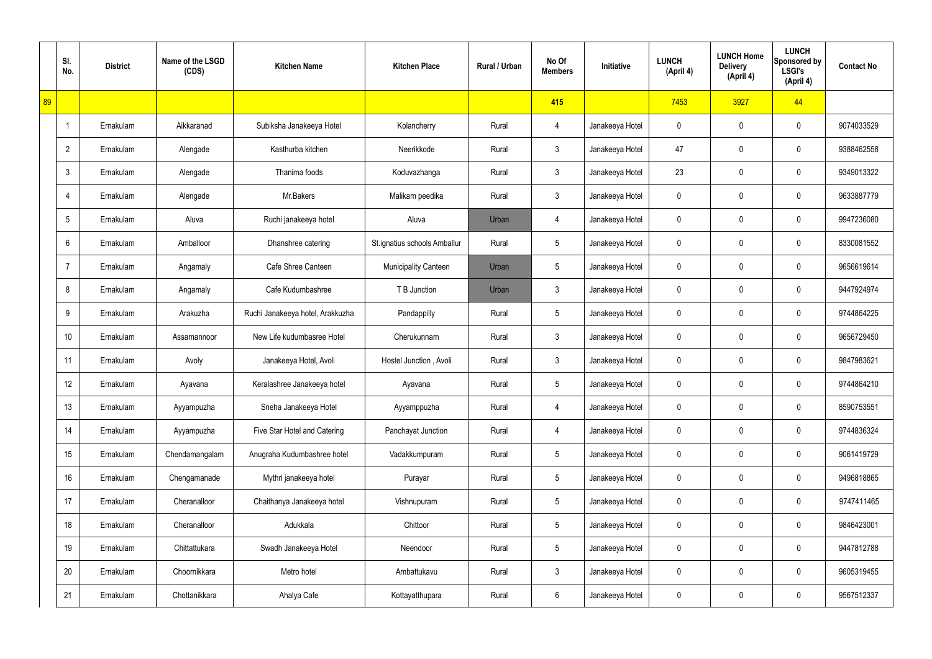|    | SI.<br>No.      | <b>District</b> | Name of the LSGD<br>(CDS) | <b>Kitchen Name</b>              | <b>Kitchen Place</b>         | Rural / Urban | No Of<br><b>Members</b> | Initiative      | <b>LUNCH</b><br>(April 4) | <b>LUNCH Home</b><br><b>Delivery</b><br>(April 4) | <b>LUNCH</b><br>Sponsored by<br><b>LSGI's</b><br>(April 4) | <b>Contact No</b> |
|----|-----------------|-----------------|---------------------------|----------------------------------|------------------------------|---------------|-------------------------|-----------------|---------------------------|---------------------------------------------------|------------------------------------------------------------|-------------------|
| 89 |                 |                 |                           |                                  |                              |               | 415                     |                 | 7453                      | 3927                                              | 44                                                         |                   |
|    | $\overline{1}$  | Ernakulam       | Aikkaranad                | Subiksha Janakeeya Hotel         | Kolancherry                  | Rural         | 4                       | Janakeeya Hotel | $\mathbf 0$               | 0                                                 | $\mathbf 0$                                                | 9074033529        |
|    | $\overline{2}$  | Ernakulam       | Alengade                  | Kasthurba kitchen                | Neerikkode                   | Rural         | 3                       | Janakeeya Hotel | 47                        | 0                                                 | $\mathbf 0$                                                | 9388462558        |
|    | 3               | Ernakulam       | Alengade                  | Thanima foods                    | Koduvazhanga                 | Rural         | 3                       | Janakeeya Hotel | 23                        | 0                                                 | $\mathbf 0$                                                | 9349013322        |
|    | $\overline{4}$  | Ernakulam       | Alengade                  | Mr.Bakers                        | Malikam peedika              | Rural         | 3                       | Janakeeya Hotel | 0                         | 0                                                 | $\mathbf 0$                                                | 9633887779        |
|    | 5               | Ernakulam       | Aluva                     | Ruchi janakeeya hotel            | Aluva                        | Urban         | 4                       | Janakeeya Hotel | 0                         | 0                                                 | $\mathbf 0$                                                | 9947236080        |
|    | 6               | Ernakulam       | Amballoor                 | Dhanshree catering               | St.ignatius schools Amballur | Rural         | $\overline{5}$          | Janakeeya Hotel | 0                         | 0                                                 | $\mathbf 0$                                                | 8330081552        |
|    | $\overline{7}$  | Ernakulam       | Angamaly                  | Cafe Shree Canteen               | <b>Municipality Canteen</b>  | Urban         | 5                       | Janakeeya Hotel | 0                         | 0                                                 | $\mathbf 0$                                                | 9656619614        |
|    | 8               | Ernakulam       | Angamaly                  | Cafe Kudumbashree                | T B Junction                 | Urban         | 3                       | Janakeeya Hotel | 0                         | 0                                                 | $\mathbf 0$                                                | 9447924974        |
|    | 9               | Ernakulam       | Arakuzha                  | Ruchi Janakeeya hotel, Arakkuzha | Pandappilly                  | Rural         | $5\phantom{.0}$         | Janakeeya Hotel | 0                         | 0                                                 | $\mathbf 0$                                                | 9744864225        |
|    | 10 <sup>1</sup> | Ernakulam       | Assamannoor               | New Life kudumbasree Hotel       | Cherukunnam                  | Rural         | $\mathfrak{Z}$          | Janakeeya Hotel | 0                         | 0                                                 | $\mathbf 0$                                                | 9656729450        |
|    | 11              | Ernakulam       | Avoly                     | Janakeeya Hotel, Avoli           | Hostel Junction, Avoli       | Rural         | 3                       | Janakeeya Hotel | 0                         | 0                                                 | $\mathbf 0$                                                | 9847983621        |
|    | 12              | Ernakulam       | Ayavana                   | Keralashree Janakeeya hotel      | Ayavana                      | Rural         | $5\phantom{.0}$         | Janakeeya Hotel | 0                         | 0                                                 | $\mathbf 0$                                                | 9744864210        |
|    | 13              | Ernakulam       | Ayyampuzha                | Sneha Janakeeya Hotel            | Ayyamppuzha                  | Rural         | 4                       | Janakeeya Hotel | $\mathbf 0$               | 0                                                 | $\mathbf 0$                                                | 8590753551        |
|    | 14              | Ernakulam       | Ayyampuzha                | Five Star Hotel and Catering     | Panchayat Junction           | Rural         | 4                       | Janakeeya Hotel | 0                         | 0                                                 | $\mathbf 0$                                                | 9744836324        |
|    | 15              | Ernakulam       | Chendamangalam            | Anugraha Kudumbashree hotel      | Vadakkumpuram                | Rural         | $5\phantom{.0}$         | Janakeeya Hotel | 0                         | 0                                                 | $\mathbf 0$                                                | 9061419729        |
|    | 16              | Ernakulam       | Chengamanade              | Mythri janakeeya hotel           | Purayar                      | Rural         | $5\phantom{.0}$         | Janakeeya Hotel | 0                         | 0                                                 | $\mathbf 0$                                                | 9496818865        |
|    | 17              | Ernakulam       | Cheranalloor              | Chaithanya Janakeeya hotel       | Vishnupuram                  | Rural         | $5\phantom{.0}$         | Janakeeya Hotel | 0                         | 0                                                 | $\mathbf 0$                                                | 9747411465        |
|    | 18              | Ernakulam       | Cheranalloor              | Adukkala                         | Chittoor                     | Rural         | $\overline{5}$          | Janakeeya Hotel | 0                         | 0                                                 | $\mathbf 0$                                                | 9846423001        |
|    | 19              | Ernakulam       | Chittattukara             | Swadh Janakeeya Hotel            | Neendoor                     | Rural         | $5\phantom{.0}$         | Janakeeya Hotel | 0                         | 0                                                 | $\mathbf 0$                                                | 9447812788        |
|    | 20              | Ernakulam       | Choornikkara              | Metro hotel                      | Ambattukavu                  | Rural         | $\mathfrak{Z}$          | Janakeeya Hotel | 0                         | $\mathbf 0$                                       | $\mathbf 0$                                                | 9605319455        |
|    | 21              | Ernakulam       | Chottanikkara             | Ahalya Cafe                      | Kottayatthupara              | Rural         | 6                       | Janakeeya Hotel | 0                         | 0                                                 | $\pmb{0}$                                                  | 9567512337        |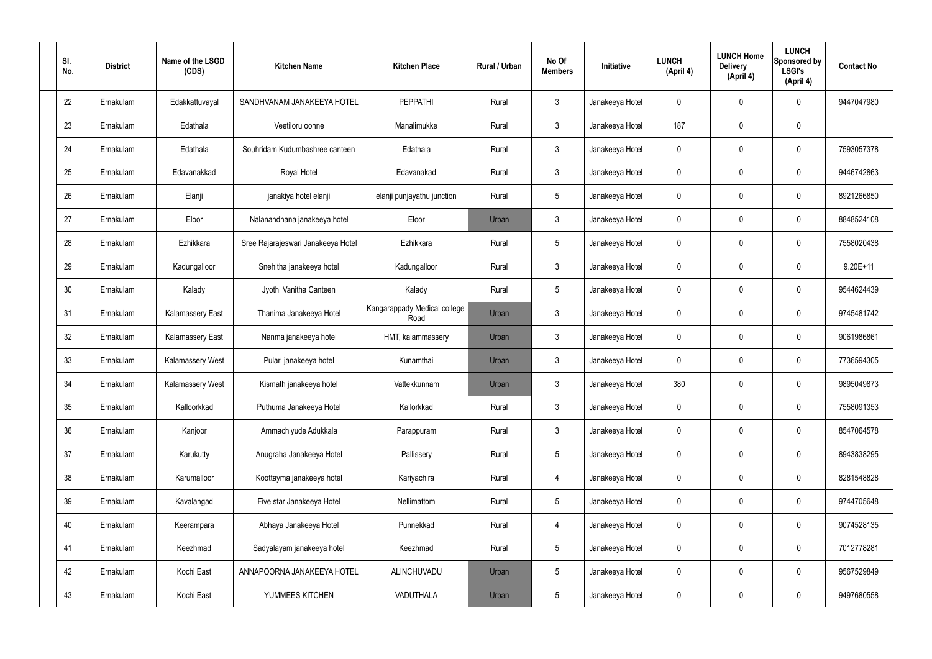| SI.<br>No. | <b>District</b> | Name of the LSGD<br>(CDS) | <b>Kitchen Name</b>                | <b>Kitchen Place</b>                 | Rural / Urban | No Of<br><b>Members</b> | Initiative      | <b>LUNCH</b><br>(April 4) | <b>LUNCH Home</b><br><b>Delivery</b><br>(April 4) | <b>LUNCH</b><br>Sponsored by<br><b>LSGI's</b><br>(April 4) | <b>Contact No</b> |
|------------|-----------------|---------------------------|------------------------------------|--------------------------------------|---------------|-------------------------|-----------------|---------------------------|---------------------------------------------------|------------------------------------------------------------|-------------------|
| 22         | Ernakulam       | Edakkattuvayal            | SANDHVANAM JANAKEEYA HOTEL         | <b>PEPPATHI</b>                      | Rural         | $\mathbf{3}$            | Janakeeya Hotel | 0                         | 0                                                 | $\mathbf 0$                                                | 9447047980        |
| 23         | Ernakulam       | Edathala                  | Veetiloru oonne                    | Manalimukke                          | Rural         | $\mathbf{3}$            | Janakeeya Hotel | 187                       | 0                                                 | $\mathbf 0$                                                |                   |
| 24         | Ernakulam       | Edathala                  | Souhridam Kudumbashree canteen     | Edathala                             | Rural         | $\mathbf{3}$            | Janakeeya Hotel | 0                         | 0                                                 | $\mathbf 0$                                                | 7593057378        |
| 25         | Ernakulam       | Edavanakkad               | Royal Hotel                        | Edavanakad                           | Rural         | $\mathbf{3}$            | Janakeeya Hotel | $\mathbf 0$               | 0                                                 | $\mathbf 0$                                                | 9446742863        |
| 26         | Ernakulam       | Elanji                    | janakiya hotel elanji              | elanji punjayathu junction           | Rural         | $5\phantom{.0}$         | Janakeeya Hotel | 0                         | 0                                                 | $\mathbf 0$                                                | 8921266850        |
| 27         | Ernakulam       | Eloor                     | Nalanandhana janakeeya hotel       | Eloor                                | Urban         | $\mathfrak{Z}$          | Janakeeya Hotel | $\mathbf 0$               | 0                                                 | $\mathbf 0$                                                | 8848524108        |
| 28         | Ernakulam       | Ezhikkara                 | Sree Rajarajeswari Janakeeya Hotel | Ezhikkara                            | Rural         | $5\phantom{.0}$         | Janakeeya Hotel | $\mathbf 0$               | 0                                                 | $\mathbf 0$                                                | 7558020438        |
| 29         | Ernakulam       | Kadungalloor              | Snehitha janakeeya hotel           | Kadungalloor                         | Rural         | $\mathfrak{Z}$          | Janakeeya Hotel | $\mathbf 0$               | 0                                                 | $\mathbf 0$                                                | $9.20E + 11$      |
| 30         | Ernakulam       | Kalady                    | Jyothi Vanitha Canteen             | Kalady                               | Rural         | $5\phantom{.0}$         | Janakeeya Hotel | $\mathbf 0$               | 0                                                 | $\mathbf 0$                                                | 9544624439        |
| 31         | Ernakulam       | <b>Kalamassery East</b>   | Thanima Janakeeya Hotel            | Kangarappady Medical college<br>Road | Urban         | $\mathbf{3}$            | Janakeeya Hotel | 0                         | 0                                                 | $\boldsymbol{0}$                                           | 9745481742        |
| 32         | Ernakulam       | <b>Kalamassery East</b>   | Nanma janakeeya hotel              | HMT, kalammassery                    | Urban         | $\mathbf{3}$            | Janakeeya Hotel | $\mathbf 0$               | 0                                                 | $\mathbf 0$                                                | 9061986861        |
| 33         | Ernakulam       | Kalamassery West          | Pulari janakeeya hotel             | Kunamthai                            | Urban         | $\mathfrak{Z}$          | Janakeeya Hotel | $\mathbf 0$               | 0                                                 | $\boldsymbol{0}$                                           | 7736594305        |
| 34         | Ernakulam       | Kalamassery West          | Kismath janakeeya hotel            | Vattekkunnam                         | Urban         | $\mathbf{3}$            | Janakeeya Hotel | 380                       | 0                                                 | 0                                                          | 9895049873        |
| 35         | Ernakulam       | Kalloorkkad               | Puthuma Janakeeya Hotel            | Kallorkkad                           | Rural         | $\mathbf{3}$            | Janakeeya Hotel | $\mathbf 0$               | 0                                                 | $\mathbf 0$                                                | 7558091353        |
| 36         | Ernakulam       | Kanjoor                   | Ammachiyude Adukkala               | Parappuram                           | Rural         | $3\phantom{a}$          | Janakeeya Hotel | $\mathbf 0$               | $\mathsf{0}$                                      | $\mathbf 0$                                                | 8547064578        |
| 37         | Ernakulam       | Karukutty                 | Anugraha Janakeeya Hotel           | Pallissery                           | Rural         | $5\phantom{.0}$         | Janakeeya Hotel | $\mathbf 0$               | $\mathbf 0$                                       | $\mathbf 0$                                                | 8943838295        |
| 38         | Ernakulam       | Karumalloor               | Koottayma janakeeya hotel          | Kariyachira                          | Rural         | $\overline{4}$          | Janakeeya Hotel | $\mathbf 0$               | $\mathsf{0}$                                      | $\mathbf 0$                                                | 8281548828        |
| 39         | Ernakulam       | Kavalangad                | Five star Janakeeya Hotel          | Nellimattom                          | Rural         | $5\phantom{.0}$         | Janakeeya Hotel | $\mathbf 0$               | $\mathbf 0$                                       | $\mathbf 0$                                                | 9744705648        |
| 40         | Ernakulam       | Keerampara                | Abhaya Janakeeya Hotel             | Punnekkad                            | Rural         | $\overline{4}$          | Janakeeya Hotel | $\mathbf 0$               | $\mathsf{0}$                                      | $\mathbf 0$                                                | 9074528135        |
| 41         | Ernakulam       | Keezhmad                  | Sadyalayam janakeeya hotel         | Keezhmad                             | Rural         | $5\phantom{.0}$         | Janakeeya Hotel | $\mathbf 0$               | $\mathbf 0$                                       | $\mathbf 0$                                                | 7012778281        |
| 42         | Ernakulam       | Kochi East                | ANNAPOORNA JANAKEEYA HOTEL         | ALINCHUVADU                          | Urban         | $5\phantom{.0}$         | Janakeeya Hotel | $\pmb{0}$                 | 0                                                 | $\mathbf 0$                                                | 9567529849        |
| 43         | Ernakulam       | Kochi East                | YUMMEES KITCHEN                    | VADUTHALA                            | Urban         | $5\,$                   | Janakeeya Hotel | 0                         | $\pmb{0}$                                         | $\boldsymbol{0}$                                           | 9497680558        |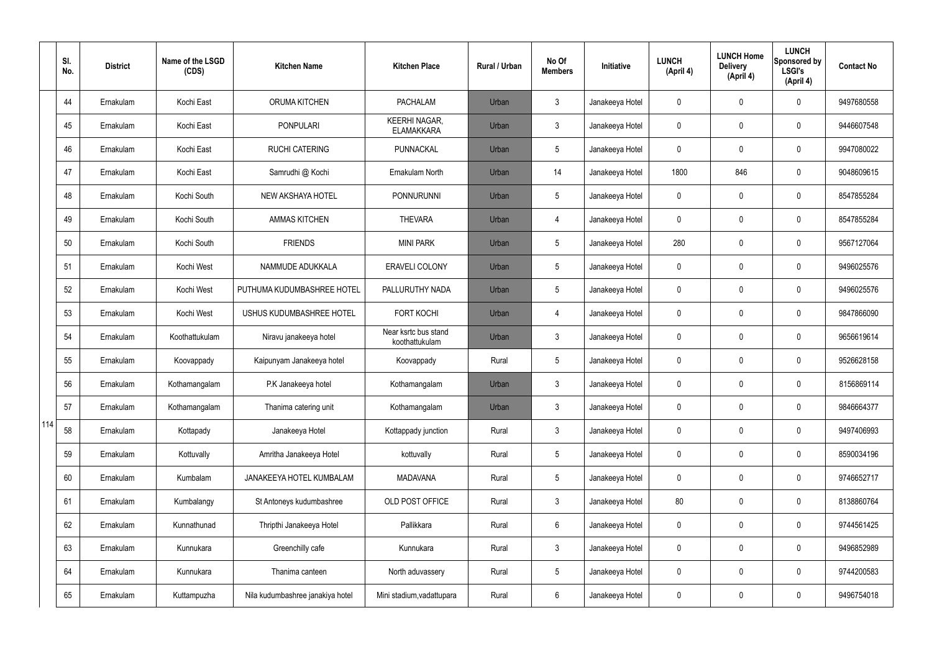|     | SI.<br>No. | <b>District</b> | Name of the LSGD<br>(CDS) | <b>Kitchen Name</b>              | <b>Kitchen Place</b>                      | <b>Rural / Urban</b> | No Of<br><b>Members</b> | Initiative      | <b>LUNCH</b><br>(April 4) | <b>LUNCH Home</b><br><b>Delivery</b><br>(April 4) | <b>LUNCH</b><br>Sponsored by<br><b>LSGI's</b><br>(April 4) | <b>Contact No</b> |
|-----|------------|-----------------|---------------------------|----------------------------------|-------------------------------------------|----------------------|-------------------------|-----------------|---------------------------|---------------------------------------------------|------------------------------------------------------------|-------------------|
|     | 44         | Ernakulam       | Kochi East                | <b>ORUMA KITCHEN</b>             | <b>PACHALAM</b>                           | Urban                | 3                       | Janakeeya Hotel | 0                         | 0                                                 | 0                                                          | 9497680558        |
|     | 45         | Ernakulam       | Kochi East                | <b>PONPULARI</b>                 | <b>KEERHI NAGAR,</b><br><b>ELAMAKKARA</b> | Urban                | $\mathfrak{Z}$          | Janakeeya Hotel | 0                         | 0                                                 | $\pmb{0}$                                                  | 9446607548        |
|     | 46         | Ernakulam       | Kochi East                | <b>RUCHI CATERING</b>            | PUNNACKAL                                 | Urban                | $5\overline{)}$         | Janakeeya Hotel | 0                         | 0                                                 | $\pmb{0}$                                                  | 9947080022        |
|     | 47         | Ernakulam       | Kochi East                | Samrudhi @ Kochi                 | Ernakulam North                           | Urban                | 14                      | Janakeeya Hotel | 1800                      | 846                                               | $\pmb{0}$                                                  | 9048609615        |
|     | 48         | Ernakulam       | Kochi South               | <b>NEW AKSHAYA HOTEL</b>         | <b>PONNURUNNI</b>                         | Urban                | 5                       | Janakeeya Hotel | 0                         | 0                                                 | $\pmb{0}$                                                  | 8547855284        |
|     | 49         | Ernakulam       | Kochi South               | <b>AMMAS KITCHEN</b>             | <b>THEVARA</b>                            | Urban                | 4                       | Janakeeya Hotel | 0                         | 0                                                 | $\pmb{0}$                                                  | 8547855284        |
|     | 50         | Ernakulam       | Kochi South               | <b>FRIENDS</b>                   | <b>MINI PARK</b>                          | Urban                | $5\overline{)}$         | Janakeeya Hotel | 280                       | 0                                                 | $\pmb{0}$                                                  | 9567127064        |
|     | 51         | Ernakulam       | Kochi West                | NAMMUDE ADUKKALA                 | <b>ERAVELI COLONY</b>                     | Urban                | 5                       | Janakeeya Hotel | 0                         | 0                                                 | $\pmb{0}$                                                  | 9496025576        |
|     | 52         | Ernakulam       | Kochi West                | PUTHUMA KUDUMBASHREE HOTEL       | PALLURUTHY NADA                           | Urban                | $5\overline{)}$         | Janakeeya Hotel | 0                         | 0                                                 | 0                                                          | 9496025576        |
|     | 53         | Ernakulam       | Kochi West                | USHUS KUDUMBASHREE HOTEL         | <b>FORT KOCHI</b>                         | Urban                | 4                       | Janakeeya Hotel | 0                         | 0                                                 | 0                                                          | 9847866090        |
|     | 54         | Ernakulam       | Koothattukulam            | Niravu janakeeya hotel           | Near ksrtc bus stand<br>koothattukulam    | Urban                | 3                       | Janakeeya Hotel | 0                         | 0                                                 | 0                                                          | 9656619614        |
|     | 55         | Ernakulam       | Koovappady                | Kaipunyam Janakeeya hotel        | Koovappady                                | Rural                | 5                       | Janakeeya Hotel | 0                         | 0                                                 | 0                                                          | 9526628158        |
|     | 56         | Ernakulam       | Kothamangalam             | P.K Janakeeya hotel              | Kothamangalam                             | Urban                | 3                       | Janakeeya Hotel | 0                         | 0                                                 | 0                                                          | 8156869114        |
|     | 57         | Ernakulam       | Kothamangalam             | Thanima catering unit            | Kothamangalam                             | Urban                | $\mathfrak{Z}$          | Janakeeya Hotel | $\mathbf 0$               | 0                                                 | $\pmb{0}$                                                  | 9846664377        |
| 114 | 58         | Ernakulam       | Kottapady                 | Janakeeya Hotel                  | Kottappady junction                       | Rural                | $\mathbf{3}$            | Janakeeya Hotel | 0                         | 0                                                 | $\mathsf{0}$                                               | 9497406993        |
|     | 59         | Ernakulam       | Kottuvally                | Amritha Janakeeya Hotel          | kottuvally                                | Rural                | $5\overline{)}$         | Janakeeya Hotel | 0                         | 0                                                 | $\mathbf 0$                                                | 8590034196        |
|     | 60         | Ernakulam       | Kumbalam                  | JANAKEEYA HOTEL KUMBALAM         | <b>MADAVANA</b>                           | Rural                | $5\overline{)}$         | Janakeeya Hotel | 0                         | $\mathbf 0$                                       | $\mathsf{0}$                                               | 9746652717        |
|     | 61         | Ernakulam       | Kumbalangy                | St Antoneys kudumbashree         | OLD POST OFFICE                           | Rural                | $\mathbf{3}$            | Janakeeya Hotel | 80                        | 0                                                 | $\mathbf 0$                                                | 8138860764        |
|     | 62         | Ernakulam       | Kunnathunad               | Thripthi Janakeeya Hotel         | Pallikkara                                | Rural                | 6                       | Janakeeya Hotel | $\mathbf 0$               | $\mathbf 0$                                       | $\mathbf 0$                                                | 9744561425        |
|     | 63         | Ernakulam       | Kunnukara                 | Greenchilly cafe                 | Kunnukara                                 | Rural                | $\mathbf{3}$            | Janakeeya Hotel | 0                         | 0                                                 | $\mathbf 0$                                                | 9496852989        |
|     | 64         | Ernakulam       | Kunnukara                 | Thanima canteen                  | North aduvassery                          | Rural                | 5                       | Janakeeya Hotel | 0                         | 0                                                 | $\mathsf{0}$                                               | 9744200583        |
|     | 65         | Ernakulam       | Kuttampuzha               | Nila kudumbashree janakiya hotel | Mini stadium, vadattupara                 | Rural                | 6                       | Janakeeya Hotel | 0                         | 0                                                 | $\pmb{0}$                                                  | 9496754018        |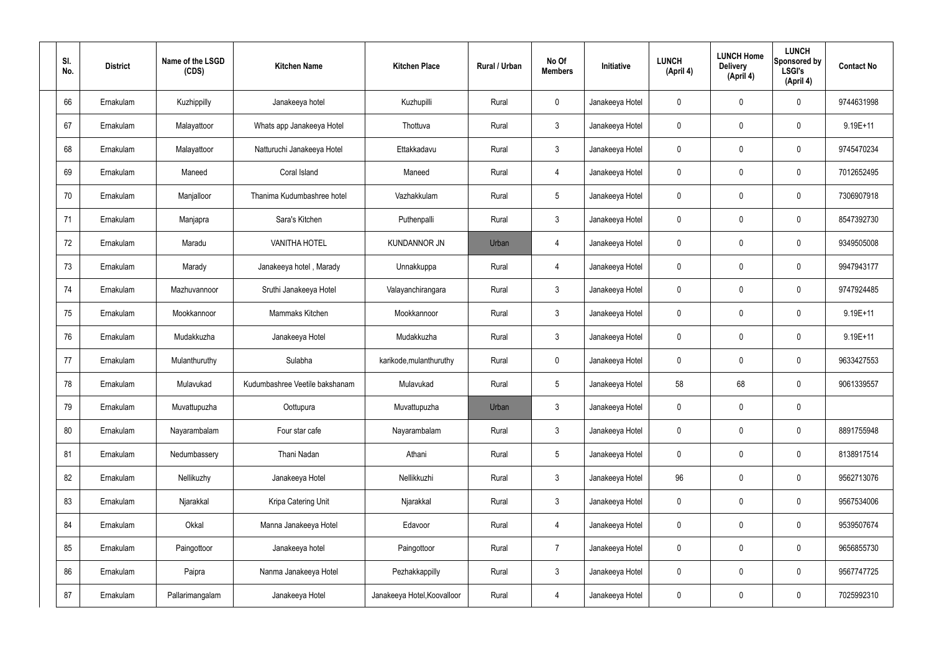| SI.<br>No. | <b>District</b> | Name of the LSGD<br>(CDS) | <b>Kitchen Name</b>            | <b>Kitchen Place</b>        | Rural / Urban | No Of<br><b>Members</b> | Initiative      | <b>LUNCH</b><br>(April 4) | <b>LUNCH Home</b><br><b>Delivery</b><br>(April 4) | <b>LUNCH</b><br>Sponsored by<br><b>LSGI's</b><br>(April 4) | <b>Contact No</b> |
|------------|-----------------|---------------------------|--------------------------------|-----------------------------|---------------|-------------------------|-----------------|---------------------------|---------------------------------------------------|------------------------------------------------------------|-------------------|
| 66         | Ernakulam       | Kuzhippilly               | Janakeeya hotel                | Kuzhupilli                  | Rural         | $\mathbf 0$             | Janakeeya Hotel | 0                         | 0                                                 | $\mathbf 0$                                                | 9744631998        |
| 67         | Ernakulam       | Malayattoor               | Whats app Janakeeya Hotel      | Thottuva                    | Rural         | $\mathbf{3}$            | Janakeeya Hotel | $\mathbf 0$               | 0                                                 | $\mathbf 0$                                                | 9.19E+11          |
| 68         | Ernakulam       | Malayattoor               | Natturuchi Janakeeya Hotel     | Ettakkadavu                 | Rural         | $\mathbf{3}$            | Janakeeya Hotel | $\mathbf 0$               | 0                                                 | $\mathbf 0$                                                | 9745470234        |
| 69         | Ernakulam       | Maneed                    | Coral Island                   | Maneed                      | Rural         | $\overline{4}$          | Janakeeya Hotel | $\mathbf 0$               | 0                                                 | $\mathbf 0$                                                | 7012652495        |
| 70         | Ernakulam       | Manjalloor                | Thanima Kudumbashree hotel     | Vazhakkulam                 | Rural         | $5\phantom{.0}$         | Janakeeya Hotel | $\mathbf 0$               | 0                                                 | $\mathbf 0$                                                | 7306907918        |
| 71         | Ernakulam       | Manjapra                  | Sara's Kitchen                 | Puthenpalli                 | Rural         | $\mathbf{3}$            | Janakeeya Hotel | $\mathbf 0$               | 0                                                 | $\mathbf 0$                                                | 8547392730        |
| 72         | Ernakulam       | Maradu                    | <b>VANITHA HOTEL</b>           | <b>KUNDANNOR JN</b>         | Urban         | $\overline{4}$          | Janakeeya Hotel | $\mathbf 0$               | 0                                                 | $\mathbf 0$                                                | 9349505008        |
| 73         | Ernakulam       | Marady                    | Janakeeya hotel, Marady        | Unnakkuppa                  | Rural         | 4                       | Janakeeya Hotel | $\mathbf 0$               | 0                                                 | $\mathbf 0$                                                | 9947943177        |
| 74         | Ernakulam       | Mazhuvannoor              | Sruthi Janakeeya Hotel         | Valayanchirangara           | Rural         | $\mathbf{3}$            | Janakeeya Hotel | $\mathbf 0$               | 0                                                 | $\mathbf 0$                                                | 9747924485        |
| 75         | Ernakulam       | Mookkannoor               | Mammaks Kitchen                | Mookkannoor                 | Rural         | $\mathfrak{Z}$          | Janakeeya Hotel | $\mathbf 0$               | 0                                                 | $\mathbf 0$                                                | $9.19E + 11$      |
| 76         | Ernakulam       | Mudakkuzha                | Janakeeya Hotel                | Mudakkuzha                  | Rural         | $\mathbf{3}$            | Janakeeya Hotel | $\mathbf 0$               | 0                                                 | $\mathbf 0$                                                | $9.19E + 11$      |
| 77         | Ernakulam       | Mulanthuruthy             | Sulabha                        | karikode, mulanthuruthy     | Rural         | $\mathbf 0$             | Janakeeya Hotel | $\mathbf 0$               | 0                                                 | $\boldsymbol{0}$                                           | 9633427553        |
| 78         | Ernakulam       | Mulavukad                 | Kudumbashree Veetile bakshanam | Mulavukad                   | Rural         | $5\phantom{.0}$         | Janakeeya Hotel | 58                        | 68                                                | $\mathbf 0$                                                | 9061339557        |
| 79         | Ernakulam       | Muvattupuzha              | Oottupura                      | Muvattupuzha                | Urban         | $\mathbf{3}$            | Janakeeya Hotel | $\mathbf 0$               | $\mathbf 0$                                       | $\pmb{0}$                                                  |                   |
| 80         | Ernakulam       | Nayarambalam              | Four star cafe                 | Nayarambalam                | Rural         | $3\phantom{a}$          | Janakeeya Hotel | $\mathbf 0$               | $\mathbf 0$                                       | $\mathbf 0$                                                | 8891755948        |
| 81         | Ernakulam       | Nedumbassery              | Thani Nadan                    | Athani                      | Rural         | $5\phantom{.0}$         | Janakeeya Hotel | $\mathbf 0$               | $\mathbf 0$                                       | $\mathbf 0$                                                | 8138917514        |
| 82         | Ernakulam       | Nellikuzhy                | Janakeeya Hotel                | Nellikkuzhi                 | Rural         | $\mathbf{3}$            | Janakeeya Hotel | 96                        | $\mathbf 0$                                       | $\mathbf 0$                                                | 9562713076        |
| 83         | Ernakulam       | Njarakkal                 | Kripa Catering Unit            | Njarakkal                   | Rural         | $\mathbf{3}$            | Janakeeya Hotel | $\mathbf 0$               | $\mathbf 0$                                       | $\mathbf 0$                                                | 9567534006        |
| 84         | Ernakulam       | Okkal                     | Manna Janakeeya Hotel          | Edavoor                     | Rural         | $\overline{4}$          | Janakeeya Hotel | $\mathbf 0$               | $\mathbf 0$                                       | $\mathbf 0$                                                | 9539507674        |
| 85         | Ernakulam       | Paingottoor               | Janakeeya hotel                | Paingottoor                 | Rural         | $\overline{7}$          | Janakeeya Hotel | $\mathbf 0$               | $\mathbf 0$                                       | $\mathbf 0$                                                | 9656855730        |
| 86         | Ernakulam       | Paipra                    | Nanma Janakeeya Hotel          | Pezhakkappilly              | Rural         | $\mathfrak{Z}$          | Janakeeya Hotel | $\pmb{0}$                 | 0                                                 | $\mathbf 0$                                                | 9567747725        |
| 87         | Ernakulam       | Pallarimangalam           | Janakeeya Hotel                | Janakeeya Hotel, Koovalloor | Rural         | 4                       | Janakeeya Hotel | 0                         | $\pmb{0}$                                         | $\boldsymbol{0}$                                           | 7025992310        |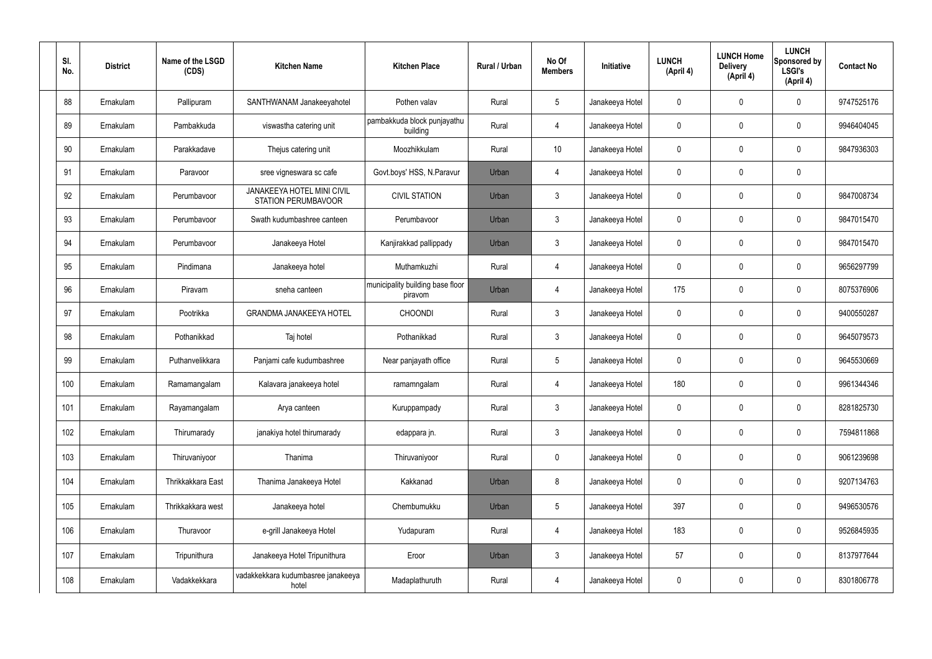| SI.<br>No. | <b>District</b> | Name of the LSGD<br>(CDS) | <b>Kitchen Name</b>                                             | <b>Kitchen Place</b>                        | Rural / Urban | No Of<br><b>Members</b> | <b>Initiative</b> | <b>LUNCH</b><br>(April 4) | <b>LUNCH Home</b><br><b>Delivery</b><br>(April 4) | <b>LUNCH</b><br>Sponsored by<br><b>LSGI's</b><br>(April 4) | <b>Contact No</b> |
|------------|-----------------|---------------------------|-----------------------------------------------------------------|---------------------------------------------|---------------|-------------------------|-------------------|---------------------------|---------------------------------------------------|------------------------------------------------------------|-------------------|
| 88         | Ernakulam       | Pallipuram                | SANTHWANAM Janakeeyahotel                                       | Pothen valav                                | Rural         | $5\phantom{.0}$         | Janakeeya Hotel   | $\mathbf 0$               | 0                                                 | $\mathbf 0$                                                | 9747525176        |
| 89         | Ernakulam       | Pambakkuda                | viswastha catering unit                                         | pambakkuda block punjayathu<br>building     | Rural         | $\overline{4}$          | Janakeeya Hotel   | $\mathbf 0$               | 0                                                 | $\mathbf 0$                                                | 9946404045        |
| 90         | Ernakulam       | Parakkadave               | Thejus catering unit                                            | Moozhikkulam                                | Rural         | 10 <sup>°</sup>         | Janakeeya Hotel   | $\mathbf 0$               | 0                                                 | $\mathbf 0$                                                | 9847936303        |
| 91         | Ernakulam       | Paravoor                  | sree vigneswara sc cafe                                         | Govt.boys' HSS, N.Paravur                   | Urban         | 4                       | Janakeeya Hotel   | $\mathbf 0$               | 0                                                 | $\mathbf 0$                                                |                   |
| 92         | Ernakulam       | Perumbavoor               | <b>JANAKEEYA HOTEL MINI CIVIL</b><br><b>STATION PERUMBAVOOR</b> | <b>CIVIL STATION</b>                        | Urban         | $\mathbf{3}$            | Janakeeya Hotel   | $\mathbf 0$               | 0                                                 | $\mathbf 0$                                                | 9847008734        |
| 93         | Ernakulam       | Perumbavoor               | Swath kudumbashree canteen                                      | Perumbavoor                                 | Urban         | $\mathbf{3}$            | Janakeeya Hotel   | $\mathbf 0$               | 0                                                 | $\mathbf 0$                                                | 9847015470        |
| 94         | Ernakulam       | Perumbavoor               | Janakeeya Hotel                                                 | Kanjirakkad pallippady                      | Urban         | $\mathbf{3}$            | Janakeeya Hotel   | $\mathbf 0$               | 0                                                 | $\mathbf 0$                                                | 9847015470        |
| 95         | Ernakulam       | Pindimana                 | Janakeeya hotel                                                 | Muthamkuzhi                                 | Rural         | $\overline{4}$          | Janakeeya Hotel   | $\mathbf 0$               | 0                                                 | $\mathbf 0$                                                | 9656297799        |
| 96         | Ernakulam       | Piravam                   | sneha canteen                                                   | municipality building base floor<br>piravom | Urban         | 4                       | Janakeeya Hotel   | 175                       | $\mathbf 0$                                       | $\mathbf 0$                                                | 8075376906        |
| 97         | Ernakulam       | Pootrikka                 | <b>GRANDMA JANAKEEYA HOTEL</b>                                  | <b>CHOONDI</b>                              | Rural         | $\mathbf{3}$            | Janakeeya Hotel   | $\mathbf 0$               | 0                                                 | $\mathbf 0$                                                | 9400550287        |
| 98         | Ernakulam       | Pothanikkad               | Taj hotel                                                       | Pothanikkad                                 | Rural         | $\mathbf{3}$            | Janakeeya Hotel   | $\mathbf 0$               | 0                                                 | $\mathbf 0$                                                | 9645079573        |
| 99         | Ernakulam       | Puthanvelikkara           | Panjami cafe kudumbashree                                       | Near panjayath office                       | Rural         | $5\phantom{.0}$         | Janakeeya Hotel   | $\mathbf 0$               | 0                                                 | $\mathbf 0$                                                | 9645530669        |
| 100        | Ernakulam       | Ramamangalam              | Kalavara janakeeya hotel                                        | ramamngalam                                 | Rural         | 4                       | Janakeeya Hotel   | 180                       | 0                                                 | $\mathbf 0$                                                | 9961344346        |
| 101        | Ernakulam       | Rayamangalam              | Arya canteen                                                    | Kuruppampady                                | Rural         | $\mathbf{3}$            | Janakeeya Hotel   | $\mathbf 0$               | $\mathbf 0$                                       | $\mathbf 0$                                                | 8281825730        |
| 102        | Ernakulam       | Thirumarady               | janakiya hotel thirumarady                                      | edappara jn.                                | Rural         | $\mathfrak{Z}$          | Janakeeya Hotel   | $\mathbf 0$               | 0                                                 | $\mathbf 0$                                                | 7594811868        |
| 103        | Ernakulam       | Thiruvaniyoor             | Thanima                                                         | Thiruvaniyoor                               | Rural         | $\mathbf 0$             | Janakeeya Hotel   | $\pmb{0}$                 | 0                                                 | $\mathbf 0$                                                | 9061239698        |
| 104        | Ernakulam       | Thrikkakkara East         | Thanima Janakeeya Hotel                                         | Kakkanad                                    | Urban         | 8                       | Janakeeya Hotel   | $\mathbf 0$               | 0                                                 | $\mathbf 0$                                                | 9207134763        |
| 105        | Ernakulam       | Thrikkakkara west         | Janakeeya hotel                                                 | Chembumukku                                 | Urban         | $5\,$                   | Janakeeya Hotel   | 397                       | 0                                                 | $\mathbf 0$                                                | 9496530576        |
| 106        | Ernakulam       | Thuravoor                 | e-grill Janakeeya Hotel                                         | Yudapuram                                   | Rural         | $\overline{4}$          | Janakeeya Hotel   | 183                       | 0                                                 | $\mathbf 0$                                                | 9526845935        |
| 107        | Ernakulam       | Tripunithura              | Janakeeya Hotel Tripunithura                                    | Eroor                                       | Urban         | $\mathbf{3}$            | Janakeeya Hotel   | 57                        | 0                                                 | $\mathbf 0$                                                | 8137977644        |
| 108        | Ernakulam       | Vadakkekkara              | vadakkekkara kudumbasree janakeeya<br>hotel                     | Madaplathuruth                              | Rural         | $\overline{4}$          | Janakeeya Hotel   | 0                         | 0                                                 | $\mathbf 0$                                                | 8301806778        |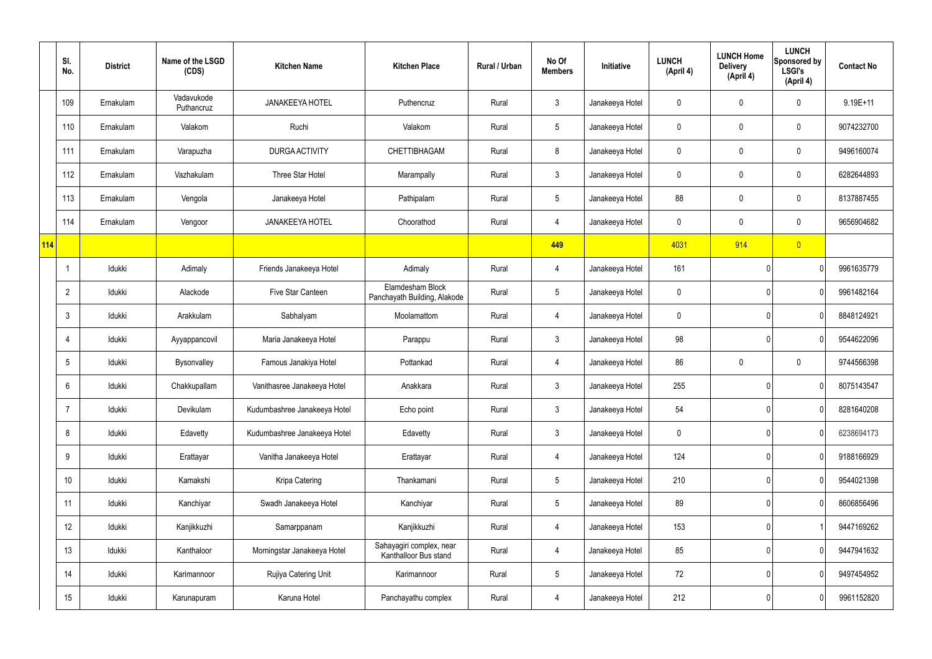|     | SI.<br>No.     | <b>District</b> | Name of the LSGD<br>(CDS) | <b>Kitchen Name</b>          | <b>Kitchen Place</b>                              | Rural / Urban | No Of<br><b>Members</b> | Initiative      | <b>LUNCH</b><br>(April 4) | <b>LUNCH Home</b><br><b>Delivery</b><br>(April 4) | <b>LUNCH</b><br>Sponsored by<br><b>LSGI's</b><br>(April 4) | <b>Contact No</b> |
|-----|----------------|-----------------|---------------------------|------------------------------|---------------------------------------------------|---------------|-------------------------|-----------------|---------------------------|---------------------------------------------------|------------------------------------------------------------|-------------------|
|     | 109            | Ernakulam       | Vadavukode<br>Puthancruz  | <b>JANAKEEYA HOTEL</b>       | Puthencruz                                        | Rural         | $\mathbf{3}$            | Janakeeya Hotel | $\mathbf 0$               | 0                                                 | $\mathbf 0$                                                | $9.19E + 11$      |
|     | 110            | Ernakulam       | Valakom                   | Ruchi                        | Valakom                                           | Rural         | $5\,$                   | Janakeeya Hotel | 0                         | $\mathbf 0$                                       | $\pmb{0}$                                                  | 9074232700        |
|     | 111            | Ernakulam       | Varapuzha                 | DURGA ACTIVITY               | CHETTIBHAGAM                                      | Rural         | 8                       | Janakeeya Hotel | $\mathbf 0$               | 0                                                 | $\mathbf 0$                                                | 9496160074        |
|     | 112            | Ernakulam       | Vazhakulam                | Three Star Hotel             | Marampally                                        | Rural         | $\mathbf{3}$            | Janakeeya Hotel | 0                         | 0                                                 | $\mathbf 0$                                                | 6282644893        |
|     | 113            | Ernakulam       | Vengola                   | Janakeeya Hotel              | Pathipalam                                        | Rural         | $5\phantom{.0}$         | Janakeeya Hotel | 88                        | 0                                                 | $\mathbf 0$                                                | 8137887455        |
|     | 114            | Ernakulam       | Vengoor                   | <b>JANAKEEYA HOTEL</b>       | Choorathod                                        | Rural         | $\overline{4}$          | Janakeeya Hotel | 0                         | 0                                                 | $\mathbf 0$                                                | 9656904682        |
| 114 |                |                 |                           |                              |                                                   |               | 449                     |                 | 4031                      | 914                                               | $\overline{0}$                                             |                   |
|     |                | Idukki          | Adimaly                   | Friends Janakeeya Hotel      | Adimaly                                           | Rural         | 4                       | Janakeeya Hotel | 161                       |                                                   | 0                                                          | 9961635779        |
|     | $\overline{2}$ | Idukki          | Alackode                  | Five Star Canteen            | Elamdesham Block<br>Panchayath Building, Alakode  | Rural         | $5\phantom{.0}$         | Janakeeya Hotel | $\mathbf 0$               |                                                   | 0                                                          | 9961482164        |
|     | 3              | Idukki          | Arakkulam                 | Sabhalyam                    | Moolamattom                                       | Rural         | 4                       | Janakeeya Hotel | 0                         |                                                   | 0                                                          | 8848124921        |
|     | 4              | Idukki          | Ayyappancovil             | Maria Janakeeya Hotel        | Parappu                                           | Rural         | $\mathbf{3}$            | Janakeeya Hotel | 98                        |                                                   | 0                                                          | 9544622096        |
|     | 5              | Idukki          | Bysonvalley               | Famous Janakiya Hotel        | Pottankad                                         | Rural         | 4                       | Janakeeya Hotel | 86                        | 0                                                 | $\mathbf 0$                                                | 9744566398        |
|     | 6              | Idukki          | Chakkupallam              | Vanithasree Janakeeya Hotel  | Anakkara                                          | Rural         | $\mathbf{3}$            | Janakeeya Hotel | 255                       |                                                   | 0                                                          | 8075143547        |
|     | $\overline{7}$ | Idukki          | Devikulam                 | Kudumbashree Janakeeya Hotel | Echo point                                        | Rural         | 3 <sup>1</sup>          | Janakeeya Hotel | 54                        |                                                   | 0                                                          | 8281640208        |
|     | 8              | Idukki          | Edavetty                  | Kudumbashree Janakeeya Hotel | Edavetty                                          | Rural         | $\mathbf{3}$            | Janakeeya Hotel | $\mathbf 0$               |                                                   | 0                                                          | 6238694173        |
|     | 9              | Idukki          | Erattayar                 | Vanitha Janakeeya Hotel      | Erattayar                                         | Rural         | $\overline{4}$          | Janakeeya Hotel | 124                       |                                                   | 0                                                          | 9188166929        |
|     | 10             | Idukki          | Kamakshi                  | Kripa Catering               | Thankamani                                        | Rural         | $5\overline{)}$         | Janakeeya Hotel | 210                       |                                                   | $\mathbf 0$                                                | 9544021398        |
|     | 11             | Idukki          | Kanchiyar                 | Swadh Janakeeya Hotel        | Kanchiyar                                         | Rural         | $5\overline{)}$         | Janakeeya Hotel | 89                        |                                                   | 0                                                          | 8606856496        |
|     | 12             | Idukki          | Kanjikkuzhi               | Samarppanam                  | Kanjikkuzhi                                       | Rural         | $\overline{4}$          | Janakeeya Hotel | 153                       |                                                   |                                                            | 9447169262        |
|     | 13             | Idukki          | Kanthaloor                | Morningstar Janakeeya Hotel  | Sahayagiri complex, near<br>Kanthalloor Bus stand | Rural         | $\overline{4}$          | Janakeeya Hotel | 85                        |                                                   | $\mathbf 0$                                                | 9447941632        |
|     | 14             | Idukki          | Karimannoor               | Rujiya Catering Unit         | Karimannoor                                       | Rural         | $5\phantom{.0}$         | Janakeeya Hotel | 72                        |                                                   | $\mathbf 0$                                                | 9497454952        |
|     | 15             | Idukki          | Karunapuram               | Karuna Hotel                 | Panchayathu complex                               | Rural         | $\overline{4}$          | Janakeeya Hotel | 212                       |                                                   | $\pmb{0}$                                                  | 9961152820        |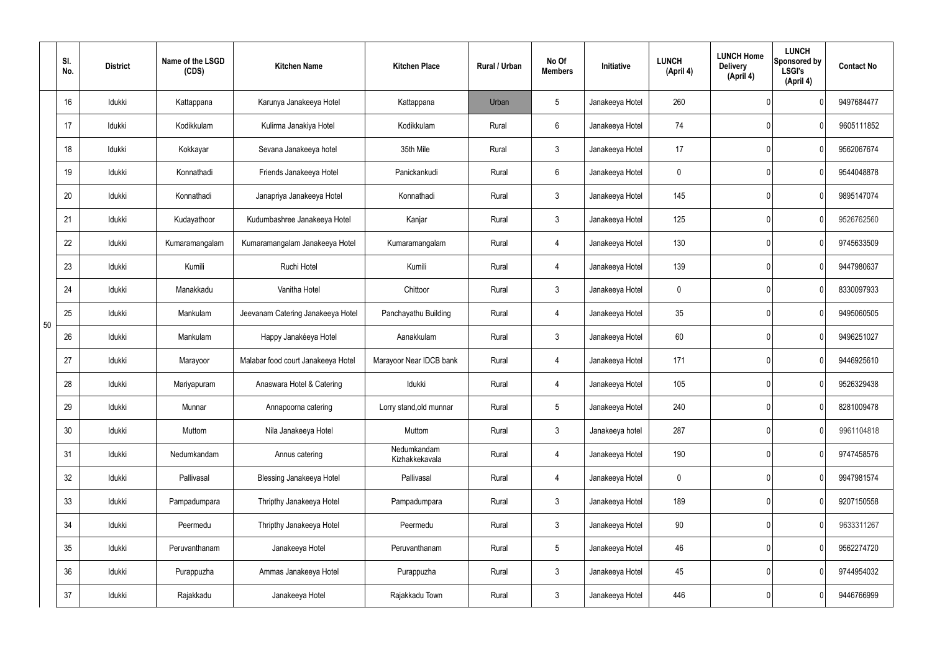|    | SI.<br>No. | <b>District</b> | Name of the LSGD<br>(CDS) | <b>Kitchen Name</b>                | <b>Kitchen Place</b>          | <b>Rural / Urban</b> | No Of<br><b>Members</b> | Initiative      | <b>LUNCH</b><br>(April 4) | <b>LUNCH Home</b><br><b>Delivery</b><br>(April 4) | <b>LUNCH</b><br>Sponsored by<br><b>LSGI's</b><br>(April 4) | <b>Contact No</b> |
|----|------------|-----------------|---------------------------|------------------------------------|-------------------------------|----------------------|-------------------------|-----------------|---------------------------|---------------------------------------------------|------------------------------------------------------------|-------------------|
|    | 16         | Idukki          | Kattappana                | Karunya Janakeeya Hotel            | Kattappana                    | Urban                | 5                       | Janakeeya Hotel | 260                       |                                                   | $\Omega$                                                   | 9497684477        |
|    | 17         | Idukki          | Kodikkulam                | Kulirma Janakiya Hotel             | Kodikkulam                    | Rural                | 6                       | Janakeeya Hotel | 74                        |                                                   | 0                                                          | 9605111852        |
|    | 18         | Idukki          | Kokkayar                  | Sevana Janakeeya hotel             | 35th Mile                     | Rural                | $\mathbf{3}$            | Janakeeya Hotel | 17                        |                                                   | 0                                                          | 9562067674        |
|    | 19         | Idukki          | Konnathadi                | Friends Janakeeya Hotel            | Panickankudi                  | Rural                | 6                       | Janakeeya Hotel | $\mathbf 0$               |                                                   | 0                                                          | 9544048878        |
|    | 20         | Idukki          | Konnathadi                | Janapriya Janakeeya Hotel          | Konnathadi                    | Rural                | $\mathbf{3}$            | Janakeeya Hotel | 145                       |                                                   | $\mathbf{0}$                                               | 9895147074        |
|    | 21         | Idukki          | Kudayathoor               | Kudumbashree Janakeeya Hotel       | Kanjar                        | Rural                | $\mathbf{3}$            | Janakeeya Hotel | 125                       |                                                   | 0                                                          | 9526762560        |
|    | 22         | Idukki          | Kumaramangalam            | Kumaramangalam Janakeeya Hotel     | Kumaramangalam                | Rural                | 4                       | Janakeeya Hotel | 130                       |                                                   | $\mathbf{0}$                                               | 9745633509        |
|    | 23         | Idukki          | Kumili                    | Ruchi Hotel                        | Kumili                        | Rural                | 4                       | Janakeeya Hotel | 139                       |                                                   | 0                                                          | 9447980637        |
|    | 24         | Idukki          | Manakkadu                 | Vanitha Hotel                      | Chittoor                      | Rural                | $\mathbf{3}$            | Janakeeya Hotel | $\mathbf 0$               |                                                   | $\mathbf{0}$                                               | 8330097933        |
| 50 | 25         | Idukki          | Mankulam                  | Jeevanam Catering Janakeeya Hotel  | Panchayathu Building          | Rural                | 4                       | Janakeeya Hotel | 35                        |                                                   | 0                                                          | 9495060505        |
|    | 26         | Idukki          | Mankulam                  | Happy Janakéeya Hotel              | Aanakkulam                    | Rural                | $\mathbf{3}$            | Janakeeya Hotel | 60                        |                                                   | $\mathbf 0$                                                | 9496251027        |
|    | 27         | Idukki          | Marayoor                  | Malabar food court Janakeeya Hotel | Marayoor Near IDCB bank       | Rural                | 4                       | Janakeeya Hotel | 171                       |                                                   | 0                                                          | 9446925610        |
|    | 28         | Idukki          | Mariyapuram               | Anaswara Hotel & Catering          | Idukki                        | Rural                | 4                       | Janakeeya Hotel | 105                       |                                                   | 0                                                          | 9526329438        |
|    | 29         | Idukki          | Munnar                    | Annapoorna catering                | Lorry stand, old munnar       | Rural                | 5                       | Janakeeya Hotel | 240                       |                                                   | $\mathbf 0$                                                | 8281009478        |
|    | 30         | Idukki          | Muttom                    | Nila Janakeeya Hotel               | Muttom                        | Rural                | $\mathbf{3}$            | Janakeeya hotel | 287                       |                                                   | 0                                                          | 9961104818        |
|    | 31         | Idukki          | Nedumkandam               | Annus catering                     | Nedumkandam<br>Kizhakkekavala | Rural                | $\overline{4}$          | Janakeeya Hotel | 190                       |                                                   | $\mathbf 0$                                                | 9747458576        |
|    | 32         | Idukki          | Pallivasal                | Blessing Janakeeya Hotel           | Pallivasal                    | Rural                | $\overline{4}$          | Janakeeya Hotel | $\pmb{0}$                 |                                                   | 0                                                          | 9947981574        |
|    | 33         | Idukki          | Pampadumpara              | Thripthy Janakeeya Hotel           | Pampadumpara                  | Rural                | $\mathbf{3}$            | Janakeeya Hotel | 189                       |                                                   | $\mathbf 0$                                                | 9207150558        |
|    | 34         | Idukki          | Peermedu                  | Thripthy Janakeeya Hotel           | Peermedu                      | Rural                | $\mathbf{3}$            | Janakeeya Hotel | 90                        |                                                   | 0                                                          | 9633311267        |
|    | 35         | Idukki          | Peruvanthanam             | Janakeeya Hotel                    | Peruvanthanam                 | Rural                | $5\overline{)}$         | Janakeeya Hotel | 46                        |                                                   | $\mathbf 0$                                                | 9562274720        |
|    | 36         | ldukki          | Purappuzha                | Ammas Janakeeya Hotel              | Purappuzha                    | Rural                | $\mathbf{3}$            | Janakeeya Hotel | 45                        |                                                   | 0                                                          | 9744954032        |
|    | 37         | Idukki          | Rajakkadu                 | Janakeeya Hotel                    | Rajakkadu Town                | Rural                | $\mathbf{3}$            | Janakeeya Hotel | 446                       |                                                   | $\mathbf 0$                                                | 9446766999        |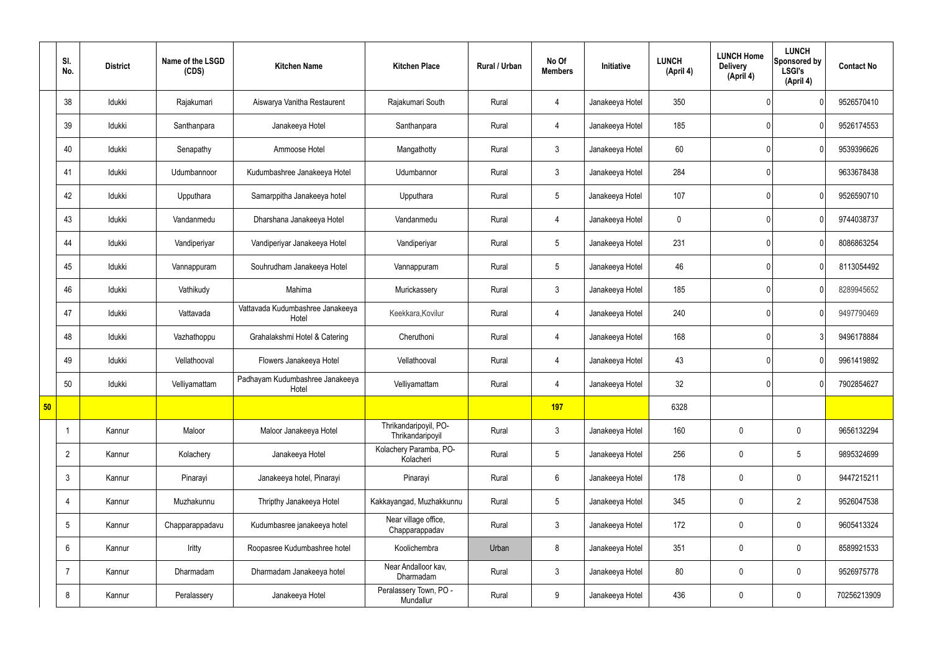|    | SI.<br>No.     | <b>District</b> | Name of the LSGD<br>(CDS) | <b>Kitchen Name</b>                       | <b>Kitchen Place</b>                      | Rural / Urban | No Of<br><b>Members</b> | Initiative      | <b>LUNCH</b><br>(April 4) | <b>LUNCH Home</b><br><b>Delivery</b><br>(April 4) | <b>LUNCH</b><br>Sponsored by<br><b>LSGI's</b><br>(April 4) | <b>Contact No</b> |
|----|----------------|-----------------|---------------------------|-------------------------------------------|-------------------------------------------|---------------|-------------------------|-----------------|---------------------------|---------------------------------------------------|------------------------------------------------------------|-------------------|
|    | 38             | Idukki          | Rajakumari                | Aiswarya Vanitha Restaurent               | Rajakumari South                          | Rural         | 4                       | Janakeeya Hotel | 350                       |                                                   | $\mathbf{0}$                                               | 9526570410        |
|    | 39             | Idukki          | Santhanpara               | Janakeeya Hotel                           | Santhanpara                               | Rural         | 4                       | Janakeeya Hotel | 185                       |                                                   | $\mathbf{0}$                                               | 9526174553        |
|    | 40             | Idukki          | Senapathy                 | Ammoose Hotel                             | Mangathotty                               | Rural         | $\mathbf{3}$            | Janakeeya Hotel | 60                        |                                                   | $\mathbf{0}$                                               | 9539396626        |
|    | 41             | Idukki          | Udumbannoor               | Kudumbashree Janakeeya Hotel              | Udumbannor                                | Rural         | $\mathbf{3}$            | Janakeeya Hotel | 284                       |                                                   |                                                            | 9633678438        |
|    | 42             | Idukki          | Upputhara                 | Samarppitha Janakeeya hotel               | Upputhara                                 | Rural         | $5\phantom{.0}$         | Janakeeya Hotel | 107                       |                                                   | $\mathbf{0}$                                               | 9526590710        |
|    | 43             | Idukki          | Vandanmedu                | Dharshana Janakeeya Hotel                 | Vandanmedu                                | Rural         | $\overline{4}$          | Janakeeya Hotel | $\pmb{0}$                 |                                                   | $\mathbf{0}$                                               | 9744038737        |
|    | 44             | Idukki          | Vandiperiyar              | Vandiperiyar Janakeeya Hotel              | Vandiperiyar                              | Rural         | $5\phantom{.0}$         | Janakeeya Hotel | 231                       |                                                   | $\mathbf{0}$                                               | 8086863254        |
|    | 45             | Idukki          | Vannappuram               | Souhrudham Janakeeya Hotel                | Vannappuram                               | Rural         | $\sqrt{5}$              | Janakeeya Hotel | 46                        |                                                   | $\mathbf{0}$                                               | 8113054492        |
|    | 46             | Idukki          | Vathikudy                 | Mahima                                    | Murickassery                              | Rural         | $\mathbf{3}$            | Janakeeya Hotel | 185                       |                                                   | 0                                                          | 8289945652        |
|    | 47             | Idukki          | Vattavada                 | Vattavada Kudumbashree Janakeeya<br>Hotel | Keekkara, Kovilur                         | Rural         | $\overline{4}$          | Janakeeya Hotel | 240                       |                                                   | $\mathbf{0}$                                               | 9497790469        |
|    | 48             | Idukki          | Vazhathoppu               | Grahalakshmi Hotel & Catering             | Cheruthoni                                | Rural         | $\overline{4}$          | Janakeeya Hotel | 168                       |                                                   | 3                                                          | 9496178884        |
|    | 49             | Idukki          | Vellathooval              | Flowers Janakeeya Hotel                   | Vellathooval                              | Rural         | 4                       | Janakeeya Hotel | 43                        |                                                   | $\mathbf{0}$                                               | 9961419892        |
|    | 50             | Idukki          | Velliyamattam             | Padhayam Kudumbashree Janakeeya<br>Hotel  | Velliyamattam                             | Rural         | 4                       | Janakeeya Hotel | 32                        |                                                   | $\overline{0}$                                             | 7902854627        |
| 50 |                |                 |                           |                                           |                                           |               | 197                     |                 | 6328                      |                                                   |                                                            |                   |
|    | -1             | Kannur          | Maloor                    | Maloor Janakeeya Hotel                    | Thrikandaripoyil, PO-<br>Thrikandaripoyil | Rural         | $\mathbf{3}$            | Janakeeya Hotel | 160                       | $\mathbf 0$                                       | $\mathbf 0$                                                | 9656132294        |
|    | $\overline{2}$ | Kannur          | Kolachery                 | Janakeeya Hotel                           | Kolachery Paramba, PO-<br>Kolacheri       | Rural         | $5\overline{)}$         | Janakeeya Hotel | 256                       | $\pmb{0}$                                         | $5\phantom{.0}$                                            | 9895324699        |
|    | $\mathbf{3}$   | Kannur          | Pinarayi                  | Janakeeya hotel, Pinarayi                 | Pinarayi                                  | Rural         | $6\overline{6}$         | Janakeeya Hotel | 178                       | $\pmb{0}$                                         | $\mathbf 0$                                                | 9447215211        |
|    | $\overline{4}$ | Kannur          | Muzhakunnu                | Thripthy Janakeeya Hotel                  | Kakkayangad, Muzhakkunnu                  | Rural         | $5\phantom{.0}$         | Janakeeya Hotel | 345                       | $\pmb{0}$                                         | $\overline{2}$                                             | 9526047538        |
|    | $5\,$          | Kannur          | Chapparappadavu           | Kudumbasree janakeeya hotel               | Near village office,<br>Chapparappadav    | Rural         | $\mathbf{3}$            | Janakeeya Hotel | 172                       | $\pmb{0}$                                         | $\mathbf 0$                                                | 9605413324        |
|    | 6              | Kannur          | Iritty                    | Roopasree Kudumbashree hotel              | Koolichembra                              | Urban         | 8                       | Janakeeya Hotel | 351                       | $\pmb{0}$                                         | $\mathbf 0$                                                | 8589921533        |
|    | $\overline{7}$ | Kannur          | Dharmadam                 | Dharmadam Janakeeya hotel                 | Near Andalloor kav,<br>Dharmadam          | Rural         | $\mathbf{3}$            | Janakeeya Hotel | 80                        | $\pmb{0}$                                         | $\mathbf 0$                                                | 9526975778        |
|    | 8              | Kannur          | Peralassery               | Janakeeya Hotel                           | Peralassery Town, PO -<br>Mundallur       | Rural         | 9                       | Janakeeya Hotel | 436                       | $\pmb{0}$                                         | $\boldsymbol{0}$                                           | 70256213909       |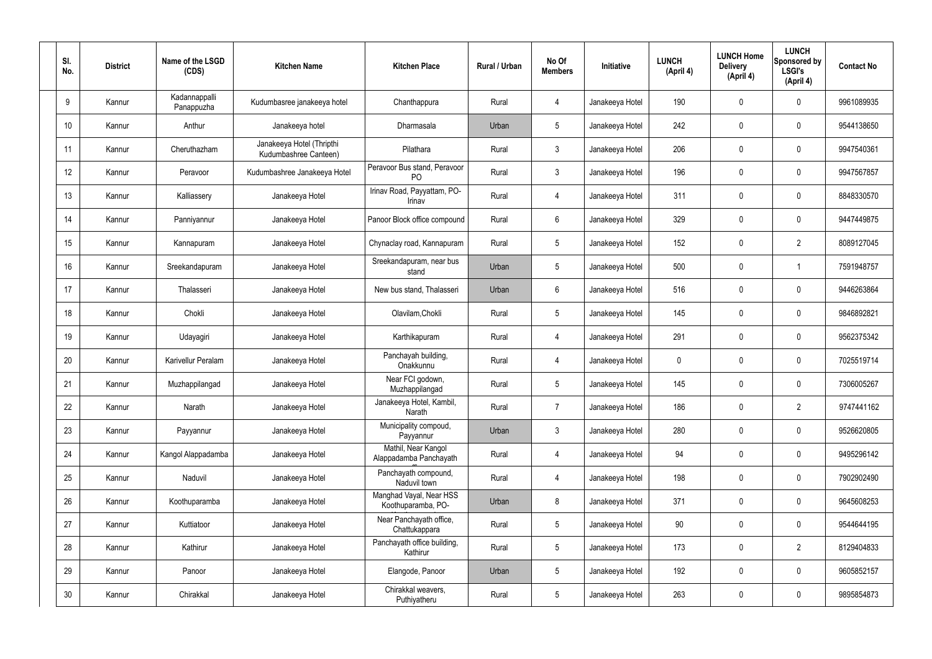| SI.<br>No.      | <b>District</b> | Name of the LSGD<br>(CDS)   | <b>Kitchen Name</b>                                | <b>Kitchen Place</b>                           | Rural / Urban | No Of<br><b>Members</b> | Initiative      | <b>LUNCH</b><br>(April 4) | <b>LUNCH Home</b><br><b>Delivery</b><br>(April 4) | <b>LUNCH</b><br>Sponsored by<br><b>LSGI's</b><br>(April 4) | <b>Contact No</b> |
|-----------------|-----------------|-----------------------------|----------------------------------------------------|------------------------------------------------|---------------|-------------------------|-----------------|---------------------------|---------------------------------------------------|------------------------------------------------------------|-------------------|
| 9               | Kannur          | Kadannappalli<br>Panappuzha | Kudumbasree janakeeya hotel                        | Chanthappura                                   | Rural         | $\overline{4}$          | Janakeeya Hotel | 190                       | $\mathbf 0$                                       | $\mathbf 0$                                                | 9961089935        |
| 10 <sup>°</sup> | Kannur          | Anthur                      | Janakeeya hotel                                    | Dharmasala                                     | Urban         | $5\phantom{.0}$         | Janakeeya Hotel | 242                       | $\mathbf 0$                                       | $\mathbf 0$                                                | 9544138650        |
| 11              | Kannur          | Cheruthazham                | Janakeeya Hotel (Thripthi<br>Kudumbashree Canteen) | Pilathara                                      | Rural         | $\mathbf{3}$            | Janakeeya Hotel | 206                       | $\mathbf 0$                                       | $\mathbf 0$                                                | 9947540361        |
| 12              | Kannur          | Peravoor                    | Kudumbashree Janakeeya Hotel                       | Peravoor Bus stand, Peravoor<br>P <sub>O</sub> | Rural         | $\mathbf{3}$            | Janakeeya Hotel | 196                       | $\mathbf 0$                                       | $\pmb{0}$                                                  | 9947567857        |
| 13              | Kannur          | Kalliassery                 | Janakeeya Hotel                                    | Irinav Road, Payyattam, PO-<br>Irinav          | Rural         | 4                       | Janakeeya Hotel | 311                       | $\mathbf 0$                                       | $\mathbf 0$                                                | 8848330570        |
| 14              | Kannur          | Panniyannur                 | Janakeeya Hotel                                    | Panoor Block office compound                   | Rural         | $6\overline{6}$         | Janakeeya Hotel | 329                       | $\mathbf 0$                                       | $\pmb{0}$                                                  | 9447449875        |
| 15              | Kannur          | Kannapuram                  | Janakeeya Hotel                                    | Chynaclay road, Kannapuram                     | Rural         | $5\overline{)}$         | Janakeeya Hotel | 152                       | $\mathbf 0$                                       | $\overline{2}$                                             | 8089127045        |
| 16              | Kannur          | Sreekandapuram              | Janakeeya Hotel                                    | Sreekandapuram, near bus<br>stand              | Urban         | $5\phantom{.0}$         | Janakeeya Hotel | 500                       | $\mathbf 0$                                       | -1                                                         | 7591948757        |
| 17              | Kannur          | Thalasseri                  | Janakeeya Hotel                                    | New bus stand, Thalasseri                      | Urban         | $6\overline{6}$         | Janakeeya Hotel | 516                       | $\mathbf 0$                                       | $\mathbf 0$                                                | 9446263864        |
| 18              | Kannur          | Chokli                      | Janakeeya Hotel                                    | Olavilam, Chokli                               | Rural         | $5\phantom{.0}$         | Janakeeya Hotel | 145                       | 0                                                 | $\mathbf 0$                                                | 9846892821        |
| 19              | Kannur          | Udayagiri                   | Janakeeya Hotel                                    | Karthikapuram                                  | Rural         | $\overline{4}$          | Janakeeya Hotel | 291                       | 0                                                 | $\mathbf 0$                                                | 9562375342        |
| 20              | Kannur          | Karivellur Peralam          | Janakeeya Hotel                                    | Panchayah building,<br>Onakkunnu               | Rural         | 4                       | Janakeeya Hotel | $\mathbf 0$               | 0                                                 | $\mathbf 0$                                                | 7025519714        |
| 21              | Kannur          | Muzhappilangad              | Janakeeya Hotel                                    | Near FCI godown,<br>Muzhappilangad             | Rural         | 5                       | Janakeeya Hotel | 145                       | $\mathbf 0$                                       | $\mathbf 0$                                                | 7306005267        |
| 22              | Kannur          | Narath                      | Janakeeya Hotel                                    | Janakeeya Hotel, Kambil,<br>Narath             | Rural         | $\overline{7}$          | Janakeeya Hotel | 186                       | $\mathbf 0$                                       | $\overline{2}$                                             | 9747441162        |
| 23              | Kannur          | Payyannur                   | Janakeeya Hotel                                    | Municipality compoud,<br>Payyannur             | Urban         | $\mathbf{3}$            | Janakeeya Hotel | 280                       | $\pmb{0}$                                         | $\pmb{0}$                                                  | 9526620805        |
| 24              | Kannur          | Kangol Alappadamba          | Janakeeya Hotel                                    | Mathil, Near Kangol<br>Alappadamba Panchayath  | Rural         | $\overline{4}$          | Janakeeya Hotel | 94                        | $\pmb{0}$                                         | $\pmb{0}$                                                  | 9495296142        |
| 25              | Kannur          | Naduvil                     | Janakeeya Hotel                                    | Panchayath compound,<br>Naduvil town           | Rural         | $\overline{4}$          | Janakeeya Hotel | 198                       | $\pmb{0}$                                         | $\pmb{0}$                                                  | 7902902490        |
| 26              | Kannur          | Koothuparamba               | Janakeeya Hotel                                    | Manghad Vayal, Near HSS<br>Koothuparamba, PO-  | Urban         | 8                       | Janakeeya Hotel | 371                       | $\pmb{0}$                                         | $\pmb{0}$                                                  | 9645608253        |
| 27              | Kannur          | Kuttiatoor                  | Janakeeya Hotel                                    | Near Panchayath office,<br>Chattukappara       | Rural         | $5\phantom{.0}$         | Janakeeya Hotel | 90                        | $\mathbf 0$                                       | $\pmb{0}$                                                  | 9544644195        |
| 28              | Kannur          | Kathirur                    | Janakeeya Hotel                                    | Panchayath office building,<br>Kathirur        | Rural         | $5\phantom{.0}$         | Janakeeya Hotel | 173                       | $\pmb{0}$                                         | $\overline{2}$                                             | 8129404833        |
| 29              | Kannur          | Panoor                      | Janakeeya Hotel                                    | Elangode, Panoor                               | Urban         | $5\phantom{.0}$         | Janakeeya Hotel | 192                       | $\pmb{0}$                                         | $\pmb{0}$                                                  | 9605852157        |
| 30 <sup>°</sup> | Kannur          | Chirakkal                   | Janakeeya Hotel                                    | Chirakkal weavers,<br>Puthiyatheru             | Rural         | $5\overline{)}$         | Janakeeya Hotel | 263                       | $\pmb{0}$                                         | $\pmb{0}$                                                  | 9895854873        |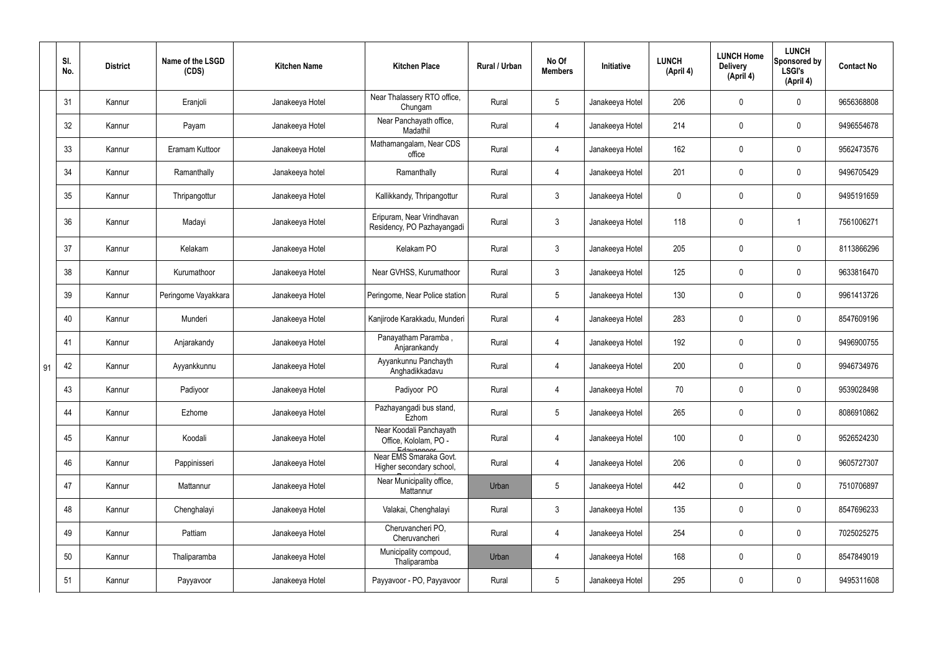|    | SI.<br>No. | <b>District</b> | Name of the LSGD<br>(CDS) | <b>Kitchen Name</b> | <b>Kitchen Place</b>                                           | Rural / Urban | No Of<br><b>Members</b> | Initiative      | <b>LUNCH</b><br>(April 4) | <b>LUNCH Home</b><br><b>Delivery</b><br>(April 4) | <b>LUNCH</b><br>Sponsored by<br><b>LSGI's</b><br>(April 4) | <b>Contact No</b> |
|----|------------|-----------------|---------------------------|---------------------|----------------------------------------------------------------|---------------|-------------------------|-----------------|---------------------------|---------------------------------------------------|------------------------------------------------------------|-------------------|
|    | 31         | Kannur          | Eranjoli                  | Janakeeya Hotel     | Near Thalassery RTO office,<br>Chungam                         | Rural         | $5\phantom{.0}$         | Janakeeya Hotel | 206                       | 0                                                 | $\mathbf 0$                                                | 9656368808        |
|    | 32         | Kannur          | Payam                     | Janakeeya Hotel     | Near Panchayath office,<br>Madathil                            | Rural         | 4                       | Janakeeya Hotel | 214                       | $\mathbf 0$                                       | $\mathbf 0$                                                | 9496554678        |
|    | 33         | Kannur          | Eramam Kuttoor            | Janakeeya Hotel     | Mathamangalam, Near CDS<br>office                              | Rural         | 4                       | Janakeeya Hotel | 162                       | 0                                                 | $\mathbf 0$                                                | 9562473576        |
|    | 34         | Kannur          | Ramanthally               | Janakeeya hotel     | Ramanthally                                                    | Rural         | 4                       | Janakeeya Hotel | 201                       | 0                                                 | $\mathbf 0$                                                | 9496705429        |
|    | 35         | Kannur          | Thripangottur             | Janakeeya Hotel     | Kallikkandy, Thripangottur                                     | Rural         | $\mathbf{3}$            | Janakeeya Hotel | $\mathbf 0$               | 0                                                 | $\mathbf 0$                                                | 9495191659        |
|    | 36         | Kannur          | Madayi                    | Janakeeya Hotel     | Eripuram, Near Vrindhavan<br>Residency, PO Pazhayangadi        | Rural         | $\mathbf{3}$            | Janakeeya Hotel | 118                       | 0                                                 |                                                            | 7561006271        |
|    | 37         | Kannur          | Kelakam                   | Janakeeya Hotel     | Kelakam PO                                                     | Rural         | $\mathbf{3}$            | Janakeeya Hotel | 205                       | 0                                                 | $\mathbf 0$                                                | 8113866296        |
|    | 38         | Kannur          | Kurumathoor               | Janakeeya Hotel     | Near GVHSS, Kurumathoor                                        | Rural         | $\mathbf{3}$            | Janakeeya Hotel | 125                       | 0                                                 | $\mathbf 0$                                                | 9633816470        |
|    | 39         | Kannur          | Peringome Vayakkara       | Janakeeya Hotel     | Peringome, Near Police station                                 | Rural         | $5\overline{)}$         | Janakeeya Hotel | 130                       | 0                                                 | $\mathbf 0$                                                | 9961413726        |
|    | 40         | Kannur          | Munderi                   | Janakeeya Hotel     | Kanjirode Karakkadu, Munderi                                   | Rural         | $\overline{4}$          | Janakeeya Hotel | 283                       | 0                                                 | $\mathbf 0$                                                | 8547609196        |
|    | 41         | Kannur          | Anjarakandy               | Janakeeya Hotel     | Panayatham Paramba,<br>Anjarankandy                            | Rural         | 4                       | Janakeeya Hotel | 192                       | 0                                                 | $\mathbf 0$                                                | 9496900755        |
| 91 | 42         | Kannur          | Ayyankkunnu               | Janakeeya Hotel     | Ayyankunnu Panchayth<br>Anghadikkadavu                         | Rural         | 4                       | Janakeeya Hotel | 200                       | 0                                                 | $\mathbf 0$                                                | 9946734976        |
|    | 43         | Kannur          | Padiyoor                  | Janakeeya Hotel     | Padiyoor PO                                                    | Rural         | 4                       | Janakeeya Hotel | 70                        | 0                                                 | $\Omega$                                                   | 9539028498        |
|    | 44         | Kannur          | Ezhome                    | Janakeeya Hotel     | Pazhayangadi bus stand,<br>Ezhom                               | Rural         | $5\phantom{.0}$         | Janakeeya Hotel | 265                       | 0                                                 | $\mathbf 0$                                                | 8086910862        |
|    | 45         | Kannur          | Koodali                   | Janakeeya Hotel     | Near Koodali Panchayath<br>Office, Kololam, PO -<br>Edavannoor | Rural         | $\overline{4}$          | Janakeeya Hotel | 100                       | 0                                                 | $\boldsymbol{0}$                                           | 9526524230        |
|    | 46         | Kannur          | Pappinisseri              | Janakeeya Hotel     | Near EMS Smaraka Govt.<br>Higher secondary school,             | Rural         | $\overline{4}$          | Janakeeya Hotel | 206                       | 0                                                 | $\mathbf 0$                                                | 9605727307        |
|    | 47         | Kannur          | Mattannur                 | Janakeeya Hotel     | Near Municipality office,<br>Mattannur                         | Urban         | $5\phantom{.0}$         | Janakeeya Hotel | 442                       | $\pmb{0}$                                         | $\mathbf 0$                                                | 7510706897        |
|    | 48         | Kannur          | Chenghalayi               | Janakeeya Hotel     | Valakai, Chenghalayi                                           | Rural         | 3                       | Janakeeya Hotel | 135                       | 0                                                 | $\mathbf 0$                                                | 8547696233        |
|    | 49         | Kannur          | Pattiam                   | Janakeeya Hotel     | Cheruvancheri PO,<br>Cheruvancheri                             | Rural         | $\overline{4}$          | Janakeeya Hotel | 254                       | $\pmb{0}$                                         | $\mathbf 0$                                                | 7025025275        |
|    | 50         | Kannur          | Thaliparamba              | Janakeeya Hotel     | Municipality compoud,<br>Thaliparamba                          | Urban         | 4                       | Janakeeya Hotel | 168                       | 0                                                 | $\mathbf 0$                                                | 8547849019        |
|    | 51         | Kannur          | Payyavoor                 | Janakeeya Hotel     | Payyavoor - PO, Payyavoor                                      | Rural         | $5\overline{)}$         | Janakeeya Hotel | 295                       | 0                                                 | $\mathbf 0$                                                | 9495311608        |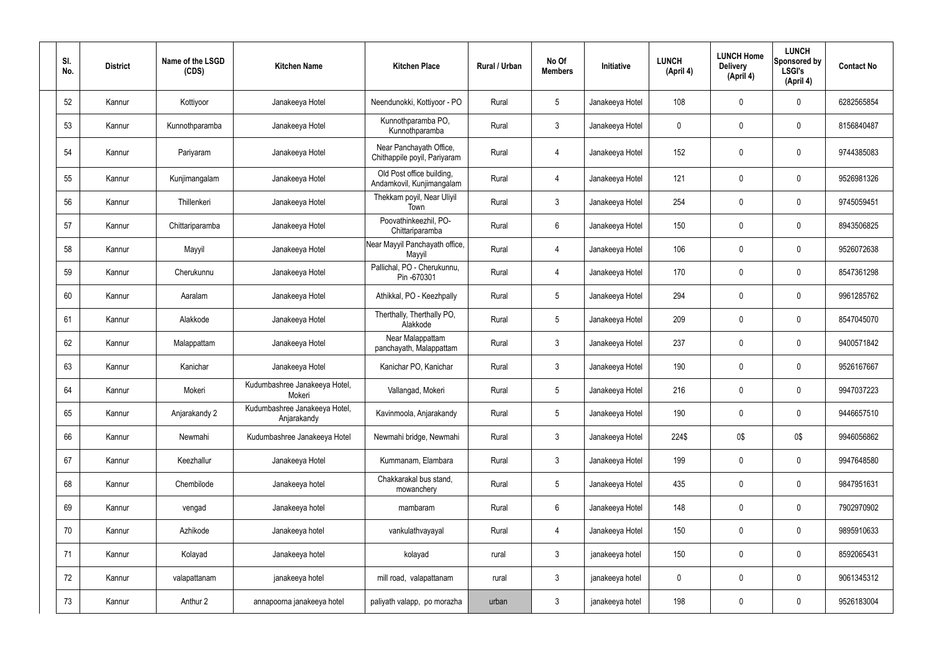| SI.<br>No. | <b>District</b> | Name of the LSGD<br>(CDS) | <b>Kitchen Name</b>                          | <b>Kitchen Place</b>                                    | Rural / Urban | No Of<br><b>Members</b> | Initiative      | <b>LUNCH</b><br>(April 4) | <b>LUNCH Home</b><br><b>Delivery</b><br>(April 4) | <b>LUNCH</b><br>Sponsored by<br><b>LSGI's</b><br>(April 4) | <b>Contact No</b> |
|------------|-----------------|---------------------------|----------------------------------------------|---------------------------------------------------------|---------------|-------------------------|-----------------|---------------------------|---------------------------------------------------|------------------------------------------------------------|-------------------|
| 52         | Kannur          | Kottiyoor                 | Janakeeya Hotel                              | Neendunokki, Kottiyoor - PO                             | Rural         | $5\phantom{.0}$         | Janakeeya Hotel | 108                       | 0                                                 | $\mathbf 0$                                                | 6282565854        |
| 53         | Kannur          | Kunnothparamba            | Janakeeya Hotel                              | Kunnothparamba PO,<br>Kunnothparamba                    | Rural         | $\mathbf{3}$            | Janakeeya Hotel | 0                         | $\mathbf 0$                                       | $\mathbf 0$                                                | 8156840487        |
| 54         | Kannur          | Pariyaram                 | Janakeeya Hotel                              | Near Panchayath Office,<br>Chithappile poyil, Pariyaram | Rural         | 4                       | Janakeeya Hotel | 152                       | $\boldsymbol{0}$                                  | $\pmb{0}$                                                  | 9744385083        |
| 55         | Kannur          | Kunjimangalam             | Janakeeya Hotel                              | Old Post office building,<br>Andamkovil, Kunjimangalam  | Rural         | $\overline{4}$          | Janakeeya Hotel | 121                       | $\mathbf 0$                                       | $\mathbf 0$                                                | 9526981326        |
| 56         | Kannur          | Thillenkeri               | Janakeeya Hotel                              | Thekkam poyil, Near Uliyil<br>Town                      | Rural         | $\mathfrak{Z}$          | Janakeeya Hotel | 254                       | 0                                                 | $\overline{0}$                                             | 9745059451        |
| 57         | Kannur          | Chittariparamba           | Janakeeya Hotel                              | Poovathinkeezhil, PO-<br>Chittariparamba                | Rural         | $6\phantom{.}6$         | Janakeeya Hotel | 150                       | 0                                                 | $\mathbf 0$                                                | 8943506825        |
| 58         | Kannur          | Mayyil                    | Janakeeya Hotel                              | Near Mayyil Panchayath office,<br>Mayyil                | Rural         | 4                       | Janakeeya Hotel | 106                       | $\boldsymbol{0}$                                  | $\mathbf 0$                                                | 9526072638        |
| 59         | Kannur          | Cherukunnu                | Janakeeya Hotel                              | Pallichal, PO - Cherukunnu,<br>Pin -670301              | Rural         | $\overline{4}$          | Janakeeya Hotel | 170                       | 0                                                 | $\pmb{0}$                                                  | 8547361298        |
| 60         | Kannur          | Aaralam                   | Janakeeya Hotel                              | Athikkal, PO - Keezhpally                               | Rural         | $5\phantom{.0}$         | Janakeeya Hotel | 294                       | $\boldsymbol{0}$                                  | $\mathbf 0$                                                | 9961285762        |
| 61         | Kannur          | Alakkode                  | Janakeeya Hotel                              | Therthally, Therthally PO,<br>Alakkode                  | Rural         | $5\phantom{.0}$         | Janakeeya Hotel | 209                       | $\mathbf 0$                                       | $\mathbf 0$                                                | 8547045070        |
| 62         | Kannur          | Malappattam               | Janakeeya Hotel                              | Near Malappattam<br>panchayath, Malappattam             | Rural         | $\mathbf{3}$            | Janakeeya Hotel | 237                       | $\boldsymbol{0}$                                  | $\mathbf 0$                                                | 9400571842        |
| 63         | Kannur          | Kanichar                  | Janakeeya Hotel                              | Kanichar PO, Kanichar                                   | Rural         | $\mathbf{3}$            | Janakeeya Hotel | 190                       | 0                                                 | $\boldsymbol{0}$                                           | 9526167667        |
| 64         | Kannur          | Mokeri                    | Kudumbashree Janakeeya Hotel,<br>Mokeri      | Vallangad, Mokeri                                       | Rural         | 5                       | Janakeeya Hotel | 216                       | 0                                                 | 0                                                          | 9947037223        |
| 65         | Kannur          | Anjarakandy 2             | Kudumbashree Janakeeya Hotel,<br>Anjarakandy | Kavinmoola, Anjarakandy                                 | Rural         | $5\overline{)}$         | Janakeeya Hotel | 190                       | 0                                                 | $\boldsymbol{0}$                                           | 9446657510        |
| 66         | Kannur          | Newmahi                   | Kudumbashree Janakeeya Hotel                 | Newmahi bridge, Newmahi                                 | Rural         | $3\phantom{.0}$         | Janakeeya Hotel | 224\$                     | 0\$                                               | 0\$                                                        | 9946056862        |
| 67         | Kannur          | Keezhallur                | Janakeeya Hotel                              | Kummanam, Elambara                                      | Rural         | $\mathfrak{Z}$          | Janakeeya Hotel | 199                       | 0                                                 | $\boldsymbol{0}$                                           | 9947648580        |
| 68         | Kannur          | Chembilode                | Janakeeya hotel                              | Chakkarakal bus stand,<br>mowanchery                    | Rural         | $5\phantom{.0}$         | Janakeeya Hotel | 435                       | 0                                                 | $\boldsymbol{0}$                                           | 9847951631        |
| 69         | Kannur          | vengad                    | Janakeeya hotel                              | mambaram                                                | Rural         | $6\,$                   | Janakeeya Hotel | 148                       | 0                                                 | $\boldsymbol{0}$                                           | 7902970902        |
| 70         | Kannur          | Azhikode                  | Janakeeya hotel                              | vankulathvayayal                                        | Rural         | 4                       | Janakeeya Hotel | 150                       | 0                                                 | $\boldsymbol{0}$                                           | 9895910633        |
| 71         | Kannur          | Kolayad                   | Janakeeya hotel                              | kolayad                                                 | rural         | $\mathbf{3}$            | janakeeya hotel | 150                       | 0                                                 | $\overline{0}$                                             | 8592065431        |
| 72         | Kannur          | valapattanam              | janakeeya hotel                              | mill road, valapattanam                                 | rural         | $\mathbf{3}$            | janakeeya hotel | 0                         | 0                                                 | $\boldsymbol{0}$                                           | 9061345312        |
| 73         | Kannur          | Anthur 2                  | annapoorna janakeeya hotel                   | paliyath valapp, po morazha                             | urban         | $\mathfrak{Z}$          | janakeeya hotel | 198                       | 0                                                 | $\boldsymbol{0}$                                           | 9526183004        |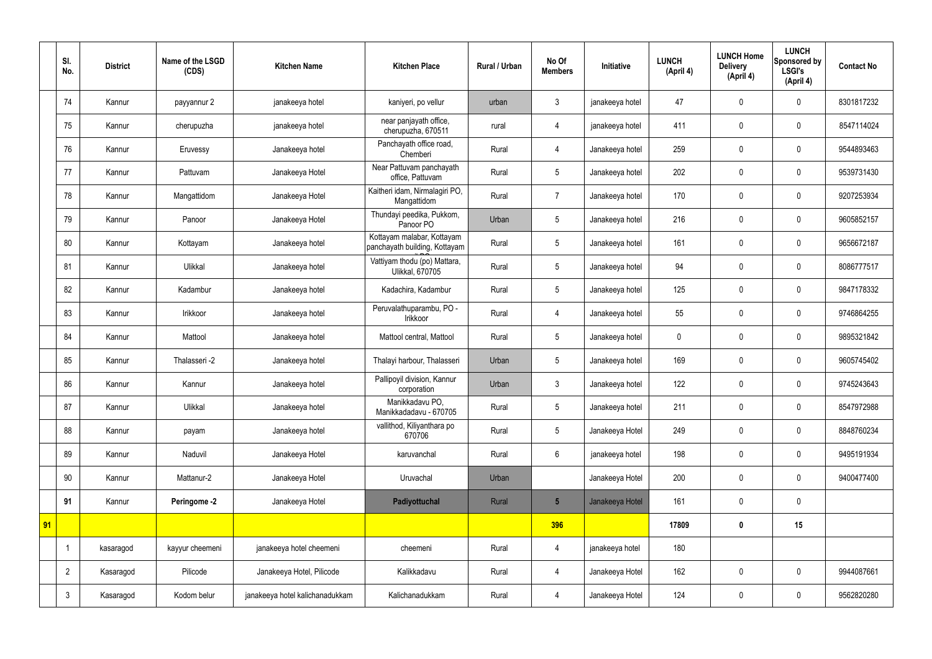|    | SI.<br>No.     | <b>District</b> | Name of the LSGD<br>(CDS) | <b>Kitchen Name</b>             | <b>Kitchen Place</b>                                        | <b>Rural / Urban</b> | No Of<br><b>Members</b> | Initiative      | <b>LUNCH</b><br>(April 4) | <b>LUNCH Home</b><br><b>Delivery</b><br>(April 4) | <b>LUNCH</b><br>Sponsored by<br><b>LSGI's</b><br>(April 4) | <b>Contact No</b> |
|----|----------------|-----------------|---------------------------|---------------------------------|-------------------------------------------------------------|----------------------|-------------------------|-----------------|---------------------------|---------------------------------------------------|------------------------------------------------------------|-------------------|
|    | 74             | Kannur          | payyannur 2               | janakeeya hotel                 | kaniyeri, po vellur                                         | urban                | 3                       | janakeeya hotel | 47                        | $\mathbf 0$                                       | $\mathbf 0$                                                | 8301817232        |
|    | 75             | Kannur          | cherupuzha                | janakeeya hotel                 | near panjayath office,<br>cherupuzha, 670511                | rural                | 4                       | janakeeya hotel | 411                       | $\mathbf 0$                                       | $\mathbf 0$                                                | 8547114024        |
|    | 76             | Kannur          | Eruvessy                  | Janakeeya hotel                 | Panchayath office road,<br>Chemberi                         | Rural                | 4                       | Janakeeya hotel | 259                       | $\mathbf 0$                                       | $\mathbf 0$                                                | 9544893463        |
|    | 77             | Kannur          | Pattuvam                  | Janakeeya Hotel                 | Near Pattuvam panchayath<br>office, Pattuvam                | Rural                | 5                       | Janakeeya hotel | 202                       | $\mathbf 0$                                       | $\mathbf 0$                                                | 9539731430        |
|    | 78             | Kannur          | Mangattidom               | Janakeeya Hotel                 | Kaitheri idam, Nirmalagiri PO,<br>Mangattidom               | Rural                | $\overline{7}$          | Janakeeya hotel | 170                       | $\mathbf 0$                                       | $\mathbf 0$                                                | 9207253934        |
|    | 79             | Kannur          | Panoor                    | Janakeeya Hotel                 | Thundayi peedika, Pukkom,<br>Panoor PO                      | Urban                | 5                       | Janakeeya hotel | 216                       | $\mathbf 0$                                       | $\mathbf 0$                                                | 9605852157        |
|    | 80             | Kannur          | Kottayam                  | Janakeeya hotel                 | Kottayam malabar, Kottayam<br>panchayath building, Kottayam | Rural                | 5                       | Janakeeya hotel | 161                       | $\mathbf 0$                                       | $\mathbf 0$                                                | 9656672187        |
|    | 81             | Kannur          | Ulikkal                   | Janakeeya hotel                 | Vattiyam thodu (po) Mattara,<br>Ulikkal, 670705             | Rural                | 5                       | Janakeeya hotel | 94                        | $\mathbf 0$                                       | $\mathbf 0$                                                | 8086777517        |
|    | 82             | Kannur          | Kadambur                  | Janakeeya hotel                 | Kadachira, Kadambur                                         | Rural                | 5                       | Janakeeya hotel | 125                       | $\mathbf 0$                                       | $\mathbf 0$                                                | 9847178332        |
|    | 83             | Kannur          | Irikkoor                  | Janakeeya hotel                 | Peruvalathuparambu, PO -<br>Irikkoor                        | Rural                | 4                       | Janakeeya hotel | 55                        | $\mathbf 0$                                       | $\mathbf 0$                                                | 9746864255        |
|    | 84             | Kannur          | Mattool                   | Janakeeya hotel                 | Mattool central, Mattool                                    | Rural                | 5                       | Janakeeya hotel | $\pmb{0}$                 | $\pmb{0}$                                         | $\mathbf 0$                                                | 9895321842        |
|    | 85             | Kannur          | Thalasseri -2             | Janakeeya hotel                 | Thalayi harbour, Thalasseri                                 | Urban                | 5                       | Janakeeya hotel | 169                       | $\mathbf 0$                                       | $\mathbf 0$                                                | 9605745402        |
|    | 86             | Kannur          | Kannur                    | Janakeeya hotel                 | Pallipoyil division, Kannur<br>corporation                  | Urban                | $\mathfrak{Z}$          | Janakeeya hotel | 122                       | $\mathbf 0$                                       | $\mathbf 0$                                                | 9745243643        |
|    | 87             | Kannur          | Ulikkal                   | Janakeeya hotel                 | Manikkadavu PO,<br>Manikkadadavu - 670705                   | Rural                | $5\overline{)}$         | Janakeeya hotel | 211                       | $\pmb{0}$                                         | $\mathbf 0$                                                | 8547972988        |
|    | 88             | Kannur          | payam                     | Janakeeya hotel                 | vallithod, Kiliyanthara po<br>670706                        | Rural                | $5\phantom{.0}$         | Janakeeya Hotel | 249                       | $\pmb{0}$                                         | $\mathbf 0$                                                | 8848760234        |
|    | 89             | Kannur          | Naduvil                   | Janakeeya Hotel                 | karuvanchal                                                 | Rural                | $6\phantom{.}$          | janakeeya hotel | 198                       | $\pmb{0}$                                         | $\mathbf 0$                                                | 9495191934        |
|    | 90             | Kannur          | Mattanur-2                | Janakeeya Hotel                 | Uruvachal                                                   | Urban                |                         | Janakeeya Hotel | 200                       | $\pmb{0}$                                         | $\mathbf 0$                                                | 9400477400        |
|    | 91             | Kannur          | Peringome -2              | Janakeeya Hotel                 | Padiyottuchal                                               | Rural                | $5\phantom{.0}$         | Janakeeya Hotel | 161                       | $\pmb{0}$                                         | $\mathbf 0$                                                |                   |
| 91 |                |                 |                           |                                 |                                                             |                      | 396                     |                 | 17809                     | $\pmb{0}$                                         | 15                                                         |                   |
|    |                | kasaragod       | kayyur cheemeni           | janakeeya hotel cheemeni        | cheemeni                                                    | Rural                | $\overline{4}$          | janakeeya hotel | 180                       |                                                   |                                                            |                   |
|    | $\overline{2}$ | Kasaragod       | Pilicode                  | Janakeeya Hotel, Pilicode       | Kalikkadavu                                                 | Rural                | $\overline{4}$          | Janakeeya Hotel | 162                       | $\mathbf 0$                                       | $\mathbf 0$                                                | 9944087661        |
|    | $\mathbf{3}$   | Kasaragod       | Kodom belur               | janakeeya hotel kalichanadukkam | Kalichanadukkam                                             | Rural                | $\overline{4}$          | Janakeeya Hotel | 124                       | $\pmb{0}$                                         | $\mathbf 0$                                                | 9562820280        |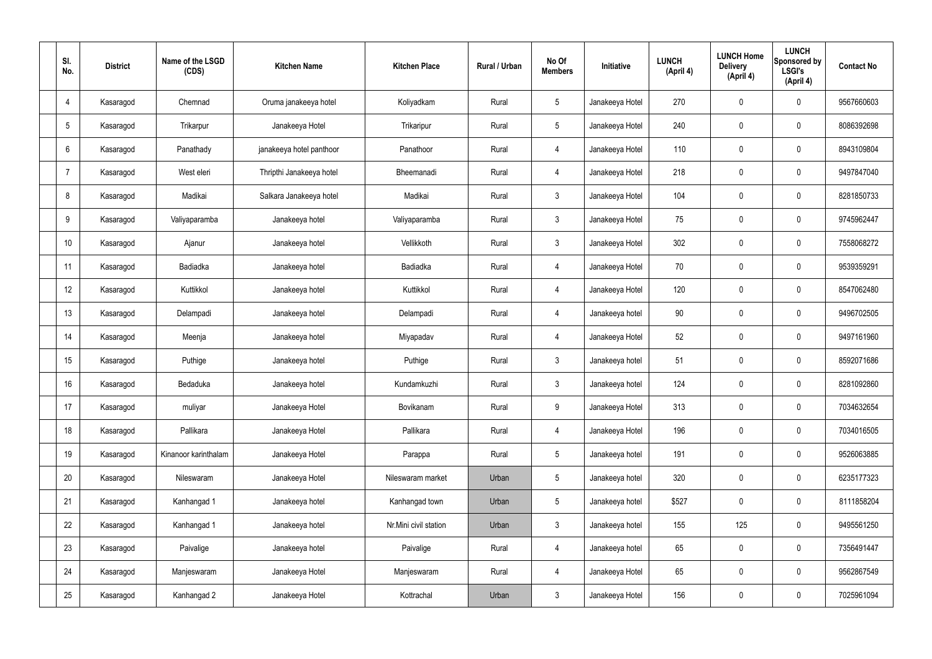| SI.<br>No.     | <b>District</b> | Name of the LSGD<br>(CDS) | <b>Kitchen Name</b>      | <b>Kitchen Place</b>  | <b>Rural / Urban</b> | No Of<br><b>Members</b> | <b>Initiative</b> | <b>LUNCH</b><br>(April 4) | <b>LUNCH Home</b><br><b>Delivery</b><br>(April 4) | <b>LUNCH</b><br>Sponsored by<br><b>LSGI's</b><br>(April 4) | <b>Contact No</b> |
|----------------|-----------------|---------------------------|--------------------------|-----------------------|----------------------|-------------------------|-------------------|---------------------------|---------------------------------------------------|------------------------------------------------------------|-------------------|
| 4              | Kasaragod       | Chemnad                   | Oruma janakeeya hotel    | Koliyadkam            | Rural                | $5\phantom{.0}$         | Janakeeya Hotel   | 270                       | $\mathbf 0$                                       | $\mathbf 0$                                                | 9567660603        |
| 5              | Kasaragod       | Trikarpur                 | Janakeeya Hotel          | Trikaripur            | Rural                | $5\phantom{.0}$         | Janakeeya Hotel   | 240                       | $\mathbf 0$                                       | $\mathbf 0$                                                | 8086392698        |
| 6              | Kasaragod       | Panathady                 | janakeeya hotel panthoor | Panathoor             | Rural                | $\overline{4}$          | Janakeeya Hotel   | 110                       | $\mathbf 0$                                       | $\mathbf 0$                                                | 8943109804        |
| $\overline{7}$ | Kasaragod       | West eleri                | Thripthi Janakeeya hotel | Bheemanadi            | Rural                | $\overline{4}$          | Janakeeya Hotel   | 218                       | $\mathbf 0$                                       | $\mathbf 0$                                                | 9497847040        |
| 8              | Kasaragod       | Madikai                   | Salkara Janakeeya hotel  | Madikai               | Rural                | $\mathbf{3}$            | Janakeeya Hotel   | 104                       | $\pmb{0}$                                         | $\mathbf 0$                                                | 8281850733        |
| 9              | Kasaragod       | Valiyaparamba             | Janakeeya hotel          | Valiyaparamba         | Rural                | $\mathbf{3}$            | Janakeeya Hotel   | 75                        | $\pmb{0}$                                         | $\mathbf 0$                                                | 9745962447        |
| 10             | Kasaragod       | Ajanur                    | Janakeeya hotel          | Vellikkoth            | Rural                | $\mathbf{3}$            | Janakeeya Hotel   | 302                       | $\pmb{0}$                                         | $\mathbf 0$                                                | 7558068272        |
| 11             | Kasaragod       | Badiadka                  | Janakeeya hotel          | Badiadka              | Rural                | $\overline{4}$          | Janakeeya Hotel   | 70                        | $\mathbf 0$                                       | $\mathbf 0$                                                | 9539359291        |
| 12             | Kasaragod       | Kuttikkol                 | Janakeeya hotel          | Kuttikkol             | Rural                | $\overline{4}$          | Janakeeya Hotel   | 120                       | $\mathbf 0$                                       | $\mathbf 0$                                                | 8547062480        |
| 13             | Kasaragod       | Delampadi                 | Janakeeya hotel          | Delampadi             | Rural                | $\overline{4}$          | Janakeeya hotel   | 90                        | $\mathbf 0$                                       | $\mathbf 0$                                                | 9496702505        |
| 14             | Kasaragod       | Meenja                    | Janakeeya hotel          | Miyapadav             | Rural                | $\overline{4}$          | Janakeeya Hotel   | 52                        | $\pmb{0}$                                         | $\mathbf 0$                                                | 9497161960        |
| 15             | Kasaragod       | Puthige                   | Janakeeya hotel          | Puthige               | Rural                | $\mathbf{3}$            | Janakeeya hotel   | 51                        | $\mathbf 0$                                       | $\mathbf 0$                                                | 8592071686        |
| 16             | Kasaragod       | Bedaduka                  | Janakeeya hotel          | Kundamkuzhi           | Rural                | $\mathfrak{Z}$          | Janakeeya hotel   | 124                       | 0                                                 | $\mathbf 0$                                                | 8281092860        |
| 17             | Kasaragod       | muliyar                   | Janakeeya Hotel          | Bovikanam             | Rural                | 9                       | Janakeeya Hotel   | 313                       | $\pmb{0}$                                         | $\mathbf 0$                                                | 7034632654        |
| 18             | Kasaragod       | Pallikara                 | Janakeeya Hotel          | Pallikara             | Rural                | $\overline{4}$          | Janakeeya Hotel   | 196                       | $\pmb{0}$                                         | $\mathbf 0$                                                | 7034016505        |
| 19             | Kasaragod       | Kinanoor karinthalam      | Janakeeya Hotel          | Parappa               | Rural                | $5\phantom{.0}$         | Janakeeya hotel   | 191                       | $\pmb{0}$                                         | $\mathbf 0$                                                | 9526063885        |
| 20             | Kasaragod       | Nileswaram                | Janakeeya Hotel          | Nileswaram market     | Urban                | $5\phantom{.0}$         | Janakeeya hotel   | 320                       | $\pmb{0}$                                         | $\mathbf 0$                                                | 6235177323        |
| 21             | Kasaragod       | Kanhangad 1               | Janakeeya hotel          | Kanhangad town        | Urban                | $5\phantom{.0}$         | Janakeeya hotel   | \$527                     | $\pmb{0}$                                         | $\mathbf 0$                                                | 8111858204        |
| 22             | Kasaragod       | Kanhangad 1               | Janakeeya hotel          | Nr.Mini civil station | Urban                | $\mathbf{3}$            | Janakeeya hotel   | 155                       | 125                                               | $\mathbf 0$                                                | 9495561250        |
| 23             | Kasaragod       | Paivalige                 | Janakeeya hotel          | Paivalige             | Rural                | $\overline{4}$          | Janakeeya hotel   | 65                        | $\pmb{0}$                                         | $\mathbf 0$                                                | 7356491447        |
| 24             | Kasaragod       | Manjeswaram               | Janakeeya Hotel          | Manjeswaram           | Rural                | $\overline{4}$          | Janakeeya Hotel   | 65                        | $\pmb{0}$                                         | $\mathbf 0$                                                | 9562867549        |
| 25             | Kasaragod       | Kanhangad 2               | Janakeeya Hotel          | Kottrachal            | Urban                | 3 <sup>1</sup>          | Janakeeya Hotel   | 156                       | $\pmb{0}$                                         | $\boldsymbol{0}$                                           | 7025961094        |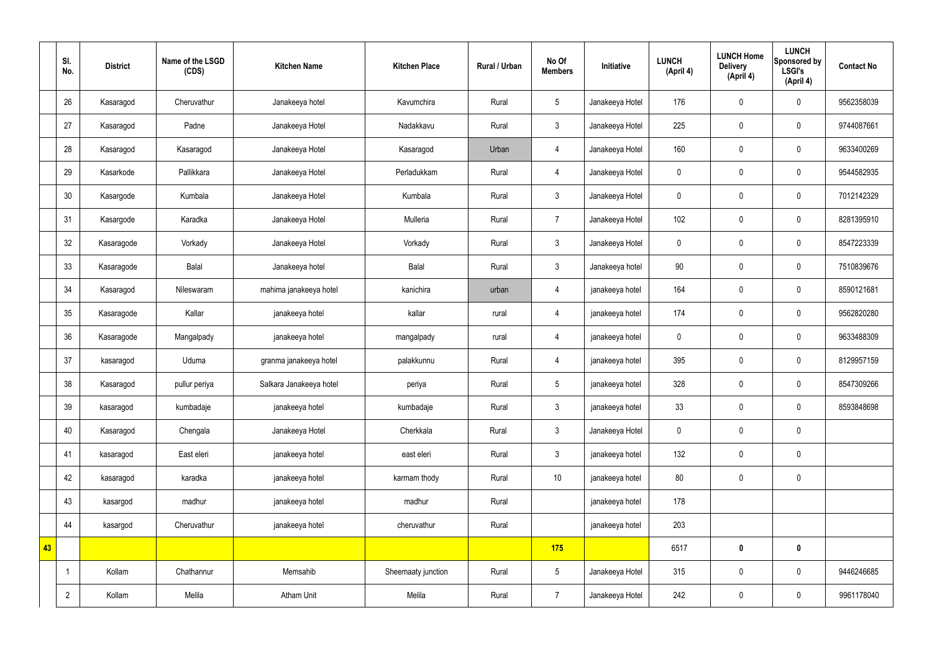|    | SI.<br>No.     | <b>District</b> | Name of the LSGD<br>(CDS) | <b>Kitchen Name</b>     | <b>Kitchen Place</b> | Rural / Urban | No Of<br><b>Members</b> | Initiative      | <b>LUNCH</b><br>(April 4) | <b>LUNCH Home</b><br><b>Delivery</b><br>(April 4) | <b>LUNCH</b><br>Sponsored by<br><b>LSGI's</b><br>(April 4) | <b>Contact No</b> |
|----|----------------|-----------------|---------------------------|-------------------------|----------------------|---------------|-------------------------|-----------------|---------------------------|---------------------------------------------------|------------------------------------------------------------|-------------------|
|    | 26             | Kasaragod       | Cheruvathur               | Janakeeya hotel         | Kavumchira           | Rural         | $\sqrt{5}$              | Janakeeya Hotel | 176                       | $\pmb{0}$                                         | $\mathbf 0$                                                | 9562358039        |
|    | 27             | Kasaragod       | Padne                     | Janakeeya Hotel         | Nadakkavu            | Rural         | $\mathbf{3}$            | Janakeeya Hotel | 225                       | $\mathbf 0$                                       | $\mathbf 0$                                                | 9744087661        |
|    | 28             | Kasaragod       | Kasaragod                 | Janakeeya Hotel         | Kasaragod            | Urban         | $\overline{4}$          | Janakeeya Hotel | 160                       | $\mathbf 0$                                       | $\mathbf 0$                                                | 9633400269        |
|    | 29             | Kasarkode       | Pallikkara                | Janakeeya Hotel         | Perladukkam          | Rural         | $\overline{4}$          | Janakeeya Hotel | $\mathbf 0$               | $\mathbf 0$                                       | $\mathbf 0$                                                | 9544582935        |
|    | 30             | Kasargode       | Kumbala                   | Janakeeya Hotel         | Kumbala              | Rural         | $\mathbf{3}$            | Janakeeya Hotel | $\mathbf 0$               | $\pmb{0}$                                         | $\mathbf 0$                                                | 7012142329        |
|    | 31             | Kasargode       | Karadka                   | Janakeeya Hotel         | Mulleria             | Rural         | $\overline{7}$          | Janakeeya Hotel | 102                       | $\pmb{0}$                                         | $\mathbf 0$                                                | 8281395910        |
|    | 32             | Kasaragode      | Vorkady                   | Janakeeya Hotel         | Vorkady              | Rural         | $\mathbf{3}$            | Janakeeya Hotel | $\mathbf 0$               | $\pmb{0}$                                         | $\mathbf 0$                                                | 8547223339        |
|    | 33             | Kasaragode      | Balal                     | Janakeeya hotel         | Balal                | Rural         | $\mathbf{3}$            | Janakeeya hotel | 90                        | $\pmb{0}$                                         | $\mathbf 0$                                                | 7510839676        |
|    | 34             | Kasaragod       | Nileswaram                | mahima janakeeya hotel  | kanichira            | urban         | $\overline{4}$          | janakeeya hotel | 164                       | $\pmb{0}$                                         | $\mathbf 0$                                                | 8590121681        |
|    | 35             | Kasaragode      | Kallar                    | janakeeya hotel         | kallar               | rural         | $\overline{4}$          | janakeeya hotel | 174                       | $\pmb{0}$                                         | $\mathbf 0$                                                | 9562820280        |
|    | 36             | Kasaragode      | Mangalpady                | janakeeya hotel         | mangalpady           | rural         | $\overline{4}$          | janakeeya hotel | $\mathbf 0$               | $\pmb{0}$                                         | $\mathbf 0$                                                | 9633488309        |
|    | 37             | kasaragod       | Uduma                     | granma janakeeya hotel  | palakkunnu           | Rural         | $\overline{4}$          | janakeeya hotel | 395                       | $\pmb{0}$                                         | $\mathbf 0$                                                | 8129957159        |
|    | 38             | Kasaragod       | pullur periya             | Salkara Janakeeya hotel | periya               | Rural         | $5\phantom{.0}$         | janakeeya hotel | 328                       | $\mathbf 0$                                       | $\mathbf 0$                                                | 8547309266        |
|    | 39             | kasaragod       | kumbadaje                 | janakeeya hotel         | kumbadaje            | Rural         | $\mathbf{3}$            | janakeeya hotel | 33                        | $\pmb{0}$                                         | $\mathbf 0$                                                | 8593848698        |
|    | 40             | Kasaragod       | Chengala                  | Janakeeya Hotel         | Cherkkala            | Rural         | $\mathbf{3}$            | Janakeeya Hotel | $\mathbf 0$               | $\pmb{0}$                                         | $\mathbf 0$                                                |                   |
|    | 41             | kasaragod       | East eleri                | janakeeya hotel         | east eleri           | Rural         | $\mathbf{3}$            | janakeeya hotel | 132                       | $\pmb{0}$                                         | $\mathbf 0$                                                |                   |
|    | 42             | kasaragod       | karadka                   | janakeeya hotel         | karmam thody         | Rural         | $10$                    | janakeeya hotel | 80                        | $\pmb{0}$                                         | $\mathbf 0$                                                |                   |
|    | 43             | kasargod        | madhur                    | janakeeya hotel         | madhur               | Rural         |                         | janakeeya hotel | 178                       |                                                   |                                                            |                   |
|    | 44             | kasargod        | Cheruvathur               | janakeeya hotel         | cheruvathur          | Rural         |                         | janakeeya hotel | 203                       |                                                   |                                                            |                   |
| 43 |                |                 |                           |                         |                      |               | 175                     |                 | 6517                      | $\pmb{0}$                                         | $\mathbf 0$                                                |                   |
|    |                | Kollam          | Chathannur                | Memsahib                | Sheemaaty junction   | Rural         | $5\phantom{.0}$         | Janakeeya Hotel | 315                       | $\pmb{0}$                                         | $\mathbf 0$                                                | 9446246685        |
|    | $\overline{2}$ | Kollam          | Melila                    | Atham Unit              | Melila               | Rural         | $\overline{7}$          | Janakeeya Hotel | 242                       | $\pmb{0}$                                         | $\boldsymbol{0}$                                           | 9961178040        |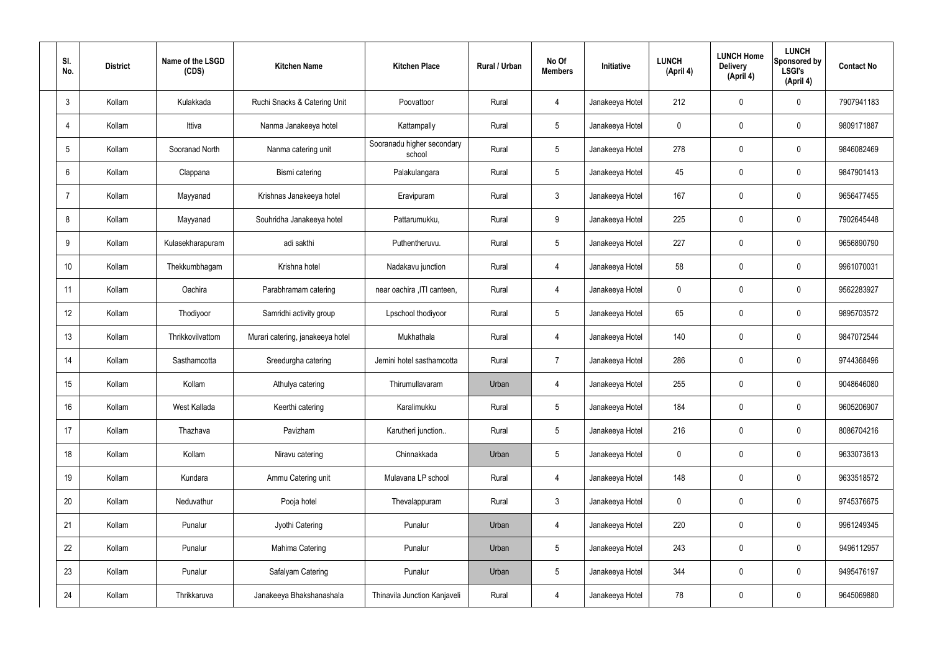| SI.<br>No.      | <b>District</b> | Name of the LSGD<br>(CDS) | <b>Kitchen Name</b>              | <b>Kitchen Place</b>                 | Rural / Urban | No Of<br><b>Members</b> | <b>Initiative</b> | <b>LUNCH</b><br>(April 4) | <b>LUNCH Home</b><br><b>Delivery</b><br>(April 4) | <b>LUNCH</b><br>Sponsored by<br><b>LSGI's</b><br>(April 4) | <b>Contact No</b> |
|-----------------|-----------------|---------------------------|----------------------------------|--------------------------------------|---------------|-------------------------|-------------------|---------------------------|---------------------------------------------------|------------------------------------------------------------|-------------------|
| $\mathbf{3}$    | Kollam          | Kulakkada                 | Ruchi Snacks & Catering Unit     | Poovattoor                           | Rural         | $\overline{4}$          | Janakeeya Hotel   | 212                       | $\mathbf 0$                                       | $\mathbf 0$                                                | 7907941183        |
| $\overline{4}$  | Kollam          | Ittiva                    | Nanma Janakeeya hotel            | Kattampally                          | Rural         | $5\phantom{.0}$         | Janakeeya Hotel   | $\mathbf 0$               | $\mathbf 0$                                       | $\mathbf 0$                                                | 9809171887        |
| $5\phantom{.0}$ | Kollam          | Sooranad North            | Nanma catering unit              | Sooranadu higher secondary<br>school | Rural         | $5\phantom{.0}$         | Janakeeya Hotel   | 278                       | $\mathbf 0$                                       | $\mathbf 0$                                                | 9846082469        |
| 6               | Kollam          | Clappana                  | Bismi catering                   | Palakulangara                        | Rural         | $5\phantom{.0}$         | Janakeeya Hotel   | 45                        | $\mathbf 0$                                       | $\mathbf 0$                                                | 9847901413        |
| $\overline{7}$  | Kollam          | Mayyanad                  | Krishnas Janakeeya hotel         | Eravipuram                           | Rural         | $\mathbf{3}$            | Janakeeya Hotel   | 167                       | $\mathbf 0$                                       | $\mathbf 0$                                                | 9656477455        |
| 8               | Kollam          | Mayyanad                  | Souhridha Janakeeya hotel        | Pattarumukku,                        | Rural         | 9                       | Janakeeya Hotel   | 225                       | $\mathbf 0$                                       | $\mathbf 0$                                                | 7902645448        |
| 9               | Kollam          | Kulasekharapuram          | adi sakthi                       | Puthentheruvu.                       | Rural         | $5\overline{)}$         | Janakeeya Hotel   | 227                       | $\mathbf 0$                                       | $\mathbf 0$                                                | 9656890790        |
| 10              | Kollam          | Thekkumbhagam             | Krishna hotel                    | Nadakavu junction                    | Rural         | $\overline{4}$          | Janakeeya Hotel   | 58                        | 0                                                 | $\mathbf 0$                                                | 9961070031        |
| 11              | Kollam          | Oachira                   | Parabhramam catering             | near oachira , ITI canteen,          | Rural         | $\overline{4}$          | Janakeeya Hotel   | $\mathbf 0$               | $\mathbf 0$                                       | $\mathbf 0$                                                | 9562283927        |
| 12              | Kollam          | Thodiyoor                 | Samridhi activity group          | Lpschool thodiyoor                   | Rural         | $5\phantom{.0}$         | Janakeeya Hotel   | 65                        | 0                                                 | $\mathbf 0$                                                | 9895703572        |
| 13              | Kollam          | Thrikkovilvattom          | Murari catering, janakeeya hotel | Mukhathala                           | Rural         | 4                       | Janakeeya Hotel   | 140                       | 0                                                 | $\mathbf 0$                                                | 9847072544        |
| 14              | Kollam          | Sasthamcotta              | Sreedurgha catering              | Jemini hotel sasthamcotta            | Rural         | $\overline{7}$          | Janakeeya Hotel   | 286                       | $\mathbf 0$                                       | $\mathbf 0$                                                | 9744368496        |
| 15              | Kollam          | Kollam                    | Athulya catering                 | Thirumullavaram                      | Urban         | 4                       | Janakeeya Hotel   | 255                       | 0                                                 | $\mathbf 0$                                                | 9048646080        |
| 16              | Kollam          | West Kallada              | Keerthi catering                 | Karalimukku                          | Rural         | $5\phantom{.0}$         | Janakeeya Hotel   | 184                       | $\mathbf 0$                                       | $\mathbf 0$                                                | 9605206907        |
| 17              | Kollam          | Thazhava                  | Pavizham                         | Karutheri junction                   | Rural         | $5\overline{)}$         | Janakeeya Hotel   | 216                       | 0                                                 | $\mathbf 0$                                                | 8086704216        |
| 18              | Kollam          | Kollam                    | Niravu catering                  | Chinnakkada                          | Urban         | $5\phantom{.0}$         | Janakeeya Hotel   | $\mathbf 0$               | 0                                                 | $\mathbf 0$                                                | 9633073613        |
| 19              | Kollam          | Kundara                   | Ammu Catering unit               | Mulavana LP school                   | Rural         | $\overline{4}$          | Janakeeya Hotel   | 148                       | 0                                                 | $\mathbf 0$                                                | 9633518572        |
| 20              | Kollam          | Neduvathur                | Pooja hotel                      | Thevalappuram                        | Rural         | $\mathbf{3}$            | Janakeeya Hotel   | $\mathbf 0$               | 0                                                 | $\mathbf 0$                                                | 9745376675        |
| 21              | Kollam          | Punalur                   | Jyothi Catering                  | Punalur                              | Urban         | $\overline{4}$          | Janakeeya Hotel   | 220                       | 0                                                 | $\mathbf 0$                                                | 9961249345        |
| 22              | Kollam          | Punalur                   | Mahima Catering                  | Punalur                              | Urban         | $5\phantom{.0}$         | Janakeeya Hotel   | 243                       | 0                                                 | $\mathbf 0$                                                | 9496112957        |
| 23              | Kollam          | Punalur                   | Safalyam Catering                | Punalur                              | Urban         | $5\phantom{.0}$         | Janakeeya Hotel   | 344                       | 0                                                 | $\mathbf 0$                                                | 9495476197        |
| 24              | Kollam          | Thrikkaruva               | Janakeeya Bhakshanashala         | Thinavila Junction Kanjaveli         | Rural         | 4                       | Janakeeya Hotel   | 78                        | 0                                                 | $\mathbf 0$                                                | 9645069880        |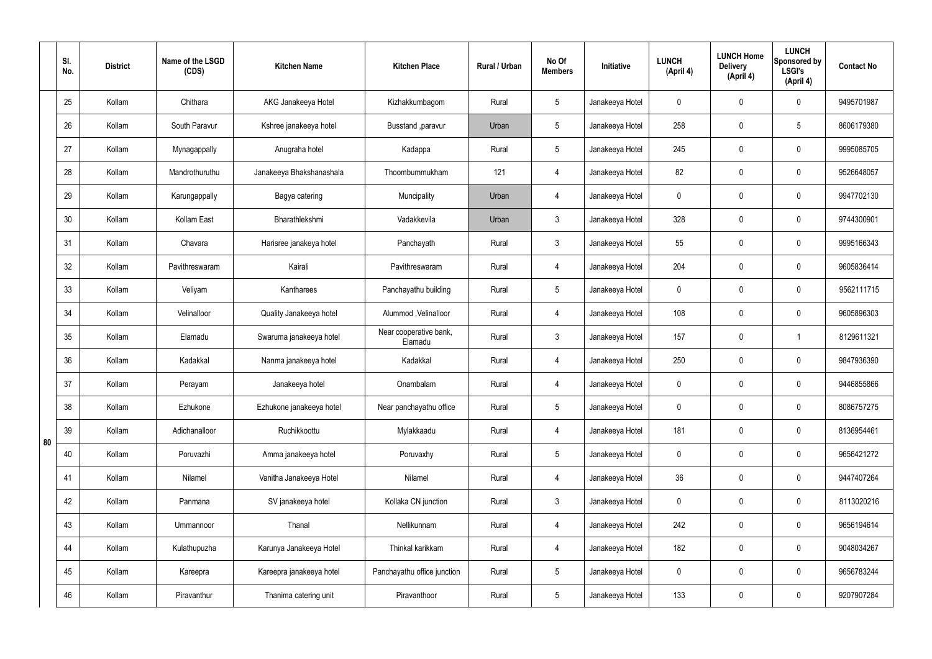|    | SI.<br>No. | <b>District</b> | Name of the LSGD<br>(CDS) | <b>Kitchen Name</b>      | <b>Kitchen Place</b>              | <b>Rural / Urban</b> | No Of<br><b>Members</b> | Initiative      | <b>LUNCH</b><br>(April 4) | <b>LUNCH Home</b><br><b>Delivery</b><br>(April 4) | <b>LUNCH</b><br>Sponsored by<br><b>LSGI's</b><br>(April 4) | <b>Contact No</b> |
|----|------------|-----------------|---------------------------|--------------------------|-----------------------------------|----------------------|-------------------------|-----------------|---------------------------|---------------------------------------------------|------------------------------------------------------------|-------------------|
|    | 25         | Kollam          | Chithara                  | AKG Janakeeya Hotel      | Kizhakkumbagom                    | Rural                | 5                       | Janakeeya Hotel | 0                         | 0                                                 | $\pmb{0}$                                                  | 9495701987        |
|    | 26         | Kollam          | South Paravur             | Kshree janakeeya hotel   | Busstand , paravur                | Urban                | 5                       | Janakeeya Hotel | 258                       | 0                                                 | $5\overline{)}$                                            | 8606179380        |
|    | 27         | Kollam          | Mynagappally              | Anugraha hotel           | Kadappa                           | Rural                | 5                       | Janakeeya Hotel | 245                       | 0                                                 | $\pmb{0}$                                                  | 9995085705        |
|    | 28         | Kollam          | Mandrothuruthu            | Janakeeya Bhakshanashala | Thoombummukham                    | 121                  | 4                       | Janakeeya Hotel | 82                        | $\pmb{0}$                                         | $\pmb{0}$                                                  | 9526648057        |
|    | 29         | Kollam          | Karungappally             | Bagya catering           | Muncipality                       | Urban                | 4                       | Janakeeya Hotel | 0                         | 0                                                 | $\pmb{0}$                                                  | 9947702130        |
|    | 30         | Kollam          | Kollam East               | Bharathlekshmi           | Vadakkevila                       | Urban                | $\mathbf{3}$            | Janakeeya Hotel | 328                       | $\pmb{0}$                                         | $\pmb{0}$                                                  | 9744300901        |
|    | 31         | Kollam          | Chavara                   | Harisree janakeya hotel  | Panchayath                        | Rural                | $\mathbf{3}$            | Janakeeya Hotel | 55                        | $\mathbf 0$                                       | $\pmb{0}$                                                  | 9995166343        |
|    | 32         | Kollam          | Pavithreswaram            | Kairali                  | Pavithreswaram                    | Rural                | 4                       | Janakeeya Hotel | 204                       | $\mathbf 0$                                       | $\pmb{0}$                                                  | 9605836414        |
|    | 33         | Kollam          | Veliyam                   | Kantharees               | Panchayathu building              | Rural                | 5                       | Janakeeya Hotel | 0                         | $\mathbf 0$                                       | $\pmb{0}$                                                  | 9562111715        |
|    | 34         | Kollam          | Velinalloor               | Quality Janakeeya hotel  | Alummod , Velinalloor             | Rural                | $\overline{4}$          | Janakeeya Hotel | 108                       | $\pmb{0}$                                         | $\pmb{0}$                                                  | 9605896303        |
|    | 35         | Kollam          | Elamadu                   | Swaruma janakeeya hotel  | Near cooperative bank,<br>Elamadu | Rural                | $\mathfrak{Z}$          | Janakeeya Hotel | 157                       | $\mathbf 0$                                       | $\mathbf 1$                                                | 8129611321        |
|    | 36         | Kollam          | Kadakkal                  | Nanma janakeeya hotel    | Kadakkal                          | Rural                | 4                       | Janakeeya Hotel | 250                       | $\pmb{0}$                                         | $\pmb{0}$                                                  | 9847936390        |
|    | 37         | Kollam          | Perayam                   | Janakeeya hotel          | Onambalam                         | Rural                | 4                       | Janakeeya Hotel | 0                         | $\mathbf 0$                                       | $\mathbf 0$                                                | 9446855866        |
|    | 38         | Kollam          | Ezhukone                  | Ezhukone janakeeya hotel | Near panchayathu office           | Rural                | $5\phantom{.0}$         | Janakeeya Hotel | $\mathbf 0$               | $\mathbf 0$                                       | $\mathbf 0$                                                | 8086757275        |
| 80 | 39         | Kollam          | Adichanalloor             | Ruchikkoottu             | Mylakkaadu                        | Rural                | 4                       | Janakeeya Hotel | 181                       | $\mathbf 0$                                       | $\mathbf 0$                                                | 8136954461        |
|    | 40         | Kollam          | Poruvazhi                 | Amma janakeeya hotel     | Poruvaxhy                         | Rural                | $5\phantom{.0}$         | Janakeeya Hotel | $\mathbf 0$               | $\mathbf 0$                                       | $\mathbf 0$                                                | 9656421272        |
|    | 41         | Kollam          | Nilamel                   | Vanitha Janakeeya Hotel  | Nilamel                           | Rural                | 4                       | Janakeeya Hotel | 36                        | $\mathbf 0$                                       | $\mathbf 0$                                                | 9447407264        |
|    | 42         | Kollam          | Panmana                   | SV janakeeya hotel       | Kollaka CN junction               | Rural                | 3 <sup>1</sup>          | Janakeeya Hotel | $\mathbf 0$               | $\mathbf 0$                                       | $\mathbf 0$                                                | 8113020216        |
|    | 43         | Kollam          | Ummannoor                 | Thanal                   | Nellikunnam                       | Rural                | 4                       | Janakeeya Hotel | 242                       | $\mathbf 0$                                       | $\mathbf 0$                                                | 9656194614        |
|    | 44         | Kollam          | Kulathupuzha              | Karunya Janakeeya Hotel  | Thinkal karikkam                  | Rural                | 4                       | Janakeeya Hotel | 182                       | $\mathbf 0$                                       | $\mathbf 0$                                                | 9048034267        |
|    | 45         | Kollam          | Kareepra                  | Kareepra janakeeya hotel | Panchayathu office junction       | Rural                | $5\phantom{.0}$         | Janakeeya Hotel | 0                         | $\mathbf 0$                                       | $\pmb{0}$                                                  | 9656783244        |
|    | 46         | Kollam          | Piravanthur               | Thanima catering unit    | Piravanthoor                      | Rural                | $5\phantom{.0}$         | Janakeeya Hotel | 133                       | $\mathbf 0$                                       | $\pmb{0}$                                                  | 9207907284        |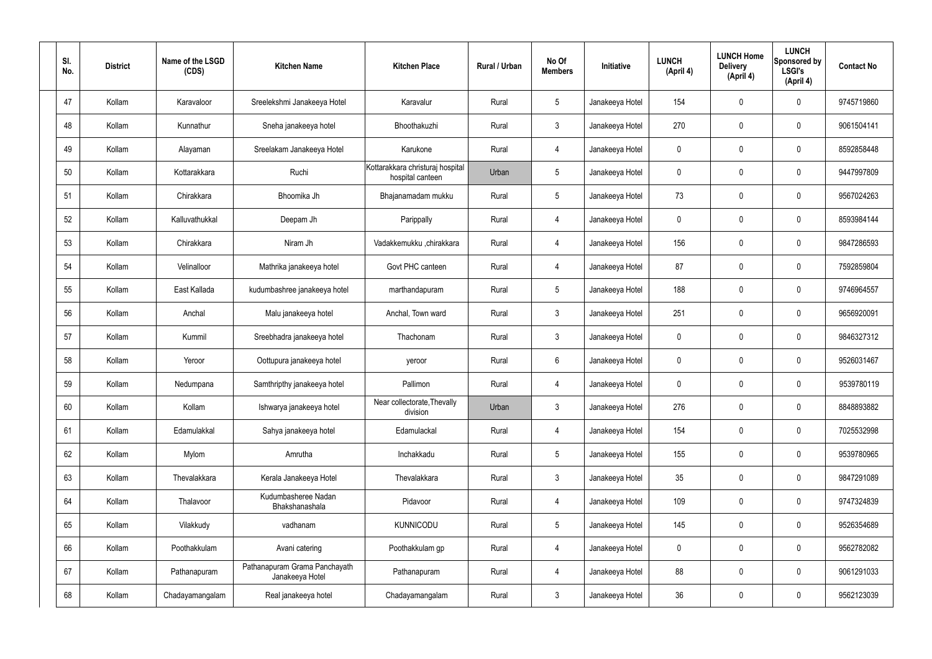| SI.<br>No. | <b>District</b> | Name of the LSGD<br>(CDS) | <b>Kitchen Name</b>                              | <b>Kitchen Place</b>                                 | Rural / Urban | No Of<br><b>Members</b> | Initiative      | <b>LUNCH</b><br>(April 4) | <b>LUNCH Home</b><br><b>Delivery</b><br>(April 4) | <b>LUNCH</b><br>Sponsored by<br><b>LSGI's</b><br>(April 4) | <b>Contact No</b> |
|------------|-----------------|---------------------------|--------------------------------------------------|------------------------------------------------------|---------------|-------------------------|-----------------|---------------------------|---------------------------------------------------|------------------------------------------------------------|-------------------|
| 47         | Kollam          | Karavaloor                | Sreelekshmi Janakeeya Hotel                      | Karavalur                                            | Rural         | $5\phantom{.0}$         | Janakeeya Hotel | 154                       | 0                                                 | $\mathbf 0$                                                | 9745719860        |
| 48         | Kollam          | Kunnathur                 | Sneha janakeeya hotel                            | Bhoothakuzhi                                         | Rural         | $\mathbf{3}$            | Janakeeya Hotel | 270                       | 0                                                 | $\mathbf 0$                                                | 9061504141        |
| 49         | Kollam          | Alayaman                  | Sreelakam Janakeeya Hotel                        | Karukone                                             | Rural         | $\overline{4}$          | Janakeeya Hotel | $\mathbf 0$               | 0                                                 | $\mathbf 0$                                                | 8592858448        |
| 50         | Kollam          | Kottarakkara              | Ruchi                                            | Kottarakkara christuraj hospital<br>hospital canteen | Urban         | $5\phantom{.0}$         | Janakeeya Hotel | $\mathbf 0$               | 0                                                 | $\mathbf 0$                                                | 9447997809        |
| 51         | Kollam          | Chirakkara                | Bhoomika Jh                                      | Bhajanamadam mukku                                   | Rural         | $5\phantom{.0}$         | Janakeeya Hotel | 73                        | 0                                                 | $\mathbf 0$                                                | 9567024263        |
| 52         | Kollam          | Kalluvathukkal            | Deepam Jh                                        | Parippally                                           | Rural         | $\overline{4}$          | Janakeeya Hotel | $\mathbf 0$               | 0                                                 | $\mathbf 0$                                                | 8593984144        |
| 53         | Kollam          | Chirakkara                | Niram Jh                                         | Vadakkemukku ,chirakkara                             | Rural         | 4                       | Janakeeya Hotel | 156                       | 0                                                 | $\mathbf 0$                                                | 9847286593        |
| 54         | Kollam          | Velinalloor               | Mathrika janakeeya hotel                         | Govt PHC canteen                                     | Rural         | $\overline{4}$          | Janakeeya Hotel | 87                        | 0                                                 | $\mathbf 0$                                                | 7592859804        |
| 55         | Kollam          | East Kallada              | kudumbashree janakeeya hotel                     | marthandapuram                                       | Rural         | $5\phantom{.0}$         | Janakeeya Hotel | 188                       | 0                                                 | $\mathbf 0$                                                | 9746964557        |
| 56         | Kollam          | Anchal                    | Malu janakeeya hotel                             | Anchal, Town ward                                    | Rural         | $\mathbf{3}$            | Janakeeya Hotel | 251                       | 0                                                 | $\mathbf 0$                                                | 9656920091        |
| 57         | Kollam          | Kummil                    | Sreebhadra janakeeya hotel                       | Thachonam                                            | Rural         | 3 <sup>1</sup>          | Janakeeya Hotel | $\mathbf 0$               | $\mathbf 0$                                       | $\mathbf 0$                                                | 9846327312        |
| 58         | Kollam          | Yeroor                    | Oottupura janakeeya hotel                        | yeroor                                               | Rural         | $6\overline{6}$         | Janakeeya Hotel | $\mathbf 0$               | 0                                                 | $\mathbf 0$                                                | 9526031467        |
| 59         | Kollam          | Nedumpana                 | Samthripthy janakeeya hotel                      | Pallimon                                             | Rural         | 4                       | Janakeeya Hotel | $\mathbf 0$               | $\mathbf 0$                                       | $\mathbf 0$                                                | 9539780119        |
| 60         | Kollam          | Kollam                    | Ishwarya janakeeya hotel                         | Near collectorate, Thevally<br>division              | Urban         | $\mathbf{3}$            | Janakeeya Hotel | 276                       | 0                                                 | $\mathbf 0$                                                | 8848893882        |
| 61         | Kollam          | Edamulakkal               | Sahya janakeeya hotel                            | Edamulackal                                          | Rural         | $\overline{4}$          | Janakeeya Hotel | 154                       | 0                                                 | $\mathbf 0$                                                | 7025532998        |
| 62         | Kollam          | Mylom                     | Amrutha                                          | Inchakkadu                                           | Rural         | $5\phantom{.0}$         | Janakeeya Hotel | 155                       | 0                                                 | $\mathbf 0$                                                | 9539780965        |
| 63         | Kollam          | Thevalakkara              | Kerala Janakeeya Hotel                           | Thevalakkara                                         | Rural         | $\mathbf{3}$            | Janakeeya Hotel | 35                        | 0                                                 | $\mathbf 0$                                                | 9847291089        |
| 64         | Kollam          | Thalavoor                 | Kudumbasheree Nadan<br>Bhakshanashala            | Pidavoor                                             | Rural         | $\overline{4}$          | Janakeeya Hotel | 109                       | 0                                                 | $\mathbf 0$                                                | 9747324839        |
| 65         | Kollam          | Vilakkudy                 | vadhanam                                         | <b>KUNNICODU</b>                                     | Rural         | $5\phantom{.0}$         | Janakeeya Hotel | 145                       | 0                                                 | $\mathbf 0$                                                | 9526354689        |
| 66         | Kollam          | Poothakkulam              | Avani catering                                   | Poothakkulam gp                                      | Rural         | $\overline{4}$          | Janakeeya Hotel | $\mathbf 0$               | 0                                                 | $\mathbf 0$                                                | 9562782082        |
| 67         | Kollam          | Pathanapuram              | Pathanapuram Grama Panchayath<br>Janakeeya Hotel | Pathanapuram                                         | Rural         | $\overline{4}$          | Janakeeya Hotel | 88                        | 0                                                 | $\mathbf 0$                                                | 9061291033        |
| 68         | Kollam          | Chadayamangalam           | Real janakeeya hotel                             | Chadayamangalam                                      | Rural         | $\mathfrak{Z}$          | Janakeeya Hotel | 36                        | 0                                                 | $\mathbf 0$                                                | 9562123039        |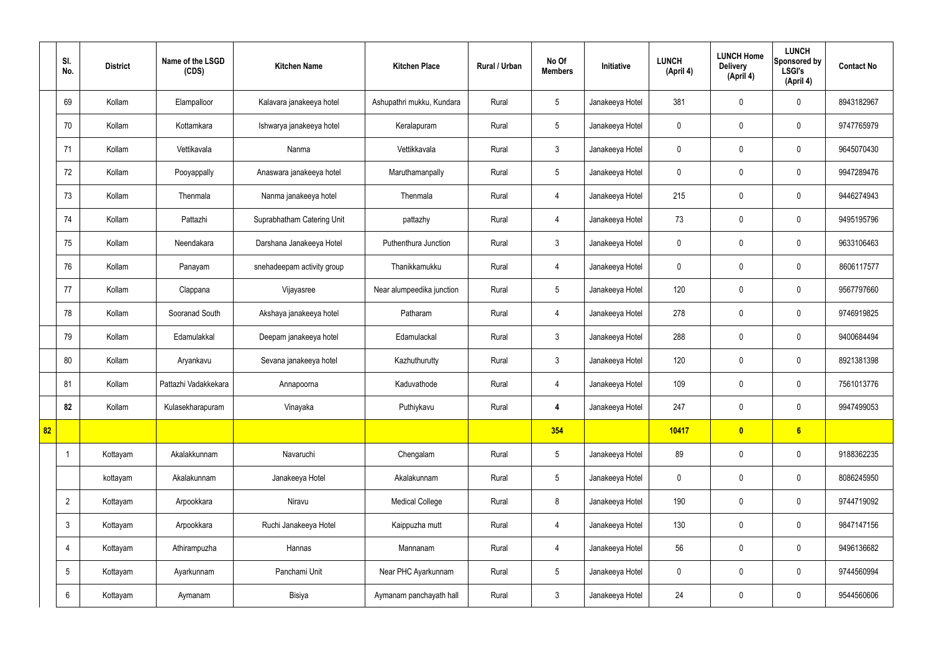|    | SI.<br>No.      | <b>District</b> | Name of the LSGD<br>(CDS) | <b>Kitchen Name</b>        | <b>Kitchen Place</b>      | Rural / Urban | No Of<br><b>Members</b> | Initiative      | <b>LUNCH</b><br>(April 4) | <b>LUNCH Home</b><br><b>Delivery</b><br>(April 4) | <b>LUNCH</b><br>Sponsored by<br><b>LSGI's</b><br>(April 4) | <b>Contact No</b> |
|----|-----------------|-----------------|---------------------------|----------------------------|---------------------------|---------------|-------------------------|-----------------|---------------------------|---------------------------------------------------|------------------------------------------------------------|-------------------|
|    | 69              | Kollam          | Elampalloor               | Kalavara janakeeya hotel   | Ashupathri mukku, Kundara | Rural         | $\sqrt{5}$              | Janakeeya Hotel | 381                       | $\mathbf 0$                                       | $\mathbf 0$                                                | 8943182967        |
|    | 70              | Kollam          | Kottamkara                | Ishwarya janakeeya hotel   | Keralapuram               | Rural         | $5\phantom{.0}$         | Janakeeya Hotel | $\mathbf 0$               | $\mathbf 0$                                       | $\mathbf 0$                                                | 9747765979        |
|    | 71              | Kollam          | Vettikavala               | Nanma                      | Vettikkavala              | Rural         | $\mathbf{3}$            | Janakeeya Hotel | $\mathbf 0$               | $\mathbf 0$                                       | $\mathbf 0$                                                | 9645070430        |
|    | 72              | Kollam          | Pooyappally               | Anaswara janakeeya hotel   | Maruthamanpally           | Rural         | $5\phantom{.0}$         | Janakeeya Hotel | $\mathbf 0$               | $\mathbf 0$                                       | $\mathbf 0$                                                | 9947289476        |
|    | 73              | Kollam          | Thenmala                  | Nanma janakeeya hotel      | Thenmala                  | Rural         | $\overline{4}$          | Janakeeya Hotel | 215                       | $\pmb{0}$                                         | $\mathbf 0$                                                | 9446274943        |
|    | 74              | Kollam          | Pattazhi                  | Suprabhatham Catering Unit | pattazhy                  | Rural         | $\overline{4}$          | Janakeeya Hotel | 73                        | $\mathbf 0$                                       | $\mathbf 0$                                                | 9495195796        |
|    | 75              | Kollam          | Neendakara                | Darshana Janakeeya Hotel   | Puthenthura Junction      | Rural         | $\mathbf{3}$            | Janakeeya Hotel | $\mathbf 0$               | $\mathbf 0$                                       | $\mathbf 0$                                                | 9633106463        |
|    | 76              | Kollam          | Panayam                   | snehadeepam activity group | Thanikkamukku             | Rural         | $\overline{4}$          | Janakeeya Hotel | $\mathbf 0$               | $\mathbf 0$                                       | $\mathbf 0$                                                | 8606117577        |
|    | 77              | Kollam          | Clappana                  | Vijayasree                 | Near alumpeedika junction | Rural         | $5\phantom{.0}$         | Janakeeya Hotel | 120                       | $\mathbf 0$                                       | $\mathbf 0$                                                | 9567797660        |
|    | 78              | Kollam          | Sooranad South            | Akshaya janakeeya hotel    | Patharam                  | Rural         | $\overline{4}$          | Janakeeya Hotel | 278                       | $\mathbf 0$                                       | $\mathbf 0$                                                | 9746919825        |
|    | 79              | Kollam          | Edamulakkal               | Deepam janakeeya hotel     | Edamulackal               | Rural         | $\mathbf{3}$            | Janakeeya Hotel | 288                       | $\mathbf 0$                                       | $\mathbf 0$                                                | 9400684494        |
|    | 80              | Kollam          | Aryankavu                 | Sevana janakeeya hotel     | Kazhuthurutty             | Rural         | $\mathbf{3}$            | Janakeeya Hotel | 120                       | $\mathbf 0$                                       | $\mathbf 0$                                                | 8921381398        |
|    | 81              | Kollam          | Pattazhi Vadakkekara      | Annapoorna                 | Kaduvathode               | Rural         | 4                       | Janakeeya Hotel | 109                       | $\mathbf 0$                                       | $\mathbf 0$                                                | 7561013776        |
|    | 82              | Kollam          | Kulasekharapuram          | Vinayaka                   | Puthiykavu                | Rural         | 4                       | Janakeeya Hotel | 247                       | $\pmb{0}$                                         | $\mathbf 0$                                                | 9947499053        |
| 82 |                 |                 |                           |                            |                           |               | 354                     |                 | 10417                     | $\bullet$                                         | $6\phantom{a}$                                             |                   |
|    |                 | Kottayam        | Akalakkunnam              | Navaruchi                  | Chengalam                 | Rural         | $5\overline{)}$         | Janakeeya Hotel | 89                        | $\pmb{0}$                                         | $\mathbf 0$                                                | 9188362235        |
|    |                 | kottayam        | Akalakunnam               | Janakeeya Hotel            | Akalakunnam               | Rural         | $5\overline{)}$         | Janakeeya Hotel | $\mathbf 0$               | $\pmb{0}$                                         | $\mathbf 0$                                                | 8086245950        |
|    | $\overline{2}$  | Kottayam        | Arpookkara                | Niravu                     | <b>Medical College</b>    | Rural         | 8                       | Janakeeya Hotel | 190                       | $\pmb{0}$                                         | $\mathbf 0$                                                | 9744719092        |
|    | $\mathfrak{Z}$  | Kottayam        | Arpookkara                | Ruchi Janakeeya Hotel      | Kaippuzha mutt            | Rural         | $\overline{4}$          | Janakeeya Hotel | 130                       | $\pmb{0}$                                         | $\mathbf 0$                                                | 9847147156        |
|    | 4               | Kottayam        | Athirampuzha              | Hannas                     | Mannanam                  | Rural         | $\overline{4}$          | Janakeeya Hotel | 56                        | $\pmb{0}$                                         | $\mathbf 0$                                                | 9496136682        |
|    | $5\phantom{.0}$ | Kottayam        | Ayarkunnam                | Panchami Unit              | Near PHC Ayarkunnam       | Rural         | $5\overline{)}$         | Janakeeya Hotel | $\mathbf 0$               | $\pmb{0}$                                         | $\mathbf 0$                                                | 9744560994        |
|    | $6\phantom{.}$  | Kottayam        | Aymanam                   | Bisiya                     | Aymanam panchayath hall   | Rural         | $\mathbf{3}$            | Janakeeya Hotel | 24                        | $\pmb{0}$                                         | $\boldsymbol{0}$                                           | 9544560606        |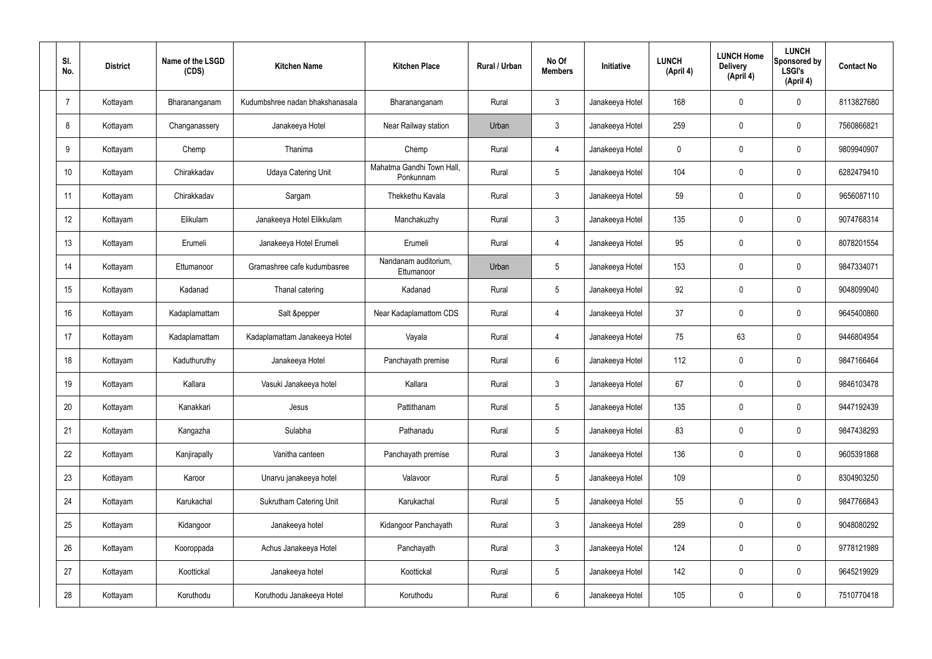| SI.<br>No. |                 | <b>District</b> | Name of the LSGD<br>(CDS) | <b>Kitchen Name</b>             | <b>Kitchen Place</b>                   | Rural / Urban | No Of<br><b>Members</b> | Initiative      | <b>LUNCH</b><br>(April 4) | <b>LUNCH Home</b><br><b>Delivery</b><br>(April 4) | <b>LUNCH</b><br><b>Sponsored by</b><br><b>LSGI's</b><br>(April 4) | <b>Contact No</b> |
|------------|-----------------|-----------------|---------------------------|---------------------------------|----------------------------------------|---------------|-------------------------|-----------------|---------------------------|---------------------------------------------------|-------------------------------------------------------------------|-------------------|
| 7          |                 | Kottayam        | Bharananganam             | Kudumbshree nadan bhakshanasala | Bharananganam                          | Rural         | $\mathbf{3}$            | Janakeeya Hotel | 168                       | $\mathbf 0$                                       | 0                                                                 | 8113827680        |
|            | 8               | Kottayam        | Changanassery             | Janakeeya Hotel                 | Near Railway station                   | Urban         | $\mathbf{3}$            | Janakeeya Hotel | 259                       | $\mathbf 0$                                       | 0                                                                 | 7560866821        |
|            | 9               | Kottayam        | Chemp                     | Thanima                         | Chemp                                  | Rural         | 4                       | Janakeeya Hotel | 0                         | $\mathbf 0$                                       | 0                                                                 | 9809940907        |
|            | 10 <sup>°</sup> | Kottayam        | Chirakkadav               | <b>Udaya Catering Unit</b>      | Mahatma Gandhi Town Hall.<br>Ponkunnam | Rural         | $5\phantom{.0}$         | Janakeeya Hotel | 104                       | $\mathbf 0$                                       | 0                                                                 | 6282479410        |
|            | 11              | Kottayam        | Chirakkadav               | Sargam                          | Thekkethu Kavala                       | Rural         | $\mathbf{3}$            | Janakeeya Hotel | 59                        | 0                                                 | 0                                                                 | 9656087110        |
|            | 12              | Kottayam        | Elikulam                  | Janakeeya Hotel Elikkulam       | Manchakuzhy                            | Rural         | $\mathbf{3}$            | Janakeeya Hotel | 135                       | $\mathbf 0$                                       | 0                                                                 | 9074768314        |
|            | 13              | Kottayam        | Erumeli                   | Janakeeya Hotel Erumeli         | Erumeli                                | Rural         | $\overline{4}$          | Janakeeya Hotel | 95                        | $\mathbf 0$                                       | 0                                                                 | 8078201554        |
|            | 14              | Kottayam        | Ettumanoor                | Gramashree cafe kudumbasree     | Nandanam auditorium,<br>Ettumanoor     | Urban         | 5                       | Janakeeya Hotel | 153                       | $\mathbf 0$                                       | 0                                                                 | 9847334071        |
|            | 15              | Kottayam        | Kadanad                   | Thanal catering                 | Kadanad                                | Rural         | $5\phantom{.0}$         | Janakeeya Hotel | 92                        | 0                                                 | 0                                                                 | 9048099040        |
|            | 16              | Kottayam        | Kadaplamattam             | Salt &pepper                    | Near Kadaplamattom CDS                 | Rural         | $\overline{4}$          | Janakeeya Hotel | 37                        | $\mathbf 0$                                       | 0                                                                 | 9645400860        |
|            | 17              | Kottayam        | Kadaplamattam             | Kadaplamattam Janakeeya Hotel   | Vayala                                 | Rural         | $\overline{4}$          | Janakeeya Hotel | 75                        | 63                                                | 0                                                                 | 9446804954        |
|            | 18              | Kottayam        | Kaduthuruthy              | Janakeeya Hotel                 | Panchayath premise                     | Rural         | 6                       | Janakeeya Hotel | 112                       | $\mathbf 0$                                       | 0                                                                 | 9847166464        |
|            | 19              | Kottayam        | Kallara                   | Vasuki Janakeeya hotel          | Kallara                                | Rural         | $\mathbf{3}$            | Janakeeya Hotel | 67                        | $\mathbf 0$                                       | 0                                                                 | 9846103478        |
|            | 20              | Kottayam        | Kanakkari                 | Jesus                           | Pattithanam                            | Rural         | $5\phantom{.0}$         | Janakeeya Hotel | 135                       | $\pmb{0}$                                         | 0                                                                 | 9447192439        |
|            | 21              | Kottayam        | Kangazha                  | Sulabha                         | Pathanadu                              | Rural         | $5\phantom{.0}$         | Janakeeya Hotel | 83                        | $\pmb{0}$                                         | $\mathbf 0$                                                       | 9847438293        |
|            | 22              | Kottayam        | Kanjirapally              | Vanitha canteen                 | Panchayath premise                     | Rural         | $\mathbf{3}$            | Janakeeya Hotel | 136                       | $\pmb{0}$                                         | 0                                                                 | 9605391868        |
|            | 23              | Kottayam        | Karoor                    | Unarvu janakeeya hotel          | Valavoor                               | Rural         | $5\phantom{.0}$         | Janakeeya Hotel | 109                       |                                                   | 0                                                                 | 8304903250        |
|            | 24              | Kottayam        | Karukachal                | <b>Sukrutham Catering Unit</b>  | Karukachal                             | Rural         | $5\phantom{.0}$         | Janakeeya Hotel | 55                        | $\mathbf 0$                                       | 0                                                                 | 9847766843        |
|            | 25              | Kottayam        | Kidangoor                 | Janakeeya hotel                 | Kidangoor Panchayath                   | Rural         | $\mathbf{3}$            | Janakeeya Hotel | 289                       | $\pmb{0}$                                         | $\mathbf 0$                                                       | 9048080292        |
|            | 26              | Kottayam        | Kooroppada                | Achus Janakeeya Hotel           | Panchayath                             | Rural         | $\mathbf{3}$            | Janakeeya Hotel | 124                       | $\pmb{0}$                                         | 0                                                                 | 9778121989        |
|            | 27              | Kottayam        | Koottickal                | Janakeeya hotel                 | Koottickal                             | Rural         | $5\phantom{.0}$         | Janakeeya Hotel | 142                       | $\pmb{0}$                                         | 0                                                                 | 9645219929        |
|            | 28              | Kottayam        | Koruthodu                 | Koruthodu Janakeeya Hotel       | Koruthodu                              | Rural         | $6\overline{6}$         | Janakeeya Hotel | 105                       | $\pmb{0}$                                         | 0                                                                 | 7510770418        |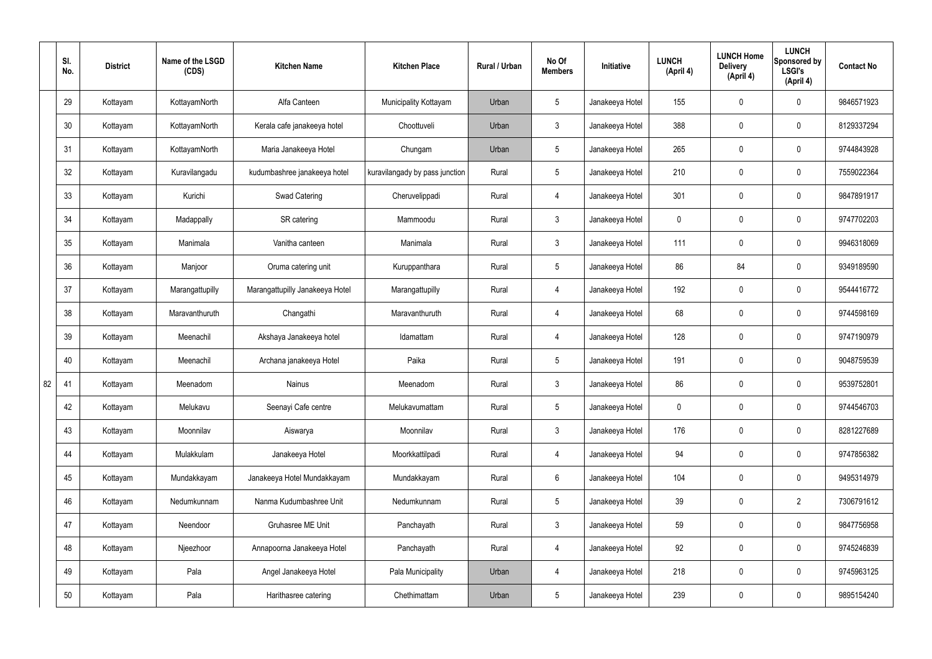|    | SI.<br>No. | <b>District</b> | Name of the LSGD<br>(CDS) | <b>Kitchen Name</b>             | <b>Kitchen Place</b>           | <b>Rural / Urban</b> | No Of<br><b>Members</b> | Initiative      | <b>LUNCH</b><br>(April 4) | <b>LUNCH Home</b><br><b>Delivery</b><br>(April 4) | <b>LUNCH</b><br>Sponsored by<br><b>LSGI's</b><br>(April 4) | <b>Contact No</b> |
|----|------------|-----------------|---------------------------|---------------------------------|--------------------------------|----------------------|-------------------------|-----------------|---------------------------|---------------------------------------------------|------------------------------------------------------------|-------------------|
|    | 29         | Kottayam        | KottayamNorth             | Alfa Canteen                    | Municipality Kottayam          | Urban                | $5\overline{)}$         | Janakeeya Hotel | 155                       | 0                                                 | $\mathbf 0$                                                | 9846571923        |
|    | 30         | Kottayam        | KottayamNorth             | Kerala cafe janakeeya hotel     | Choottuveli                    | Urban                | $\mathbf{3}$            | Janakeeya Hotel | 388                       | 0                                                 | $\pmb{0}$                                                  | 8129337294        |
|    | 31         | Kottayam        | KottayamNorth             | Maria Janakeeya Hotel           | Chungam                        | Urban                | $5\phantom{.0}$         | Janakeeya Hotel | 265                       | 0                                                 | $\mathbf 0$                                                | 9744843928        |
|    | 32         | Kottayam        | Kuravilangadu             | kudumbashree janakeeya hotel    | kuravilangady by pass junction | Rural                | $5\phantom{.0}$         | Janakeeya Hotel | 210                       | 0                                                 | $\pmb{0}$                                                  | 7559022364        |
|    | 33         | Kottayam        | Kurichi                   | <b>Swad Catering</b>            | Cheruvelippadi                 | Rural                | 4                       | Janakeeya Hotel | 301                       | 0                                                 | $\mathbf 0$                                                | 9847891917        |
|    | 34         | Kottayam        | Madappally                | SR catering                     | Mammoodu                       | Rural                | $\mathbf{3}$            | Janakeeya Hotel | 0                         | 0                                                 | $\pmb{0}$                                                  | 9747702203        |
|    | 35         | Kottayam        | Manimala                  | Vanitha canteen                 | Manimala                       | Rural                | $\mathbf{3}$            | Janakeeya Hotel | 111                       | 0                                                 | $\mathbf 0$                                                | 9946318069        |
|    | 36         | Kottayam        | Manjoor                   | Oruma catering unit             | Kuruppanthara                  | Rural                | $5\phantom{.0}$         | Janakeeya Hotel | 86                        | 84                                                | $\pmb{0}$                                                  | 9349189590        |
|    | 37         | Kottayam        | Marangattupilly           | Marangattupilly Janakeeya Hotel | Marangattupilly                | Rural                | 4                       | Janakeeya Hotel | 192                       | 0                                                 | $\mathbf 0$                                                | 9544416772        |
|    | 38         | Kottayam        | Maravanthuruth            | Changathi                       | Maravanthuruth                 | Rural                | 4                       | Janakeeya Hotel | 68                        | 0                                                 | $\pmb{0}$                                                  | 9744598169        |
|    | 39         | Kottayam        | Meenachil                 | Akshaya Janakeeya hotel         | Idamattam                      | Rural                | 4                       | Janakeeya Hotel | 128                       | 0                                                 | $\mathbf 0$                                                | 9747190979        |
|    | 40         | Kottayam        | Meenachil                 | Archana janakeeya Hotel         | Paika                          | Rural                | $5\phantom{.0}$         | Janakeeya Hotel | 191                       | 0                                                 | $\pmb{0}$                                                  | 9048759539        |
| 82 | 41         | Kottayam        | Meenadom                  | Nainus                          | Meenadom                       | Rural                | $\mathbf{3}$            | Janakeeya Hotel | 86                        | 0                                                 | $\mathbf 0$                                                | 9539752801        |
|    | 42         | Kottayam        | Melukavu                  | Seenayi Cafe centre             | Melukavumattam                 | Rural                | $5\phantom{.0}$         | Janakeeya Hotel | 0                         | 0                                                 | $\mathbf 0$                                                | 9744546703        |
|    | 43         | Kottayam        | Moonnilav                 | Aiswarya                        | Moonnilav                      | Rural                | $\mathbf{3}$            | Janakeeya Hotel | 176                       | 0                                                 | $\mathbf 0$                                                | 8281227689        |
|    | 44         | Kottayam        | Mulakkulam                | Janakeeya Hotel                 | Moorkkattilpadi                | Rural                | $\overline{4}$          | Janakeeya Hotel | 94                        | 0                                                 | $\mathbf 0$                                                | 9747856382        |
|    | 45         | Kottayam        | Mundakkayam               | Janakeeya Hotel Mundakkayam     | Mundakkayam                    | Rural                | $6\phantom{.}6$         | Janakeeya Hotel | 104                       | 0                                                 | $\pmb{0}$                                                  | 9495314979        |
|    | 46         | Kottayam        | Nedumkunnam               | Nanma Kudumbashree Unit         | Nedumkunnam                    | Rural                | $5\phantom{.0}$         | Janakeeya Hotel | 39                        | 0                                                 | $\overline{2}$                                             | 7306791612        |
|    | 47         | Kottayam        | Neendoor                  | Gruhasree ME Unit               | Panchayath                     | Rural                | $\mathfrak{Z}$          | Janakeeya Hotel | 59                        | 0                                                 | $\pmb{0}$                                                  | 9847756958        |
|    | 48         | Kottayam        | Njeezhoor                 | Annapoorna Janakeeya Hotel      | Panchayath                     | Rural                | $\overline{4}$          | Janakeeya Hotel | 92                        | 0                                                 | $\mathbf 0$                                                | 9745246839        |
|    | 49         | Kottayam        | Pala                      | Angel Janakeeya Hotel           | Pala Municipality              | Urban                | 4                       | Janakeeya Hotel | 218                       | 0                                                 | $\mathbf 0$                                                | 9745963125        |
|    | 50         | Kottayam        | Pala                      | Harithasree catering            | Chethimattam                   | Urban                | $5\phantom{.0}$         | Janakeeya Hotel | 239                       | 0                                                 | $\boldsymbol{0}$                                           | 9895154240        |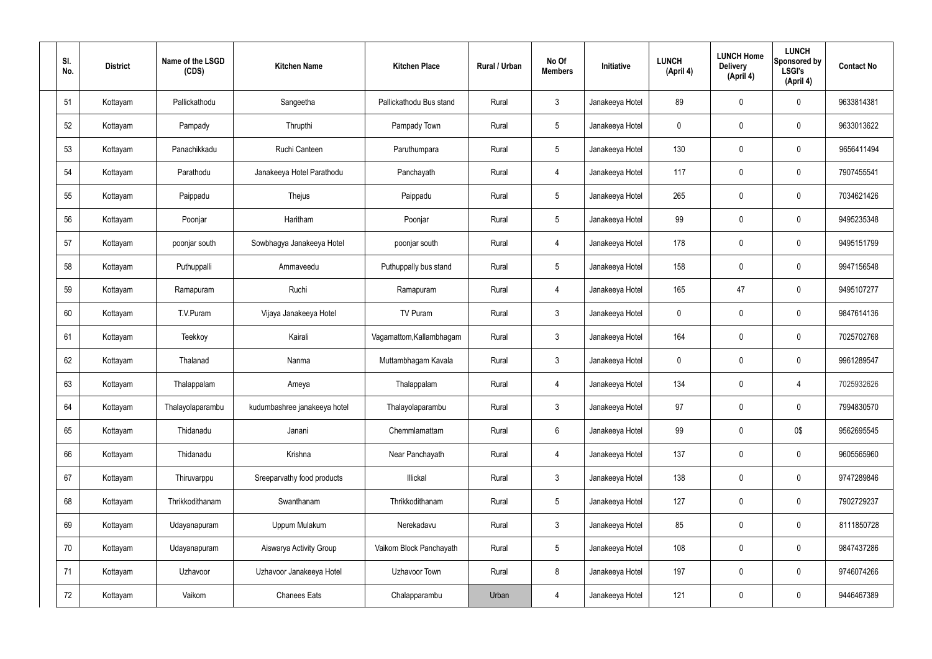| SI.<br>No. | <b>District</b> | Name of the LSGD<br>(CDS) | <b>Kitchen Name</b>          | <b>Kitchen Place</b>     | Rural / Urban | No Of<br><b>Members</b> | Initiative      | <b>LUNCH</b><br>(April 4) | <b>LUNCH Home</b><br><b>Delivery</b><br>(April 4) | <b>LUNCH</b><br>Sponsored by<br><b>LSGI's</b><br>(April 4) | <b>Contact No</b> |
|------------|-----------------|---------------------------|------------------------------|--------------------------|---------------|-------------------------|-----------------|---------------------------|---------------------------------------------------|------------------------------------------------------------|-------------------|
| 51         | Kottayam        | Pallickathodu             | Sangeetha                    | Pallickathodu Bus stand  | Rural         | $\mathbf{3}$            | Janakeeya Hotel | 89                        | 0                                                 | $\mathbf 0$                                                | 9633814381        |
| 52         | Kottayam        | Pampady                   | Thrupthi                     | Pampady Town             | Rural         | $5\phantom{.0}$         | Janakeeya Hotel | $\mathbf 0$               | 0                                                 | $\mathbf 0$                                                | 9633013622        |
| 53         | Kottayam        | Panachikkadu              | Ruchi Canteen                | Paruthumpara             | Rural         | $5\phantom{.0}$         | Janakeeya Hotel | 130                       | 0                                                 | $\mathbf 0$                                                | 9656411494        |
| 54         | Kottayam        | Parathodu                 | Janakeeya Hotel Parathodu    | Panchayath               | Rural         | $\overline{4}$          | Janakeeya Hotel | 117                       | $\mathbf 0$                                       | $\mathbf 0$                                                | 7907455541        |
| 55         | Kottayam        | Paippadu                  | Thejus                       | Paippadu                 | Rural         | $5\phantom{.0}$         | Janakeeya Hotel | 265                       | 0                                                 | $\mathbf 0$                                                | 7034621426        |
| 56         | Kottayam        | Poonjar                   | Haritham                     | Poonjar                  | Rural         | $5\phantom{.0}$         | Janakeeya Hotel | 99                        | $\mathbf 0$                                       | $\mathbf 0$                                                | 9495235348        |
| 57         | Kottayam        | poonjar south             | Sowbhagya Janakeeya Hotel    | poonjar south            | Rural         | $\overline{4}$          | Janakeeya Hotel | 178                       | $\mathbf 0$                                       | $\mathbf 0$                                                | 9495151799        |
| 58         | Kottayam        | Puthuppalli               | Ammaveedu                    | Puthuppally bus stand    | Rural         | $5\phantom{.0}$         | Janakeeya Hotel | 158                       | $\mathbf 0$                                       | $\mathbf 0$                                                | 9947156548        |
| 59         | Kottayam        | Ramapuram                 | Ruchi                        | Ramapuram                | Rural         | $\overline{4}$          | Janakeeya Hotel | 165                       | 47                                                | $\mathbf 0$                                                | 9495107277        |
| 60         | Kottayam        | T.V.Puram                 | Vijaya Janakeeya Hotel       | TV Puram                 | Rural         | $\mathbf{3}$            | Janakeeya Hotel | $\mathbf 0$               | $\mathbf 0$                                       | $\mathbf 0$                                                | 9847614136        |
| 61         | Kottayam        | Teekkoy                   | Kairali                      | Vagamattom, Kallambhagam | Rural         | $\mathbf{3}$            | Janakeeya Hotel | 164                       | 0                                                 | $\mathbf 0$                                                | 7025702768        |
| 62         | Kottayam        | Thalanad                  | Nanma                        | Muttambhagam Kavala      | Rural         | $\mathbf{3}$            | Janakeeya Hotel | $\mathbf 0$               | $\mathbf 0$                                       | $\mathbf 0$                                                | 9961289547        |
| 63         | Kottayam        | Thalappalam               | Ameya                        | Thalappalam              | Rural         | 4                       | Janakeeya Hotel | 134                       | 0                                                 | 4                                                          | 7025932626        |
| 64         | Kottayam        | Thalayolaparambu          | kudumbashree janakeeya hotel | Thalayolaparambu         | Rural         | $\mathbf{3}$            | Janakeeya Hotel | 97                        | $\mathbf 0$                                       | $\mathbf 0$                                                | 7994830570        |
| 65         | Kottayam        | Thidanadu                 | Janani                       | Chemmlamattam            | Rural         | $6\overline{6}$         | Janakeeya Hotel | 99                        | $\mathbf 0$                                       | 0\$                                                        | 9562695545        |
| 66         | Kottayam        | Thidanadu                 | Krishna                      | Near Panchayath          | Rural         | $\overline{4}$          | Janakeeya Hotel | 137                       | 0                                                 | $\mathbf 0$                                                | 9605565960        |
| 67         | Kottayam        | Thiruvarppu               | Sreeparvathy food products   | Illickal                 | Rural         | $\mathfrak{Z}$          | Janakeeya Hotel | 138                       | 0                                                 | $\mathbf 0$                                                | 9747289846        |
| 68         | Kottayam        | Thrikkodithanam           | Swanthanam                   | Thrikkodithanam          | Rural         | $5\phantom{.0}$         | Janakeeya Hotel | 127                       | 0                                                 | $\mathbf 0$                                                | 7902729237        |
| 69         | Kottayam        | Udayanapuram              | Uppum Mulakum                | Nerekadavu               | Rural         | $\mathfrak{Z}$          | Janakeeya Hotel | 85                        | 0                                                 | $\mathbf 0$                                                | 8111850728        |
| 70         | Kottayam        | Udayanapuram              | Aiswarya Activity Group      | Vaikom Block Panchayath  | Rural         | $5\phantom{.0}$         | Janakeeya Hotel | 108                       | 0                                                 | $\mathbf 0$                                                | 9847437286        |
| 71         | Kottayam        | Uzhavoor                  | Uzhavoor Janakeeya Hotel     | Uzhavoor Town            | Rural         | 8                       | Janakeeya Hotel | 197                       | 0                                                 | $\mathbf 0$                                                | 9746074266        |
| 72         | Kottayam        | Vaikom                    | <b>Chanees Eats</b>          | Chalapparambu            | Urban         | 4                       | Janakeeya Hotel | 121                       | 0                                                 | $\mathbf 0$                                                | 9446467389        |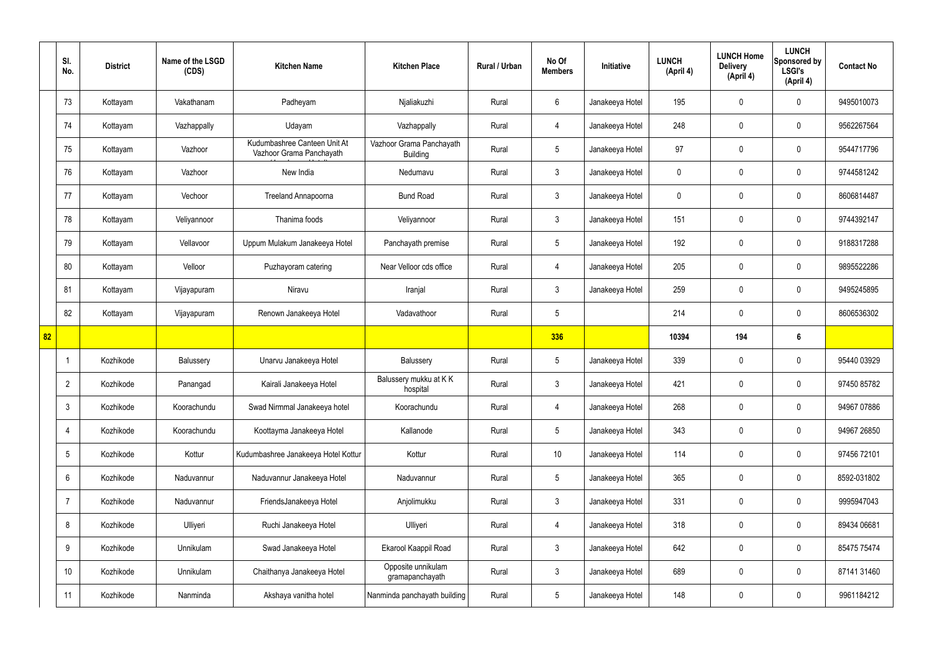|    | SI.<br>No.      | <b>District</b> | Name of the LSGD<br>(CDS) | <b>Kitchen Name</b>                                      | <b>Kitchen Place</b>                        | Rural / Urban | No Of<br><b>Members</b> | Initiative      | <b>LUNCH</b><br>(April 4) | <b>LUNCH Home</b><br><b>Delivery</b><br>(April 4) | <b>LUNCH</b><br>Sponsored by<br><b>LSGI's</b><br>(April 4) | <b>Contact No</b> |
|----|-----------------|-----------------|---------------------------|----------------------------------------------------------|---------------------------------------------|---------------|-------------------------|-----------------|---------------------------|---------------------------------------------------|------------------------------------------------------------|-------------------|
|    | 73              | Kottayam        | Vakathanam                | Padheyam                                                 | Njaliakuzhi                                 | Rural         | 6                       | Janakeeya Hotel | 195                       | 0                                                 | $\mathbf 0$                                                | 9495010073        |
|    | 74              | Kottayam        | Vazhappally               | Udayam                                                   | Vazhappally                                 | Rural         | 4                       | Janakeeya Hotel | 248                       | $\mathbf 0$                                       | $\pmb{0}$                                                  | 9562267564        |
|    | 75              | Kottayam        | Vazhoor                   | Kudumbashree Canteen Unit At<br>Vazhoor Grama Panchayath | Vazhoor Grama Panchayath<br><b>Building</b> | Rural         | $5\phantom{.0}$         | Janakeeya Hotel | 97                        | 0                                                 | $\mathbf 0$                                                | 9544717796        |
|    | 76              | Kottayam        | Vazhoor                   | New India                                                | Nedumavu                                    | Rural         | $\mathbf{3}$            | Janakeeya Hotel | 0                         | 0                                                 | $\pmb{0}$                                                  | 9744581242        |
|    | 77              | Kottayam        | Vechoor                   | Treeland Annapoorna                                      | <b>Bund Road</b>                            | Rural         | $\mathbf{3}$            | Janakeeya Hotel | 0                         | 0                                                 | $\mathbf 0$                                                | 8606814487        |
|    | 78              | Kottayam        | Veliyannoor               | Thanima foods                                            | Veliyannoor                                 | Rural         | $\mathbf{3}$            | Janakeeya Hotel | 151                       | $\mathbf 0$                                       | $\pmb{0}$                                                  | 9744392147        |
|    | 79              | Kottayam        | Vellavoor                 | Uppum Mulakum Janakeeya Hotel                            | Panchayath premise                          | Rural         | $5\phantom{.0}$         | Janakeeya Hotel | 192                       | 0                                                 | $\mathbf 0$                                                | 9188317288        |
|    | 80              | Kottayam        | Velloor                   | Puzhayoram catering                                      | Near Velloor cds office                     | Rural         | 4                       | Janakeeya Hotel | 205                       | $\mathbf 0$                                       | $\pmb{0}$                                                  | 9895522286        |
|    | 81              | Kottayam        | Vijayapuram               | Niravu                                                   | Iranjal                                     | Rural         | $\mathbf{3}$            | Janakeeya Hotel | 259                       | 0                                                 | $\mathbf 0$                                                | 9495245895        |
|    | 82              | Kottayam        | Vijayapuram               | Renown Janakeeya Hotel                                   | Vadavathoor                                 | Rural         | 5                       |                 | 214                       | 0                                                 | $\mathbf 0$                                                | 8606536302        |
|    |                 |                 |                           |                                                          |                                             |               |                         |                 |                           |                                                   |                                                            |                   |
| 82 |                 |                 |                           |                                                          |                                             |               | 336                     |                 | 10394                     | 194                                               | $6\phantom{.}6$                                            |                   |
|    | $\mathbf 1$     | Kozhikode       | Balussery                 | Unarvu Janakeeya Hotel                                   | Balussery                                   | Rural         | 5                       | Janakeeya Hotel | 339                       | 0                                                 | $\mathbf 0$                                                | 95440 03929       |
|    | $\overline{2}$  | Kozhikode       | Panangad                  | Kairali Janakeeya Hotel                                  | Balussery mukku at KK<br>hospital           | Rural         | 3                       | Janakeeya Hotel | 421                       | 0                                                 | $\mathbf 0$                                                | 97450 85782       |
|    | $\mathfrak{Z}$  | Kozhikode       | Koorachundu               | Swad Nirmmal Janakeeya hotel                             | Koorachundu                                 | Rural         | 4                       | Janakeeya Hotel | 268                       | $\mathbf 0$                                       | $\mathbf 0$                                                | 94967 07886       |
|    | $\overline{4}$  | Kozhikode       | Koorachundu               | Koottayma Janakeeya Hotel                                | Kallanode                                   | Rural         | $5\phantom{.0}$         | Janakeeya Hotel | 343                       | 0                                                 | $\mathbf 0$                                                | 94967 26850       |
|    | $5\phantom{.0}$ | Kozhikode       | Kottur                    | Kudumbashree Janakeeya Hotel Kottur                      | Kottur                                      | Rural         | 10                      | Janakeeya Hotel | 114                       | 0                                                 | $\mathbf 0$                                                | 97456 72101       |
|    | $6\phantom{.}$  | Kozhikode       | Naduvannur                | Naduvannur Janakeeya Hotel                               | Naduvannur                                  | Rural         | $5\phantom{.0}$         | Janakeeya Hotel | 365                       | 0                                                 | $\mathbf 0$                                                | 8592-031802       |
|    | $\overline{7}$  | Kozhikode       | Naduvannur                | FriendsJanakeeya Hotel                                   | Anjolimukku                                 | Rural         | $\mathbf{3}$            | Janakeeya Hotel | 331                       | 0                                                 | $\mathbf 0$                                                | 9995947043        |
|    | 8               | Kozhikode       | Ulliyeri                  | Ruchi Janakeeya Hotel                                    | Ulliyeri                                    | Rural         | 4                       | Janakeeya Hotel | 318                       | 0                                                 | $\mathbf 0$                                                | 89434 06681       |
|    | 9               | Kozhikode       | Unnikulam                 | Swad Janakeeya Hotel                                     | Ekarool Kaappil Road                        | Rural         | $\mathbf{3}$            | Janakeeya Hotel | 642                       | 0                                                 | $\mathbf 0$                                                | 85475 75474       |
|    | 10              | Kozhikode       | Unnikulam                 | Chaithanya Janakeeya Hotel                               | Opposite unnikulam<br>gramapanchayath       | Rural         | $\mathfrak{Z}$          | Janakeeya Hotel | 689                       | $\mathbf 0$                                       | $\pmb{0}$                                                  | 87141 31460       |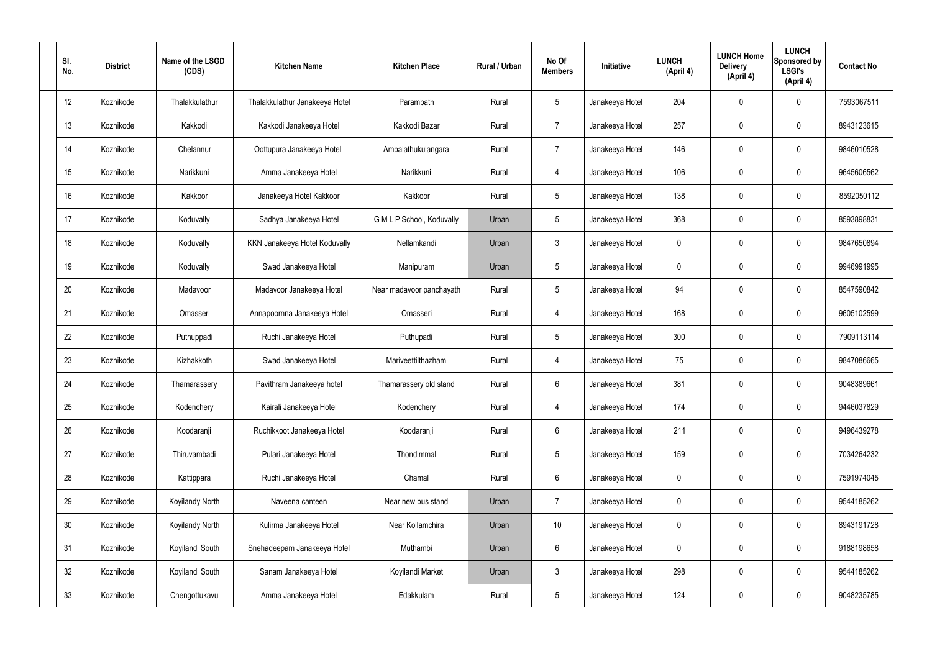| SI.<br>No. | <b>District</b> | Name of the LSGD<br>(CDS) | <b>Kitchen Name</b>            | <b>Kitchen Place</b>      | Rural / Urban | No Of<br><b>Members</b> | Initiative      | <b>LUNCH</b><br>(April 4) | <b>LUNCH Home</b><br><b>Delivery</b><br>(April 4) | <b>LUNCH</b><br>Sponsored by<br><b>LSGI's</b><br>(April 4) | <b>Contact No</b> |
|------------|-----------------|---------------------------|--------------------------------|---------------------------|---------------|-------------------------|-----------------|---------------------------|---------------------------------------------------|------------------------------------------------------------|-------------------|
| 12         | Kozhikode       | Thalakkulathur            | Thalakkulathur Janakeeya Hotel | Parambath                 | Rural         | $5\phantom{.0}$         | Janakeeya Hotel | 204                       | 0                                                 | $\mathbf 0$                                                | 7593067511        |
| 13         | Kozhikode       | Kakkodi                   | Kakkodi Janakeeya Hotel        | Kakkodi Bazar             | Rural         | $\overline{7}$          | Janakeeya Hotel | 257                       | 0                                                 | $\mathbf 0$                                                | 8943123615        |
| 14         | Kozhikode       | Chelannur                 | Oottupura Janakeeya Hotel      | Ambalathukulangara        | Rural         | $\overline{7}$          | Janakeeya Hotel | 146                       | 0                                                 | $\mathbf 0$                                                | 9846010528        |
| 15         | Kozhikode       | Narikkuni                 | Amma Janakeeya Hotel           | Narikkuni                 | Rural         | $\overline{4}$          | Janakeeya Hotel | 106                       | 0                                                 | $\mathbf 0$                                                | 9645606562        |
| 16         | Kozhikode       | Kakkoor                   | Janakeeya Hotel Kakkoor        | Kakkoor                   | Rural         | $5\phantom{.0}$         | Janakeeya Hotel | 138                       | 0                                                 | $\mathbf 0$                                                | 8592050112        |
| 17         | Kozhikode       | Koduvally                 | Sadhya Janakeeya Hotel         | G M L P School, Koduvally | Urban         | $5\phantom{.0}$         | Janakeeya Hotel | 368                       | 0                                                 | $\mathbf 0$                                                | 8593898831        |
| 18         | Kozhikode       | Koduvally                 | KKN Janakeeya Hotel Koduvally  | Nellamkandi               | Urban         | $\mathbf{3}$            | Janakeeya Hotel | $\mathbf 0$               | 0                                                 | $\mathbf 0$                                                | 9847650894        |
| 19         | Kozhikode       | Koduvally                 | Swad Janakeeya Hotel           | Manipuram                 | Urban         | $5\phantom{.0}$         | Janakeeya Hotel | $\mathbf 0$               | 0                                                 | $\mathbf 0$                                                | 9946991995        |
| 20         | Kozhikode       | Madavoor                  | Madavoor Janakeeya Hotel       | Near madavoor panchayath  | Rural         | $5\phantom{.0}$         | Janakeeya Hotel | 94                        | 0                                                 | $\mathbf 0$                                                | 8547590842        |
| 21         | Kozhikode       | Omasseri                  | Annapoornna Janakeeya Hotel    | Omasseri                  | Rural         | 4                       | Janakeeya Hotel | 168                       | 0                                                 | $\mathbf 0$                                                | 9605102599        |
| 22         | Kozhikode       | Puthuppadi                | Ruchi Janakeeya Hotel          | Puthupadi                 | Rural         | $5\phantom{.0}$         | Janakeeya Hotel | 300                       | $\mathbf 0$                                       | $\mathbf 0$                                                | 7909113114        |
| 23         | Kozhikode       | Kizhakkoth                | Swad Janakeeya Hotel           | Mariveettilthazham        | Rural         | 4                       | Janakeeya Hotel | 75                        | 0                                                 | $\mathbf 0$                                                | 9847086665        |
| 24         | Kozhikode       | Thamarassery              | Pavithram Janakeeya hotel      | Thamarassery old stand    | Rural         | $6\phantom{.}6$         | Janakeeya Hotel | 381                       | $\mathbf 0$                                       | 0                                                          | 9048389661        |
| 25         | Kozhikode       | Kodenchery                | Kairali Janakeeya Hotel        | Kodenchery                | Rural         | $\overline{4}$          | Janakeeya Hotel | 174                       | 0                                                 | $\mathbf 0$                                                | 9446037829        |
| 26         | Kozhikode       | Koodaranji                | Ruchikkoot Janakeeya Hotel     | Koodaranji                | Rural         | $6\,$                   | Janakeeya Hotel | 211                       | 0                                                 | $\mathbf 0$                                                | 9496439278        |
| 27         | Kozhikode       | Thiruvambadi              | Pulari Janakeeya Hotel         | Thondimmal                | Rural         | $5\phantom{.0}$         | Janakeeya Hotel | 159                       | 0                                                 | $\mathbf 0$                                                | 7034264232        |
| 28         | Kozhikode       | Kattippara                | Ruchi Janakeeya Hotel          | Chamal                    | Rural         | $6\,$                   | Janakeeya Hotel | $\pmb{0}$                 | 0                                                 | $\mathbf 0$                                                | 7591974045        |
| 29         | Kozhikode       | Koyilandy North           | Naveena canteen                | Near new bus stand        | Urban         | $\overline{7}$          | Janakeeya Hotel | $\mathbf 0$               | 0                                                 | $\mathbf 0$                                                | 9544185262        |
| 30         | Kozhikode       | Koyilandy North           | Kulirma Janakeeya Hotel        | Near Kollamchira          | Urban         | 10 <sup>°</sup>         | Janakeeya Hotel | $\mathbf 0$               | 0                                                 | $\mathbf 0$                                                | 8943191728        |
| 31         | Kozhikode       | Koyilandi South           | Snehadeepam Janakeeya Hotel    | Muthambi                  | Urban         | $6\phantom{.}6$         | Janakeeya Hotel | $\mathbf 0$               | 0                                                 | $\mathbf 0$                                                | 9188198658        |
| 32         | Kozhikode       | Koyilandi South           | Sanam Janakeeya Hotel          | Koyilandi Market          | Urban         | $\mathbf{3}$            | Janakeeya Hotel | 298                       | 0                                                 | $\mathbf 0$                                                | 9544185262        |
| 33         | Kozhikode       | Chengottukavu             | Amma Janakeeya Hotel           | Edakkulam                 | Rural         | $5\phantom{.0}$         | Janakeeya Hotel | 124                       | 0                                                 | $\mathbf 0$                                                | 9048235785        |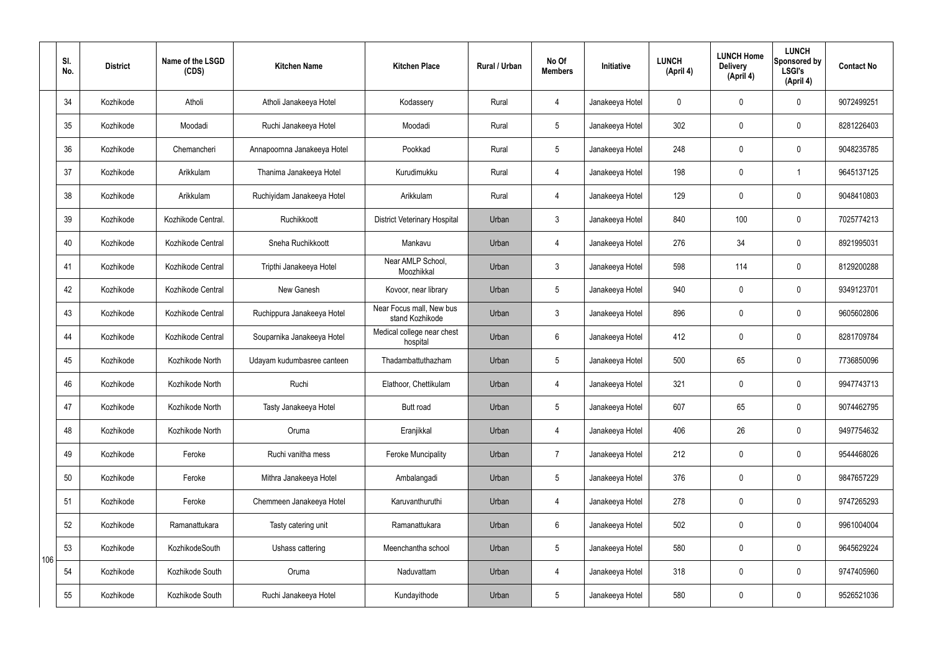|     | SI.<br>No. | <b>District</b> | Name of the LSGD<br>(CDS) | <b>Kitchen Name</b>         | <b>Kitchen Place</b>                        | Rural / Urban | No Of<br><b>Members</b> | Initiative      | <b>LUNCH</b><br>(April 4) | <b>LUNCH Home</b><br><b>Delivery</b><br>(April 4) | <b>LUNCH</b><br>Sponsored by<br><b>LSGI's</b><br>(April 4) | <b>Contact No</b> |
|-----|------------|-----------------|---------------------------|-----------------------------|---------------------------------------------|---------------|-------------------------|-----------------|---------------------------|---------------------------------------------------|------------------------------------------------------------|-------------------|
|     | 34         | Kozhikode       | Atholi                    | Atholi Janakeeya Hotel      | Kodassery                                   | Rural         | $\overline{4}$          | Janakeeya Hotel | $\mathbf 0$               | $\mathbf 0$                                       | $\mathbf 0$                                                | 9072499251        |
|     | 35         | Kozhikode       | Moodadi                   | Ruchi Janakeeya Hotel       | Moodadi                                     | Rural         | $5\phantom{.0}$         | Janakeeya Hotel | 302                       | $\mathbf 0$                                       | $\mathbf 0$                                                | 8281226403        |
|     | 36         | Kozhikode       | Chemancheri               | Annapoornna Janakeeya Hotel | Pookkad                                     | Rural         | $5\phantom{.0}$         | Janakeeya Hotel | 248                       | $\mathbf 0$                                       | $\mathbf 0$                                                | 9048235785        |
|     | 37         | Kozhikode       | Arikkulam                 | Thanima Janakeeya Hotel     | Kurudimukku                                 | Rural         | $\overline{4}$          | Janakeeya Hotel | 198                       | $\mathbf 0$                                       |                                                            | 9645137125        |
|     | 38         | Kozhikode       | Arikkulam                 | Ruchiyidam Janakeeya Hotel  | Arikkulam                                   | Rural         | $\overline{4}$          | Janakeeya Hotel | 129                       | $\mathbf 0$                                       | $\mathbf 0$                                                | 9048410803        |
|     | 39         | Kozhikode       | Kozhikode Central.        | Ruchikkoott                 | <b>District Veterinary Hospital</b>         | Urban         | $\mathbf{3}$            | Janakeeya Hotel | 840                       | 100                                               | $\mathbf 0$                                                | 7025774213        |
|     | 40         | Kozhikode       | Kozhikode Central         | Sneha Ruchikkoott           | Mankavu                                     | Urban         | $\overline{4}$          | Janakeeya Hotel | 276                       | 34                                                | $\mathbf 0$                                                | 8921995031        |
|     | 41         | Kozhikode       | Kozhikode Central         | Tripthi Janakeeya Hotel     | Near AMLP School,<br>Moozhikkal             | Urban         | $\mathbf{3}$            | Janakeeya Hotel | 598                       | 114                                               | $\mathbf 0$                                                | 8129200288        |
|     | 42         | Kozhikode       | Kozhikode Central         | New Ganesh                  | Kovoor, near library                        | Urban         | 5 <sup>5</sup>          | Janakeeya Hotel | 940                       | $\mathbf 0$                                       | $\mathbf 0$                                                | 9349123701        |
|     | 43         | Kozhikode       | Kozhikode Central         | Ruchippura Janakeeya Hotel  | Near Focus mall, New bus<br>stand Kozhikode | Urban         | $\mathbf{3}$            | Janakeeya Hotel | 896                       | $\mathbf 0$                                       | $\mathbf 0$                                                | 9605602806        |
|     | 44         | Kozhikode       | Kozhikode Central         | Souparnika Janakeeya Hotel  | Medical college near chest<br>hospital      | Urban         | $6\overline{6}$         | Janakeeya Hotel | 412                       | $\mathbf 0$                                       | $\mathbf 0$                                                | 8281709784        |
|     | 45         | Kozhikode       | Kozhikode North           | Udayam kudumbasree canteen  | Thadambattuthazham                          | Urban         | $5\overline{)}$         | Janakeeya Hotel | 500                       | 65                                                | $\mathbf 0$                                                | 7736850096        |
|     | 46         | Kozhikode       | Kozhikode North           | Ruchi                       | Elathoor, Chettikulam                       | Urban         | 4                       | Janakeeya Hotel | 321                       | $\mathbf 0$                                       | $\mathbf 0$                                                | 9947743713        |
|     | 47         | Kozhikode       | Kozhikode North           | Tasty Janakeeya Hotel       | Butt road                                   | Urban         | $5\phantom{.0}$         | Janakeeya Hotel | 607                       | 65                                                | $\mathbf 0$                                                | 9074462795        |
|     | 48         | Kozhikode       | Kozhikode North           | Oruma                       | Eranjikkal                                  | Urban         | $\overline{4}$          | Janakeeya Hotel | 406                       | 26                                                | $\mathbf 0$                                                | 9497754632        |
|     | 49         | Kozhikode       | Feroke                    | Ruchi vanitha mess          | <b>Feroke Muncipality</b>                   | Urban         | $\overline{7}$          | Janakeeya Hotel | 212                       | $\pmb{0}$                                         | $\mathbf 0$                                                | 9544468026        |
|     | 50         | Kozhikode       | Feroke                    | Mithra Janakeeya Hotel      | Ambalangadi                                 | Urban         | $5\phantom{.0}$         | Janakeeya Hotel | 376                       | $\pmb{0}$                                         | $\mathbf 0$                                                | 9847657229        |
|     | 51         | Kozhikode       | Feroke                    | Chemmeen Janakeeya Hotel    | Karuvanthuruthi                             | Urban         | $\overline{4}$          | Janakeeya Hotel | 278                       | $\pmb{0}$                                         | $\mathbf 0$                                                | 9747265293        |
|     | 52         | Kozhikode       | Ramanattukara             | Tasty catering unit         | Ramanattukara                               | Urban         | $6\overline{6}$         | Janakeeya Hotel | 502                       | $\pmb{0}$                                         | $\mathbf 0$                                                | 9961004004        |
| 106 | 53         | Kozhikode       | KozhikodeSouth            | Ushass cattering            | Meenchantha school                          | Urban         | $5\phantom{.0}$         | Janakeeya Hotel | 580                       | $\pmb{0}$                                         | $\mathbf 0$                                                | 9645629224        |
|     | 54         | Kozhikode       | Kozhikode South           | Oruma                       | Naduvattam                                  | Urban         | $\overline{4}$          | Janakeeya Hotel | 318                       | $\mathbf 0$                                       | $\mathbf 0$                                                | 9747405960        |
|     | 55         | Kozhikode       | Kozhikode South           | Ruchi Janakeeya Hotel       | Kundayithode                                | Urban         | $5\phantom{.0}$         | Janakeeya Hotel | 580                       | $\pmb{0}$                                         | $\boldsymbol{0}$                                           | 9526521036        |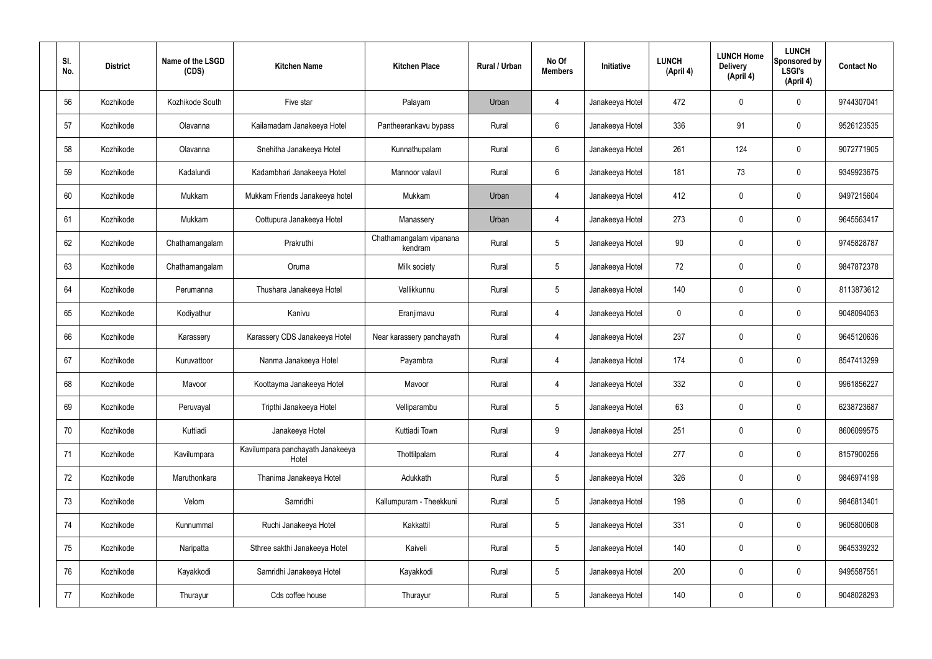| SI.<br>No. | <b>District</b> | Name of the LSGD<br>(CDS) | <b>Kitchen Name</b>                       | <b>Kitchen Place</b>               | Rural / Urban | No Of<br><b>Members</b> | Initiative      | <b>LUNCH</b><br>(April 4) | <b>LUNCH Home</b><br><b>Delivery</b><br>(April 4) | <b>LUNCH</b><br>Sponsored by<br><b>LSGI's</b><br>(April 4) | <b>Contact No</b> |
|------------|-----------------|---------------------------|-------------------------------------------|------------------------------------|---------------|-------------------------|-----------------|---------------------------|---------------------------------------------------|------------------------------------------------------------|-------------------|
| 56         | Kozhikode       | Kozhikode South           | Five star                                 | Palayam                            | Urban         | 4                       | Janakeeya Hotel | 472                       | $\mathbf 0$                                       | $\mathbf 0$                                                | 9744307041        |
| 57         | Kozhikode       | Olavanna                  | Kailamadam Janakeeya Hotel                | Pantheerankavu bypass              | Rural         | $6\phantom{.}6$         | Janakeeya Hotel | 336                       | 91                                                | $\mathbf 0$                                                | 9526123535        |
| 58         | Kozhikode       | Olavanna                  | Snehitha Janakeeya Hotel                  | Kunnathupalam                      | Rural         | $6\overline{6}$         | Janakeeya Hotel | 261                       | 124                                               | $\mathbf 0$                                                | 9072771905        |
| 59         | Kozhikode       | Kadalundi                 | Kadambhari Janakeeya Hotel                | Mannoor valavil                    | Rural         | $6\phantom{.}6$         | Janakeeya Hotel | 181                       | 73                                                | $\mathbf 0$                                                | 9349923675        |
| 60         | Kozhikode       | Mukkam                    | Mukkam Friends Janakeeya hotel            | Mukkam                             | Urban         | $\overline{4}$          | Janakeeya Hotel | 412                       | $\mathbf 0$                                       | $\mathbf 0$                                                | 9497215604        |
| 61         | Kozhikode       | Mukkam                    | Oottupura Janakeeya Hotel                 | Manassery                          | Urban         | 4                       | Janakeeya Hotel | 273                       | 0                                                 | $\mathbf 0$                                                | 9645563417        |
| 62         | Kozhikode       | Chathamangalam            | Prakruthi                                 | Chathamangalam vipanana<br>kendram | Rural         | $5\phantom{.0}$         | Janakeeya Hotel | 90                        | $\mathbf 0$                                       | $\mathbf 0$                                                | 9745828787        |
| 63         | Kozhikode       | Chathamangalam            | Oruma                                     | Milk society                       | Rural         | $5\phantom{.0}$         | Janakeeya Hotel | 72                        | 0                                                 | $\mathbf 0$                                                | 9847872378        |
| 64         | Kozhikode       | Perumanna                 | Thushara Janakeeya Hotel                  | Vallikkunnu                        | Rural         | $5\phantom{.0}$         | Janakeeya Hotel | 140                       | $\mathbf 0$                                       | $\mathbf 0$                                                | 8113873612        |
| 65         | Kozhikode       | Kodiyathur                | Kanivu                                    | Eranjimavu                         | Rural         | 4                       | Janakeeya Hotel | $\mathbf 0$               | 0                                                 | $\mathbf 0$                                                | 9048094053        |
| 66         | Kozhikode       | Karassery                 | Karassery CDS Janakeeya Hotel             | Near karassery panchayath          | Rural         | 4                       | Janakeeya Hotel | 237                       | 0                                                 | $\mathbf 0$                                                | 9645120636        |
| 67         | Kozhikode       | Kuruvattoor               | Nanma Janakeeya Hotel                     | Payambra                           | Rural         | 4                       | Janakeeya Hotel | 174                       | $\mathbf 0$                                       | $\mathbf 0$                                                | 8547413299        |
| 68         | Kozhikode       | Mavoor                    | Koottayma Janakeeya Hotel                 | Mavoor                             | Rural         | 4                       | Janakeeya Hotel | 332                       | $\mathbf 0$                                       | $\mathbf 0$                                                | 9961856227        |
| 69         | Kozhikode       | Peruvayal                 | Tripthi Janakeeya Hotel                   | Velliparambu                       | Rural         | $5\phantom{.0}$         | Janakeeya Hotel | 63                        | 0                                                 | $\mathbf 0$                                                | 6238723687        |
| 70         | Kozhikode       | Kuttiadi                  | Janakeeya Hotel                           | Kuttiadi Town                      | Rural         | $9\,$                   | Janakeeya Hotel | 251                       | 0                                                 | $\mathbf 0$                                                | 8606099575        |
| 71         | Kozhikode       | Kavilumpara               | Kavilumpara panchayath Janakeeya<br>Hotel | Thottilpalam                       | Rural         | $\overline{4}$          | Janakeeya Hotel | 277                       | 0                                                 | $\mathbf 0$                                                | 8157900256        |
| 72         | Kozhikode       | Maruthonkara              | Thanima Janakeeya Hotel                   | Adukkath                           | Rural         | $5\phantom{.0}$         | Janakeeya Hotel | 326                       | 0                                                 | $\mathbf 0$                                                | 9846974198        |
| 73         | Kozhikode       | Velom                     | Samridhi                                  | Kallumpuram - Theekkuni            | Rural         | $5\phantom{.0}$         | Janakeeya Hotel | 198                       | $\pmb{0}$                                         | $\mathbf 0$                                                | 9846813401        |
| 74         | Kozhikode       | Kunnummal                 | Ruchi Janakeeya Hotel                     | Kakkattil                          | Rural         | $5\phantom{.0}$         | Janakeeya Hotel | 331                       | 0                                                 | $\mathbf 0$                                                | 9605800608        |
| 75         | Kozhikode       | Naripatta                 | Sthree sakthi Janakeeya Hotel             | Kaiveli                            | Rural         | $5\,$                   | Janakeeya Hotel | 140                       | $\pmb{0}$                                         | $\mathbf 0$                                                | 9645339232        |
| 76         | Kozhikode       | Kayakkodi                 | Samridhi Janakeeya Hotel                  | Kayakkodi                          | Rural         | $5\phantom{.0}$         | Janakeeya Hotel | 200                       | 0                                                 | $\mathbf 0$                                                | 9495587551        |
| 77         | Kozhikode       | Thurayur                  | Cds coffee house                          | Thurayur                           | Rural         | $5\phantom{.0}$         | Janakeeya Hotel | 140                       | $\pmb{0}$                                         | $\mathbf 0$                                                | 9048028293        |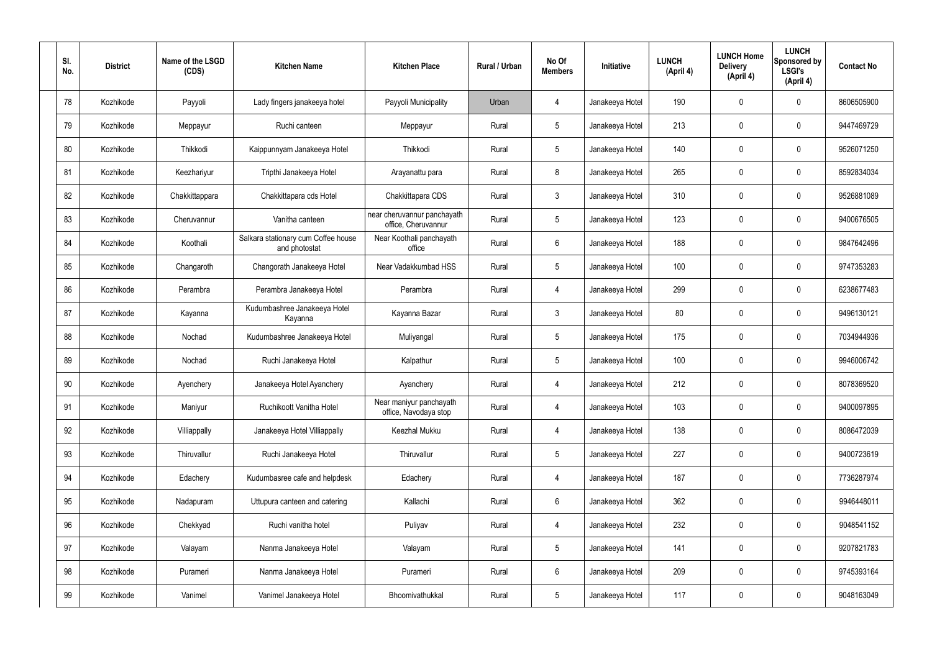| SI.<br>No. | <b>District</b> | Name of the LSGD<br>(CDS) | <b>Kitchen Name</b>                                  | <b>Kitchen Place</b>                               | Rural / Urban | No Of<br><b>Members</b> | <b>Initiative</b> | <b>LUNCH</b><br>(April 4) | <b>LUNCH Home</b><br><b>Delivery</b><br>(April 4) | <b>LUNCH</b><br>Sponsored by<br><b>LSGI's</b><br>(April 4) | <b>Contact No</b> |
|------------|-----------------|---------------------------|------------------------------------------------------|----------------------------------------------------|---------------|-------------------------|-------------------|---------------------------|---------------------------------------------------|------------------------------------------------------------|-------------------|
| 78         | Kozhikode       | Payyoli                   | Lady fingers janakeeya hotel                         | Payyoli Municipality                               | Urban         | $\overline{4}$          | Janakeeya Hotel   | 190                       | $\mathbf 0$                                       | $\mathbf 0$                                                | 8606505900        |
| 79         | Kozhikode       | Meppayur                  | Ruchi canteen                                        | Meppayur                                           | Rural         | $5\phantom{.0}$         | Janakeeya Hotel   | 213                       | $\mathbf 0$                                       | $\mathbf 0$                                                | 9447469729        |
| 80         | Kozhikode       | Thikkodi                  | Kaippunnyam Janakeeya Hotel                          | Thikkodi                                           | Rural         | $5\phantom{.0}$         | Janakeeya Hotel   | 140                       | $\mathbf 0$                                       | $\mathbf 0$                                                | 9526071250        |
| 81         | Kozhikode       | Keezhariyur               | Tripthi Janakeeya Hotel                              | Arayanattu para                                    | Rural         | 8                       | Janakeeya Hotel   | 265                       | $\mathbf 0$                                       | $\mathbf 0$                                                | 8592834034        |
| 82         | Kozhikode       | Chakkittappara            | Chakkittapara cds Hotel                              | Chakkittapara CDS                                  | Rural         | $\mathbf{3}$            | Janakeeya Hotel   | 310                       | $\mathbf 0$                                       | $\mathbf 0$                                                | 9526881089        |
| 83         | Kozhikode       | Cheruvannur               | Vanitha canteen                                      | near cheruvannur panchayath<br>office, Cheruvannur | Rural         | $5\phantom{.0}$         | Janakeeya Hotel   | 123                       | $\mathbf 0$                                       | $\mathbf 0$                                                | 9400676505        |
| 84         | Kozhikode       | Koothali                  | Salkara stationary cum Coffee house<br>and photostat | Near Koothali panchayath<br>office                 | Rural         | $6\overline{6}$         | Janakeeya Hotel   | 188                       | $\mathbf 0$                                       | $\mathbf 0$                                                | 9847642496        |
| 85         | Kozhikode       | Changaroth                | Changorath Janakeeya Hotel                           | Near Vadakkumbad HSS                               | Rural         | $5\phantom{.0}$         | Janakeeya Hotel   | 100                       | 0                                                 | $\mathbf 0$                                                | 9747353283        |
| 86         | Kozhikode       | Perambra                  | Perambra Janakeeya Hotel                             | Perambra                                           | Rural         | $\overline{4}$          | Janakeeya Hotel   | 299                       | $\mathbf 0$                                       | $\mathbf 0$                                                | 6238677483        |
| 87         | Kozhikode       | Kayanna                   | Kudumbashree Janakeeya Hotel<br>Kayanna              | Kayanna Bazar                                      | Rural         | $\mathbf{3}$            | Janakeeya Hotel   | 80                        | 0                                                 | $\mathbf 0$                                                | 9496130121        |
| 88         | Kozhikode       | Nochad                    | Kudumbashree Janakeeya Hotel                         | Muliyangal                                         | Rural         | $5\phantom{.0}$         | Janakeeya Hotel   | 175                       | $\mathbf 0$                                       | $\mathbf 0$                                                | 7034944936        |
| 89         | Kozhikode       | Nochad                    | Ruchi Janakeeya Hotel                                | Kalpathur                                          | Rural         | $5\phantom{.0}$         | Janakeeya Hotel   | 100                       | $\mathbf 0$                                       | $\mathbf 0$                                                | 9946006742        |
| 90         | Kozhikode       | Ayenchery                 | Janakeeya Hotel Ayanchery                            | Ayanchery                                          | Rural         | $\overline{4}$          | Janakeeya Hotel   | 212                       | $\mathbf 0$                                       | 0                                                          | 8078369520        |
| 91         | Kozhikode       | Maniyur                   | Ruchikoott Vanitha Hotel                             | Near maniyur panchayath<br>office, Navodaya stop   | Rural         | $\overline{4}$          | Janakeeya Hotel   | 103                       | $\mathbf 0$                                       | $\mathbf 0$                                                | 9400097895        |
| 92         | Kozhikode       | Villiappally              | Janakeeya Hotel Villiappally                         | Keezhal Mukku                                      | Rural         | $\overline{4}$          | Janakeeya Hotel   | 138                       | $\mathbf 0$                                       | $\mathbf 0$                                                | 8086472039        |
| 93         | Kozhikode       | Thiruvallur               | Ruchi Janakeeya Hotel                                | Thiruvallur                                        | Rural         | $5\phantom{.0}$         | Janakeeya Hotel   | 227                       | $\mathbf 0$                                       | $\mathbf 0$                                                | 9400723619        |
| 94         | Kozhikode       | Edachery                  | Kudumbasree cafe and helpdesk                        | Edachery                                           | Rural         | $\overline{4}$          | Janakeeya Hotel   | 187                       | $\mathbf 0$                                       | $\mathbf 0$                                                | 7736287974        |
| 95         | Kozhikode       | Nadapuram                 | Uttupura canteen and catering                        | Kallachi                                           | Rural         | $6\overline{6}$         | Janakeeya Hotel   | 362                       | 0                                                 | $\mathbf 0$                                                | 9946448011        |
| 96         | Kozhikode       | Chekkyad                  | Ruchi vanitha hotel                                  | Puliyav                                            | Rural         | $\overline{4}$          | Janakeeya Hotel   | 232                       | 0                                                 | $\mathbf 0$                                                | 9048541152        |
| 97         | Kozhikode       | Valayam                   | Nanma Janakeeya Hotel                                | Valayam                                            | Rural         | $5\phantom{.0}$         | Janakeeya Hotel   | 141                       | 0                                                 | $\mathbf 0$                                                | 9207821783        |
| 98         | Kozhikode       | Purameri                  | Nanma Janakeeya Hotel                                | Purameri                                           | Rural         | $6\,$                   | Janakeeya Hotel   | 209                       | 0                                                 | $\mathbf 0$                                                | 9745393164        |
| 99         | Kozhikode       | Vanimel                   | Vanimel Janakeeya Hotel                              | Bhoomivathukkal                                    | Rural         | $5\,$                   | Janakeeya Hotel   | 117                       | 0                                                 | $\mathbf 0$                                                | 9048163049        |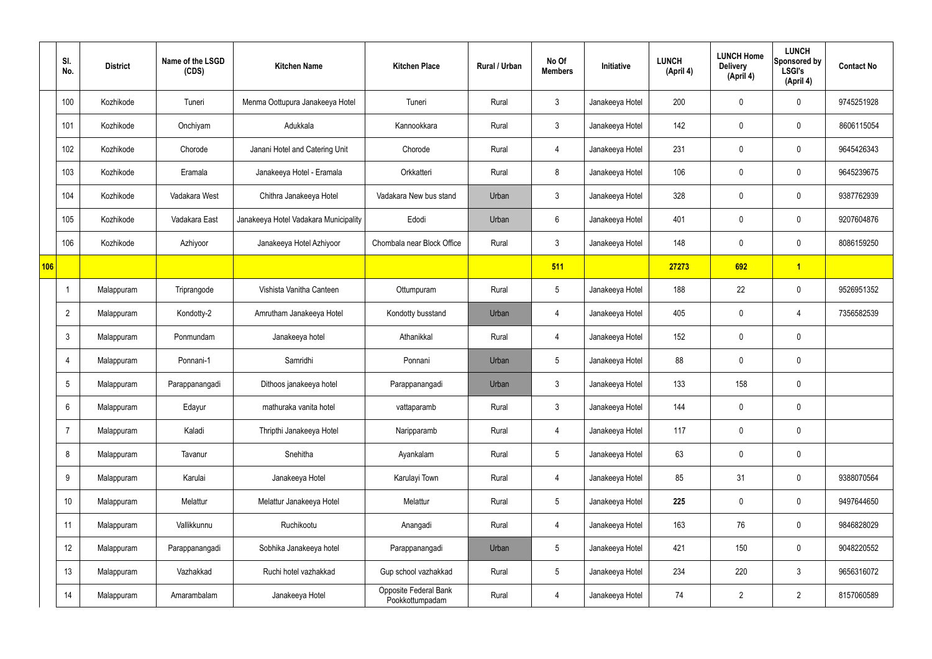|     | SI.<br>No.     | <b>District</b> | Name of the LSGD<br>(CDS) | <b>Kitchen Name</b>                   | <b>Kitchen Place</b>                     | <b>Rural / Urban</b> | No Of<br><b>Members</b> | Initiative      | <b>LUNCH</b><br>(April 4) | <b>LUNCH Home</b><br><b>Delivery</b><br>(April 4) | <b>LUNCH</b><br>Sponsored by<br><b>LSGI's</b><br>(April 4) | <b>Contact No</b> |
|-----|----------------|-----------------|---------------------------|---------------------------------------|------------------------------------------|----------------------|-------------------------|-----------------|---------------------------|---------------------------------------------------|------------------------------------------------------------|-------------------|
|     | 100            | Kozhikode       | Tuneri                    | Menma Oottupura Janakeeya Hotel       | Tuneri                                   | Rural                | $\mathbf{3}$            | Janakeeya Hotel | 200                       | $\mathbf 0$                                       | $\mathbf 0$                                                | 9745251928        |
|     | 101            | Kozhikode       | Onchiyam                  | Adukkala                              | Kannookkara                              | Rural                | $\mathbf{3}$            | Janakeeya Hotel | 142                       | $\mathbf 0$                                       | $\mathbf 0$                                                | 8606115054        |
|     | 102            | Kozhikode       | Chorode                   | Janani Hotel and Catering Unit        | Chorode                                  | Rural                | $\overline{4}$          | Janakeeya Hotel | 231                       | $\mathbf 0$                                       | $\mathbf 0$                                                | 9645426343        |
|     | 103            | Kozhikode       | Eramala                   | Janakeeya Hotel - Eramala             | Orkkatteri                               | Rural                | 8                       | Janakeeya Hotel | 106                       | $\mathbf 0$                                       | $\mathbf 0$                                                | 9645239675        |
|     | 104            | Kozhikode       | Vadakara West             | Chithra Janakeeya Hotel               | Vadakara New bus stand                   | Urban                | $\mathbf{3}$            | Janakeeya Hotel | 328                       | $\mathbf 0$                                       | $\mathbf 0$                                                | 9387762939        |
|     | 105            | Kozhikode       | Vadakara East             | Janakeeya Hotel Vadakara Municipality | Edodi                                    | Urban                | $6\phantom{.}6$         | Janakeeya Hotel | 401                       | $\mathbf 0$                                       | $\mathbf 0$                                                | 9207604876        |
|     | 106            | Kozhikode       | Azhiyoor                  | Janakeeya Hotel Azhiyoor              | Chombala near Block Office               | Rural                | $\mathbf{3}$            | Janakeeya Hotel | 148                       | $\mathbf 0$                                       | $\mathbf 0$                                                | 8086159250        |
| 106 |                |                 |                           |                                       |                                          |                      | 511                     |                 | 27273                     | 692                                               | $\overline{1}$                                             |                   |
|     | -1             | Malappuram      | Triprangode               | Vishista Vanitha Canteen              | Ottumpuram                               | Rural                | $5\phantom{.0}$         | Janakeeya Hotel | 188                       | 22                                                | $\mathbf 0$                                                | 9526951352        |
|     | $\overline{2}$ | Malappuram      | Kondotty-2                | Amrutham Janakeeya Hotel              | Kondotty busstand                        | Urban                | 4                       | Janakeeya Hotel | 405                       | $\mathbf 0$                                       | 4                                                          | 7356582539        |
|     | 3              | Malappuram      | Ponmundam                 | Janakeeya hotel                       | Athanikkal                               | Rural                | $\overline{4}$          | Janakeeya Hotel | 152                       | $\mathbf 0$                                       | $\mathbf 0$                                                |                   |
|     | $\overline{4}$ | Malappuram      | Ponnani-1                 | Samridhi                              | Ponnani                                  | Urban                | $5\overline{)}$         | Janakeeya Hotel | 88                        | $\mathbf 0$                                       | $\mathbf 0$                                                |                   |
|     | 5              | Malappuram      | Parappanangadi            | Dithoos janakeeya hotel               | Parappanangadi                           | Urban                | $\mathbf{3}$            | Janakeeya Hotel | 133                       | 158                                               | $\mathbf 0$                                                |                   |
|     | 6              | Malappuram      | Edayur                    | mathuraka vanita hotel                | vattaparamb                              | Rural                | 3                       | Janakeeya Hotel | 144                       | $\pmb{0}$                                         | $\mathbf 0$                                                |                   |
|     | $\overline{7}$ | Malappuram      | Kaladi                    | Thripthi Janakeeya Hotel              | Naripparamb                              | Rural                | $\overline{4}$          | Janakeeya Hotel | 117                       | 0                                                 | $\mathbf 0$                                                |                   |
|     | 8              | Malappuram      | Tavanur                   | Snehitha                              | Ayankalam                                | Rural                | $5\overline{)}$         | Janakeeya Hotel | 63                        | 0                                                 | $\mathbf 0$                                                |                   |
|     | 9              | Malappuram      | Karulai                   | Janakeeya Hotel                       | Karulayi Town                            | Rural                | $\overline{4}$          | Janakeeya Hotel | 85                        | 31                                                | $\mathbf 0$                                                | 9388070564        |
|     | 10             | Malappuram      | Melattur                  | Melattur Janakeeya Hotel              | Melattur                                 | Rural                | $5\overline{)}$         | Janakeeya Hotel | 225                       | 0                                                 | $\mathbf 0$                                                | 9497644650        |
|     | 11             | Malappuram      | Vallikkunnu               | Ruchikootu                            | Anangadi                                 | Rural                | $\overline{4}$          | Janakeeya Hotel | 163                       | 76                                                | $\mathbf 0$                                                | 9846828029        |
|     | 12             | Malappuram      | Parappanangadi            | Sobhika Janakeeya hotel               | Parappanangadi                           | Urban                | $5\phantom{.0}$         | Janakeeya Hotel | 421                       | 150                                               | $\mathbf 0$                                                | 9048220552        |
|     | 13             | Malappuram      | Vazhakkad                 | Ruchi hotel vazhakkad                 | Gup school vazhakkad                     | Rural                | $5\phantom{.0}$         | Janakeeya Hotel | 234                       | 220                                               | $\mathbf{3}$                                               | 9656316072        |
|     | 14             | Malappuram      | Amarambalam               | Janakeeya Hotel                       | Opposite Federal Bank<br>Pookkottumpadam | Rural                | 4                       | Janakeeya Hotel | 74                        | $\overline{2}$                                    | $\overline{2}$                                             | 8157060589        |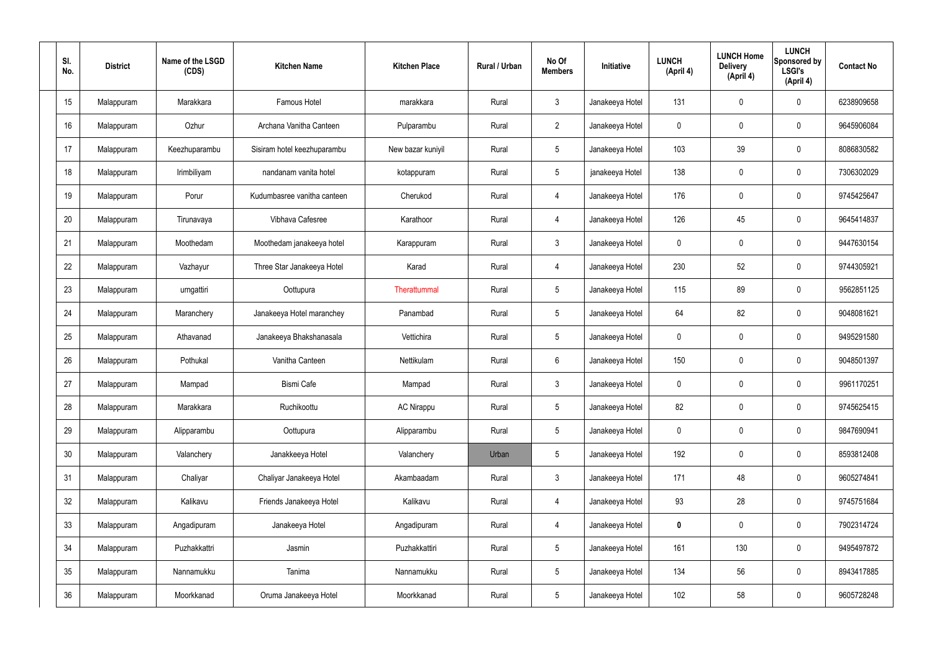| SI.<br>No.      | <b>District</b> | Name of the LSGD<br>(CDS) | <b>Kitchen Name</b>         | <b>Kitchen Place</b> | Rural / Urban | No Of<br><b>Members</b> | Initiative      | <b>LUNCH</b><br>(April 4) | <b>LUNCH Home</b><br><b>Delivery</b><br>(April 4) | <b>LUNCH</b><br>Sponsored by<br><b>LSGI's</b><br>(April 4) | <b>Contact No</b> |
|-----------------|-----------------|---------------------------|-----------------------------|----------------------|---------------|-------------------------|-----------------|---------------------------|---------------------------------------------------|------------------------------------------------------------|-------------------|
| 15              | Malappuram      | Marakkara                 | Famous Hotel                | marakkara            | Rural         | $\mathbf{3}$            | Janakeeya Hotel | 131                       | 0                                                 | $\mathbf 0$                                                | 6238909658        |
| 16              | Malappuram      | Ozhur                     | Archana Vanitha Canteen     | Pulparambu           | Rural         | $2^{\circ}$             | Janakeeya Hotel | $\mathbf 0$               | 0                                                 | $\mathbf 0$                                                | 9645906084        |
| 17              | Malappuram      | Keezhuparambu             | Sisiram hotel keezhuparambu | New bazar kuniyil    | Rural         | $5\phantom{.0}$         | Janakeeya Hotel | 103                       | 39                                                | $\mathbf 0$                                                | 8086830582        |
| 18              | Malappuram      | Irimbiliyam               | nandanam vanita hotel       | kotappuram           | Rural         | $5\phantom{.0}$         | janakeeya Hotel | 138                       | 0                                                 | $\mathbf 0$                                                | 7306302029        |
| 19              | Malappuram      | Porur                     | Kudumbasree vanitha canteen | Cherukod             | Rural         | $\overline{4}$          | Janakeeya Hotel | 176                       | 0                                                 | $\mathbf 0$                                                | 9745425647        |
| 20              | Malappuram      | Tirunavaya                | Vibhava Cafesree            | Karathoor            | Rural         | $\overline{4}$          | Janakeeya Hotel | 126                       | 45                                                | $\mathbf 0$                                                | 9645414837        |
| 21              | Malappuram      | Moothedam                 | Moothedam janakeeya hotel   | Karappuram           | Rural         | $\mathbf{3}$            | Janakeeya Hotel | $\mathbf 0$               | 0                                                 | $\mathbf 0$                                                | 9447630154        |
| 22              | Malappuram      | Vazhayur                  | Three Star Janakeeya Hotel  | Karad                | Rural         | $\overline{4}$          | Janakeeya Hotel | 230                       | 52                                                | $\mathbf 0$                                                | 9744305921        |
| 23              | Malappuram      | urngattiri                | Oottupura                   | Therattummal         | Rural         | $5\phantom{.0}$         | Janakeeya Hotel | 115                       | 89                                                | $\mathbf 0$                                                | 9562851125        |
| 24              | Malappuram      | Maranchery                | Janakeeya Hotel maranchey   | Panambad             | Rural         | $5\phantom{.0}$         | Janakeeya Hotel | 64                        | 82                                                | $\mathbf 0$                                                | 9048081621        |
| 25              | Malappuram      | Athavanad                 | Janakeeya Bhakshanasala     | Vettichira           | Rural         | $5\phantom{.0}$         | Janakeeya Hotel | $\mathbf 0$               | 0                                                 | $\mathbf 0$                                                | 9495291580        |
| 26              | Malappuram      | Pothukal                  | Vanitha Canteen             | Nettikulam           | Rural         | $6\phantom{.}6$         | Janakeeya Hotel | 150                       | 0                                                 | $\boldsymbol{0}$                                           | 9048501397        |
| 27              | Malappuram      | Mampad                    | <b>Bismi Cafe</b>           | Mampad               | Rural         | $\mathbf{3}$            | Janakeeya Hotel | 0                         | 0                                                 | 0                                                          | 9961170251        |
| 28              | Malappuram      | Marakkara                 | Ruchikoottu                 | <b>AC Nirappu</b>    | Rural         | $5\phantom{.0}$         | Janakeeya Hotel | 82                        | $\mathsf{0}$                                      | $\mathbf 0$                                                | 9745625415        |
| 29              | Malappuram      | Alipparambu               | Oottupura                   | Alipparambu          | Rural         | $5\phantom{.0}$         | Janakeeya Hotel | $\mathbf 0$               | $\mathsf{0}$                                      | $\mathbf 0$                                                | 9847690941        |
| 30 <sub>2</sub> | Malappuram      | Valanchery                | Janakkeeya Hotel            | Valanchery           | Urban         | $5\phantom{.0}$         | Janakeeya Hotel | 192                       | 0                                                 | $\mathbf 0$                                                | 8593812408        |
| 31              | Malappuram      | Chaliyar                  | Chaliyar Janakeeya Hotel    | Akambaadam           | Rural         | $\mathbf{3}$            | Janakeeya Hotel | 171                       | 48                                                | $\mathbf 0$                                                | 9605274841        |
| 32              | Malappuram      | Kalikavu                  | Friends Janakeeya Hotel     | Kalikavu             | Rural         | $\overline{4}$          | Janakeeya Hotel | 93                        | 28                                                | $\mathbf 0$                                                | 9745751684        |
| 33              | Malappuram      | Angadipuram               | Janakeeya Hotel             | Angadipuram          | Rural         | $\overline{4}$          | Janakeeya Hotel | $\mathbf 0$               | 0                                                 | $\mathbf 0$                                                | 7902314724        |
| 34              | Malappuram      | Puzhakkattri              | Jasmin                      | Puzhakkattiri        | Rural         | $5\phantom{.0}$         | Janakeeya Hotel | 161                       | 130                                               | $\mathbf 0$                                                | 9495497872        |
| 35              | Malappuram      | Nannamukku                | Tanima                      | Nannamukku           | Rural         | $5\,$                   | Janakeeya Hotel | 134                       | 56                                                | $\mathbf 0$                                                | 8943417885        |
| 36              | Malappuram      | Moorkkanad                | Oruma Janakeeya Hotel       | Moorkkanad           | Rural         | $\sqrt{5}$              | Janakeeya Hotel | 102                       | 58                                                | $\pmb{0}$                                                  | 9605728248        |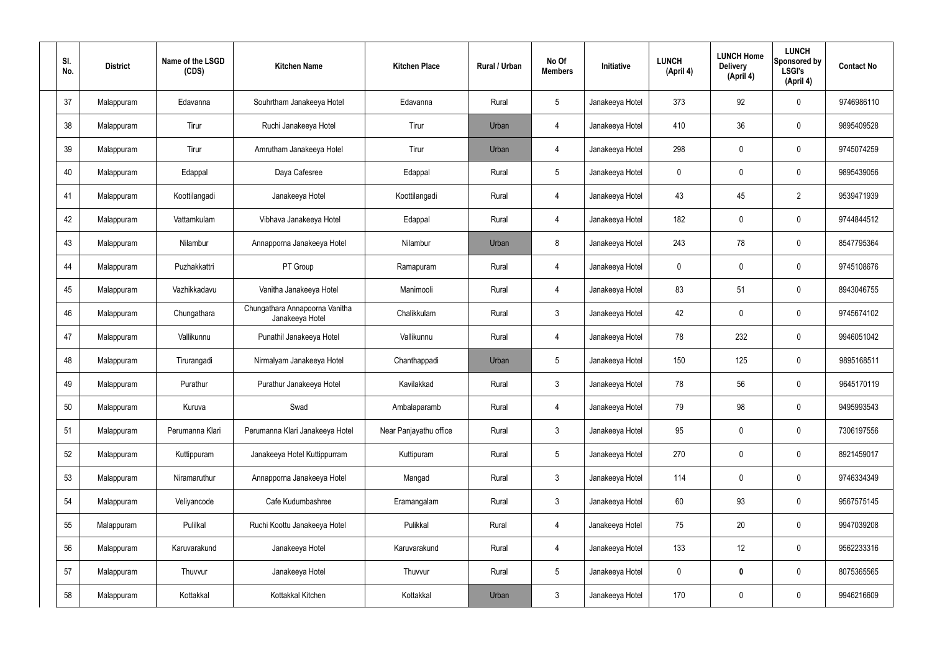| SI.<br>No. | <b>District</b> | Name of the LSGD<br>(CDS) | <b>Kitchen Name</b>                               | <b>Kitchen Place</b>   | Rural / Urban | No Of<br><b>Members</b> | Initiative      | <b>LUNCH</b><br>(April 4) | <b>LUNCH Home</b><br><b>Delivery</b><br>(April 4) | <b>LUNCH</b><br>Sponsored by<br><b>LSGI's</b><br>(April 4) | <b>Contact No</b> |
|------------|-----------------|---------------------------|---------------------------------------------------|------------------------|---------------|-------------------------|-----------------|---------------------------|---------------------------------------------------|------------------------------------------------------------|-------------------|
| 37         | Malappuram      | Edavanna                  | Souhrtham Janakeeya Hotel                         | Edavanna               | Rural         | $5\phantom{.0}$         | Janakeeya Hotel | 373                       | 92                                                | 0                                                          | 9746986110        |
| 38         | Malappuram      | Tirur                     | Ruchi Janakeeya Hotel                             | Tirur                  | Urban         | 4                       | Janakeeya Hotel | 410                       | 36                                                | 0                                                          | 9895409528        |
| 39         | Malappuram      | Tirur                     | Amrutham Janakeeya Hotel                          | Tirur                  | Urban         | 4                       | Janakeeya Hotel | 298                       | $\mathbf 0$                                       | 0                                                          | 9745074259        |
| 40         | Malappuram      | Edappal                   | Daya Cafesree                                     | Edappal                | Rural         | $5\phantom{.0}$         | Janakeeya Hotel | $\mathbf 0$               | $\mathbf 0$                                       | 0                                                          | 9895439056        |
| 41         | Malappuram      | Koottilangadi             | Janakeeya Hotel                                   | Koottilangadi          | Rural         | 4                       | Janakeeya Hotel | 43                        | 45                                                | $\overline{2}$                                             | 9539471939        |
| 42         | Malappuram      | Vattamkulam               | Vibhava Janakeeya Hotel                           | Edappal                | Rural         | 4                       | Janakeeya Hotel | 182                       | $\mathbf 0$                                       | 0                                                          | 9744844512        |
| 43         | Malappuram      | Nilambur                  | Annapporna Janakeeya Hotel                        | Nilambur               | Urban         | 8                       | Janakeeya Hotel | 243                       | 78                                                | 0                                                          | 8547795364        |
| 44         | Malappuram      | Puzhakkattri              | PT Group                                          | Ramapuram              | Rural         | $\overline{4}$          | Janakeeya Hotel | $\mathbf 0$               | $\mathbf 0$                                       | 0                                                          | 9745108676        |
| 45         | Malappuram      | Vazhikkadavu              | Vanitha Janakeeya Hotel                           | Manimooli              | Rural         | 4                       | Janakeeya Hotel | 83                        | 51                                                | 0                                                          | 8943046755        |
| 46         | Malappuram      | Chungathara               | Chungathara Annapoorna Vanitha<br>Janakeeya Hotel | Chalikkulam            | Rural         | $\mathbf{3}$            | Janakeeya Hotel | 42                        | $\mathbf 0$                                       | 0                                                          | 9745674102        |
| 47         | Malappuram      | Vallikunnu                | Punathil Janakeeya Hotel                          | Vallikunnu             | Rural         | $\overline{4}$          | Janakeeya Hotel | 78                        | 232                                               | 0                                                          | 9946051042        |
| 48         | Malappuram      | Tirurangadi               | Nirmalyam Janakeeya Hotel                         | Chanthappadi           | Urban         | $5\phantom{.0}$         | Janakeeya Hotel | 150                       | 125                                               | 0                                                          | 9895168511        |
| 49         | Malappuram      | Purathur                  | Purathur Janakeeya Hotel                          | Kavilakkad             | Rural         | $\mathbf{3}$            | Janakeeya Hotel | 78                        | 56                                                | 0                                                          | 9645170119        |
| 50         | Malappuram      | Kuruva                    | Swad                                              | Ambalaparamb           | Rural         | $\overline{4}$          | Janakeeya Hotel | 79                        | 98                                                | 0                                                          | 9495993543        |
| 51         | Malappuram      | Perumanna Klari           | Perumanna Klari Janakeeya Hotel                   | Near Panjayathu office | Rural         | $\mathbf{3}$            | Janakeeya Hotel | 95                        | $\pmb{0}$                                         | 0                                                          | 7306197556        |
| 52         | Malappuram      | Kuttippuram               | Janakeeya Hotel Kuttippurram                      | Kuttipuram             | Rural         | $5\phantom{.0}$         | Janakeeya Hotel | 270                       | $\pmb{0}$                                         | 0                                                          | 8921459017        |
| 53         | Malappuram      | Niramaruthur              | Annapporna Janakeeya Hotel                        | Mangad                 | Rural         | $\mathbf{3}$            | Janakeeya Hotel | 114                       | $\pmb{0}$                                         | $\mathbf 0$                                                | 9746334349        |
| 54         | Malappuram      | Veliyancode               | Cafe Kudumbashree                                 | Eramangalam            | Rural         | $\mathbf{3}$            | Janakeeya Hotel | 60                        | 93                                                | 0                                                          | 9567575145        |
| 55         | Malappuram      | Pulilkal                  | Ruchi Koottu Janakeeya Hotel                      | Pulikkal               | Rural         | $\overline{4}$          | Janakeeya Hotel | 75                        | 20                                                | 0                                                          | 9947039208        |
| 56         | Malappuram      | Karuvarakund              | Janakeeya Hotel                                   | Karuvarakund           | Rural         | $\overline{4}$          | Janakeeya Hotel | 133                       | 12                                                | 0                                                          | 9562233316        |
| 57         | Malappuram      | Thuvvur                   | Janakeeya Hotel                                   | Thuvvur                | Rural         | $5\phantom{.0}$         | Janakeeya Hotel | $\mathbf 0$               | $\mathbf 0$                                       | 0                                                          | 8075365565        |
| 58         | Malappuram      | Kottakkal                 | Kottakkal Kitchen                                 | Kottakkal              | Urban         | $\mathbf{3}$            | Janakeeya Hotel | 170                       | $\pmb{0}$                                         | 0                                                          | 9946216609        |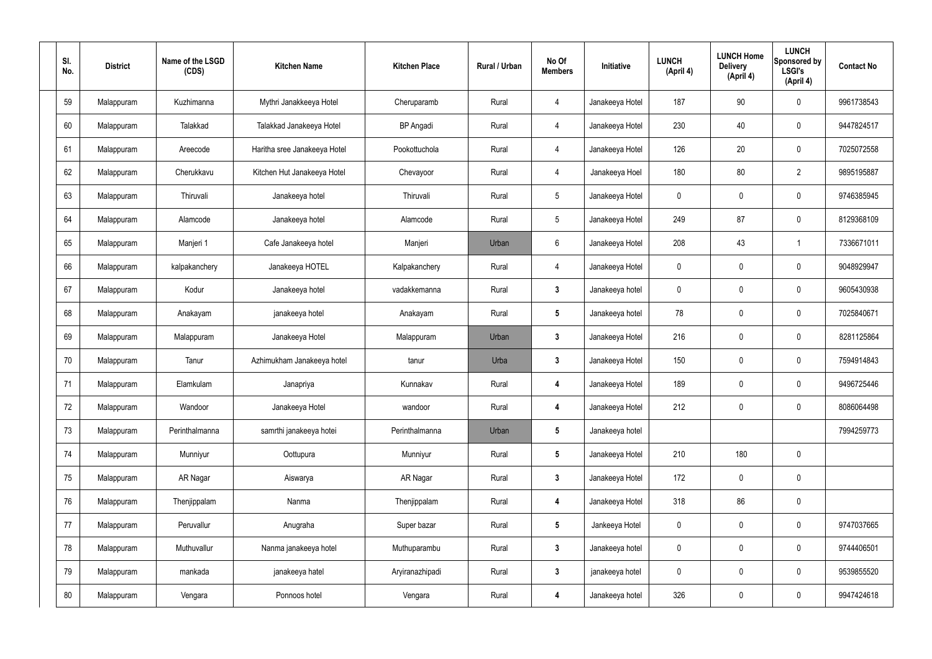| SI.<br>No. | <b>District</b> | Name of the LSGD<br>(CDS) | <b>Kitchen Name</b>          | <b>Kitchen Place</b> | Rural / Urban | No Of<br><b>Members</b> | Initiative      | <b>LUNCH</b><br>(April 4) | <b>LUNCH Home</b><br><b>Delivery</b><br>(April 4) | <b>LUNCH</b><br>Sponsored by<br><b>LSGI's</b><br>(April 4) | <b>Contact No</b> |
|------------|-----------------|---------------------------|------------------------------|----------------------|---------------|-------------------------|-----------------|---------------------------|---------------------------------------------------|------------------------------------------------------------|-------------------|
| 59         | Malappuram      | Kuzhimanna                | Mythri Janakkeeya Hotel      | Cheruparamb          | Rural         | 4                       | Janakeeya Hotel | 187                       | 90                                                | $\mathbf 0$                                                | 9961738543        |
| 60         | Malappuram      | Talakkad                  | Talakkad Janakeeya Hotel     | <b>BP</b> Angadi     | Rural         | $\overline{4}$          | Janakeeya Hotel | 230                       | 40                                                | $\mathbf 0$                                                | 9447824517        |
| 61         | Malappuram      | Areecode                  | Haritha sree Janakeeya Hotel | Pookottuchola        | Rural         | $\overline{4}$          | Janakeeya Hotel | 126                       | 20                                                | $\mathbf 0$                                                | 7025072558        |
| 62         | Malappuram      | Cherukkavu                | Kitchen Hut Janakeeya Hotel  | Chevayoor            | Rural         | $\overline{4}$          | Janakeeya Hoel  | 180                       | 80                                                | $\overline{2}$                                             | 9895195887        |
| 63         | Malappuram      | Thiruvali                 | Janakeeya hotel              | Thiruvali            | Rural         | $5\phantom{.0}$         | Janakeeya Hotel | $\mathbf 0$               | $\mathbf 0$                                       | $\mathbf 0$                                                | 9746385945        |
| 64         | Malappuram      | Alamcode                  | Janakeeya hotel              | Alamcode             | Rural         | $5\phantom{.0}$         | Janakeeya Hotel | 249                       | 87                                                | $\mathbf 0$                                                | 8129368109        |
| 65         | Malappuram      | Manjeri 1                 | Cafe Janakeeya hotel         | Manjeri              | Urban         | $6\phantom{.}6$         | Janakeeya Hotel | 208                       | 43                                                | $\mathbf 1$                                                | 7336671011        |
| 66         | Malappuram      | kalpakanchery             | Janakeeya HOTEL              | Kalpakanchery        | Rural         | $\overline{4}$          | Janakeeya Hotel | $\mathbf 0$               | $\mathbf 0$                                       | $\mathbf 0$                                                | 9048929947        |
| 67         | Malappuram      | Kodur                     | Janakeeya hotel              | vadakkemanna         | Rural         | $\mathbf{3}$            | Janakeeya hotel | $\mathbf 0$               | $\mathbf 0$                                       | $\mathbf 0$                                                | 9605430938        |
| 68         | Malappuram      | Anakayam                  | janakeeya hotel              | Anakayam             | Rural         | $5\overline{)}$         | Janakeeya hotel | 78                        | $\mathbf 0$                                       | $\mathbf 0$                                                | 7025840671        |
| 69         | Malappuram      | Malappuram                | Janakeeya Hotel              | Malappuram           | Urban         | $\mathbf{3}$            | Janakeeya Hotel | 216                       | 0                                                 | $\mathbf 0$                                                | 8281125864        |
| 70         | Malappuram      | Tanur                     | Azhimukham Janakeeya hotel   | tanur                | Urba          | $\mathbf{3}$            | Janakeeya Hotel | 150                       | $\mathbf 0$                                       | $\mathbf 0$                                                | 7594914843        |
| 71         | Malappuram      | Elamkulam                 | Janapriya                    | Kunnakav             | Rural         | 4                       | Janakeeya Hotel | 189                       | 0                                                 | $\mathbf 0$                                                | 9496725446        |
| 72         | Malappuram      | Wandoor                   | Janakeeya Hotel              | wandoor              | Rural         | 4                       | Janakeeya Hotel | 212                       | $\mathsf{0}$                                      | $\mathbf 0$                                                | 8086064498        |
| 73         | Malappuram      | Perinthalmanna            | samrthi janakeeya hotei      | Perinthalmanna       | Urban         | $5\overline{)}$         | Janakeeya hotel |                           |                                                   |                                                            | 7994259773        |
| 74         | Malappuram      | Munniyur                  | Oottupura                    | Munniyur             | Rural         | $5\phantom{.0}$         | Janakeeya Hotel | 210                       | 180                                               | $\mathbf 0$                                                |                   |
| 75         | Malappuram      | AR Nagar                  | Aiswarya                     | AR Nagar             | Rural         | $3\phantom{a}$          | Janakeeya Hotel | 172                       | 0                                                 | $\mathbf 0$                                                |                   |
| 76         | Malappuram      | Thenjippalam              | Nanma                        | Thenjippalam         | Rural         | $\overline{\mathbf{4}}$ | Janakeeya Hotel | 318                       | 86                                                | $\mathbf 0$                                                |                   |
| 77         | Malappuram      | Peruvallur                | Anugraha                     | Super bazar          | Rural         | $5\phantom{.0}$         | Jankeeya Hotel  | $\mathbf 0$               | 0                                                 | $\mathbf 0$                                                | 9747037665        |
| 78         | Malappuram      | Muthuvallur               | Nanma janakeeya hotel        | Muthuparambu         | Rural         | $3\phantom{a}$          | Janakeeya hotel | $\pmb{0}$                 | 0                                                 | $\mathbf 0$                                                | 9744406501        |
| 79         | Malappuram      | mankada                   | janakeeya hatel              | Aryiranazhipadi      | Rural         | $\mathbf{3}$            | janakeeya hotel | $\mathbf 0$               | 0                                                 | $\mathbf 0$                                                | 9539855520        |
| 80         | Malappuram      | Vengara                   | Ponnoos hotel                | Vengara              | Rural         | 4                       | Janakeeya hotel | 326                       | 0                                                 | $\mathbf 0$                                                | 9947424618        |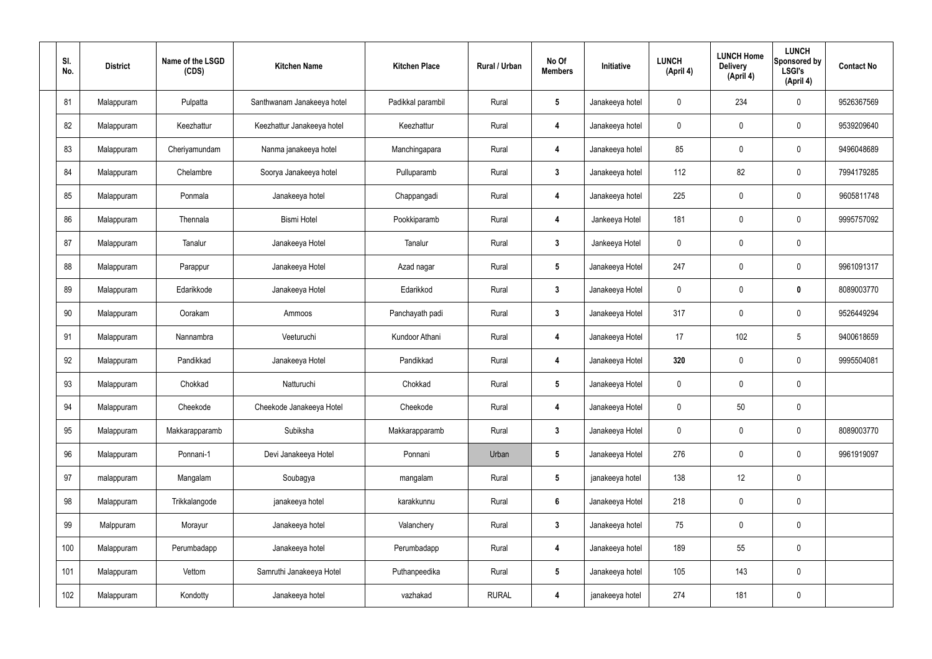| SI.<br>No. | <b>District</b> | Name of the LSGD<br>(CDS) | <b>Kitchen Name</b>        | <b>Kitchen Place</b> | Rural / Urban | No Of<br><b>Members</b> | Initiative      | <b>LUNCH</b><br>(April 4) | <b>LUNCH Home</b><br><b>Delivery</b><br>(April 4) | <b>LUNCH</b><br>Sponsored by<br><b>LSGI's</b><br>(April 4) | <b>Contact No</b> |
|------------|-----------------|---------------------------|----------------------------|----------------------|---------------|-------------------------|-----------------|---------------------------|---------------------------------------------------|------------------------------------------------------------|-------------------|
| 81         | Malappuram      | Pulpatta                  | Santhwanam Janakeeya hotel | Padikkal parambil    | Rural         | $5\phantom{.0}$         | Janakeeya hotel | $\mathbf 0$               | 234                                               | $\mathbf 0$                                                | 9526367569        |
| 82         | Malappuram      | Keezhattur                | Keezhattur Janakeeya hotel | Keezhattur           | Rural         | 4                       | Janakeeya hotel | $\mathbf 0$               | $\mathbf 0$                                       | $\mathbf 0$                                                | 9539209640        |
| 83         | Malappuram      | Cheriyamundam             | Nanma janakeeya hotel      | Manchingapara        | Rural         | 4                       | Janakeeya hotel | 85                        | $\mathbf 0$                                       | $\mathbf 0$                                                | 9496048689        |
| 84         | Malappuram      | Chelambre                 | Soorya Janakeeya hotel     | Pulluparamb          | Rural         | $\mathbf{3}$            | Janakeeya hotel | 112                       | 82                                                | $\mathbf 0$                                                | 7994179285        |
| 85         | Malappuram      | Ponmala                   | Janakeeya hotel            | Chappangadi          | Rural         | 4                       | Janakeeya hotel | 225                       | $\pmb{0}$                                         | $\mathbf 0$                                                | 9605811748        |
| 86         | Malappuram      | Thennala                  | <b>Bismi Hotel</b>         | Pookkiparamb         | Rural         | 4                       | Jankeeya Hotel  | 181                       | $\pmb{0}$                                         | $\mathbf 0$                                                | 9995757092        |
| 87         | Malappuram      | Tanalur                   | Janakeeya Hotel            | Tanalur              | Rural         | $3\phantom{a}$          | Jankeeya Hotel  | $\mathbf 0$               | $\pmb{0}$                                         | $\mathbf 0$                                                |                   |
| 88         | Malappuram      | Parappur                  | Janakeeya Hotel            | Azad nagar           | Rural         | $5\phantom{.0}$         | Janakeeya Hotel | 247                       | $\pmb{0}$                                         | $\mathbf 0$                                                | 9961091317        |
| 89         | Malappuram      | Edarikkode                | Janakeeya Hotel            | Edarikkod            | Rural         | $3\phantom{a}$          | Janakeeya Hotel | $\mathbf 0$               | $\mathbf 0$                                       | $\mathbf 0$                                                | 8089003770        |
| 90         | Malappuram      | Oorakam                   | Ammoos                     | Panchayath padi      | Rural         | $3\phantom{a}$          | Janakeeya Hotel | 317                       | $\mathbf 0$                                       | $\mathbf 0$                                                | 9526449294        |
| 91         | Malappuram      | Nannambra                 | Veeturuchi                 | Kundoor Athani       | Rural         | 4                       | Janakeeya Hotel | 17                        | 102                                               | $5\phantom{.0}$                                            | 9400618659        |
| 92         | Malappuram      | Pandikkad                 | Janakeeya Hotel            | Pandikkad            | Rural         | 4                       | Janakeeya Hotel | 320                       | $\mathbf 0$                                       | $\mathbf 0$                                                | 9995504081        |
| 93         | Malappuram      | Chokkad                   | Natturuchi                 | Chokkad              | Rural         | $5\overline{)}$         | Janakeeya Hotel | $\mathbf 0$               | $\mathbf 0$                                       | $\mathbf 0$                                                |                   |
| 94         | Malappuram      | Cheekode                  | Cheekode Janakeeya Hotel   | Cheekode             | Rural         | 4                       | Janakeeya Hotel | $\mathbf 0$               | 50                                                | $\mathbf 0$                                                |                   |
| 95         | Malappuram      | Makkarapparamb            | Subiksha                   | Makkarapparamb       | Rural         | $3\phantom{a}$          | Janakeeya Hotel | $\mathbf 0$               | $\pmb{0}$                                         | $\mathbf 0$                                                | 8089003770        |
| 96         | Malappuram      | Ponnani-1                 | Devi Janakeeya Hotel       | Ponnani              | Urban         | $5\phantom{.0}$         | Janakeeya Hotel | 276                       | $\pmb{0}$                                         | $\mathbf 0$                                                | 9961919097        |
| 97         | malappuram      | Mangalam                  | Soubagya                   | mangalam             | Rural         | $5\overline{)}$         | janakeeya hotel | 138                       | 12                                                | $\mathbf 0$                                                |                   |
| 98         | Malappuram      | Trikkalangode             | janakeeya hotel            | karakkunnu           | Rural         | $6\phantom{a}$          | Janakeeya Hotel | 218                       | $\pmb{0}$                                         | $\mathbf 0$                                                |                   |
| 99         | Malppuram       | Morayur                   | Janakeeya hotel            | Valanchery           | Rural         | $3\phantom{a}$          | Janakeeya hotel | 75                        | $\pmb{0}$                                         | $\mathbf 0$                                                |                   |
| 100        | Malappuram      | Perumbadapp               | Janakeeya hotel            | Perumbadapp          | Rural         | 4                       | Janakeeya hotel | 189                       | 55                                                | $\mathbf 0$                                                |                   |
| 101        | Malappuram      | Vettom                    | Samruthi Janakeeya Hotel   | Puthanpeedika        | Rural         | $5\phantom{.0}$         | Janakeeya hotel | 105                       | 143                                               | $\mathbf 0$                                                |                   |
| 102        | Malappuram      | Kondotty                  | Janakeeya hotel            | vazhakad             | <b>RURAL</b>  | 4                       | janakeeya hotel | 274                       | 181                                               | $\pmb{0}$                                                  |                   |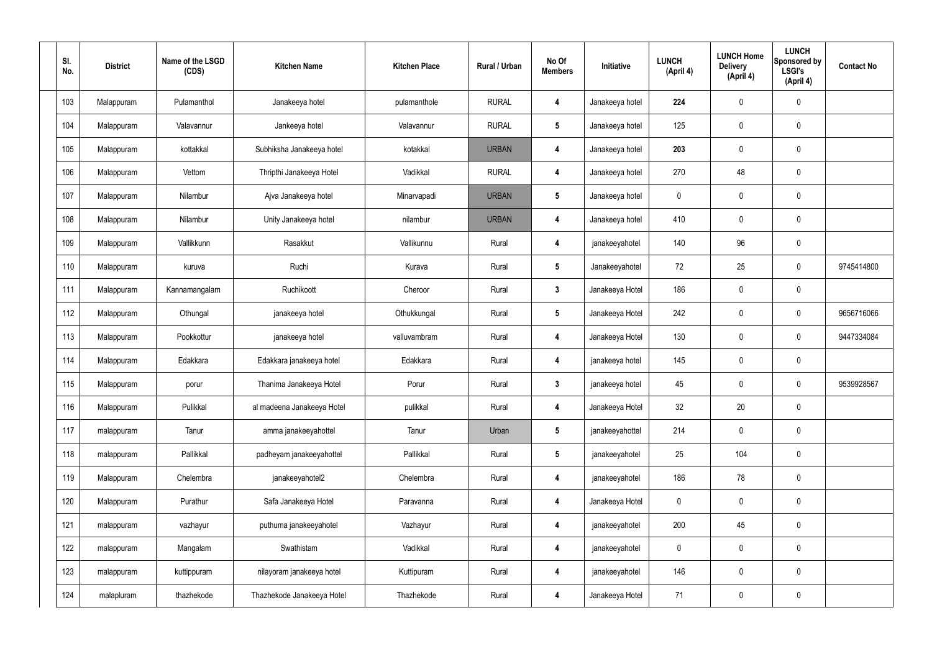| SI.<br>No. | <b>District</b> | Name of the LSGD<br>(CDS) | <b>Kitchen Name</b>        | <b>Kitchen Place</b> | Rural / Urban | No Of<br><b>Members</b> | Initiative      | <b>LUNCH</b><br>(April 4) | <b>LUNCH Home</b><br><b>Delivery</b><br>(April 4) | <b>LUNCH</b><br>Sponsored by<br><b>LSGI's</b><br>(April 4) | <b>Contact No</b> |
|------------|-----------------|---------------------------|----------------------------|----------------------|---------------|-------------------------|-----------------|---------------------------|---------------------------------------------------|------------------------------------------------------------|-------------------|
| 103        | Malappuram      | Pulamanthol               | Janakeeya hotel            | pulamanthole         | <b>RURAL</b>  | 4                       | Janakeeya hotel | 224                       | 0                                                 | $\mathbf 0$                                                |                   |
| 104        | Malappuram      | Valavannur                | Jankeeya hotel             | Valavannur           | <b>RURAL</b>  | $5\phantom{.0}$         | Janakeeya hotel | 125                       | 0                                                 | $\mathbf 0$                                                |                   |
| 105        | Malappuram      | kottakkal                 | Subhiksha Janakeeya hotel  | kotakkal             | <b>URBAN</b>  | 4                       | Janakeeya hotel | 203                       | 0                                                 | $\mathbf 0$                                                |                   |
| 106        | Malappuram      | Vettom                    | Thripthi Janakeeya Hotel   | Vadikkal             | <b>RURAL</b>  | 4                       | Janakeeya hotel | 270                       | 48                                                | $\mathbf 0$                                                |                   |
| 107        | Malappuram      | Nilambur                  | Ajva Janakeeya hotel       | Minarvapadi          | <b>URBAN</b>  | $5\phantom{.0}$         | Janakeeya hotel | $\mathbf 0$               | 0                                                 | $\mathbf 0$                                                |                   |
| 108        | Malappuram      | Nilambur                  | Unity Janakeeya hotel      | nilambur             | <b>URBAN</b>  | 4                       | Janakeeya hotel | 410                       | $\mathbf 0$                                       | $\mathbf 0$                                                |                   |
| 109        | Malappuram      | Vallikkunn                | Rasakkut                   | Vallikunnu           | Rural         | 4                       | janakeeyahotel  | 140                       | 96                                                | $\mathbf 0$                                                |                   |
| 110        | Malappuram      | kuruva                    | Ruchi                      | Kurava               | Rural         | $5\phantom{.0}$         | Janakeeyahotel  | 72                        | 25                                                | $\mathbf 0$                                                | 9745414800        |
| 111        | Malappuram      | Kannamangalam             | Ruchikoott                 | Cheroor              | Rural         | $3\phantom{a}$          | Janakeeya Hotel | 186                       | 0                                                 | $\mathbf 0$                                                |                   |
| 112        | Malappuram      | Othungal                  | janakeeya hotel            | Othukkungal          | Rural         | $5\phantom{.0}$         | Janakeeya Hotel | 242                       | 0                                                 | $\mathbf 0$                                                | 9656716066        |
| 113        | Malappuram      | Pookkottur                | janakeeya hotel            | valluvambram         | Rural         | 4                       | Janakeeya Hotel | 130                       | 0                                                 | $\mathbf 0$                                                | 9447334084        |
| 114        | Malappuram      | Edakkara                  | Edakkara janakeeya hotel   | Edakkara             | Rural         | 4                       | janakeeya hotel | 145                       | 0                                                 | $\mathbf 0$                                                |                   |
| 115        | Malappuram      | porur                     | Thanima Janakeeya Hotel    | Porur                | Rural         | $\mathbf{3}$            | janakeeya hotel | 45                        | $\mathbf 0$                                       | $\boldsymbol{0}$                                           | 9539928567        |
| 116        | Malappuram      | Pulikkal                  | al madeena Janakeeya Hotel | pulikkal             | Rural         | 4                       | Janakeeya Hotel | 32 <sub>2</sub>           | 20                                                | $\mathbf 0$                                                |                   |
| 117        | malappuram      | Tanur                     | amma janakeeyahottel       | Tanur                | Urban         | $5\phantom{.0}$         | janakeeyahottel | 214                       | $\mathbf 0$                                       | $\mathbf 0$                                                |                   |
| 118        | malappuram      | Pallikkal                 | padheyam janakeeyahottel   | Pallikkal            | Rural         | $5\phantom{.0}$         | janakeeyahotel  | $25\,$                    | 104                                               | $\mathbf 0$                                                |                   |
| 119        | Malappuram      | Chelembra                 | janakeeyahotel2            | Chelembra            | Rural         | $\overline{\mathbf{4}}$ | janakeeyahotel  | 186                       | 78                                                | $\mathbf 0$                                                |                   |
| 120        | Malappuram      | Purathur                  | Safa Janakeeya Hotel       | Paravanna            | Rural         | 4                       | Janakeeya Hotel | $\pmb{0}$                 | 0                                                 | $\mathbf 0$                                                |                   |
| 121        | malappuram      | vazhayur                  | puthuma janakeeyahotel     | Vazhayur             | Rural         | 4                       | janakeeyahotel  | 200                       | 45                                                | $\mathbf 0$                                                |                   |
| 122        | malappuram      | Mangalam                  | Swathistam                 | Vadikkal             | Rural         | 4                       | janakeeyahotel  | $\pmb{0}$                 | 0                                                 | $\mathbf 0$                                                |                   |
| 123        | malappuram      | kuttippuram               | nilayoram janakeeya hotel  | Kuttipuram           | Rural         | $\overline{\mathbf{4}}$ | janakeeyahotel  | 146                       | 0                                                 | $\mathbf 0$                                                |                   |
| 124        | malapluram      | thazhekode                | Thazhekode Janakeeya Hotel | Thazhekode           | Rural         | 4                       | Janakeeya Hotel | 71                        | 0                                                 | $\pmb{0}$                                                  |                   |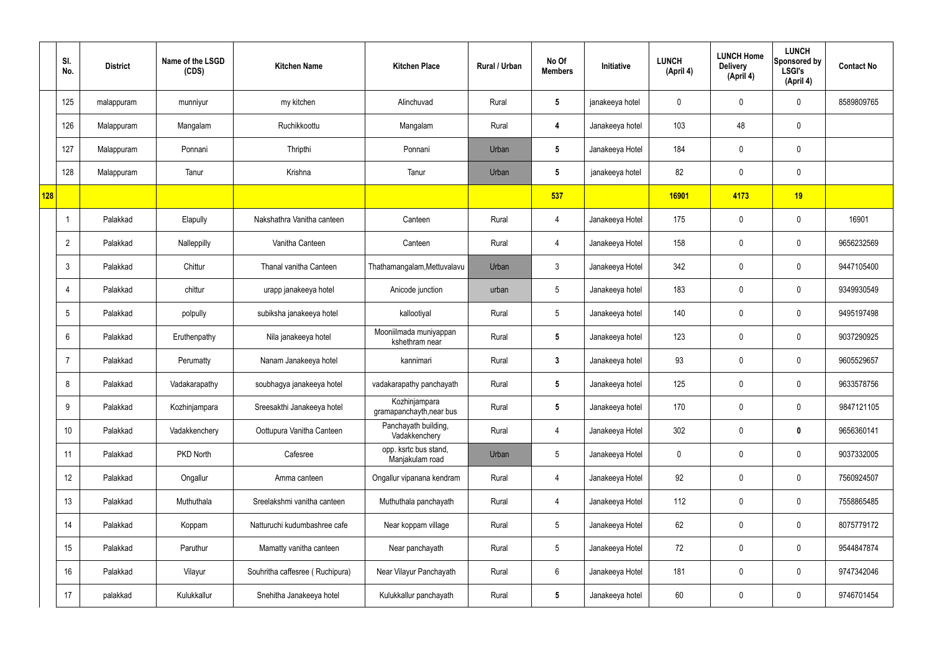|     | SI.<br>No.     | <b>District</b> | Name of the LSGD<br>(CDS) | <b>Kitchen Name</b>             | <b>Kitchen Place</b>                      | Rural / Urban | No Of<br><b>Members</b> | Initiative      | <b>LUNCH</b><br>(April 4) | <b>LUNCH Home</b><br><b>Delivery</b><br>(April 4) | <b>LUNCH</b><br>Sponsored by<br><b>LSGI's</b><br>(April 4) | <b>Contact No</b> |
|-----|----------------|-----------------|---------------------------|---------------------------------|-------------------------------------------|---------------|-------------------------|-----------------|---------------------------|---------------------------------------------------|------------------------------------------------------------|-------------------|
|     | 125            | malappuram      | munniyur                  | my kitchen                      | Alinchuvad                                | Rural         | $5\phantom{.0}$         | janakeeya hotel | 0                         | 0                                                 | $\mathbf 0$                                                | 8589809765        |
|     | 126            | Malappuram      | Mangalam                  | Ruchikkoottu                    | Mangalam                                  | Rural         | 4                       | Janakeeya hotel | 103                       | 48                                                | $\mathbf 0$                                                |                   |
|     | 127            | Malappuram      | Ponnani                   | Thripthi                        | Ponnani                                   | Urban         | $5\overline{)}$         | Janakeeya Hotel | 184                       | $\mathbf 0$                                       | $\mathbf 0$                                                |                   |
|     | 128            | Malappuram      | Tanur                     | Krishna                         | Tanur                                     | Urban         | $5\phantom{.0}$         | janakeeya hotel | 82                        | $\mathbf 0$                                       | $\mathbf 0$                                                |                   |
| 128 |                |                 |                           |                                 |                                           |               | 537                     |                 | 16901                     | 4173                                              | 19                                                         |                   |
|     |                | Palakkad        | Elapully                  | Nakshathra Vanitha canteen      | Canteen                                   | Rural         | $\overline{4}$          | Janakeeya Hotel | 175                       | $\mathbf 0$                                       | $\mathbf 0$                                                | 16901             |
|     | $\overline{2}$ | Palakkad        | Nalleppilly               | Vanitha Canteen                 | Canteen                                   | Rural         | $\overline{4}$          | Janakeeya Hotel | 158                       | $\mathbf 0$                                       | $\mathbf 0$                                                | 9656232569        |
|     | $\mathbf{3}$   | Palakkad        | Chittur                   | Thanal vanitha Canteen          | Thathamangalam, Mettuvalavu               | Urban         | $\mathbf{3}$            | Janakeeya Hotel | 342                       | $\mathbf 0$                                       | $\mathbf 0$                                                | 9447105400        |
|     | $\overline{4}$ | Palakkad        | chittur                   | urapp janakeeya hotel           | Anicode junction                          | urban         | $5\overline{)}$         | Janakeeya hotel | 183                       | $\mathbf 0$                                       | $\mathbf 0$                                                | 9349930549        |
|     | 5              | Palakkad        | polpully                  | subiksha janakeeya hotel        | kallootiyal                               | Rural         | $5\phantom{.0}$         | Janakeeya hotel | 140                       | 0                                                 | $\mathbf 0$                                                | 9495197498        |
|     | 6              | Palakkad        | Eruthenpathy              | Nila janakeeya hotel            | Mooniilmada muniyappan<br>kshethram near  | Rural         | $5\overline{)}$         | Janakeeya hotel | 123                       | 0                                                 | $\mathbf 0$                                                | 9037290925        |
|     | $\overline{7}$ | Palakkad        | Perumatty                 | Nanam Janakeeya hotel           | kannimari                                 | Rural         | $\mathbf{3}$            | Janakeeya hotel | 93                        | $\mathbf 0$                                       | $\mathbf 0$                                                | 9605529657        |
|     | 8              | Palakkad        | Vadakarapathy             | soubhagya janakeeya hotel       | vadakarapathy panchayath                  | Rural         | $5\overline{)}$         | Janakeeya hotel | 125                       | 0                                                 | $\mathbf 0$                                                | 9633578756        |
|     | 9              | Palakkad        | Kozhinjampara             | Sreesakthi Janakeeya hotel      | Kozhinjampara<br>gramapanchayth, near bus | Rural         | $5\phantom{.0}$         | Janakeeya hotel | 170                       | $\mathbf 0$                                       | $\mathbf 0$                                                | 9847121105        |
|     | 10             | Palakkad        | Vadakkenchery             | Oottupura Vanitha Canteen       | Panchayath building,<br>Vadakkenchery     | Rural         | $\overline{4}$          | Janakeeya Hotel | 302                       | $\mathbf 0$                                       | $\bf{0}$                                                   | 9656360141        |
|     | 11             | Palakkad        | PKD North                 | Cafesree                        | opp. ksrtc bus stand,<br>Manjakulam road  | Urban         | $5\phantom{.0}$         | Janakeeya Hotel | 0                         | $\mathbf 0$                                       | $\mathbf 0$                                                | 9037332005        |
|     | 12             | Palakkad        | Ongallur                  | Amma canteen                    | Ongallur vipanana kendram                 | Rural         | $\overline{4}$          | Janakeeya Hotel | 92                        | $\mathbf 0$                                       | $\mathbf 0$                                                | 7560924507        |
|     | 13             | Palakkad        | Muthuthala                | Sreelakshmi vanitha canteen     | Muthuthala panchayath                     | Rural         | $\overline{4}$          | Janakeeya Hotel | 112                       | 0                                                 | $\mathbf 0$                                                | 7558865485        |
|     | 14             | Palakkad        | Koppam                    | Natturuchi kudumbashree cafe    | Near koppam village                       | Rural         | $5\phantom{.0}$         | Janakeeya Hotel | 62                        | 0                                                 | $\mathbf 0$                                                | 8075779172        |
|     | 15             | Palakkad        | Paruthur                  | Mamatty vanitha canteen         | Near panchayath                           | Rural         | $5\overline{)}$         | Janakeeya Hotel | 72                        | 0                                                 | $\mathbf 0$                                                | 9544847874        |
|     | 16             | Palakkad        | Vilayur                   | Souhritha caffesree (Ruchipura) | Near Vilayur Panchayath                   | Rural         | $6\phantom{.}6$         | Janakeeya Hotel | 181                       | 0                                                 | $\mathbf 0$                                                | 9747342046        |
|     | 17             | palakkad        | Kulukkallur               | Snehitha Janakeeya hotel        | Kulukkallur panchayath                    | Rural         | $5\phantom{.0}$         | Janakeeya hotel | 60                        | 0                                                 | $\overline{0}$                                             | 9746701454        |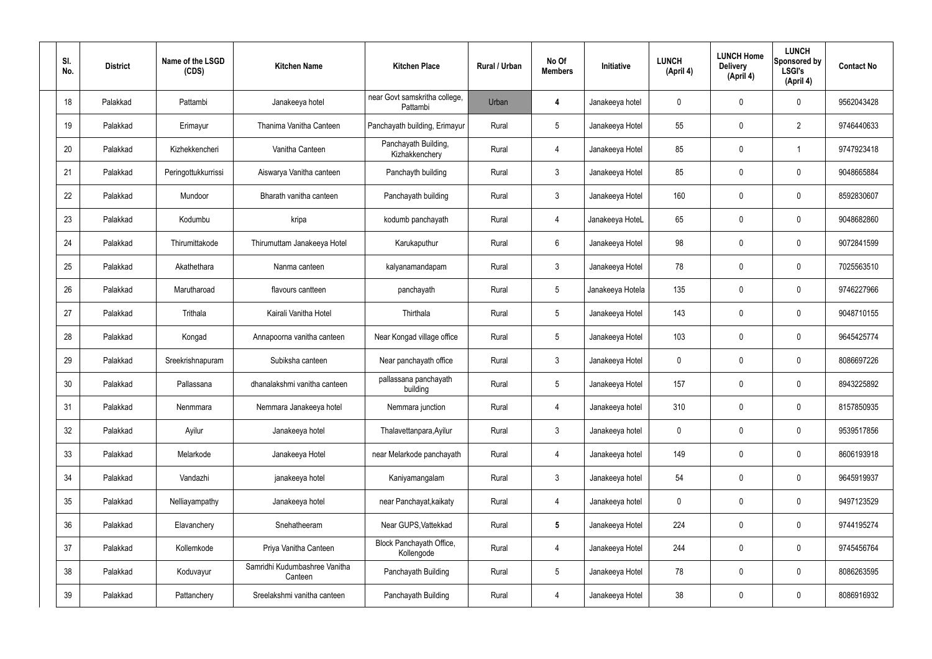| SI.<br>No. | <b>District</b> | Name of the LSGD<br>(CDS) | <b>Kitchen Name</b>                      | <b>Kitchen Place</b>                      | Rural / Urban | No Of<br><b>Members</b> | Initiative       | <b>LUNCH</b><br>(April 4) | <b>LUNCH Home</b><br><b>Delivery</b><br>(April 4) | <b>LUNCH</b><br>Sponsored by<br><b>LSGI's</b><br>(April 4) | <b>Contact No</b> |
|------------|-----------------|---------------------------|------------------------------------------|-------------------------------------------|---------------|-------------------------|------------------|---------------------------|---------------------------------------------------|------------------------------------------------------------|-------------------|
| 18         | Palakkad        | Pattambi                  | Janakeeya hotel                          | near Govt samskritha college,<br>Pattambi | Urban         | 4                       | Janakeeya hotel  | 0                         | $\mathbf 0$                                       | 0                                                          | 9562043428        |
| 19         | Palakkad        | Erimayur                  | Thanima Vanitha Canteen                  | Panchayath building, Erimayur             | Rural         | $5\phantom{.0}$         | Janakeeya Hotel  | 55                        | $\mathbf 0$                                       | $\overline{2}$                                             | 9746440633        |
| 20         | Palakkad        | Kizhekkencheri            | Vanitha Canteen                          | Panchayath Building,<br>Kizhakkenchery    | Rural         | $\overline{4}$          | Janakeeya Hotel  | 85                        | 0                                                 |                                                            | 9747923418        |
| 21         | Palakkad        | Peringottukkurrissi       | Aiswarya Vanitha canteen                 | Panchayth building                        | Rural         | $\mathbf{3}$            | Janakeeya Hotel  | 85                        | $\mathbf 0$                                       | 0                                                          | 9048665884        |
| 22         | Palakkad        | Mundoor                   | Bharath vanitha canteen                  | Panchayath building                       | Rural         | $\mathbf{3}$            | Janakeeya Hotel  | 160                       | 0                                                 | 0                                                          | 8592830607        |
| 23         | Palakkad        | Kodumbu                   | kripa                                    | kodumb panchayath                         | Rural         | $\overline{4}$          | Janakeeya HoteL  | 65                        | $\mathbf 0$                                       | 0                                                          | 9048682860        |
| 24         | Palakkad        | Thirumittakode            | Thirumuttam Janakeeya Hotel              | Karukaputhur                              | Rural         | 6                       | Janakeeya Hotel  | 98                        | 0                                                 | 0                                                          | 9072841599        |
| 25         | Palakkad        | Akathethara               | Nanma canteen                            | kalyanamandapam                           | Rural         | $\mathbf{3}$            | Janakeeya Hotel  | 78                        | $\mathbf 0$                                       | 0                                                          | 7025563510        |
| 26         | Palakkad        | Marutharoad               | flavours cantteen                        | panchayath                                | Rural         | $5\phantom{.0}$         | Janakeeya Hotela | 135                       | 0                                                 | 0                                                          | 9746227966        |
| 27         | Palakkad        | Trithala                  | Kairali Vanitha Hotel                    | Thirthala                                 | Rural         | $5\phantom{.0}$         | Janakeeya Hotel  | 143                       | $\mathbf 0$                                       | 0                                                          | 9048710155        |
| 28         | Palakkad        | Kongad                    | Annapoorna vanitha canteen               | Near Kongad village office                | Rural         | $5\phantom{.0}$         | Janakeeya Hotel  | 103                       | 0                                                 | 0                                                          | 9645425774        |
| 29         | Palakkad        | Sreekrishnapuram          | Subiksha canteen                         | Near panchayath office                    | Rural         | $\mathbf{3}$            | Janakeeya Hotel  | 0                         | $\mathbf 0$                                       | 0                                                          | 8086697226        |
| 30         | Palakkad        | Pallassana                | dhanalakshmi vanitha canteen             | pallassana panchayath<br>building         | Rural         | 5                       | Janakeeya Hotel  | 157                       | $\mathbf 0$                                       | 0                                                          | 8943225892        |
| 31         | Palakkad        | Nenmmara                  | Nemmara Janakeeya hotel                  | Nemmara junction                          | Rural         | $\overline{4}$          | Janakeeya hotel  | 310                       | $\mathbf 0$                                       | 0                                                          | 8157850935        |
| 32         | Palakkad        | Ayilur                    | Janakeeya hotel                          | Thalavettanpara, Ayilur                   | Rural         | $\mathbf{3}$            | Janakeeya hotel  | $\mathbf 0$               | $\pmb{0}$                                         | 0                                                          | 9539517856        |
| 33         | Palakkad        | Melarkode                 | Janakeeya Hotel                          | near Melarkode panchayath                 | Rural         | $\overline{4}$          | Janakeeya hotel  | 149                       | $\boldsymbol{0}$                                  | 0                                                          | 8606193918        |
| 34         | Palakkad        | Vandazhi                  | janakeeya hotel                          | Kaniyamangalam                            | Rural         | $\mathbf{3}$            | Janakeeya hotel  | 54                        | $\pmb{0}$                                         | 0                                                          | 9645919937        |
| 35         | Palakkad        | Nelliayampathy            | Janakeeya hotel                          | near Panchayat, kaikaty                   | Rural         | $\overline{4}$          | Janakeeya hotel  | $\mathbf 0$               | $\boldsymbol{0}$                                  | 0                                                          | 9497123529        |
| 36         | Palakkad        | Elavanchery               | Snehatheeram                             | Near GUPS, Vattekkad                      | Rural         | $5\phantom{.0}$         | Janakeeya Hotel  | 224                       | $\pmb{0}$                                         | 0                                                          | 9744195274        |
| 37         | Palakkad        | Kollemkode                | Priya Vanitha Canteen                    | Block Panchayath Office,<br>Kollengode    | Rural         | $\overline{4}$          | Janakeeya Hotel  | 244                       | $\pmb{0}$                                         | 0                                                          | 9745456764        |
| 38         | Palakkad        | Koduvayur                 | Samridhi Kudumbashree Vanitha<br>Canteen | Panchayath Building                       | Rural         | $5\phantom{.0}$         | Janakeeya Hotel  | 78                        | $\boldsymbol{0}$                                  | 0                                                          | 8086263595        |
| 39         | Palakkad        | Pattanchery               | Sreelakshmi vanitha canteen              | Panchayath Building                       | Rural         | $\overline{4}$          | Janakeeya Hotel  | 38                        | $\boldsymbol{0}$                                  | 0                                                          | 8086916932        |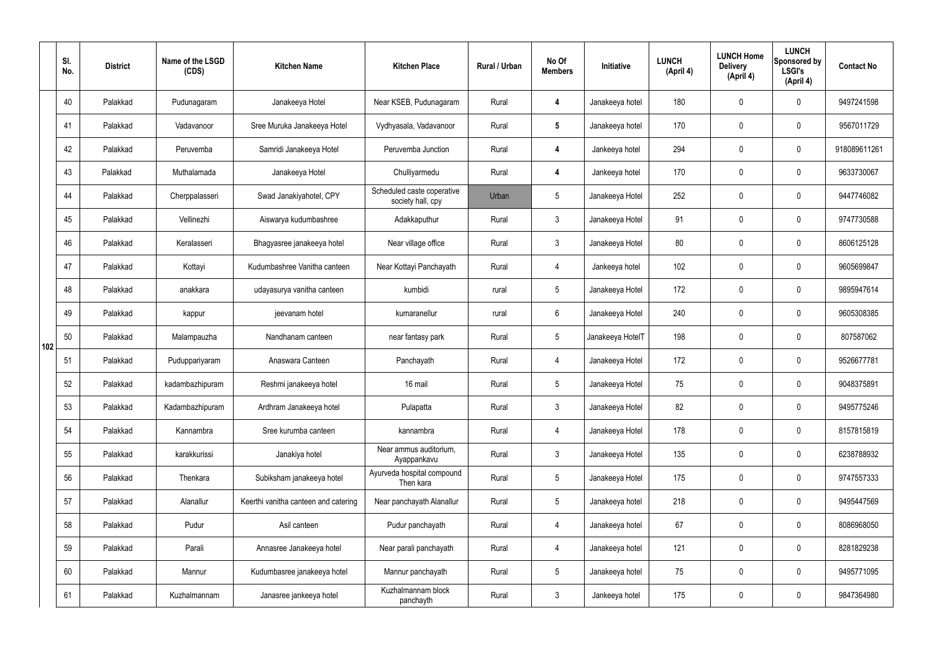|     | SI.<br>No. | <b>District</b> | Name of the LSGD<br>(CDS) | <b>Kitchen Name</b>                  | <b>Kitchen Place</b>                            | <b>Rural / Urban</b> | No Of<br><b>Members</b> | Initiative       | <b>LUNCH</b><br>(April 4) | <b>LUNCH Home</b><br><b>Delivery</b><br>(April 4) | <b>LUNCH</b><br>Sponsored by<br><b>LSGI's</b><br>(April 4) | <b>Contact No</b> |
|-----|------------|-----------------|---------------------------|--------------------------------------|-------------------------------------------------|----------------------|-------------------------|------------------|---------------------------|---------------------------------------------------|------------------------------------------------------------|-------------------|
|     | 40         | Palakkad        | Pudunagaram               | Janakeeya Hotel                      | Near KSEB, Pudunagaram                          | Rural                | 4                       | Janakeeya hotel  | 180                       | 0                                                 | $\mathbf 0$                                                | 9497241598        |
|     | 41         | Palakkad        | Vadavanoor                | Sree Muruka Janakeeya Hotel          | Vydhyasala, Vadavanoor                          | Rural                | $5\overline{)}$         | Janakeeya hotel  | 170                       | $\mathbf 0$                                       | $\mathbf 0$                                                | 9567011729        |
|     | 42         | Palakkad        | Peruvemba                 | Samridi Janakeeya Hotel              | Peruvemba Junction                              | Rural                | 4                       | Jankeeya hotel   | 294                       | $\mathbf 0$                                       | $\mathbf 0$                                                | 918089611261      |
|     | 43         | Palakkad        | Muthalamada               | Janakeeya Hotel                      | Chulliyarmedu                                   | Rural                | $\overline{4}$          | Jankeeya hotel   | 170                       | $\mathbf 0$                                       | $\mathbf 0$                                                | 9633730067        |
|     | 44         | Palakkad        | Cherppalasseri            | Swad Janakiyahotel, CPY              | Scheduled caste coperative<br>society hall, cpy | Urban                | $5\phantom{.0}$         | Janakeeya Hotel  | 252                       | $\mathbf 0$                                       | $\mathbf 0$                                                | 9447746082        |
|     | 45         | Palakkad        | Vellinezhi                | Aiswarya kudumbashree                | Adakkaputhur                                    | Rural                | $\mathbf{3}$            | Janakeeya Hotel  | 91                        | $\mathbf 0$                                       | $\mathbf 0$                                                | 9747730588        |
|     | 46         | Palakkad        | Keralasseri               | Bhagyasree janakeeya hotel           | Near village office                             | Rural                | $\mathbf{3}$            | Janakeeya Hotel  | 80                        | $\mathbf 0$                                       | $\mathbf 0$                                                | 8606125128        |
|     | 47         | Palakkad        | Kottayi                   | Kudumbashree Vanitha canteen         | Near Kottayi Panchayath                         | Rural                | 4                       | Jankeeya hotel   | 102                       | 0                                                 | $\mathbf 0$                                                | 9605699847        |
|     | 48         | Palakkad        | anakkara                  | udayasurya vanitha canteen           | kumbidi                                         | rural                | $5\overline{)}$         | Janakeeya Hotel  | 172                       | $\mathbf 0$                                       | $\mathbf 0$                                                | 9895947614        |
|     | 49         | Palakkad        | kappur                    | jeevanam hotel                       | kumaranellur                                    | rural                | $6\phantom{.}6$         | Janakeeya Hotel  | 240                       | 0                                                 | $\mathbf 0$                                                | 9605308385        |
| 102 | 50         | Palakkad        | Malampauzha               | Nandhanam canteen                    | near fantasy park                               | Rural                | $5\phantom{.0}$         | Janakeeya HotelT | 198                       | 0                                                 | $\mathbf 0$                                                | 807587062         |
|     | 51         | Palakkad        | Puduppariyaram            | Anaswara Canteen                     | Panchayath                                      | Rural                | 4                       | Janakeeya Hotel  | 172                       | 0                                                 | $\mathbf 0$                                                | 9526677781        |
|     | 52         | Palakkad        | kadambazhipuram           | Reshmi janakeeya hotel               | 16 mail                                         | Rural                | $5\phantom{.0}$         | Janakeeya Hotel  | 75                        | 0                                                 | $\mathbf 0$                                                | 9048375891        |
|     | 53         | Palakkad        | Kadambazhipuram           | Ardhram Janakeeya hotel              | Pulapatta                                       | Rural                | $\mathbf{3}$            | Janakeeya Hotel  | 82                        | $\mathbf 0$                                       | $\mathbf 0$                                                | 9495775246        |
|     | 54         | Palakkad        | Kannambra                 | Sree kurumba canteen                 | kannambra                                       | Rural                | $\overline{4}$          | Janakeeya Hotel  | 178                       | $\mathbf 0$                                       | $\mathbf 0$                                                | 8157815819        |
|     | 55         | Palakkad        | karakkurissi              | Janakiya hotel                       | Near ammus auditorium.<br>Ayappankavu           | Rural                | $\mathbf{3}$            | Janakeeya Hotel  | 135                       | 0                                                 | $\mathbf 0$                                                | 6238788932        |
|     | 56         | Palakkad        | Thenkara                  | Subiksham janakeeya hotel            | Ayurveda hospital compound<br>Then kara         | Rural                | $5\phantom{.0}$         | Janakeeya Hotel  | 175                       | 0                                                 | $\mathbf 0$                                                | 9747557333        |
|     | 57         | Palakkad        | Alanallur                 | Keerthi vanitha canteen and catering | Near panchayath Alanallur                       | Rural                | $5\phantom{.0}$         | Janakeeya hotel  | 218                       | 0                                                 | $\mathbf 0$                                                | 9495447569        |
|     | 58         | Palakkad        | Pudur                     | Asil canteen                         | Pudur panchayath                                | Rural                | $\overline{4}$          | Janakeeya hotel  | 67                        | 0                                                 | $\mathbf 0$                                                | 8086968050        |
|     | 59         | Palakkad        | Parali                    | Annasree Janakeeya hotel             | Near parali panchayath                          | Rural                | $\overline{4}$          | Janakeeya hotel  | 121                       | 0                                                 | $\mathbf 0$                                                | 8281829238        |
|     | 60         | Palakkad        | Mannur                    | Kudumbasree janakeeya hotel          | Mannur panchayath                               | Rural                | $5\phantom{.0}$         | Janakeeya hotel  | 75                        | 0                                                 | $\mathbf 0$                                                | 9495771095        |
|     | 61         | Palakkad        | Kuzhalmannam              | Janasree jankeeya hotel              | Kuzhalmannam block<br>panchayth                 | Rural                | $\mathfrak{Z}$          | Jankeeya hotel   | 175                       | 0                                                 | $\overline{0}$                                             | 9847364980        |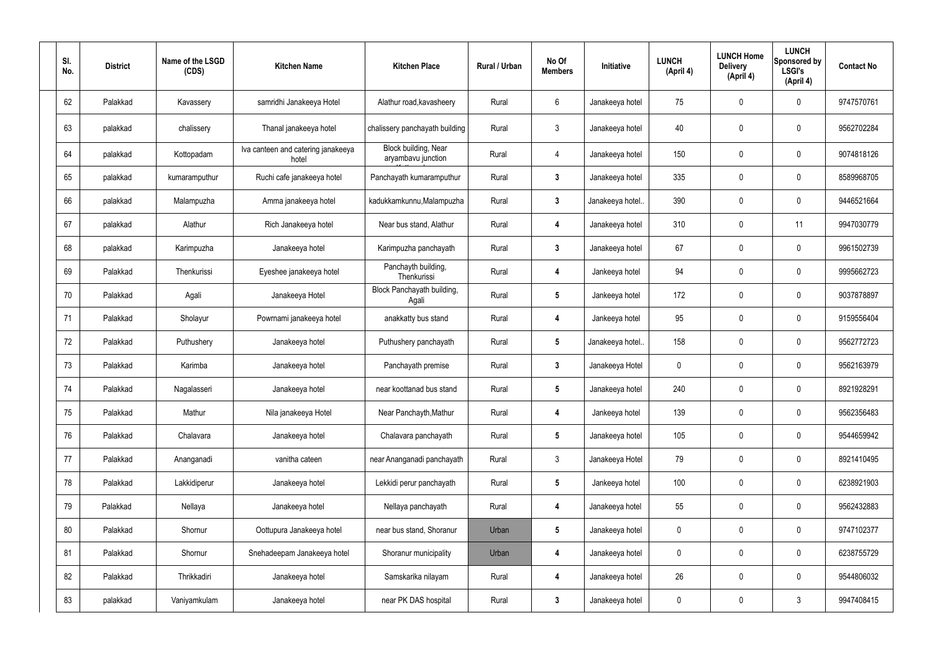| SI.<br>No. | <b>District</b> | Name of the LSGD<br>(CDS) | <b>Kitchen Name</b>                         | <b>Kitchen Place</b>                       | Rural / Urban | No Of<br><b>Members</b> | Initiative       | <b>LUNCH</b><br>(April 4) | <b>LUNCH Home</b><br><b>Delivery</b><br>(April 4) | <b>LUNCH</b><br><b>Sponsored by</b><br><b>LSGI's</b><br>(April 4) | <b>Contact No</b> |
|------------|-----------------|---------------------------|---------------------------------------------|--------------------------------------------|---------------|-------------------------|------------------|---------------------------|---------------------------------------------------|-------------------------------------------------------------------|-------------------|
| 62         | Palakkad        | Kavassery                 | samridhi Janakeeya Hotel                    | Alathur road, kavasheery                   | Rural         | 6                       | Janakeeya hotel  | 75                        | $\mathbf 0$                                       | $\mathbf 0$                                                       | 9747570761        |
| 63         | palakkad        | chalissery                | Thanal janakeeya hotel                      | chalissery panchayath building             | Rural         | $\mathbf{3}$            | Janakeeya hotel  | 40                        | $\mathbf 0$                                       | 0                                                                 | 9562702284        |
| 64         | palakkad        | Kottopadam                | Iva canteen and catering janakeeya<br>hotel | Block building, Near<br>aryambavu junction | Rural         | $\overline{4}$          | Janakeeya hotel  | 150                       | $\mathbf 0$                                       | 0                                                                 | 9074818126        |
| 65         | palakkad        | kumaramputhur             | Ruchi cafe janakeeya hotel                  | Panchayath kumaramputhur                   | Rural         | $\boldsymbol{3}$        | Janakeeya hotel  | 335                       | $\mathbf 0$                                       | 0                                                                 | 8589968705        |
| 66         | palakkad        | Malampuzha                | Amma janakeeya hotel                        | kadukkamkunnu, Malampuzha                  | Rural         | $\mathbf{3}$            | Janakeeya hotel. | 390                       | $\mathbf 0$                                       | 0                                                                 | 9446521664        |
| 67         | palakkad        | Alathur                   | Rich Janakeeya hotel                        | Near bus stand, Alathur                    | Rural         | 4                       | Janakeeya hotel  | 310                       | $\mathbf 0$                                       | 11                                                                | 9947030779        |
| 68         | palakkad        | Karimpuzha                | Janakeeya hotel                             | Karimpuzha panchayath                      | Rural         | $\mathbf{3}$            | Janakeeya hotel  | 67                        | $\overline{0}$                                    | 0                                                                 | 9961502739        |
| 69         | Palakkad        | Thenkurissi               | Eyeshee janakeeya hotel                     | Panchayth building,<br>Thenkurissi         | Rural         | 4                       | Jankeeya hotel   | 94                        | 0                                                 | 0                                                                 | 9995662723        |
| 70         | Palakkad        | Agali                     | Janakeeya Hotel                             | Block Panchayath building,<br>Agali        | Rural         | $\sqrt{5}$              | Jankeeya hotel   | 172                       | 0                                                 | 0                                                                 | 9037878897        |
| 71         | Palakkad        | Sholayur                  | Powrnami janakeeya hotel                    | anakkatty bus stand                        | Rural         | 4                       | Jankeeya hotel   | 95                        | 0                                                 | 0                                                                 | 9159556404        |
| 72         | Palakkad        | Puthushery                | Janakeeya hotel                             | Puthushery panchayath                      | Rural         | $\sqrt{5}$              | Janakeeya hotel. | 158                       | $\overline{0}$                                    | 0                                                                 | 9562772723        |
| 73         | Palakkad        | Karimba                   | Janakeeya hotel                             | Panchayath premise                         | Rural         | $\mathbf{3}$            | Janakeeya Hotel  | 0                         | 0                                                 | 0                                                                 | 9562163979        |
| 74         | Palakkad        | Nagalasseri               | Janakeeya hotel                             | near koottanad bus stand                   | Rural         | 5                       | Janakeeya hotel  | 240                       | 0                                                 | 0                                                                 | 8921928291        |
| 75         | Palakkad        | Mathur                    | Nila janakeeya Hotel                        | Near Panchayth, Mathur                     | Rural         | $\boldsymbol{4}$        | Jankeeya hotel   | 139                       | $\mathbf 0$                                       | $\pmb{0}$                                                         | 9562356483        |
| 76         | Palakkad        | Chalavara                 | Janakeeya hotel                             | Chalavara panchayath                       | Rural         | $5\phantom{.0}$         | Janakeeya hotel  | 105                       | $\pmb{0}$                                         | $\pmb{0}$                                                         | 9544659942        |
| 77         | Palakkad        | Ananganadi                | vanitha cateen                              | near Ananganadi panchayath                 | Rural         | $\mathbf{3}$            | Janakeeya Hotel  | 79                        | $\mathbf 0$                                       | $\pmb{0}$                                                         | 8921410495        |
| 78         | Palakkad        | Lakkidiperur              | Janakeeya hotel                             | Lekkidi perur panchayath                   | Rural         | $5\phantom{.0}$         | Jankeeya hotel   | 100                       | $\pmb{0}$                                         | $\pmb{0}$                                                         | 6238921903        |
| 79         | Palakkad        | Nellaya                   | Janakeeya hotel                             | Nellaya panchayath                         | Rural         | $\boldsymbol{4}$        | Janakeeya hotel  | 55                        | $\mathbf 0$                                       | $\pmb{0}$                                                         | 9562432883        |
| 80         | Palakkad        | Shornur                   | Oottupura Janakeeya hotel                   | near bus stand, Shoranur                   | Urban         | $5\phantom{.0}$         | Janakeeya hotel  | 0                         | $\pmb{0}$                                         | $\pmb{0}$                                                         | 9747102377        |
| 81         | Palakkad        | Shornur                   | Snehadeepam Janakeeya hotel                 | Shoranur municipality                      | Urban         | 4                       | Janakeeya hotel  | $\pmb{0}$                 | $\boldsymbol{0}$                                  | $\pmb{0}$                                                         | 6238755729        |
| 82         | Palakkad        | Thrikkadiri               | Janakeeya hotel                             | Samskarika nilayam                         | Rural         | $\boldsymbol{4}$        | Janakeeya hotel  | 26                        | $\pmb{0}$                                         | $\pmb{0}$                                                         | 9544806032        |
| 83         | palakkad        | Vaniyamkulam              | Janakeeya hotel                             | near PK DAS hospital                       | Rural         | $\boldsymbol{3}$        | Janakeeya hotel  | 0                         | $\boldsymbol{0}$                                  | $\mathfrak{Z}$                                                    | 9947408415        |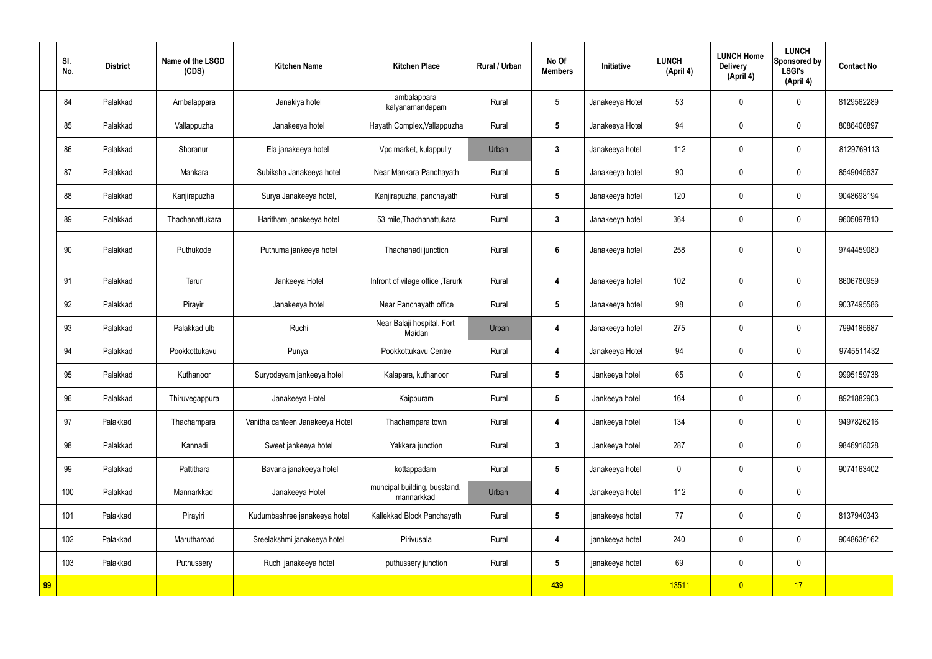|    | SI.<br>No. | <b>District</b> | Name of the LSGD<br>(CDS) | <b>Kitchen Name</b>             | <b>Kitchen Place</b>                       | <b>Rural / Urban</b> | No Of<br><b>Members</b> | <b>Initiative</b> | <b>LUNCH</b><br>(April 4) | <b>LUNCH Home</b><br><b>Delivery</b><br>(April 4) | <b>LUNCH</b><br>Sponsored by<br><b>LSGI's</b><br>(April 4) | <b>Contact No</b> |
|----|------------|-----------------|---------------------------|---------------------------------|--------------------------------------------|----------------------|-------------------------|-------------------|---------------------------|---------------------------------------------------|------------------------------------------------------------|-------------------|
|    | 84         | Palakkad        | Ambalappara               | Janakiya hotel                  | ambalappara<br>kalyanamandapam             | Rural                | $5\phantom{.0}$         | Janakeeya Hotel   | 53                        | $\mathbf 0$                                       | $\mathbf 0$                                                | 8129562289        |
|    | 85         | Palakkad        | Vallappuzha               | Janakeeya hotel                 | Hayath Complex, Vallappuzha                | Rural                | $5\phantom{.0}$         | Janakeeya Hotel   | 94                        | $\mathbf 0$                                       | $\mathbf 0$                                                | 8086406897        |
|    | 86         | Palakkad        | Shoranur                  | Ela janakeeya hotel             | Vpc market, kulappully                     | Urban                | $\mathbf{3}$            | Janakeeya hotel   | 112                       | $\mathbf 0$                                       | $\mathbf 0$                                                | 8129769113        |
|    | 87         | Palakkad        | Mankara                   | Subiksha Janakeeya hotel        | Near Mankara Panchayath                    | Rural                | $5\overline{)}$         | Janakeeya hotel   | 90                        | $\mathbf 0$                                       | $\mathbf 0$                                                | 8549045637        |
|    | 88         | Palakkad        | Kanjirapuzha              | Surya Janakeeya hotel,          | Kanjirapuzha, panchayath                   | Rural                | $5\phantom{.0}$         | Janakeeya hotel   | 120                       | $\mathbf 0$                                       | $\mathbf 0$                                                | 9048698194        |
|    | 89         | Palakkad        | Thachanattukara           | Haritham janakeeya hotel        | 53 mile, Thachanattukara                   | Rural                | $\mathbf{3}$            | Janakeeya hotel   | 364                       | $\mathbf 0$                                       | $\mathbf 0$                                                | 9605097810        |
|    | 90         | Palakkad        | Puthukode                 | Puthuma jankeeya hotel          | Thachanadi junction                        | Rural                | $6\phantom{1}$          | Janakeeya hotel   | 258                       | $\pmb{0}$                                         | $\mathbf 0$                                                | 9744459080        |
|    | 91         | Palakkad        | Tarur                     | Jankeeya Hotel                  | Infront of vilage office, Tarurk           | Rural                | 4                       | Janakeeya hotel   | 102                       | $\pmb{0}$                                         | $\mathbf 0$                                                | 8606780959        |
|    | 92         | Palakkad        | Pirayiri                  | Janakeeya hotel                 | Near Panchayath office                     | Rural                | $5\phantom{.0}$         | Janakeeya hotel   | 98                        | $\mathbf 0$                                       | $\mathbf 0$                                                | 9037495586        |
|    | 93         | Palakkad        | Palakkad ulb              | Ruchi                           | Near Balaji hospital, Fort<br>Maidan       | Urban                | 4                       | Janakeeya hotel   | 275                       | $\pmb{0}$                                         | $\mathbf 0$                                                | 7994185687        |
|    | 94         | Palakkad        | Pookkottukavu             | Punya                           | Pookkottukavu Centre                       | Rural                | 4                       | Janakeeya Hotel   | 94                        | $\mathbf 0$                                       | $\mathbf 0$                                                | 9745511432        |
|    | 95         | Palakkad        | Kuthanoor                 | Suryodayam jankeeya hotel       | Kalapara, kuthanoor                        | Rural                | $5\phantom{.0}$         | Jankeeya hotel    | 65                        | $\pmb{0}$                                         | $\mathbf 0$                                                | 9995159738        |
|    | 96         | Palakkad        | Thiruvegappura            | Janakeeya Hotel                 | Kaippuram                                  | Rural                | $5\phantom{.0}$         | Jankeeya hotel    | 164                       | $\pmb{0}$                                         | $\mathbf 0$                                                | 8921882903        |
|    | 97         | Palakkad        | Thachampara               | Vanitha canteen Janakeeya Hotel | Thachampara town                           | Rural                | 4                       | Jankeeya hotel    | 134                       | $\pmb{0}$                                         | $\mathbf 0$                                                | 9497826216        |
|    | 98         | Palakkad        | Kannadi                   | Sweet jankeeya hotel            | Yakkara junction                           | Rural                | $\mathbf{3}$            | Jankeeya hotel    | 287                       | $\pmb{0}$                                         | $\mathbf 0$                                                | 9846918028        |
|    | 99         | Palakkad        | Pattithara                | Bavana janakeeya hotel          | kottappadam                                | Rural                | $5\phantom{.0}$         | Janakeeya hotel   | $\pmb{0}$                 | $\pmb{0}$                                         | $\mathbf 0$                                                | 9074163402        |
|    | 100        | Palakkad        | Mannarkkad                | Janakeeya Hotel                 | muncipal building, busstand,<br>mannarkkad | Urban                | 4                       | Janakeeya hotel   | 112                       | $\pmb{0}$                                         | $\mathbf 0$                                                |                   |
|    | 101        | Palakkad        | Pirayiri                  | Kudumbashree janakeeya hotel    | Kallekkad Block Panchayath                 | Rural                | $5\phantom{.0}$         | janakeeya hotel   | 77                        | $\pmb{0}$                                         | $\mathbf 0$                                                | 8137940343        |
|    | 102        | Palakkad        | Marutharoad               | Sreelakshmi janakeeya hotel     | Pirivusala                                 | Rural                | 4                       | janakeeya hotel   | 240                       | $\pmb{0}$                                         | $\mathbf 0$                                                | 9048636162        |
|    | 103        | Palakkad        | Puthussery                | Ruchi janakeeya hotel           | puthussery junction                        | Rural                | $5\phantom{.0}$         | janakeeya hotel   | 69                        | $\pmb{0}$                                         | $\mathbf 0$                                                |                   |
| 99 |            |                 |                           |                                 |                                            |                      | 439                     |                   | 13511                     | $\overline{0}$                                    | 17                                                         |                   |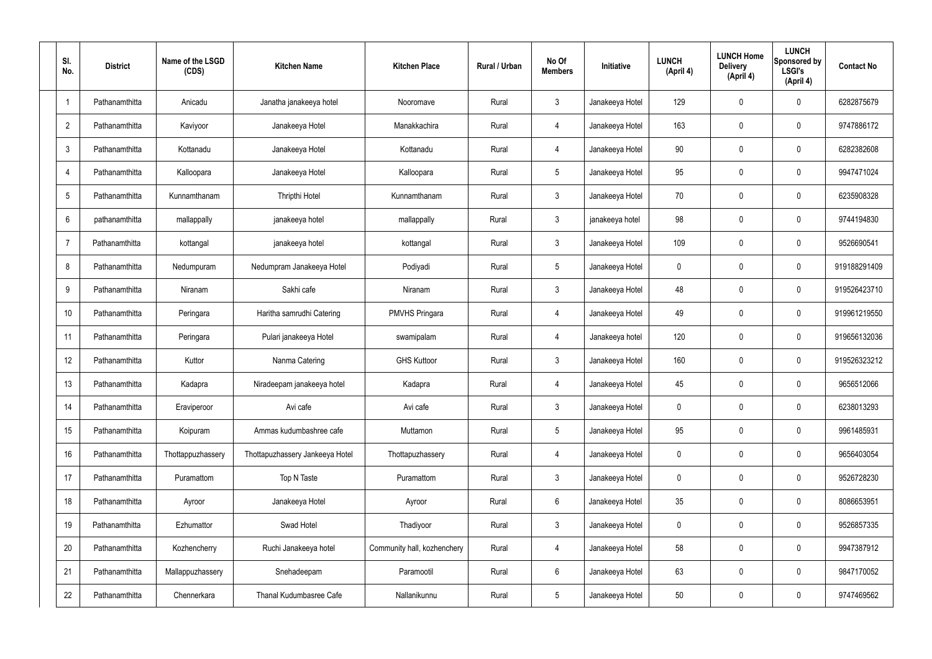| SI.<br>No.      | <b>District</b> | Name of the LSGD<br>(CDS) | <b>Kitchen Name</b>             | <b>Kitchen Place</b>        | Rural / Urban | No Of<br><b>Members</b> | Initiative      | <b>LUNCH</b><br>(April 4) | <b>LUNCH Home</b><br><b>Delivery</b><br>(April 4) | <b>LUNCH</b><br>Sponsored by<br><b>LSGI's</b><br>(April 4) | <b>Contact No</b> |
|-----------------|-----------------|---------------------------|---------------------------------|-----------------------------|---------------|-------------------------|-----------------|---------------------------|---------------------------------------------------|------------------------------------------------------------|-------------------|
| $\overline{1}$  | Pathanamthitta  | Anicadu                   | Janatha janakeeya hotel         | Nooromave                   | Rural         | $\mathbf{3}$            | Janakeeya Hotel | 129                       | 0                                                 | $\mathbf 0$                                                | 6282875679        |
| $\overline{2}$  | Pathanamthitta  | Kaviyoor                  | Janakeeya Hotel                 | Manakkachira                | Rural         | 4                       | Janakeeya Hotel | 163                       | 0                                                 | $\pmb{0}$                                                  | 9747886172        |
| 3               | Pathanamthitta  | Kottanadu                 | Janakeeya Hotel                 | Kottanadu                   | Rural         | 4                       | Janakeeya Hotel | 90                        | 0                                                 | $\mathbf 0$                                                | 6282382608        |
| $\overline{4}$  | Pathanamthitta  | Kalloopara                | Janakeeya Hotel                 | Kalloopara                  | Rural         | $5\phantom{.0}$         | Janakeeya Hotel | 95                        | 0                                                 | $\pmb{0}$                                                  | 9947471024        |
| $5\phantom{.0}$ | Pathanamthitta  | Kunnamthanam              | Thripthi Hotel                  | Kunnamthanam                | Rural         | $\mathfrak{Z}$          | Janakeeya Hotel | 70                        | 0                                                 | $\mathbf 0$                                                | 6235908328        |
| 6               | pathanamthitta  | mallappally               | janakeeya hotel                 | mallappally                 | Rural         | $\mathfrak{Z}$          | janakeeya hotel | 98                        | 0                                                 | $\mathbf 0$                                                | 9744194830        |
| $\overline{7}$  | Pathanamthitta  | kottangal                 | janakeeya hotel                 | kottangal                   | Rural         | $\mathfrak{Z}$          | Janakeeya Hotel | 109                       | 0                                                 | $\mathbf 0$                                                | 9526690541        |
| 8               | Pathanamthitta  | Nedumpuram                | Nedumpram Janakeeya Hotel       | Podiyadi                    | Rural         | $5\phantom{.0}$         | Janakeeya Hotel | 0                         | 0                                                 | $\mathbf 0$                                                | 919188291409      |
| 9               | Pathanamthitta  | Niranam                   | Sakhi cafe                      | Niranam                     | Rural         | $\mathfrak{Z}$          | Janakeeya Hotel | 48                        | 0                                                 | $\mathbf 0$                                                | 919526423710      |
| 10              | Pathanamthitta  | Peringara                 | Haritha samrudhi Catering       | <b>PMVHS Pringara</b>       | Rural         | 4                       | Janakeeya Hotel | 49                        | 0                                                 | $\mathbf 0$                                                | 919961219550      |
| 11              | Pathanamthitta  | Peringara                 | Pulari janakeeya Hotel          | swamipalam                  | Rural         | 4                       | Janakeeya hotel | 120                       | 0                                                 | $\boldsymbol{0}$                                           | 919656132036      |
| 12              | Pathanamthitta  | Kuttor                    | Nanma Catering                  | <b>GHS Kuttoor</b>          | Rural         | $\mathbf{3}$            | Janakeeya Hotel | 160                       | 0                                                 | $\mathbf 0$                                                | 919526323212      |
| 13              | Pathanamthitta  | Kadapra                   | Niradeepam janakeeya hotel      | Kadapra                     | Rural         | 4                       | Janakeeya Hotel | 45                        | 0                                                 | $\boldsymbol{0}$                                           | 9656512066        |
| 14              | Pathanamthitta  | Eraviperoor               | Avi cafe                        | Avi cafe                    | Rural         | $\mathfrak{Z}$          | Janakeeya Hotel | 0                         | 0                                                 | $\mathbf 0$                                                | 6238013293        |
| 15              | Pathanamthitta  | Koipuram                  | Ammas kudumbashree cafe         | Muttamon                    | Rural         | $5\phantom{.0}$         | Janakeeya Hotel | 95                        | 0                                                 | $\mathbf 0$                                                | 9961485931        |
| 16              | Pathanamthitta  | Thottappuzhassery         | Thottapuzhassery Jankeeya Hotel | Thottapuzhassery            | Rural         | $\overline{4}$          | Janakeeya Hotel | 0                         | 0                                                 | $\mathbf 0$                                                | 9656403054        |
| 17              | Pathanamthitta  | Puramattom                | Top N Taste                     | Puramattom                  | Rural         | $\mathfrak{Z}$          | Janakeeya Hotel | 0                         | 0                                                 | $\mathbf 0$                                                | 9526728230        |
| 18              | Pathanamthitta  | Ayroor                    | Janakeeya Hotel                 | Ayroor                      | Rural         | $6\phantom{.}6$         | Janakeeya Hotel | 35                        | 0                                                 | $\mathbf 0$                                                | 8086653951        |
| 19              | Pathanamthitta  | Ezhumattor                | Swad Hotel                      | Thadiyoor                   | Rural         | $\mathfrak{Z}$          | Janakeeya Hotel | 0                         | 0                                                 | $\mathbf 0$                                                | 9526857335        |
| 20              | Pathanamthitta  | Kozhencherry              | Ruchi Janakeeya hotel           | Community hall, kozhenchery | Rural         | 4                       | Janakeeya Hotel | 58                        | 0                                                 | $\mathbf 0$                                                | 9947387912        |
| 21              | Pathanamthitta  | Mallappuzhassery          | Snehadeepam                     | Paramootil                  | Rural         | $6\phantom{.}$          | Janakeeya Hotel | 63                        | 0                                                 | $\mathbf 0$                                                | 9847170052        |
| 22              | Pathanamthitta  | Chennerkara               | Thanal Kudumbasree Cafe         | Nallanikunnu                | Rural         | $5\,$                   | Janakeeya Hotel | 50                        | 0                                                 | $\boldsymbol{0}$                                           | 9747469562        |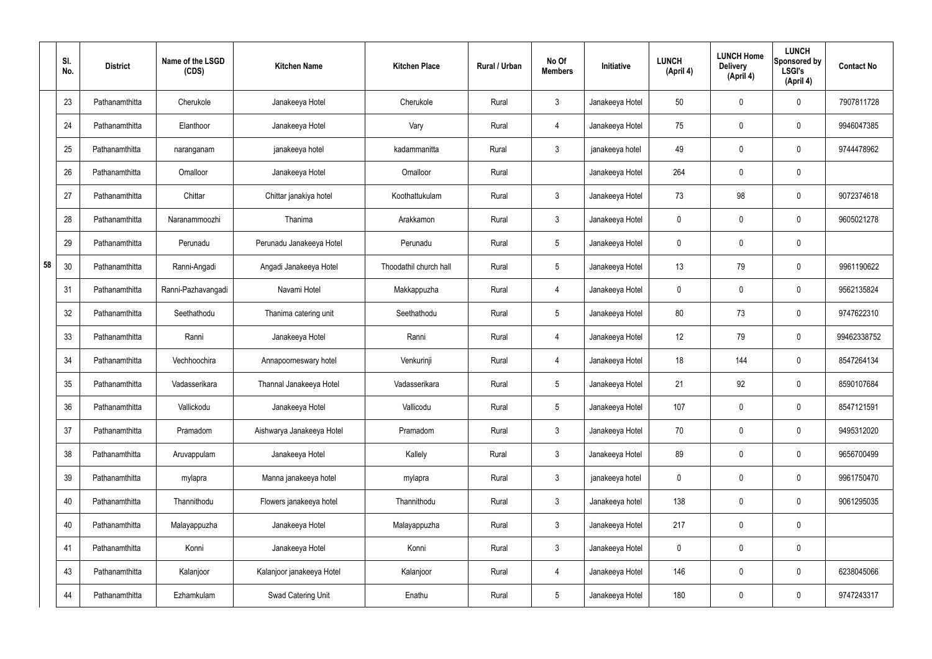|    | SI.<br>No. | <b>District</b> | Name of the LSGD<br>(CDS) | <b>Kitchen Name</b>       | <b>Kitchen Place</b>   | <b>Rural / Urban</b> | No Of<br><b>Members</b> | Initiative      | <b>LUNCH</b><br>(April 4) | <b>LUNCH Home</b><br><b>Delivery</b><br>(April 4) | <b>LUNCH</b><br>Sponsored by<br><b>LSGI's</b><br>(April 4) | <b>Contact No</b> |
|----|------------|-----------------|---------------------------|---------------------------|------------------------|----------------------|-------------------------|-----------------|---------------------------|---------------------------------------------------|------------------------------------------------------------|-------------------|
|    | 23         | Pathanamthitta  | Cherukole                 | Janakeeya Hotel           | Cherukole              | Rural                | $\mathfrak{Z}$          | Janakeeya Hotel | 50                        | 0                                                 | $\pmb{0}$                                                  | 7907811728        |
|    | 24         | Pathanamthitta  | Elanthoor                 | Janakeeya Hotel           | Vary                   | Rural                | 4                       | Janakeeya Hotel | 75                        | $\mathbf 0$                                       | $\pmb{0}$                                                  | 9946047385        |
|    | 25         | Pathanamthitta  | naranganam                | janakeeya hotel           | kadammanitta           | Rural                | $\mathbf{3}$            | janakeeya hotel | 49                        | 0                                                 | $\pmb{0}$                                                  | 9744478962        |
|    | 26         | Pathanamthitta  | Omalloor                  | Janakeeya Hotel           | Omalloor               | Rural                |                         | Janakeeya Hotel | 264                       | $\mathbf 0$                                       | $\pmb{0}$                                                  |                   |
|    | 27         | Pathanamthitta  | Chittar                   | Chittar janakiya hotel    | Koothattukulam         | Rural                | $\mathbf{3}$            | Janakeeya Hotel | 73                        | 98                                                | $\pmb{0}$                                                  | 9072374618        |
|    | 28         | Pathanamthitta  | Naranammoozhi             | Thanima                   | Arakkamon              | Rural                | $\mathbf{3}$            | Janakeeya Hotel | $\mathbf 0$               | $\mathbf 0$                                       | $\pmb{0}$                                                  | 9605021278        |
|    | 29         | Pathanamthitta  | Perunadu                  | Perunadu Janakeeya Hotel  | Perunadu               | Rural                | $5\overline{)}$         | Janakeeya Hotel | 0                         | 0                                                 | $\pmb{0}$                                                  |                   |
| 58 | 30         | Pathanamthitta  | Ranni-Angadi              | Angadi Janakeeya Hotel    | Thoodathil church hall | Rural                | $5\phantom{.0}$         | Janakeeya Hotel | 13                        | 79                                                | $\pmb{0}$                                                  | 9961190622        |
|    | 31         | Pathanamthitta  | Ranni-Pazhavangadi        | Navami Hotel              | Makkappuzha            | Rural                | 4                       | Janakeeya Hotel | 0                         | 0                                                 | $\pmb{0}$                                                  | 9562135824        |
|    | 32         | Pathanamthitta  | Seethathodu               | Thanima catering unit     | Seethathodu            | Rural                | $5\phantom{.0}$         | Janakeeya Hotel | 80                        | 73                                                | 0                                                          | 9747622310        |
|    | 33         | Pathanamthitta  | Ranni                     | Janakeeya Hotel           | Ranni                  | Rural                | 4                       | Janakeeya Hotel | 12                        | 79                                                | 0                                                          | 99462338752       |
|    | 34         | Pathanamthitta  | Vechhoochira              | Annapoorneswary hotel     | Venkurinji             | Rural                | 4                       | Janakeeya Hotel | 18                        | 144                                               | 0                                                          | 8547264134        |
|    | 35         | Pathanamthitta  | Vadasserikara             | Thannal Janakeeya Hotel   | Vadasserikara          | Rural                | $5\phantom{.0}$         | Janakeeya Hotel | 21                        | 92                                                | 0                                                          | 8590107684        |
|    | 36         | Pathanamthitta  | Vallickodu                | Janakeeya Hotel           | Vallicodu              | Rural                | $5\phantom{.0}$         | Janakeeya Hotel | 107                       | 0                                                 | $\mathbf 0$                                                | 8547121591        |
|    | 37         | Pathanamthitta  | Pramadom                  | Aishwarya Janakeeya Hotel | Pramadom               | Rural                | $\mathbf{3}$            | Janakeeya Hotel | 70                        | 0                                                 | $\mathbf 0$                                                | 9495312020        |
|    | 38         | Pathanamthitta  | Aruvappulam               | Janakeeya Hotel           | Kallely                | Rural                | $\mathbf{3}$            | Janakeeya Hotel | 89                        | 0                                                 | $\mathbf 0$                                                | 9656700499        |
|    | 39         | Pathanamthitta  | mylapra                   | Manna janakeeya hotel     | mylapra                | Rural                | $\mathfrak{Z}$          | janakeeya hotel | 0                         | 0                                                 | $\pmb{0}$                                                  | 9961750470        |
|    | 40         | Pathanamthitta  | Thannithodu               | Flowers janakeeya hotel   | Thannithodu            | Rural                | $\mathbf{3}$            | Janakeeya hotel | 138                       | 0                                                 | $\mathbf 0$                                                | 9061295035        |
|    | 40         | Pathanamthitta  | Malayappuzha              | Janakeeya Hotel           | Malayappuzha           | Rural                | $\mathfrak{Z}$          | Janakeeya Hotel | 217                       | $\mathbf 0$                                       | $\pmb{0}$                                                  |                   |
|    | 41         | Pathanamthitta  | Konni                     | Janakeeya Hotel           | Konni                  | Rural                | $\mathfrak{Z}$          | Janakeeya Hotel | 0                         | 0                                                 | $\pmb{0}$                                                  |                   |
|    | 43         | Pathanamthitta  | Kalanjoor                 | Kalanjoor janakeeya Hotel | Kalanjoor              | Rural                | 4                       | Janakeeya Hotel | 146                       | $\mathbf 0$                                       | $\mathbf 0$                                                | 6238045066        |
|    | 44         | Pathanamthitta  | Ezhamkulam                | Swad Catering Unit        | Enathu                 | Rural                | $5\phantom{.0}$         | Janakeeya Hotel | 180                       | 0                                                 | $\bf{0}$                                                   | 9747243317        |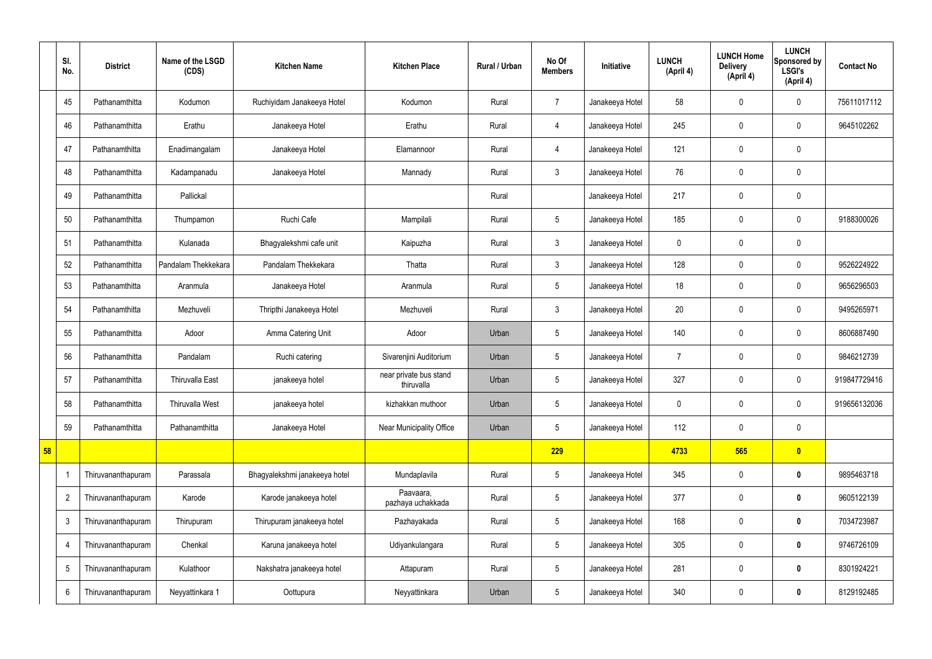|    | SI.<br>No.      | <b>District</b>    | Name of the LSGD<br>(CDS) | <b>Kitchen Name</b>           | <b>Kitchen Place</b>                 | Rural / Urban | No Of<br><b>Members</b> | Initiative      | <b>LUNCH</b><br>(April 4) | <b>LUNCH Home</b><br><b>Delivery</b><br>(April 4) | <b>LUNCH</b><br>Sponsored by<br><b>LSGI's</b><br>(April 4) | <b>Contact No</b> |
|----|-----------------|--------------------|---------------------------|-------------------------------|--------------------------------------|---------------|-------------------------|-----------------|---------------------------|---------------------------------------------------|------------------------------------------------------------|-------------------|
|    | 45              | Pathanamthitta     | Kodumon                   | Ruchiyidam Janakeeya Hotel    | Kodumon                              | Rural         | $\overline{7}$          | Janakeeya Hotel | 58                        | $\mathbf 0$                                       | $\mathbf 0$                                                | 75611017112       |
|    | 46              | Pathanamthitta     | Erathu                    | Janakeeya Hotel               | Erathu                               | Rural         | $\overline{4}$          | Janakeeya Hotel | 245                       | $\mathbf 0$                                       | $\mathbf 0$                                                | 9645102262        |
|    | 47              | Pathanamthitta     | Enadimangalam             | Janakeeya Hotel               | Elamannoor                           | Rural         | 4                       | Janakeeya Hotel | 121                       | $\mathbf 0$                                       | $\mathbf 0$                                                |                   |
|    | 48              | Pathanamthitta     | Kadampanadu               | Janakeeya Hotel               | Mannady                              | Rural         | 3                       | Janakeeya Hotel | 76                        | $\mathbf 0$                                       | $\mathbf 0$                                                |                   |
|    | 49              | Pathanamthitta     | Pallickal                 |                               |                                      | Rural         |                         | Janakeeya Hotel | 217                       | $\mathbf 0$                                       | $\mathbf 0$                                                |                   |
|    | 50              | Pathanamthitta     | Thumpamon                 | Ruchi Cafe                    | Mampilali                            | Rural         | $5\overline{)}$         | Janakeeya Hotel | 185                       | $\mathbf 0$                                       | $\mathbf 0$                                                | 9188300026        |
|    | 51              | Pathanamthitta     | Kulanada                  | Bhagyalekshmi cafe unit       | Kaipuzha                             | Rural         | 3                       | Janakeeya Hotel | $\mathbf 0$               | $\mathbf 0$                                       | $\mathbf 0$                                                |                   |
|    | 52              | Pathanamthitta     | Pandalam Thekkekara       | Pandalam Thekkekara           | Thatta                               | Rural         | 3                       | Janakeeya Hotel | 128                       | $\mathbf 0$                                       | $\mathbf 0$                                                | 9526224922        |
|    | 53              | Pathanamthitta     | Aranmula                  | Janakeeya Hotel               | Aranmula                             | Rural         | $5\overline{)}$         | Janakeeya Hotel | 18                        | 0                                                 | $\mathbf 0$                                                | 9656296503        |
|    | 54              | Pathanamthitta     | Mezhuveli                 | Thripthi Janakeeya Hotel      | Mezhuveli                            | Rural         | $\mathbf{3}$            | Janakeeya Hotel | 20                        | 0                                                 | $\mathbf 0$                                                | 9495265971        |
|    | 55              | Pathanamthitta     | Adoor                     | Amma Catering Unit            | Adoor                                | Urban         | 5                       | Janakeeya Hotel | 140                       | 0                                                 | $\mathbf 0$                                                | 8606887490        |
|    | 56              | Pathanamthitta     | Pandalam                  | Ruchi catering                | Sivarenjini Auditorium               | Urban         | 5                       | Janakeeya Hotel | $\overline{7}$            | 0                                                 | $\mathbf 0$                                                | 9846212739        |
|    | 57              | Pathanamthitta     | <b>Thiruvalla East</b>    | janakeeya hotel               | near private bus stand<br>thiruvalla | Urban         | 5                       | Janakeeya Hotel | 327                       | $\mathbf 0$                                       | $\mathbf 0$                                                | 919847729416      |
|    | 58              | Pathanamthitta     | <b>Thiruvalla West</b>    | janakeeya hotel               | kizhakkan muthoor                    | Urban         | 5                       | Janakeeya Hotel | $\mathbf 0$               | $\pmb{0}$                                         | $\mathbf 0$                                                | 919656132036      |
|    | 59              | Pathanamthitta     | Pathanamthitta            | Janakeeya Hotel               | Near Municipality Office             | Urban         | 5                       | Janakeeya Hotel | 112                       | 0                                                 | $\mathbf 0$                                                |                   |
| 58 |                 |                    |                           |                               |                                      |               | 229                     |                 | 4733                      | 565                                               | $\bullet$                                                  |                   |
|    |                 | Thiruvananthapuram | Parassala                 | Bhagyalekshmi janakeeya hotel | Mundaplavila                         | Rural         | $5\phantom{.0}$         | Janakeeya Hotel | 345                       | 0                                                 | $\mathbf 0$                                                | 9895463718        |
|    | $\overline{2}$  | Thiruvananthapuram | Karode                    | Karode janakeeya hotel        | Paavaara,<br>pazhaya uchakkada       | Rural         | $5\phantom{.0}$         | Janakeeya Hotel | 377                       | 0                                                 | $\bf{0}$                                                   | 9605122139        |
|    | 3               | Thiruvananthapuram | Thirupuram                | Thirupuram janakeeya hotel    | Pazhayakada                          | Rural         | $5\phantom{.0}$         | Janakeeya Hotel | 168                       | 0                                                 | $\bf{0}$                                                   | 7034723987        |
|    | 4               | Thiruvananthapuram | Chenkal                   | Karuna janakeeya hotel        | Udiyankulangara                      | Rural         | $5\overline{)}$         | Janakeeya Hotel | 305                       | 0                                                 | $\bf{0}$                                                   | 9746726109        |
|    | $5\phantom{.0}$ | Thiruvananthapuram | Kulathoor                 | Nakshatra janakeeya hotel     | Attapuram                            | Rural         | $5\phantom{.0}$         | Janakeeya Hotel | 281                       | 0                                                 | $\bf{0}$                                                   | 8301924221        |
|    | 6               | Thiruvananthapuram | Neyyattinkara 1           | Oottupura                     | Neyyattinkara                        | Urban         | 5                       | Janakeeya Hotel | 340                       | 0                                                 | $\bf{0}$                                                   | 8129192485        |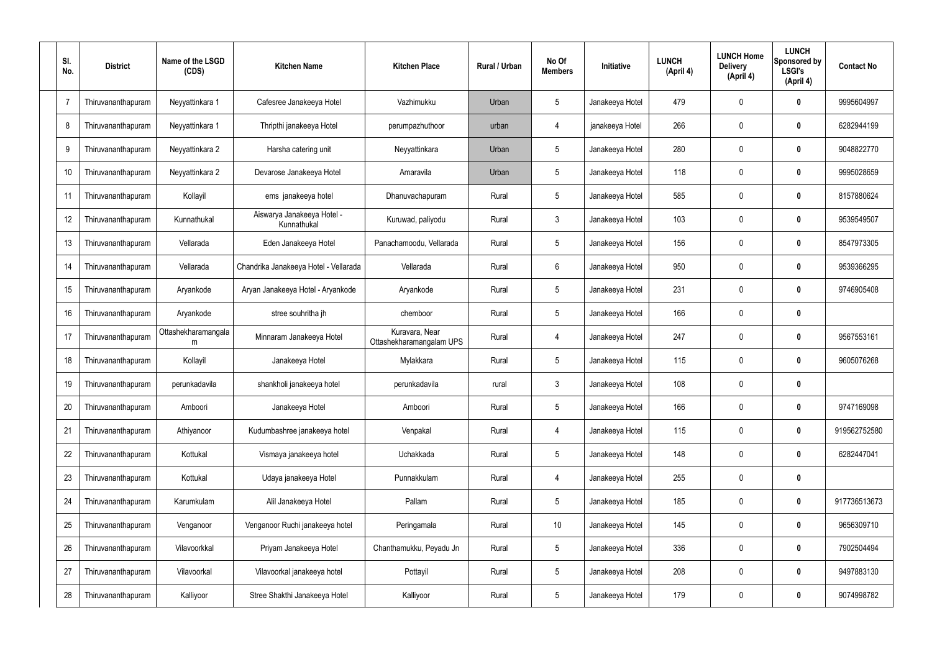| SI.<br>No. | <b>District</b>           | Name of the LSGD<br>(CDS) | <b>Kitchen Name</b>                       | <b>Kitchen Place</b>                       | Rural / Urban | No Of<br><b>Members</b> | <b>Initiative</b> | <b>LUNCH</b><br>(April 4) | <b>LUNCH Home</b><br><b>Delivery</b><br>(April 4) | <b>LUNCH</b><br>Sponsored by<br><b>LSGI's</b><br>(April 4) | <b>Contact No</b> |
|------------|---------------------------|---------------------------|-------------------------------------------|--------------------------------------------|---------------|-------------------------|-------------------|---------------------------|---------------------------------------------------|------------------------------------------------------------|-------------------|
| -7         | Thiruvananthapuram        | Neyyattinkara 1           | Cafesree Janakeeya Hotel                  | Vazhimukku                                 | Urban         | 5                       | Janakeeya Hotel   | 479                       | 0                                                 | 0                                                          | 9995604997        |
| 8          | Thiruvananthapuram        | Neyyattinkara 1           | Thripthi janakeeya Hotel                  | perumpazhuthoor                            | urban         | 4                       | janakeeya Hotel   | 266                       | 0                                                 | $\boldsymbol{0}$                                           | 6282944199        |
| 9          | <b>Thiruvananthapuram</b> | Neyyattinkara 2           | Harsha catering unit                      | Neyyattinkara                              | Urban         | 5                       | Janakeeya Hotel   | 280                       | 0                                                 | 0                                                          | 9048822770        |
| 10         | Thiruvananthapuram        | Neyyattinkara 2           | Devarose Janakeeya Hotel                  | Amaravila                                  | Urban         | 5                       | Janakeeya Hotel   | 118                       | 0                                                 | $\boldsymbol{0}$                                           | 9995028659        |
| 11         | Thiruvananthapuram        | Kollayil                  | ems janakeeya hotel                       | Dhanuvachapuram                            | Rural         | $5\phantom{.0}$         | Janakeeya Hotel   | 585                       | 0                                                 | 0                                                          | 8157880624        |
| 12         | Thiruvananthapuram        | Kunnathukal               | Aiswarya Janakeeya Hotel -<br>Kunnathukal | Kuruwad, paliyodu                          | Rural         | $\mathfrak{Z}$          | Janakeeya Hotel   | 103                       | $\mathbf 0$                                       | $\mathbf 0$                                                | 9539549507        |
| 13         | Thiruvananthapuram        | Vellarada                 | Eden Janakeeya Hotel                      | Panachamoodu, Vellarada                    | Rural         | $5\phantom{.0}$         | Janakeeya Hotel   | 156                       | $\mathbf 0$                                       | 0                                                          | 8547973305        |
| 14         | Thiruvananthapuram        | Vellarada                 | Chandrika Janakeeya Hotel - Vellarada     | Vellarada                                  | Rural         | $6\phantom{.}6$         | Janakeeya Hotel   | 950                       | $\mathbf 0$                                       | $\mathbf 0$                                                | 9539366295        |
| 15         | Thiruvananthapuram        | Aryankode                 | Aryan Janakeeya Hotel - Aryankode         | Aryankode                                  | Rural         | $5\phantom{.0}$         | Janakeeya Hotel   | 231                       | 0                                                 | 0                                                          | 9746905408        |
| 16         | Thiruvananthapuram        | Aryankode                 | stree souhritha jh                        | chemboor                                   | Rural         | $5\phantom{.0}$         | Janakeeya Hotel   | 166                       | 0                                                 | $\mathbf 0$                                                |                   |
| 17         | Thiruvananthapuram        | Ottashekharamangala<br>m  | Minnaram Janakeeya Hotel                  | Kuravara, Near<br>Ottashekharamangalam UPS | Rural         | 4                       | Janakeeya Hotel   | 247                       | 0                                                 | $\bf{0}$                                                   | 9567553161        |
| 18         | Thiruvananthapuram        | Kollayil                  | Janakeeya Hotel                           | Mylakkara                                  | Rural         | $5\phantom{.0}$         | Janakeeya Hotel   | 115                       | 0                                                 | $\bf{0}$                                                   | 9605076268        |
| 19         | Thiruvananthapuram        | perunkadavila             | shankholi janakeeya hotel                 | perunkadavila                              | rural         | $\mathbf{3}$            | Janakeeya Hotel   | 108                       | 0                                                 | 0                                                          |                   |
| 20         | Thiruvananthapuram        | Amboori                   | Janakeeya Hotel                           | Amboori                                    | Rural         | $5\,$                   | Janakeeya Hotel   | 166                       | $\mathbf 0$                                       | $\mathbf 0$                                                | 9747169098        |
| 21         | Thiruvananthapuram        | Athiyanoor                | Kudumbashree janakeeya hotel              | Venpakal                                   | Rural         | 4                       | Janakeeya Hotel   | 115                       | $\mathbf 0$                                       | $\mathbf 0$                                                | 919562752580      |
| 22         | Thiruvananthapuram        | Kottukal                  | Vismaya janakeeya hotel                   | Uchakkada                                  | Rural         | $5\,$                   | Janakeeya Hotel   | 148                       | 0                                                 | $\mathbf 0$                                                | 6282447041        |
| 23         | Thiruvananthapuram        | Kottukal                  | Udaya janakeeya Hotel                     | Punnakkulam                                | Rural         | $\overline{4}$          | Janakeeya Hotel   | 255                       | 0                                                 | $\pmb{0}$                                                  |                   |
| 24         | Thiruvananthapuram        | Karumkulam                | Alil Janakeeya Hotel                      | Pallam                                     | Rural         | $5\,$                   | Janakeeya Hotel   | 185                       | 0                                                 | $\mathbf 0$                                                | 917736513673      |
| 25         | Thiruvananthapuram        | Venganoor                 | Venganoor Ruchi janakeeya hotel           | Peringamala                                | Rural         | 10 <sup>°</sup>         | Janakeeya Hotel   | 145                       | 0                                                 | $\mathbf 0$                                                | 9656309710        |
| 26         | Thiruvananthapuram        | Vilavoorkkal              | Priyam Janakeeya Hotel                    | Chanthamukku, Peyadu Jn                    | Rural         | $5\,$                   | Janakeeya Hotel   | 336                       | 0                                                 | $\mathbf 0$                                                | 7902504494        |
| 27         | Thiruvananthapuram        | Vilavoorkal               | Vilavoorkal janakeeya hotel               | Pottayil                                   | Rural         | $5\,$                   | Janakeeya Hotel   | 208                       | 0                                                 | $\mathbf 0$                                                | 9497883130        |
| 28         | Thiruvananthapuram        | Kalliyoor                 | Stree Shakthi Janakeeya Hotel             | Kalliyoor                                  | Rural         | $\sqrt{5}$              | Janakeeya Hotel   | 179                       | 0                                                 | $\pmb{0}$                                                  | 9074998782        |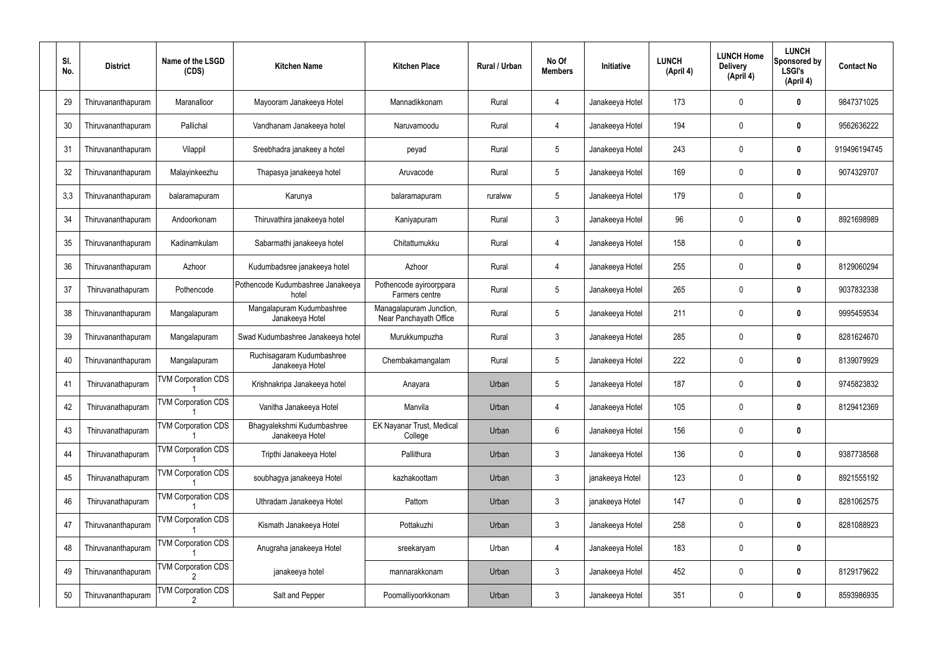| SI.<br>No. | <b>District</b>    | Name of the LSGD<br>(CDS)                    | <b>Kitchen Name</b>                           | <b>Kitchen Place</b>                              | Rural / Urban | No Of<br><b>Members</b> | Initiative      | <b>LUNCH</b><br>(April 4) | <b>LUNCH Home</b><br><b>Delivery</b><br>(April 4) | <b>LUNCH</b><br>Sponsored by<br><b>LSGI's</b><br>(April 4) | <b>Contact No</b> |
|------------|--------------------|----------------------------------------------|-----------------------------------------------|---------------------------------------------------|---------------|-------------------------|-----------------|---------------------------|---------------------------------------------------|------------------------------------------------------------|-------------------|
| 29         | Thiruvananthapuram | Maranalloor                                  | Mayooram Janakeeya Hotel                      | Mannadikkonam                                     | Rural         | 4                       | Janakeeya Hotel | 173                       | 0                                                 | 0                                                          | 9847371025        |
| 30         | Thiruvananthapuram | Pallichal                                    | Vandhanam Janakeeya hotel                     | Naruvamoodu                                       | Rural         | $\overline{4}$          | Janakeeya Hotel | 194                       | 0                                                 | 0                                                          | 9562636222        |
| 31         | Thiruvananthapuram | Vilappil                                     | Sreebhadra janakeey a hotel                   | peyad                                             | Rural         | $5\phantom{.0}$         | Janakeeya Hotel | 243                       | 0                                                 | $\boldsymbol{0}$                                           | 919496194745      |
| 32         | Thiruvananthapuram | Malayinkeezhu                                | Thapasya janakeeya hotel                      | Aruvacode                                         | Rural         | $5\phantom{.0}$         | Janakeeya Hotel | 169                       | 0                                                 | 0                                                          | 9074329707        |
| 3,3        | Thiruvananthapuram | balaramapuram                                | Karunya                                       | balaramapuram                                     | ruralww       | $5\phantom{.0}$         | Janakeeya Hotel | 179                       | 0                                                 | 0                                                          |                   |
| 34         | Thiruvananthapuram | Andoorkonam                                  | Thiruvathira janakeeya hotel                  | Kaniyapuram                                       | Rural         | $\mathfrak{Z}$          | Janakeeya Hotel | 96                        | 0                                                 | $\boldsymbol{0}$                                           | 8921698989        |
| 35         | Thiruvananthapuram | Kadinamkulam                                 | Sabarmathi janakeeya hotel                    | Chitattumukku                                     | Rural         | $\overline{4}$          | Janakeeya Hotel | 158                       | 0                                                 | 0                                                          |                   |
| 36         | Thiruvananthapuram | Azhoor                                       | Kudumbadsree janakeeya hotel                  | Azhoor                                            | Rural         | $\overline{4}$          | Janakeeya Hotel | 255                       | 0                                                 | $\boldsymbol{0}$                                           | 8129060294        |
| 37         | Thiruvanathapuram  | Pothencode                                   | Pothencode Kudumbashree Janakeeya<br>hotel    | Pothencode ayiroorppara<br>Farmers centre         | Rural         | $5\phantom{.0}$         | Janakeeya Hotel | 265                       | 0                                                 | 0                                                          | 9037832338        |
| 38         | Thiruvananthapuram | Mangalapuram                                 | Mangalapuram Kudumbashree<br>Janakeeya Hotel  | Managalapuram Junction,<br>Near Panchayath Office | Rural         | $5\phantom{.0}$         | Janakeeya Hotel | 211                       | 0                                                 | $\boldsymbol{0}$                                           | 9995459534        |
| 39         | Thiruvananthapuram | Mangalapuram                                 | Swad Kudumbashree Janakeeya hotel             | Murukkumpuzha                                     | Rural         | $\mathbf{3}$            | Janakeeya Hotel | 285                       | 0                                                 | 0                                                          | 8281624670        |
| 40         | Thiruvananthapuram | Mangalapuram                                 | Ruchisagaram Kudumbashree<br>Janakeeya Hotel  | Chembakamangalam                                  | Rural         | $5\phantom{.0}$         | Janakeeya Hotel | 222                       | 0                                                 | $\boldsymbol{0}$                                           | 8139079929        |
| 41         | Thiruvanathapuram  | <b>TVM Corporation CDS</b>                   | Krishnakripa Janakeeya hotel                  | Anayara                                           | Urban         | $5\phantom{.0}$         | Janakeeya Hotel | 187                       | 0                                                 | 0                                                          | 9745823832        |
| 42         | Thiruvanathapuram  | <b>TVM Corporation CDS</b>                   | Vanitha Janakeeya Hotel                       | Manvila                                           | Urban         | 4                       | Janakeeya Hotel | 105                       | 0                                                 | $\mathbf 0$                                                | 8129412369        |
| 43         | Thiruvanathapuram  | <b>TVM Corporation CDS</b>                   | Bhagyalekshmi Kudumbashree<br>Janakeeya Hotel | EK Nayanar Trust, Medical<br>College              | Urban         | $6\phantom{.}$          | Janakeeya Hotel | 156                       | $\mathbf 0$                                       | $\pmb{0}$                                                  |                   |
| 44         | Thiruvanathapuram  | <b>TVM Corporation CDS</b>                   | Tripthi Janakeeya Hotel                       | Pallithura                                        | Urban         | $\mathbf{3}$            | Janakeeya Hotel | 136                       | 0                                                 | $\pmb{0}$                                                  | 9387738568        |
| 45         | Thiruvanathapuram  | <b>TVM Corporation CDS</b>                   | soubhagya janakeeya Hotel                     | kazhakoottam                                      | Urban         | $\mathfrak{Z}$          | janakeeya Hotel | 123                       | $\mathbf 0$                                       | $\pmb{0}$                                                  | 8921555192        |
| 46         | Thiruvanathapuram  | <b>TVM Corporation CDS</b>                   | Uthradam Janakeeya Hotel                      | Pattom                                            | Urban         | $\mathfrak{Z}$          | janakeeya Hotel | 147                       | 0                                                 | $\pmb{0}$                                                  | 8281062575        |
| 47         | Thiruvananthapuram | <b>TVM Corporation CDS</b>                   | Kismath Janakeeya Hotel                       | Pottakuzhi                                        | Urban         | $\mathfrak{Z}$          | Janakeeya Hotel | 258                       | 0                                                 | $\mathbf 0$                                                | 8281088923        |
| 48         | Thiruvananthapuram | <b>TVM Corporation CDS</b>                   | Anugraha janakeeya Hotel                      | sreekaryam                                        | Urban         | 4                       | Janakeeya Hotel | 183                       | 0                                                 | $\pmb{0}$                                                  |                   |
| 49         | Thiruvananthapuram | <b>TVM Corporation CDS</b>                   | janakeeya hotel                               | mannarakkonam                                     | Urban         | 3                       | Janakeeya Hotel | 452                       | $\boldsymbol{0}$                                  | $\pmb{0}$                                                  | 8129179622        |
| 50         | Thiruvananthapuram | <b>TVM Corporation CDS</b><br>$\overline{2}$ | Salt and Pepper                               | Poomalliyoorkkonam                                | Urban         | $\mathfrak{Z}$          | Janakeeya Hotel | 351                       | $\boldsymbol{0}$                                  | $\pmb{0}$                                                  | 8593986935        |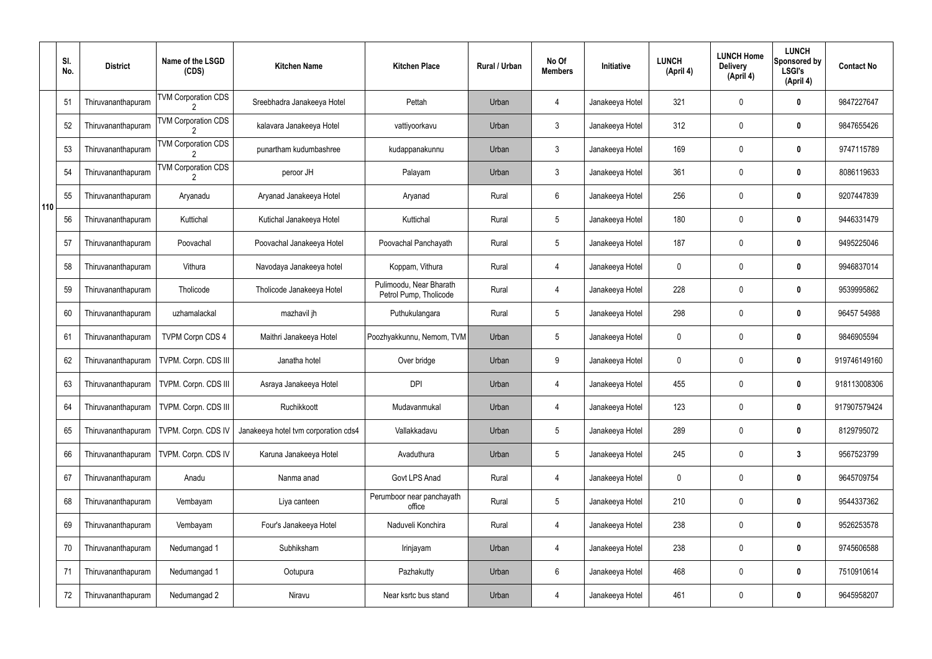|     | SI.<br>No. | <b>District</b>    | Name of the LSGD<br>(CDS)  | <b>Kitchen Name</b>                  | <b>Kitchen Place</b>                              | Rural / Urban | No Of<br><b>Members</b> | Initiative      | <b>LUNCH</b><br>(April 4) | <b>LUNCH Home</b><br><b>Delivery</b><br>(April 4) | <b>LUNCH</b><br>Sponsored by<br><b>LSGI's</b><br>(April 4) | <b>Contact No</b> |
|-----|------------|--------------------|----------------------------|--------------------------------------|---------------------------------------------------|---------------|-------------------------|-----------------|---------------------------|---------------------------------------------------|------------------------------------------------------------|-------------------|
|     | 51         | Thiruvananthapuram | <b>TVM Corporation CDS</b> | Sreebhadra Janakeeya Hotel           | Pettah                                            | Urban         | $\overline{4}$          | Janakeeya Hotel | 321                       | 0                                                 | 0                                                          | 9847227647        |
|     | 52         | Thiruvananthapuram | <b>TVM Corporation CDS</b> | kalavara Janakeeya Hotel             | vattiyoorkavu                                     | Urban         | $\mathbf{3}$            | Janakeeya Hotel | 312                       | 0                                                 | $\boldsymbol{0}$                                           | 9847655426        |
|     | 53         | Thiruvananthapuram | <b>TVM Corporation CDS</b> | punartham kudumbashree               | kudappanakunnu                                    | Urban         | $\mathbf{3}$            | Janakeeya Hotel | 169                       | 0                                                 | 0                                                          | 9747115789        |
|     | 54         | Thiruvananthapuram | <b>TVM Corporation CDS</b> | peroor JH                            | Palayam                                           | Urban         | $\mathbf{3}$            | Janakeeya Hotel | 361                       | 0                                                 | $\boldsymbol{0}$                                           | 8086119633        |
| 110 | 55         | Thiruvananthapuram | Aryanadu                   | Aryanad Janakeeya Hotel              | Aryanad                                           | Rural         | $6\phantom{.}6$         | Janakeeya Hotel | 256                       | 0                                                 | 0                                                          | 9207447839        |
|     | 56         | Thiruvananthapuram | Kuttichal                  | Kutichal Janakeeya Hotel             | Kuttichal                                         | Rural         | $5\phantom{.0}$         | Janakeeya Hotel | 180                       | 0                                                 | $\boldsymbol{0}$                                           | 9446331479        |
|     | 57         | Thiruvananthapuram | Poovachal                  | Poovachal Janakeeya Hotel            | Poovachal Panchayath                              | Rural         | $5\phantom{.0}$         | Janakeeya Hotel | 187                       | 0                                                 | 0                                                          | 9495225046        |
|     | 58         | Thiruvananthapuram | Vithura                    | Navodaya Janakeeya hotel             | Koppam, Vithura                                   | Rural         | $\overline{4}$          | Janakeeya Hotel | $\mathbf 0$               | 0                                                 | $\mathbf 0$                                                | 9946837014        |
|     | 59         | Thiruvananthapuram | Tholicode                  | Tholicode Janakeeya Hotel            | Pulimoodu, Near Bharath<br>Petrol Pump, Tholicode | Rural         | 4                       | Janakeeya Hotel | 228                       | 0                                                 | 0                                                          | 9539995862        |
|     | 60         | Thiruvananthapuram | uzhamalackal               | mazhavil jh                          | Puthukulangara                                    | Rural         | $5\phantom{.0}$         | Janakeeya Hotel | 298                       | 0                                                 | $\boldsymbol{0}$                                           | 96457 54988       |
|     | 61         | Thiruvananthapuram | <b>TVPM Corpn CDS 4</b>    | Maithri Janakeeya Hotel              | Poozhyakkunnu, Nemom, TVM                         | Urban         | $5\phantom{.0}$         | Janakeeya Hotel | $\mathbf 0$               | 0                                                 | $\boldsymbol{0}$                                           | 9846905594        |
|     | 62         | Thiruvananthapuram | TVPM. Corpn. CDS III       | Janatha hotel                        | Over bridge                                       | Urban         | 9                       | Janakeeya Hotel | $\mathbf 0$               | 0                                                 | $\boldsymbol{0}$                                           | 919746149160      |
|     | 63         | Thiruvananthapuram | TVPM. Corpn. CDS III       | Asraya Janakeeya Hotel               | <b>DPI</b>                                        | Urban         | 4                       | Janakeeya Hotel | 455                       | 0                                                 | 0                                                          | 918113008306      |
|     | 64         | Thiruvananthapuram | TVPM. Corpn. CDS III       | Ruchikkoott                          | Mudavanmukal                                      | Urban         | $\overline{4}$          | Janakeeya Hotel | 123                       | 0                                                 | $\mathbf 0$                                                | 917907579424      |
|     | 65         | Thiruvananthapuram | TVPM. Corpn. CDS IV        | Janakeeya hotel tvm corporation cds4 | Vallakkadavu                                      | Urban         | $5\phantom{.0}$         | Janakeeya Hotel | 289                       | 0                                                 | $\mathbf 0$                                                | 8129795072        |
|     | 66         | Thiruvananthapuram | TVPM. Corpn. CDS IV        | Karuna Janakeeya Hotel               | Avaduthura                                        | Urban         | $5\phantom{.0}$         | Janakeeya Hotel | 245                       | 0                                                 | $\mathbf{3}$                                               | 9567523799        |
|     | 67         | Thiruvananthapuram | Anadu                      | Nanma anad                           | Govt LPS Anad                                     | Rural         | $\overline{4}$          | Janakeeya Hotel | $\mathbf 0$               | 0                                                 | $\mathbf 0$                                                | 9645709754        |
|     | 68         | Thiruvananthapuram | Vembayam                   | Liya canteen                         | Perumboor near panchayath<br>office               | Rural         | $5\phantom{.0}$         | Janakeeya Hotel | 210                       | 0                                                 | $\mathbf 0$                                                | 9544337362        |
|     | 69         | Thiruvananthapuram | Vembayam                   | Four's Janakeeya Hotel               | Naduveli Konchira                                 | Rural         | $\overline{4}$          | Janakeeya Hotel | 238                       | 0                                                 | $\mathbf 0$                                                | 9526253578        |
|     | 70         | Thiruvananthapuram | Nedumangad 1               | Subhiksham                           | Irinjayam                                         | Urban         | $\overline{4}$          | Janakeeya Hotel | 238                       | 0                                                 | $\mathbf 0$                                                | 9745606588        |
|     | 71         | Thiruvananthapuram | Nedumangad 1               | Ootupura                             | Pazhakutty                                        | Urban         | $6\phantom{.}6$         | Janakeeya Hotel | 468                       | $\boldsymbol{0}$                                  | $\mathbf 0$                                                | 7510910614        |
|     | 72         | Thiruvananthapuram | Nedumangad 2               | Niravu                               | Near ksrtc bus stand                              | Urban         | 4                       | Janakeeya Hotel | 461                       | $\pmb{0}$                                         | $\bm{0}$                                                   | 9645958207        |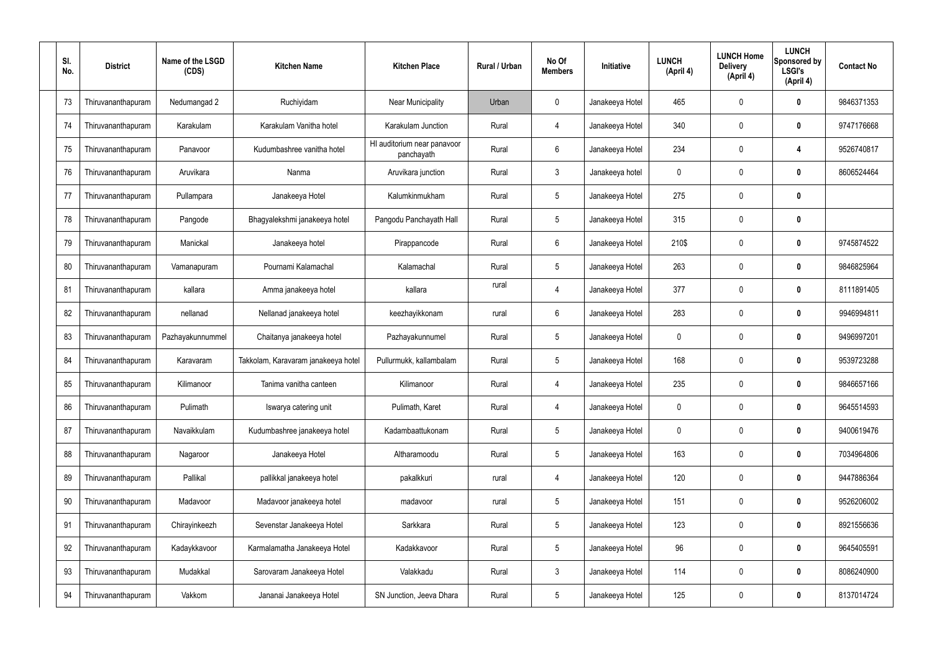| SI.<br>No. | <b>District</b>    | Name of the LSGD<br>(CDS) | <b>Kitchen Name</b>                 | <b>Kitchen Place</b>                      | Rural / Urban | No Of<br><b>Members</b> | Initiative      | <b>LUNCH</b><br>(April 4) | <b>LUNCH Home</b><br><b>Delivery</b><br>(April 4) | <b>LUNCH</b><br><b>Sponsored by</b><br><b>LSGI's</b><br>(April 4) | <b>Contact No</b> |
|------------|--------------------|---------------------------|-------------------------------------|-------------------------------------------|---------------|-------------------------|-----------------|---------------------------|---------------------------------------------------|-------------------------------------------------------------------|-------------------|
| 73         | Thiruvananthapuram | Nedumangad 2              | Ruchiyidam                          | <b>Near Municipality</b>                  | Urban         | $\mathbf 0$             | Janakeeya Hotel | 465                       | 0                                                 | 0                                                                 | 9846371353        |
| 74         | Thiruvananthapuram | Karakulam                 | Karakulam Vanitha hotel             | Karakulam Junction                        | Rural         | 4                       | Janakeeya Hotel | 340                       | $\mathbf 0$                                       | 0                                                                 | 9747176668        |
| 75         | Thiruvananthapuram | Panavoor                  | Kudumbashree vanitha hotel          | HI auditorium near panavoor<br>panchayath | Rural         | 6                       | Janakeeya Hotel | 234                       | 0                                                 | 4                                                                 | 9526740817        |
| 76         | Thiruvananthapuram | Aruvikara                 | Nanma                               | Aruvikara junction                        | Rural         | $\mathbf{3}$            | Janakeeya hotel | $\mathbf 0$               | $\mathbf 0$                                       | 0                                                                 | 8606524464        |
| 77         | Thiruvananthapuram | Pullampara                | Janakeeya Hotel                     | Kalumkinmukham                            | Rural         | $5\phantom{.0}$         | Janakeeya Hotel | 275                       | $\mathbf 0$                                       | 0                                                                 |                   |
| 78         | Thiruvananthapuram | Pangode                   | Bhagyalekshmi janakeeya hotel       | Pangodu Panchayath Hall                   | Rural         | 5                       | Janakeeya Hotel | 315                       | $\mathbf 0$                                       | 0                                                                 |                   |
| 79         | Thiruvananthapuram | Manickal                  | Janakeeya hotel                     | Pirappancode                              | Rural         | 6                       | Janakeeya Hotel | 210\$                     | 0                                                 | 0                                                                 | 9745874522        |
| 80         | Thiruvananthapuram | Vamanapuram               | Pournami Kalamachal                 | Kalamachal                                | Rural         | $5\phantom{.0}$         | Janakeeya Hotel | 263                       | $\mathbf 0$                                       | 0                                                                 | 9846825964        |
| 81         | Thiruvananthapuram | kallara                   | Amma janakeeya hotel                | kallara                                   | rural         | $\overline{4}$          | Janakeeya Hotel | 377                       | $\mathbf 0$                                       | 0                                                                 | 8111891405        |
| 82         | Thiruvananthapuram | nellanad                  | Nellanad janakeeya hotel            | keezhayikkonam                            | rural         | 6                       | Janakeeya Hotel | 283                       | $\mathbf 0$                                       | 0                                                                 | 9946994811        |
| 83         | Thiruvananthapuram | Pazhayakunnummel          | Chaitanya janakeeya hotel           | Pazhayakunnumel                           | Rural         | $5\phantom{.0}$         | Janakeeya Hotel | 0                         | 0                                                 | 0                                                                 | 9496997201        |
| 84         | Thiruvananthapuram | Karavaram                 | Takkolam, Karavaram janakeeya hotel | Pullurmukk, kallambalam                   | Rural         | $5\phantom{.0}$         | Janakeeya Hotel | 168                       | 0                                                 | 0                                                                 | 9539723288        |
| 85         | Thiruvananthapuram | Kilimanoor                | Tanima vanitha canteen              | Kilimanoor                                | Rural         | 4                       | Janakeeya Hotel | 235                       | 0                                                 | 0                                                                 | 9846657166        |
| 86         | Thiruvananthapuram | Pulimath                  | Iswarya catering unit               | Pulimath, Karet                           | Rural         | $\overline{4}$          | Janakeeya Hotel | $\mathbf 0$               | $\mathbf 0$                                       | 0                                                                 | 9645514593        |
| 87         | Thiruvananthapuram | Navaikkulam               | Kudumbashree janakeeya hotel        | Kadambaattukonam                          | Rural         | $5\phantom{.0}$         | Janakeeya Hotel | $\mathbf 0$               | $\mathbf 0$                                       | 0                                                                 | 9400619476        |
| 88         | Thiruvananthapuram | Nagaroor                  | Janakeeya Hotel                     | Altharamoodu                              | Rural         | $5\phantom{.0}$         | Janakeeya Hotel | 163                       | $\mathbf 0$                                       | 0                                                                 | 7034964806        |
| 89         | Thiruvananthapuram | Pallikal                  | pallikkal janakeeya hotel           | pakalkkuri                                | rural         | $\overline{4}$          | Janakeeya Hotel | 120                       | $\pmb{0}$                                         | 0                                                                 | 9447886364        |
| 90         | Thiruvananthapuram | Madavoor                  | Madavoor janakeeya hotel            | madavoor                                  | rural         | $5\phantom{.0}$         | Janakeeya Hotel | 151                       | $\mathbf 0$                                       | 0                                                                 | 9526206002        |
| 91         | Thiruvananthapuram | Chirayinkeezh             | Sevenstar Janakeeya Hotel           | Sarkkara                                  | Rural         | $5\phantom{.0}$         | Janakeeya Hotel | 123                       | $\pmb{0}$                                         | 0                                                                 | 8921556636        |
| 92         | Thiruvananthapuram | Kadaykkavoor              | Karmalamatha Janakeeya Hotel        | Kadakkavoor                               | Rural         | $5\phantom{.0}$         | Janakeeya Hotel | 96                        | $\mathbf 0$                                       | 0                                                                 | 9645405591        |
| 93         | Thiruvananthapuram | Mudakkal                  | Sarovaram Janakeeya Hotel           | Valakkadu                                 | Rural         | $\mathbf{3}$            | Janakeeya Hotel | 114                       | $\mathbf 0$                                       | $\pmb{0}$                                                         | 8086240900        |
| 94         | Thiruvananthapuram | Vakkom                    | Jananai Janakeeya Hotel             | SN Junction, Jeeva Dhara                  | Rural         | $5\phantom{.0}$         | Janakeeya Hotel | 125                       | $\pmb{0}$                                         | $\boldsymbol{0}$                                                  | 8137014724        |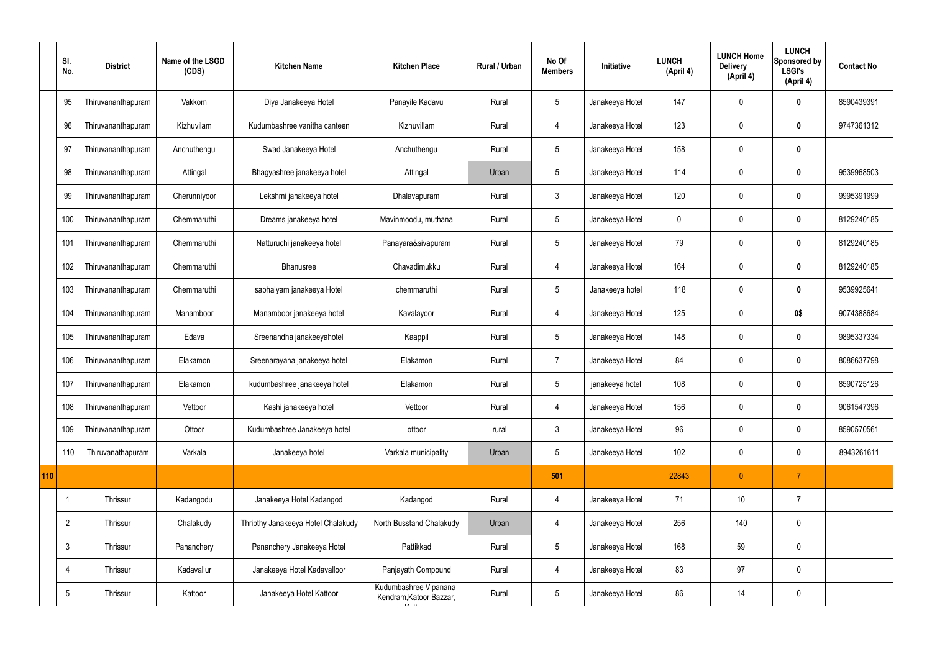|     | SI.<br>No.      | <b>District</b>    | Name of the LSGD<br>(CDS) | <b>Kitchen Name</b>                | <b>Kitchen Place</b>                             | <b>Rural / Urban</b> | No Of<br><b>Members</b> | Initiative      | <b>LUNCH</b><br>(April 4) | <b>LUNCH Home</b><br><b>Delivery</b><br>(April 4) | <b>LUNCH</b><br>Sponsored by<br><b>LSGI's</b><br>(April 4) | <b>Contact No</b> |
|-----|-----------------|--------------------|---------------------------|------------------------------------|--------------------------------------------------|----------------------|-------------------------|-----------------|---------------------------|---------------------------------------------------|------------------------------------------------------------|-------------------|
|     | 95              | Thiruvananthapuram | Vakkom                    | Diya Janakeeya Hotel               | Panayile Kadavu                                  | Rural                | 5                       | Janakeeya Hotel | 147                       | 0                                                 | $\bf{0}$                                                   | 8590439391        |
|     | 96              | Thiruvananthapuram | Kizhuvilam                | Kudumbashree vanitha canteen       | Kizhuvillam                                      | Rural                | $\overline{4}$          | Janakeeya Hotel | 123                       | 0                                                 | $\bm{0}$                                                   | 9747361312        |
|     | 97              | Thiruvananthapuram | Anchuthengu               | Swad Janakeeya Hotel               | Anchuthengu                                      | Rural                | $5\phantom{.0}$         | Janakeeya Hotel | 158                       | 0                                                 | $\bm{0}$                                                   |                   |
|     | 98              | Thiruvananthapuram | Attingal                  | Bhagyashree janakeeya hotel        | Attingal                                         | Urban                | 5                       | Janakeeya Hotel | 114                       | 0                                                 | $\bm{0}$                                                   | 9539968503        |
|     | 99              | Thiruvananthapuram | Cherunniyoor              | Lekshmi janakeeya hotel            | Dhalavapuram                                     | Rural                | $\mathbf{3}$            | Janakeeya Hotel | 120                       | 0                                                 | $\mathbf 0$                                                | 9995391999        |
|     | 100             | Thiruvananthapuram | Chemmaruthi               | Dreams janakeeya hotel             | Mavinmoodu, muthana                              | Rural                | 5                       | Janakeeya Hotel | 0                         | 0                                                 | $\bm{0}$                                                   | 8129240185        |
|     | 101             | Thiruvananthapuram | Chemmaruthi               | Natturuchi janakeeya hotel         | Panayara&sivapuram                               | Rural                | $5\overline{)}$         | Janakeeya Hotel | 79                        | 0                                                 | $\mathbf 0$                                                | 8129240185        |
|     | 102             | Thiruvananthapuram | Chemmaruthi               | <b>Bhanusree</b>                   | Chavadimukku                                     | Rural                | $\overline{4}$          | Janakeeya Hotel | 164                       | 0                                                 | $\bm{0}$                                                   | 8129240185        |
|     | 103             | Thiruvananthapuram | Chemmaruthi               | saphalyam janakeeya Hotel          | chemmaruthi                                      | Rural                | 5                       | Janakeeya hotel | 118                       | 0                                                 | $\mathbf 0$                                                | 9539925641        |
|     | 104             | Thiruvananthapuram | Manamboor                 | Manamboor janakeeya hotel          | Kavalayoor                                       | Rural                | 4                       | Janakeeya Hotel | 125                       | 0                                                 | 0\$                                                        | 9074388684        |
|     | 105             | Thiruvananthapuram | Edava                     | Sreenandha janakeeyahotel          | Kaappil                                          | Rural                | $5\overline{)}$         | Janakeeya Hotel | 148                       | 0                                                 | $\bm{0}$                                                   | 9895337334        |
|     | 106             | Thiruvananthapuram | Elakamon                  | Sreenarayana janakeeya hotel       | Elakamon                                         | Rural                | 7                       | Janakeeya Hotel | 84                        | 0                                                 | $\bm{0}$                                                   | 8086637798        |
|     | 107             | Thiruvananthapuram | Elakamon                  | kudumbashree janakeeya hotel       | Elakamon                                         | Rural                | 5                       | janakeeya hotel | 108                       | 0                                                 | 0                                                          | 8590725126        |
|     | 108             | Thiruvananthapuram | Vettoor                   | Kashi janakeeya hotel              | Vettoor                                          | Rural                | $\overline{4}$          | Janakeeya Hotel | 156                       | 0                                                 | $\mathbf 0$                                                | 9061547396        |
|     | 109             | Thiruvananthapuram | Ottoor                    | Kudumbashree Janakeeya hotel       | ottoor                                           | rural                | $\mathbf{3}$            | Janakeeya Hotel | 96                        | 0                                                 | $\mathbf 0$                                                | 8590570561        |
|     | 110             | Thiruvanathapuram  | Varkala                   | Janakeeya hotel                    | Varkala municipality                             | Urban                | $5\phantom{.0}$         | Janakeeya Hotel | 102                       | 0                                                 | $\mathbf 0$                                                | 8943261611        |
| 110 |                 |                    |                           |                                    |                                                  |                      | 501                     |                 | 22843                     | $\overline{0}$                                    | $\overline{7}$                                             |                   |
|     | $\mathbf{1}$    | Thrissur           | Kadangodu                 | Janakeeya Hotel Kadangod           | Kadangod                                         | Rural                | 4                       | Janakeeya Hotel | 71                        | 10                                                | $\overline{7}$                                             |                   |
|     | $\overline{2}$  | Thrissur           | Chalakudy                 | Thripthy Janakeeya Hotel Chalakudy | North Busstand Chalakudy                         | Urban                | 4                       | Janakeeya Hotel | 256                       | 140                                               | $\pmb{0}$                                                  |                   |
|     | $\mathbf{3}$    | Thrissur           | Pananchery                | Pananchery Janakeeya Hotel         | Pattikkad                                        | Rural                | $5\phantom{.0}$         | Janakeeya Hotel | 168                       | 59                                                | $\pmb{0}$                                                  |                   |
|     | $\overline{4}$  | Thrissur           | Kadavallur                | Janakeeya Hotel Kadavalloor        | Panjayath Compound                               | Rural                | 4                       | Janakeeya Hotel | 83                        | 97                                                | $\pmb{0}$                                                  |                   |
|     | $5\phantom{.0}$ | Thrissur           | Kattoor                   | Janakeeya Hotel Kattoor            | Kudumbashree Vipanana<br>Kendram, Katoor Bazzar, | Rural                | $5\phantom{.0}$         | Janakeeya Hotel | 86                        | 14                                                | $\pmb{0}$                                                  |                   |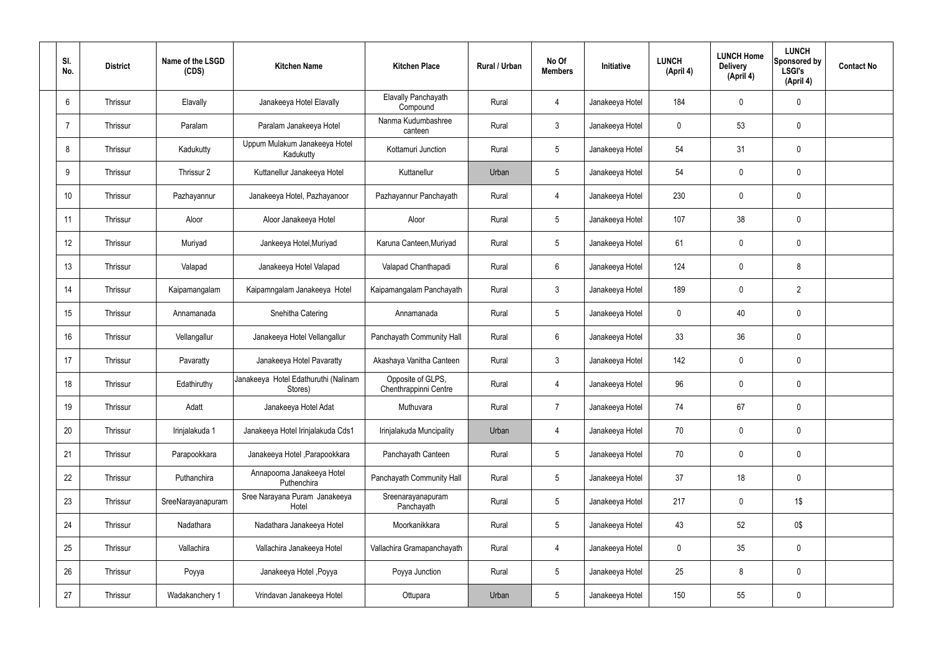| SI.<br>No.     | <b>District</b> | Name of the LSGD<br>(CDS) | <b>Kitchen Name</b>                             | <b>Kitchen Place</b>                       | Rural / Urban | No Of<br><b>Members</b> | Initiative      | <b>LUNCH</b><br>(April 4) | <b>LUNCH Home</b><br><b>Delivery</b><br>(April 4) | <b>LUNCH</b><br>Sponsored by<br><b>LSGI's</b><br>(April 4) | <b>Contact No</b> |
|----------------|-----------------|---------------------------|-------------------------------------------------|--------------------------------------------|---------------|-------------------------|-----------------|---------------------------|---------------------------------------------------|------------------------------------------------------------|-------------------|
| $6^{\circ}$    | Thrissur        | Elavally                  | Janakeeya Hotel Elavally                        | Elavally Panchayath<br>Compound            | Rural         | $\overline{4}$          | Janakeeya Hotel | 184                       | 0                                                 | $\pmb{0}$                                                  |                   |
| $\overline{7}$ | Thrissur        | Paralam                   | Paralam Janakeeya Hotel                         | Nanma Kudumbashree<br>canteen              | Rural         | $\mathbf{3}$            | Janakeeya Hotel | 0                         | 53                                                | $\pmb{0}$                                                  |                   |
| 8              | Thrissur        | Kadukutty                 | Uppum Mulakum Janakeeya Hotel<br>Kadukutty      | Kottamuri Junction                         | Rural         | $5\phantom{.0}$         | Janakeeya Hotel | 54                        | 31                                                | $\pmb{0}$                                                  |                   |
| 9              | Thrissur        | Thrissur 2                | Kuttanellur Janakeeya Hotel                     | Kuttanellur                                | Urban         | $5\phantom{.0}$         | Janakeeya Hotel | 54                        | 0                                                 | $\pmb{0}$                                                  |                   |
| 10             | Thrissur        | Pazhayannur               | Janakeeya Hotel, Pazhayanoor                    | Pazhayannur Panchayath                     | Rural         | $\overline{4}$          | Janakeeya Hotel | 230                       | 0                                                 | $\mathbf 0$                                                |                   |
| 11             | Thrissur        | Aloor                     | Aloor Janakeeya Hotel                           | Aloor                                      | Rural         | $5\phantom{.0}$         | Janakeeya Hotel | 107                       | 38                                                | $\pmb{0}$                                                  |                   |
| 12             | Thrissur        | Muriyad                   | Jankeeya Hotel, Muriyad                         | Karuna Canteen, Muriyad                    | Rural         | $5\phantom{.0}$         | Janakeeya Hotel | 61                        | 0                                                 | $\mathbf 0$                                                |                   |
| 13             | Thrissur        | Valapad                   | Janakeeya Hotel Valapad                         | Valapad Chanthapadi                        | Rural         | $6\phantom{.}6$         | Janakeeya Hotel | 124                       | 0                                                 | 8                                                          |                   |
| 14             | Thrissur        | Kaipamangalam             | Kaipamngalam Janakeeya Hotel                    | Kaipamangalam Panchayath                   | Rural         | $\mathbf{3}$            | Janakeeya Hotel | 189                       | 0                                                 | $\overline{2}$                                             |                   |
| 15             | Thrissur        | Annamanada                | Snehitha Catering                               | Annamanada                                 | Rural         | $5\phantom{.0}$         | Janakeeya Hotel | 0                         | 40                                                | $\pmb{0}$                                                  |                   |
| 16             | Thrissur        | Vellangallur              | Janakeeya Hotel Vellangallur                    | Panchayath Community Hall                  | Rural         | $6\phantom{.}6$         | Janakeeya Hotel | 33                        | 36                                                | $\pmb{0}$                                                  |                   |
| 17             | Thrissur        | Pavaratty                 | Janakeeya Hotel Pavaratty                       | Akashaya Vanitha Canteen                   | Rural         | $\mathfrak{Z}$          | Janakeeya Hotel | 142                       | 0                                                 | $\pmb{0}$                                                  |                   |
| 18             | Thrissur        | Edathiruthy               | Janakeeya Hotel Edathuruthi (Nalinam<br>Stores) | Opposite of GLPS,<br>Chenthrappinni Centre | Rural         | 4                       | Janakeeya Hotel | 96                        | 0                                                 | $\mathbf 0$                                                |                   |
| 19             | Thrissur        | Adatt                     | Janakeeya Hotel Adat                            | Muthuvara                                  | Rural         | $\overline{7}$          | Janakeeya Hotel | 74                        | 67                                                | $\pmb{0}$                                                  |                   |
| 20             | Thrissur        | Irinjalakuda 1            | Janakeeya Hotel Irinjalakuda Cds1               | Irinjalakuda Muncipality                   | Urban         | 4                       | Janakeeya Hotel | 70                        | 0                                                 | $\mathbf 0$                                                |                   |
| 21             | Thrissur        | Parapookkara              | Janakeeya Hotel , Parapookkara                  | Panchayath Canteen                         | Rural         | $5\phantom{.0}$         | Janakeeya Hotel | 70                        | 0                                                 | $\mathbf 0$                                                |                   |
| 22             | Thrissur        | Puthanchira               | Annapoorna Janakeeya Hotel<br>Puthenchira       | Panchayath Community Hall                  | Rural         | $5\phantom{.0}$         | Janakeeya Hotel | 37                        | 18                                                | $\mathbf 0$                                                |                   |
| 23             | Thrissur        | SreeNarayanapuram         | Sree Narayana Puram Janakeeya<br>Hotel          | Sreenarayanapuram<br>Panchayath            | Rural         | $5\phantom{.0}$         | Janakeeya Hotel | 217                       | 0                                                 | $1\$                                                       |                   |
| 24             | Thrissur        | Nadathara                 | Nadathara Janakeeya Hotel                       | Moorkanikkara                              | Rural         | $5\phantom{.0}$         | Janakeeya Hotel | 43                        | 52                                                | $0\$                                                       |                   |
| 25             | Thrissur        | Vallachira                | Vallachira Janakeeya Hotel                      | Vallachira Gramapanchayath                 | Rural         | 4                       | Janakeeya Hotel | 0                         | 35                                                | $\pmb{0}$                                                  |                   |
| 26             | Thrissur        | Poyya                     | Janakeeya Hotel , Poyya                         | Poyya Junction                             | Rural         | $5\phantom{.0}$         | Janakeeya Hotel | 25                        | 8                                                 | $\mathbf 0$                                                |                   |
| 27             | Thrissur        | Wadakanchery 1            | Vrindavan Janakeeya Hotel                       | Ottupara                                   | Urban         | $5\phantom{.0}$         | Janakeeya Hotel | 150                       | 55                                                | $\pmb{0}$                                                  |                   |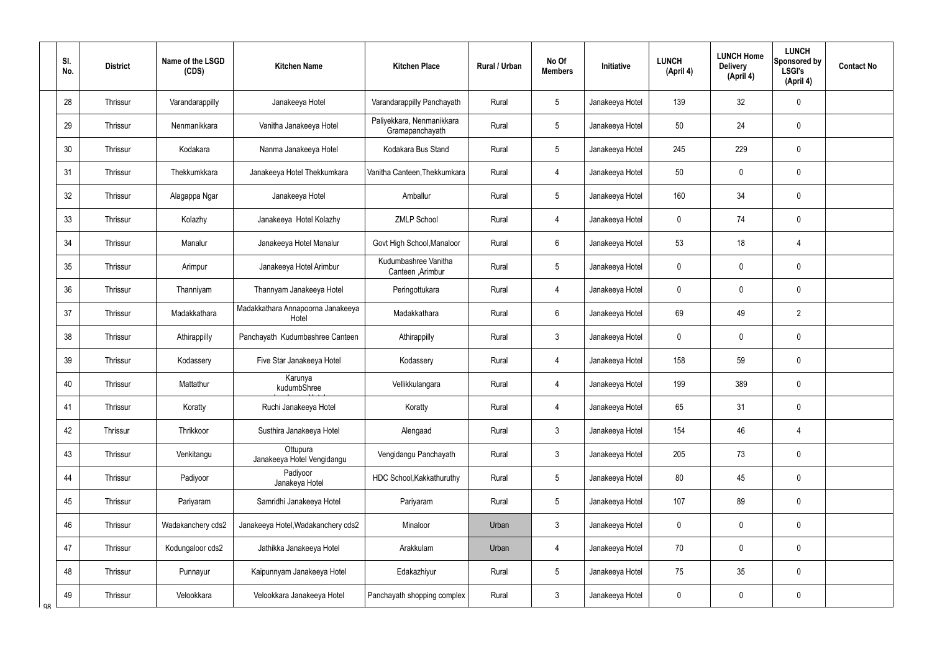|    | SI.<br>No. | <b>District</b> | Name of the LSGD<br>(CDS) | <b>Kitchen Name</b>                        | <b>Kitchen Place</b>                         | Rural / Urban | No Of<br><b>Members</b> | Initiative      | <b>LUNCH</b><br>(April 4) | <b>LUNCH Home</b><br><b>Delivery</b><br>(April 4) | <b>LUNCH</b><br>Sponsored by<br><b>LSGI's</b><br>(April 4) | <b>Contact No</b> |
|----|------------|-----------------|---------------------------|--------------------------------------------|----------------------------------------------|---------------|-------------------------|-----------------|---------------------------|---------------------------------------------------|------------------------------------------------------------|-------------------|
|    | 28         | Thrissur        | Varandarappilly           | Janakeeya Hotel                            | Varandarappilly Panchayath                   | Rural         | $5\phantom{.0}$         | Janakeeya Hotel | 139                       | 32                                                | $\mathbf 0$                                                |                   |
|    | 29         | Thrissur        | Nenmanikkara              | Vanitha Janakeeya Hotel                    | Paliyekkara, Nenmanikkara<br>Gramapanchayath | Rural         | $5\overline{)}$         | Janakeeya Hotel | 50                        | 24                                                | $\pmb{0}$                                                  |                   |
|    | 30         | Thrissur        | Kodakara                  | Nanma Janakeeya Hotel                      | Kodakara Bus Stand                           | Rural         | $5\overline{)}$         | Janakeeya Hotel | 245                       | 229                                               | $\mathbf 0$                                                |                   |
|    | 31         | Thrissur        | Thekkumkkara              | Janakeeya Hotel Thekkumkara                | Vanitha Canteen, Thekkumkara                 | Rural         | $\overline{4}$          | Janakeeya Hotel | 50                        | 0                                                 | $\mathbf 0$                                                |                   |
|    | 32         | Thrissur        | Alagappa Ngar             | Janakeeya Hotel                            | Amballur                                     | Rural         | $5\overline{)}$         | Janakeeya Hotel | 160                       | 34                                                | $\mathbf 0$                                                |                   |
|    | 33         | Thrissur        | Kolazhy                   | Janakeeya Hotel Kolazhy                    | <b>ZMLP School</b>                           | Rural         | $\overline{4}$          | Janakeeya Hotel | $\mathbf 0$               | 74                                                | $\mathbf 0$                                                |                   |
|    | 34         | Thrissur        | Manalur                   | Janakeeya Hotel Manalur                    | Govt High School, Manaloor                   | Rural         | $6\overline{6}$         | Janakeeya Hotel | 53                        | 18                                                | 4                                                          |                   |
|    | 35         | Thrissur        | Arimpur                   | Janakeeya Hotel Arimbur                    | Kudumbashree Vanitha<br>Canteen, Arimbur     | Rural         | $5\phantom{.0}$         | Janakeeya Hotel | $\mathbf 0$               | 0                                                 | $\mathbf 0$                                                |                   |
|    | 36         | Thrissur        | Thanniyam                 | Thannyam Janakeeya Hotel                   | Peringottukara                               | Rural         | $\overline{4}$          | Janakeeya Hotel | $\mathbf 0$               | 0                                                 | $\mathbf 0$                                                |                   |
|    | 37         | Thrissur        | Madakkathara              | Madakkathara Annapoorna Janakeeya<br>Hotel | Madakkathara                                 | Rural         | $6\overline{6}$         | Janakeeya Hotel | 69                        | 49                                                | $\overline{2}$                                             |                   |
|    | 38         | Thrissur        | Athirappilly              | Panchayath Kudumbashree Canteen            | Athirappilly                                 | Rural         | $\mathbf{3}$            | Janakeeya Hotel | $\mathbf 0$               | $\mathbf 0$                                       | $\pmb{0}$                                                  |                   |
|    | 39         | Thrissur        | Kodassery                 | Five Star Janakeeya Hotel                  | Kodassery                                    | Rural         | 4                       | Janakeeya Hotel | 158                       | 59                                                | $\pmb{0}$                                                  |                   |
|    | 40         | Thrissur        | Mattathur                 | Karunya<br>kudumbShree                     | Vellikkulangara                              | Rural         | 4                       | Janakeeya Hotel | 199                       | 389                                               | $\mathbf 0$                                                |                   |
|    | 41         | Thrissur        | Koratty                   | Ruchi Janakeeya Hotel                      | Koratty                                      | Rural         | 4                       | Janakeeya Hotel | 65                        | 31                                                | $\pmb{0}$                                                  |                   |
|    | 42         | Thrissur        | Thrikkoor                 | Susthira Janakeeya Hotel                   | Alengaad                                     | Rural         | $\mathbf{3}$            | Janakeeya Hotel | 154                       | 46                                                | $\overline{4}$                                             |                   |
|    | 43         | Thrissur        | Venkitangu                | Ottupura<br>Janakeeya Hotel Vengidangu     | Vengidangu Panchayath                        | Rural         | $\mathbf{3}$            | Janakeeya Hotel | 205                       | 73                                                | $\pmb{0}$                                                  |                   |
|    | 44         | Thrissur        | Padiyoor                  | Padiyoor<br>Janakeya Hotel                 | HDC School, Kakkathuruthy                    | Rural         | $5\phantom{.0}$         | Janakeeya Hotel | 80                        | 45                                                | $\mathbf 0$                                                |                   |
|    | 45         | Thrissur        | Pariyaram                 | Samridhi Janakeeya Hotel                   | Pariyaram                                    | Rural         | $5\phantom{.0}$         | Janakeeya Hotel | 107                       | 89                                                | $\mathbf 0$                                                |                   |
|    | 46         | Thrissur        | Wadakanchery cds2         | Janakeeya Hotel, Wadakanchery cds2         | Minaloor                                     | Urban         | $\mathbf{3}$            | Janakeeya Hotel | $\mathbf 0$               | 0                                                 | $\mathbf 0$                                                |                   |
|    | 47         | Thrissur        | Kodungaloor cds2          | Jathikka Janakeeya Hotel                   | Arakkulam                                    | Urban         | 4                       | Janakeeya Hotel | 70                        | 0                                                 | $\pmb{0}$                                                  |                   |
|    | 48         | Thrissur        | Punnayur                  | Kaipunnyam Janakeeya Hotel                 | Edakazhiyur                                  | Rural         | $5\overline{)}$         | Janakeeya Hotel | 75                        | 35                                                | $\mathbf 0$                                                |                   |
| QR | 49         | Thrissur        | Velookkara                | Velookkara Janakeeya Hotel                 | Panchayath shopping complex                  | Rural         | $\mathbf{3}$            | Janakeeya Hotel | 0                         | $\pmb{0}$                                         | $\pmb{0}$                                                  |                   |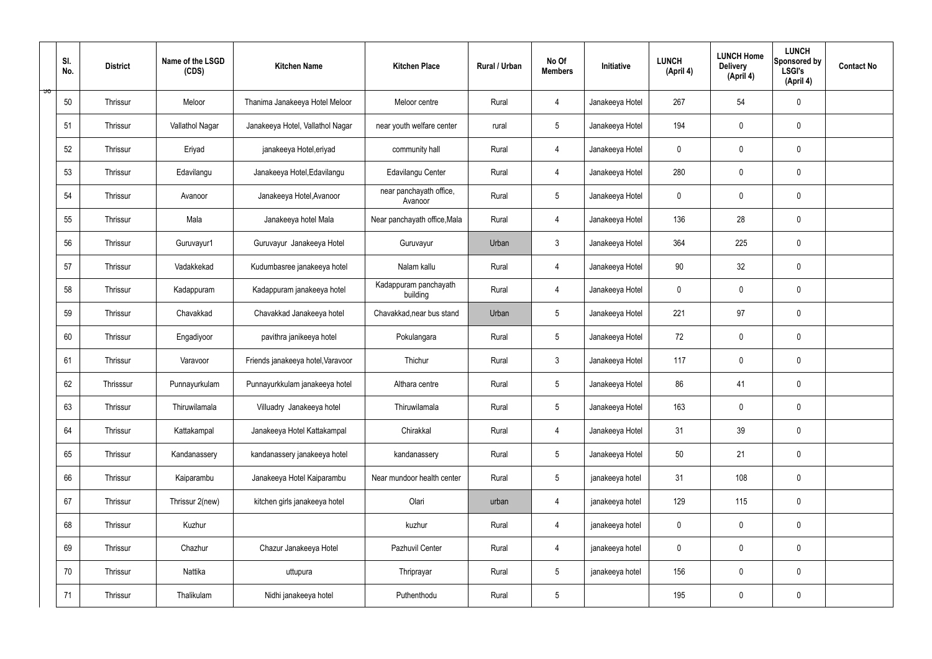|    | SI.<br>No. | <b>District</b> | Name of the LSGD<br>(CDS) | <b>Kitchen Name</b>               | <b>Kitchen Place</b>               | Rural / Urban | No Of<br><b>Members</b> | Initiative      | <b>LUNCH</b><br>(April 4) | <b>LUNCH Home</b><br><b>Delivery</b><br>(April 4) | <b>LUNCH</b><br>Sponsored by<br><b>LSGI's</b><br>(April 4) | <b>Contact No</b> |
|----|------------|-----------------|---------------------------|-----------------------------------|------------------------------------|---------------|-------------------------|-----------------|---------------------------|---------------------------------------------------|------------------------------------------------------------|-------------------|
| ಀಀ | 50         | Thrissur        | Meloor                    | Thanima Janakeeya Hotel Meloor    | Meloor centre                      | Rural         | $\overline{4}$          | Janakeeya Hotel | 267                       | 54                                                | $\mathbf 0$                                                |                   |
|    | 51         | Thrissur        | Vallathol Nagar           | Janakeeya Hotel, Vallathol Nagar  | near youth welfare center          | rural         | 5 <sup>5</sup>          | Janakeeya Hotel | 194                       | $\mathbf 0$                                       | $\mathbf 0$                                                |                   |
|    | 52         | Thrissur        | Eriyad                    | janakeeya Hotel, eriyad           | community hall                     | Rural         | 4                       | Janakeeya Hotel | $\mathbf 0$               | $\mathbf 0$                                       | $\mathbf 0$                                                |                   |
|    | 53         | Thrissur        | Edavilangu                | Janakeeya Hotel, Edavilangu       | Edavilangu Center                  | Rural         | 4                       | Janakeeya Hotel | 280                       | $\mathbf 0$                                       | $\mathbf 0$                                                |                   |
|    | 54         | Thrissur        | Avanoor                   | Janakeeya Hotel, Avanoor          | near panchayath office,<br>Avanoor | Rural         | $5\overline{)}$         | Janakeeya Hotel | $\mathbf 0$               | 0                                                 | $\mathbf 0$                                                |                   |
|    | 55         | Thrissur        | Mala                      | Janakeeya hotel Mala              | Near panchayath office, Mala       | Rural         | 4                       | Janakeeya Hotel | 136                       | 28                                                | $\pmb{0}$                                                  |                   |
|    | 56         | Thrissur        | Guruvayur1                | Guruvayur Janakeeya Hotel         | Guruvayur                          | Urban         | 3 <sup>5</sup>          | Janakeeya Hotel | 364                       | 225                                               | $\mathbf 0$                                                |                   |
|    | 57         | Thrissur        | Vadakkekad                | Kudumbasree janakeeya hotel       | Nalam kallu                        | Rural         | $\overline{4}$          | Janakeeya Hotel | 90                        | 32                                                | $\mathbf 0$                                                |                   |
|    | 58         | Thrissur        | Kadappuram                | Kadappuram janakeeya hotel        | Kadappuram panchayath<br>building  | Rural         | $\overline{4}$          | Janakeeya Hotel | $\mathbf 0$               | $\mathbf 0$                                       | $\mathbf 0$                                                |                   |
|    | 59         | Thrissur        | Chavakkad                 | Chavakkad Janakeeya hotel         | Chavakkad, near bus stand          | Urban         | $5\overline{)}$         | Janakeeya Hotel | 221                       | 97                                                | $\mathbf 0$                                                |                   |
|    | 60         | Thrissur        | Engadiyoor                | pavithra janikeeya hotel          | Pokulangara                        | Rural         | 5 <sup>5</sup>          | Janakeeya Hotel | 72                        | 0                                                 | $\pmb{0}$                                                  |                   |
|    | 61         | Thrissur        | Varavoor                  | Friends janakeeya hotel, Varavoor | Thichur                            | Rural         | 3                       | Janakeeya Hotel | 117                       | 0                                                 | $\mathbf 0$                                                |                   |
|    | 62         | Thrisssur       | Punnayurkulam             | Punnayurkkulam janakeeya hotel    | Althara centre                     | Rural         | 5 <sup>5</sup>          | Janakeeya Hotel | 86                        | 41                                                | $\mathbf 0$                                                |                   |
|    | 63         | Thrissur        | Thiruwilamala             | Villuadry Janakeeya hotel         | Thiruwilamala                      | Rural         | 5 <sup>5</sup>          | Janakeeya Hotel | 163                       | $\mathbf 0$                                       | $\mathbf 0$                                                |                   |
|    | 64         | Thrissur        | Kattakampal               | Janakeeya Hotel Kattakampal       | Chirakkal                          | Rural         | $\overline{4}$          | Janakeeya Hotel | 31                        | 39                                                | $\mathbf 0$                                                |                   |
|    | 65         | Thrissur        | Kandanassery              | kandanassery janakeeya hotel      | kandanassery                       | Rural         | 5 <sup>5</sup>          | Janakeeya Hotel | 50                        | 21                                                | $\mathbf 0$                                                |                   |
|    | 66         | Thrissur        | Kaiparambu                | Janakeeya Hotel Kaiparambu        | Near mundoor health center         | Rural         | $5\overline{)}$         | janakeeya hotel | 31                        | 108                                               | $\mathbf 0$                                                |                   |
|    | 67         | Thrissur        | Thrissur 2(new)           | kitchen girls janakeeya hotel     | Olari                              | urban         | 4                       | janakeeya hotel | 129                       | 115                                               | $\mathbf 0$                                                |                   |
|    | 68         | Thrissur        | Kuzhur                    |                                   | kuzhur                             | Rural         | $\overline{4}$          | janakeeya hotel | $\mathbf 0$               | 0                                                 | $\mathbf 0$                                                |                   |
|    | 69         | Thrissur        | Chazhur                   | Chazur Janakeeya Hotel            | Pazhuvil Center                    | Rural         | $\overline{4}$          | janakeeya hotel | $\mathbf 0$               | 0                                                 | $\mathbf 0$                                                |                   |
|    | 70         | Thrissur        | Nattika                   | uttupura                          | Thriprayar                         | Rural         | 5 <sub>5</sub>          | janakeeya hotel | 156                       | 0                                                 | $\mathbf 0$                                                |                   |
|    | 71         | Thrissur        | Thalikulam                | Nidhi janakeeya hotel             | Puthenthodu                        | Rural         | $\sqrt{5}$              |                 | 195                       | $\pmb{0}$                                         | $\pmb{0}$                                                  |                   |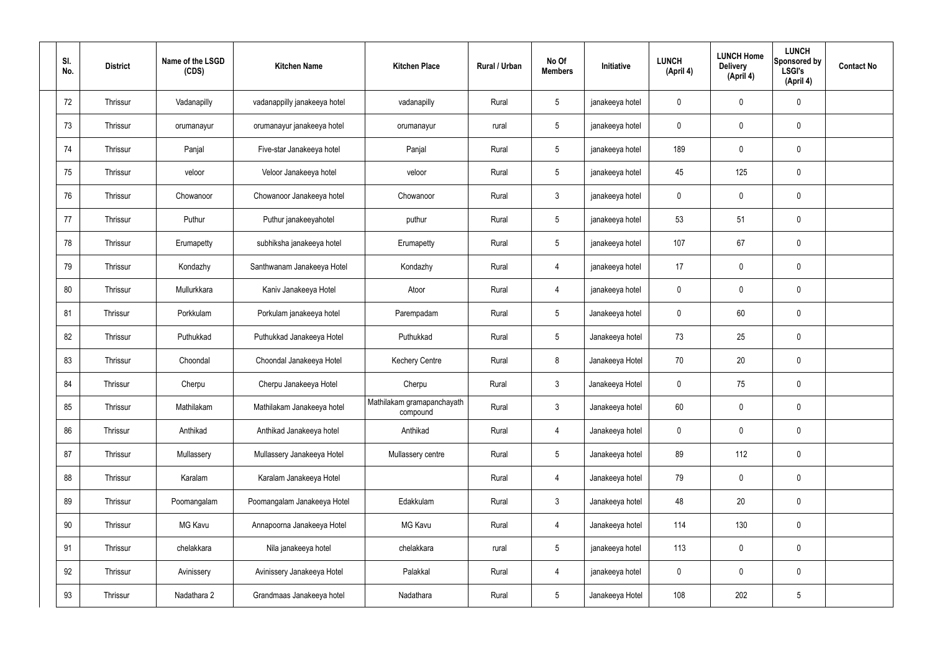| SI.<br>No. | <b>District</b> | Name of the LSGD<br>(CDS) | <b>Kitchen Name</b>          | <b>Kitchen Place</b>                   | Rural / Urban | No Of<br><b>Members</b> | Initiative      | <b>LUNCH</b><br>(April 4) | <b>LUNCH Home</b><br><b>Delivery</b><br>(April 4) | <b>LUNCH</b><br>Sponsored by<br><b>LSGI's</b><br>(April 4) | <b>Contact No</b> |
|------------|-----------------|---------------------------|------------------------------|----------------------------------------|---------------|-------------------------|-----------------|---------------------------|---------------------------------------------------|------------------------------------------------------------|-------------------|
| 72         | Thrissur        | Vadanapilly               | vadanappilly janakeeya hotel | vadanapilly                            | Rural         | $5\phantom{.0}$         | janakeeya hotel | $\mathbf 0$               | 0                                                 | $\pmb{0}$                                                  |                   |
| 73         | Thrissur        | orumanayur                | orumanayur janakeeya hotel   | orumanayur                             | rural         | $5\overline{)}$         | janakeeya hotel | $\mathbf 0$               | $\mathbf 0$                                       | $\pmb{0}$                                                  |                   |
| 74         | Thrissur        | Panjal                    | Five-star Janakeeya hotel    | Panjal                                 | Rural         | $5\overline{)}$         | janakeeya hotel | 189                       | 0                                                 | $\mathbf 0$                                                |                   |
| 75         | Thrissur        | veloor                    | Veloor Janakeeya hotel       | veloor                                 | Rural         | $5\overline{)}$         | janakeeya hotel | 45                        | 125                                               | $\pmb{0}$                                                  |                   |
| 76         | Thrissur        | Chowanoor                 | Chowanoor Janakeeya hotel    | Chowanoor                              | Rural         | $\mathbf{3}$            | janakeeya hotel | $\mathbf 0$               | 0                                                 | $\mathbf 0$                                                |                   |
| 77         | Thrissur        | Puthur                    | Puthur janakeeyahotel        | puthur                                 | Rural         | $5\overline{)}$         | janakeeya hotel | 53                        | 51                                                | $\mathbf 0$                                                |                   |
| 78         | Thrissur        | Erumapetty                | subhiksha janakeeya hotel    | Erumapetty                             | Rural         | $5\overline{)}$         | janakeeya hotel | 107                       | 67                                                | $\mathbf 0$                                                |                   |
| 79         | Thrissur        | Kondazhy                  | Santhwanam Janakeeya Hotel   | Kondazhy                               | Rural         | $\overline{4}$          | janakeeya hotel | 17                        | 0                                                 | $\mathbf 0$                                                |                   |
| 80         | Thrissur        | Mullurkkara               | Kaniv Janakeeya Hotel        | Atoor                                  | Rural         | $\overline{4}$          | janakeeya hotel | $\mathbf 0$               | 0                                                 | $\mathbf 0$                                                |                   |
| 81         | Thrissur        | Porkkulam                 | Porkulam janakeeya hotel     | Parempadam                             | Rural         | $5\overline{)}$         | Janakeeya hotel | $\mathbf 0$               | 60                                                | $\pmb{0}$                                                  |                   |
| 82         | Thrissur        | Puthukkad                 | Puthukkad Janakeeya Hotel    | Puthukkad                              | Rural         | $5\phantom{.0}$         | Janakeeya hotel | 73                        | 25                                                | $\pmb{0}$                                                  |                   |
| 83         | Thrissur        | Choondal                  | Choondal Janakeeya Hotel     | <b>Kechery Centre</b>                  | Rural         | 8                       | Janakeeya Hotel | 70                        | 20                                                | $\pmb{0}$                                                  |                   |
| 84         | Thrissur        | Cherpu                    | Cherpu Janakeeya Hotel       | Cherpu                                 | Rural         | $\mathbf{3}$            | Janakeeya Hotel | $\mathbf 0$               | 75                                                | $\pmb{0}$                                                  |                   |
| 85         | Thrissur        | Mathilakam                | Mathilakam Janakeeya hotel   | Mathilakam gramapanchayath<br>compound | Rural         | $\mathbf{3}$            | Janakeeya hotel | 60                        | 0                                                 | $\mathbf 0$                                                |                   |
| 86         | Thrissur        | Anthikad                  | Anthikad Janakeeya hotel     | Anthikad                               | Rural         | $\overline{4}$          | Janakeeya hotel | $\mathbf 0$               | 0                                                 | $\mathbf 0$                                                |                   |
| 87         | Thrissur        | Mullassery                | Mullassery Janakeeya Hotel   | Mullassery centre                      | Rural         | $5\overline{)}$         | Janakeeya hotel | 89                        | 112                                               | $\mathbf 0$                                                |                   |
| 88         | Thrissur        | Karalam                   | Karalam Janakeeya Hotel      |                                        | Rural         | $\overline{4}$          | Janakeeya hotel | 79                        | 0                                                 | $\mathbf 0$                                                |                   |
| 89         | Thrissur        | Poomangalam               | Poomangalam Janakeeya Hotel  | Edakkulam                              | Rural         | $\mathbf{3}$            | Janakeeya hotel | 48                        | 20                                                | $\mathbf 0$                                                |                   |
| 90         | Thrissur        | MG Kavu                   | Annapoorna Janakeeya Hotel   | MG Kavu                                | Rural         | $\overline{4}$          | Janakeeya hotel | 114                       | 130                                               | $\pmb{0}$                                                  |                   |
| 91         | Thrissur        | chelakkara                | Nila janakeeya hotel         | chelakkara                             | rural         | $5\phantom{.0}$         | janakeeya hotel | 113                       | 0                                                 | $\pmb{0}$                                                  |                   |
| 92         | Thrissur        | Avinissery                | Avinissery Janakeeya Hotel   | Palakkal                               | Rural         | $\overline{4}$          | janakeeya hotel | $\pmb{0}$                 | 0                                                 | $\mathbf 0$                                                |                   |
| 93         | Thrissur        | Nadathara 2               | Grandmaas Janakeeya hotel    | Nadathara                              | Rural         | $5\phantom{.0}$         | Janakeeya Hotel | 108                       | 202                                               | $5\phantom{.0}$                                            |                   |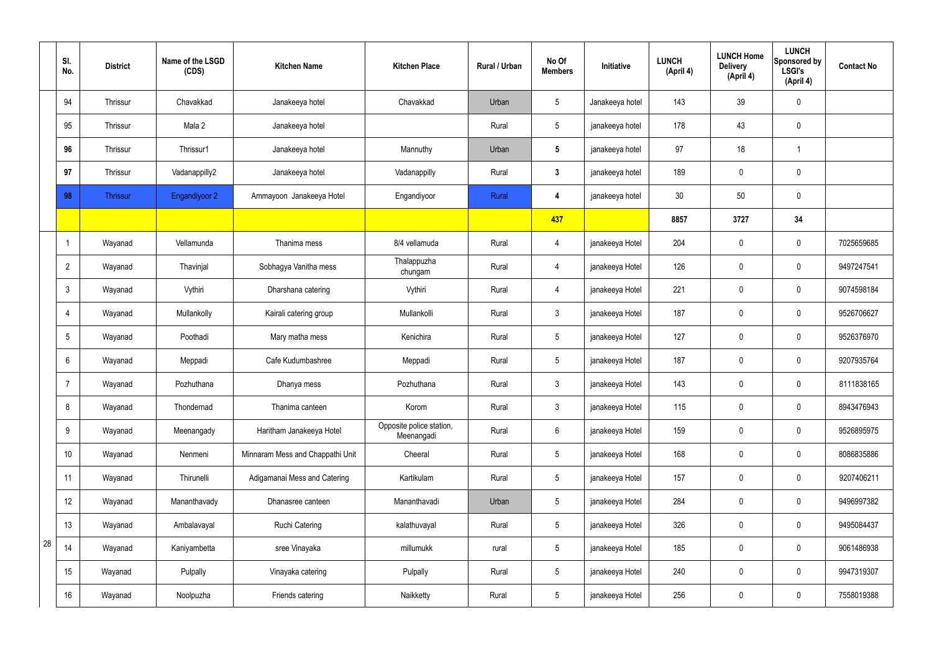|    | SI.<br>No.      | <b>District</b> | Name of the LSGD<br>(CDS) | <b>Kitchen Name</b>              | <b>Kitchen Place</b>                   | Rural / Urban | No Of<br><b>Members</b> | Initiative      | <b>LUNCH</b><br>(April 4) | <b>LUNCH Home</b><br><b>Delivery</b><br>(April 4) | <b>LUNCH</b><br>Sponsored by<br><b>LSGI's</b><br>(April 4) | <b>Contact No</b> |
|----|-----------------|-----------------|---------------------------|----------------------------------|----------------------------------------|---------------|-------------------------|-----------------|---------------------------|---------------------------------------------------|------------------------------------------------------------|-------------------|
|    | 94              | Thrissur        | Chavakkad                 | Janakeeya hotel                  | Chavakkad                              | Urban         | $5\phantom{.0}$         | Janakeeya hotel | 143                       | 39                                                | $\mathbf 0$                                                |                   |
|    | 95              | Thrissur        | Mala 2                    | Janakeeya hotel                  |                                        | Rural         | $5\phantom{.0}$         | janakeeya hotel | 178                       | 43                                                | $\mathbf 0$                                                |                   |
|    | 96              | Thrissur        | Thrissur1                 | Janakeeya hotel                  | Mannuthy                               | Urban         | $5\phantom{.0}$         | janakeeya hotel | 97                        | 18                                                | $\overline{\mathbf{1}}$                                    |                   |
|    | 97              | Thrissur        | Vadanappilly2             | Janakeeya hotel                  | Vadanappilly                           | Rural         | $\mathbf{3}$            | janakeeya hotel | 189                       | $\mathbf 0$                                       | $\mathbf 0$                                                |                   |
|    | 98              | <b>Thrissur</b> | Engandiyoor 2             | Ammayoon Janakeeya Hotel         | Engandiyoor                            | Rural         | 4                       | janakeeya hotel | 30                        | 50                                                | $\mathbf 0$                                                |                   |
|    |                 |                 |                           |                                  |                                        |               | 437                     |                 | 8857                      | 3727                                              | 34                                                         |                   |
|    | -1              | Wayanad         | Vellamunda                | Thanima mess                     | 8/4 vellamuda                          | Rural         | 4                       | janakeeya Hotel | 204                       | $\mathbf 0$                                       | $\mathbf 0$                                                | 7025659685        |
|    | $\overline{2}$  | Wayanad         | Thavinjal                 | Sobhagya Vanitha mess            | Thalappuzha<br>chungam                 | Rural         | 4                       | janakeeya Hotel | 126                       | $\mathbf 0$                                       | $\mathbf 0$                                                | 9497247541        |
|    | $\mathfrak{Z}$  | Wayanad         | Vythiri                   | Dharshana catering               | Vythiri                                | Rural         | $\overline{4}$          | janakeeya Hotel | 221                       | $\mathbf 0$                                       | $\mathbf 0$                                                | 9074598184        |
|    | 4               | Wayanad         | Mullankolly               | Kairali catering group           | Mullankolli                            | Rural         | $\mathbf{3}$            | janakeeya Hotel | 187                       | $\mathbf 0$                                       | $\mathbf 0$                                                | 9526706627        |
|    | $5\phantom{.0}$ | Wayanad         | Poothadi                  | Mary matha mess                  | Kenichira                              | Rural         | $5\overline{)}$         | janakeeya Hotel | 127                       | $\mathbf 0$                                       | $\mathbf 0$                                                | 9526376970        |
|    | 6               | Wayanad         | Meppadi                   | Cafe Kudumbashree                | Meppadi                                | Rural         | $5\phantom{.0}$         | janakeeya Hotel | 187                       | $\mathbf 0$                                       | $\mathbf 0$                                                | 9207935764        |
|    | $\overline{7}$  | Wayanad         | Pozhuthana                | Dhanya mess                      | Pozhuthana                             | Rural         | $\mathbf{3}$            | janakeeya Hotel | 143                       | $\mathbf 0$                                       | $\mathbf 0$                                                | 8111838165        |
|    | 8               | Wayanad         | Thondernad                | Thanima canteen                  | Korom                                  | Rural         | $\mathfrak{Z}$          | janakeeya Hotel | 115                       | $\pmb{0}$                                         | $\mathbf 0$                                                | 8943476943        |
|    | 9               | Wayanad         | Meenangady                | Haritham Janakeeya Hotel         | Opposite police station,<br>Meenangadi | Rural         | $6\overline{6}$         | janakeeya Hotel | 159                       | $\pmb{0}$                                         | $\mathbf 0$                                                | 9526895975        |
|    | 10              | Wayanad         | Nenmeni                   | Minnaram Mess and Chappathi Unit | Cheeral                                | Rural         | $5\overline{)}$         | janakeeya Hotel | 168                       | $\pmb{0}$                                         | $\mathbf 0$                                                | 8086835886        |
|    | 11              | Wayanad         | Thirunelli                | Adigamanai Mess and Catering     | Kartikulam                             | Rural         | $5\phantom{.0}$         | janakeeya Hotel | 157                       | $\pmb{0}$                                         | $\mathbf 0$                                                | 9207406211        |
|    | 12              | Wayanad         | Mananthavady              | Dhanasree canteen                | Mananthavadi                           | Urban         | $5\overline{)}$         | janakeeya Hotel | 284                       | $\pmb{0}$                                         | $\mathbf 0$                                                | 9496997382        |
|    | 13              | Wayanad         | Ambalavayal               | <b>Ruchi Catering</b>            | kalathuvayal                           | Rural         | $5\overline{)}$         | janakeeya Hotel | 326                       | $\pmb{0}$                                         | $\mathbf 0$                                                | 9495084437        |
| 28 | 14              | Wayanad         | Kaniyambetta              | sree Vinayaka                    | millumukk                              | rural         | 5 <sub>5</sub>          | janakeeya Hotel | 185                       | $\pmb{0}$                                         | $\mathbf 0$                                                | 9061486938        |
|    | 15              | Wayanad         | Pulpally                  | Vinayaka catering                | Pulpally                               | Rural         | 5 <sup>5</sup>          | janakeeya Hotel | 240                       | $\pmb{0}$                                         | $\mathbf 0$                                                | 9947319307        |
|    | 16              | Wayanad         | Noolpuzha                 | Friends catering                 | Naikketty                              | Rural         | $5\phantom{.0}$         | janakeeya Hotel | 256                       | $\pmb{0}$                                         | $\boldsymbol{0}$                                           | 7558019388        |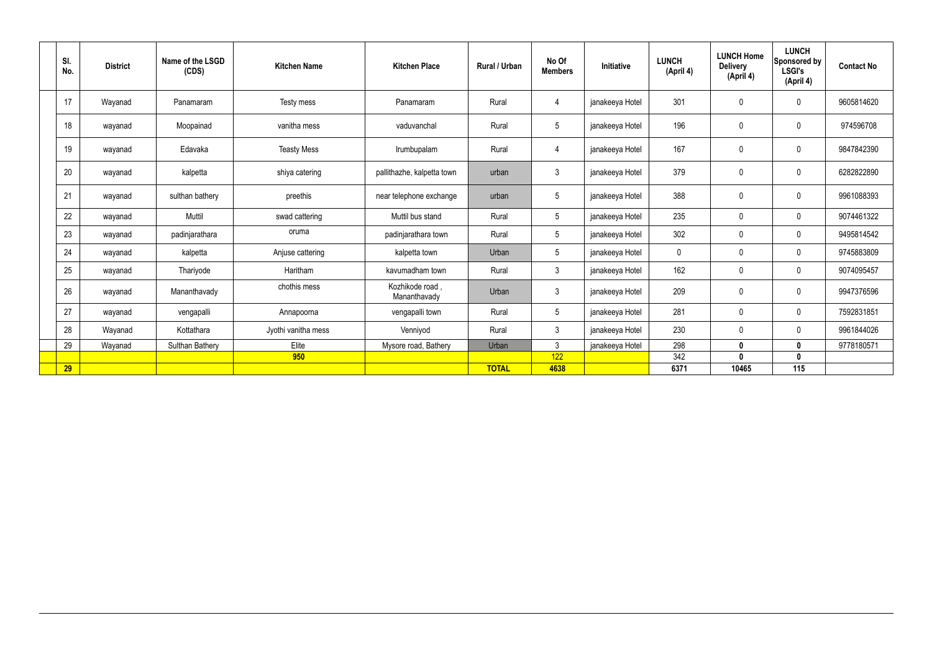| SI.<br>No. | <b>District</b> | Name of the LSGD<br>(CDS) | <b>Kitchen Name</b> | <b>Kitchen Place</b>           | <b>Rural / Urban</b> | No Of<br><b>Members</b> | Initiative      | <b>LUNCH</b><br>(April 4) | <b>LUNCH Home</b><br><b>Delivery</b><br>(April 4) | <b>LUNCH</b><br>Sponsored by<br><b>LSGI's</b><br>(April 4) | <b>Contact No</b> |
|------------|-----------------|---------------------------|---------------------|--------------------------------|----------------------|-------------------------|-----------------|---------------------------|---------------------------------------------------|------------------------------------------------------------|-------------------|
| 17         | Wayanad         | Panamaram                 | Testy mess          | Panamaram                      | Rural                | $\overline{4}$          | janakeeya Hotel | 301                       | $\pmb{0}$                                         | $\mathbf 0$                                                | 9605814620        |
| 18         | wayanad         | Moopainad                 | vanitha mess        | vaduvanchal                    | Rural                | $5\phantom{.0}$         | janakeeya Hotel | 196                       | $\mathbf 0$                                       | $\mathbf 0$                                                | 974596708         |
| 19         | wayanad         | Edavaka                   | <b>Teasty Mess</b>  | Irumbupalam                    | Rural                | $\overline{4}$          | janakeeya Hotel | 167                       | $\mathbf 0$                                       | $\mathbf 0$                                                | 9847842390        |
| 20         | wayanad         | kalpetta                  | shiya catering      | pallithazhe, kalpetta town     | urban                | $\mathfrak{Z}$          | janakeeya Hotel | 379                       | $\mathbf 0$                                       | $\mathbf 0$                                                | 6282822890        |
| 21         | wayanad         | sulthan bathery           | preethis            | near telephone exchange        | urban                | 5                       | janakeeya Hotel | 388                       | $\mathbf 0$                                       | $\mathbf 0$                                                | 9961088393        |
| 22         | wayanad         | Muttil                    | swad cattering      | Muttil bus stand               | Rural                | 5                       | janakeeya Hotel | 235                       | $\mathbf 0$                                       | $\mathbf 0$                                                | 9074461322        |
| 23         | wayanad         | padinjarathara            | oruma               | padinjarathara town            | Rural                | $5\overline{)}$         | janakeeya Hotel | 302                       | $\mathbf 0$                                       | $\mathbf 0$                                                | 9495814542        |
| 24         | wayanad         | kalpetta                  | Anjuse cattering    | kalpetta town                  | Urban                | $5\overline{)}$         | janakeeya Hotel | $\mathbf 0$               | $\mathbf 0$                                       | $\mathbf 0$                                                | 9745883809        |
| 25         | wayanad         | Thariyode                 | Haritham            | kavumadham town                | Rural                | $\mathbf{3}$            | janakeeya Hotel | 162                       | $\mathbf 0$                                       | $\mathbf 0$                                                | 9074095457        |
| 26         | wayanad         | Mananthavady              | chothis mess        | Kozhikode road<br>Mananthavady | Urban                | $\mathbf{3}$            | janakeeya Hotel | 209                       | $\pmb{0}$                                         | $\mathbf 0$                                                | 9947376596        |
| 27         | wayanad         | vengapalli                | Annapoorna          | vengapalli town                | Rural                | 5                       | janakeeya Hotel | 281                       | $\mathbf 0$                                       | $\mathbf 0$                                                | 7592831851        |
| 28         | Wayanad         | Kottathara                | Jyothi vanitha mess | Venniyod                       | Rural                | $\mathbf{3}$            | janakeeya Hotel | 230                       | $\mathbf 0$                                       | $\mathbf 0$                                                | 9961844026        |
| 29         | Wayanad         | Sulthan Bathery           | Elite               | Mysore road, Bathery           | Urban                | $\mathbf{3}$            | janakeeya Hotel | 298                       | $\mathbf{0}$                                      | $\mathbf 0$                                                | 977818057         |
|            |                 |                           | 950                 |                                |                      | 122                     |                 | 342                       | $\mathbf{0}$                                      | $\mathbf 0$                                                |                   |
| 29         |                 |                           |                     |                                | <b>TOTAL</b>         | 4638                    |                 | 6371                      | 10465                                             | 115                                                        |                   |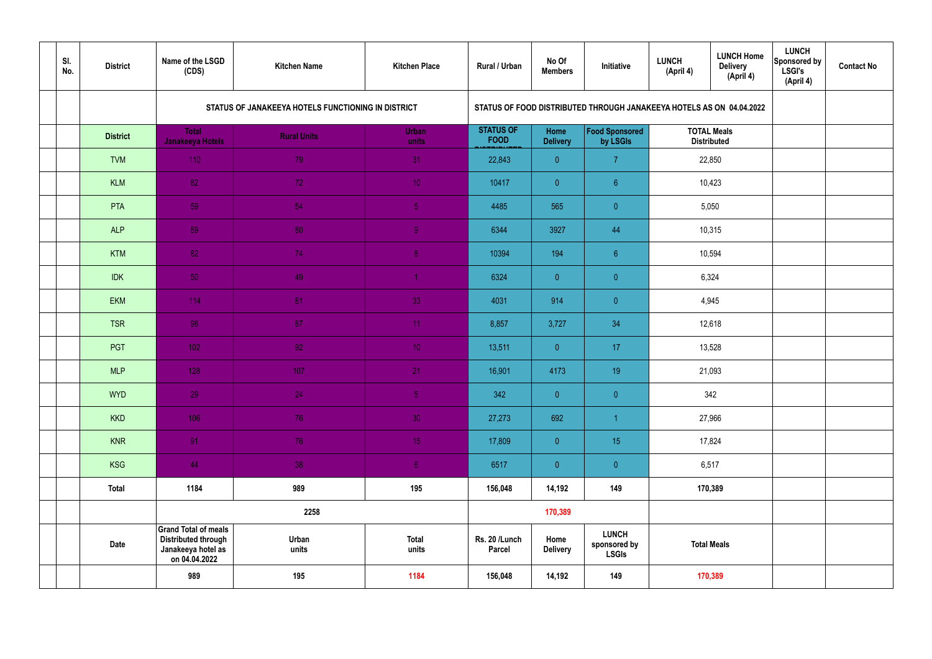| SI.<br>No. | <b>District</b> | Name of the LSGD<br>(CDS)                                                                        | <b>Kitchen Name</b>                                | <b>Kitchen Place</b>  | Rural / Urban                   | No Of<br><b>Members</b> | Initiative                                                           | <b>LUNCH</b><br>(April 4) | <b>LUNCH Home</b><br><b>Delivery</b><br>(April 4) | <b>LUNCH</b><br>Sponsored by<br>LSGI's<br>(April 4) | <b>Contact No</b> |
|------------|-----------------|--------------------------------------------------------------------------------------------------|----------------------------------------------------|-----------------------|---------------------------------|-------------------------|----------------------------------------------------------------------|---------------------------|---------------------------------------------------|-----------------------------------------------------|-------------------|
|            |                 |                                                                                                  | STATUS OF JANAKEEYA HOTELS FUNCTIONING IN DISTRICT |                       |                                 |                         | STATUS OF FOOD DISTRIBUTED THROUGH JANAKEEYA HOTELS AS ON 04.04.2022 |                           |                                                   |                                                     |                   |
|            | <b>District</b> | <b>Total</b><br><b>Janakeeya Hotels</b>                                                          | <b>Rural Units</b>                                 | <b>Urban</b><br>units | <b>STATUS OF</b><br><b>FOOD</b> | Home<br><b>Delivery</b> | Food Sponsored<br>by LSGIs                                           |                           | <b>TOTAL Meals</b><br><b>Distributed</b>          |                                                     |                   |
|            | <b>TVM</b>      | 110                                                                                              | 79                                                 | 31                    | 22,843                          | $\overline{0}$          | $\overline{7}$                                                       |                           | 22,850                                            |                                                     |                   |
|            | <b>KLM</b>      | 82                                                                                               | 72                                                 | 10 <sup>°</sup>       | 10417                           | $\overline{0}$          | $6^{\circ}$                                                          |                           | 10,423                                            |                                                     |                   |
|            | PTA             | 59                                                                                               | 54                                                 | 5 <sub>5</sub>        | 4485                            | 565                     | $\overline{0}$                                                       |                           | 5,050                                             |                                                     |                   |
|            | <b>ALP</b>      | 89                                                                                               | 80                                                 | $\overline{9}$        | 6344                            | 3927                    | 44                                                                   |                           | 10,315                                            |                                                     |                   |
|            | <b>KTM</b>      | 82                                                                                               | 74                                                 | 8 <sup>°</sup>        | 10394                           | 194                     | $6\phantom{.}6$                                                      |                           | 10,594                                            |                                                     |                   |
|            | <b>IDK</b>      | 50                                                                                               | 49                                                 | $\blacktriangleleft$  | 6324                            | $\overline{0}$          | $\overline{0}$                                                       |                           | 6,324                                             |                                                     |                   |
|            | <b>EKM</b>      | $114$                                                                                            | 81                                                 | 33                    | 4031                            | 914                     | $\overline{0}$                                                       |                           | 4,945                                             |                                                     |                   |
|            | <b>TSR</b>      | 98                                                                                               | 87                                                 | 11                    | 8,857                           | 3,727                   | 34                                                                   |                           | 12,618                                            |                                                     |                   |
|            | <b>PGT</b>      | $102$                                                                                            | 92                                                 | 10 <sup>°</sup>       | 13,511                          | $\overline{0}$          | 17                                                                   |                           | 13,528                                            |                                                     |                   |
|            | <b>MLP</b>      | 128                                                                                              | 107                                                | 21                    | 16,901                          | 4173                    | 19                                                                   |                           | 21,093                                            |                                                     |                   |
|            | <b>WYD</b>      | 29                                                                                               | 24                                                 | 5 <sub>1</sub>        | 342                             | $\mathbf{0}$            | $\overline{0}$                                                       |                           | 342                                               |                                                     |                   |
|            | <b>KKD</b>      | 106                                                                                              | 76                                                 | 30                    | 27,273                          | 692                     | $\overline{1}$                                                       |                           | 27,966                                            |                                                     |                   |
|            | <b>KNR</b>      | 91                                                                                               | 76                                                 | 15 <sub>1</sub>       | 17,809                          | $\overline{0}$          | 15 <sub>15</sub>                                                     |                           | 17,824                                            |                                                     |                   |
|            | <b>KSG</b>      | 44                                                                                               | 38                                                 | 6 <sup>1</sup>        | 6517                            | $\overline{0}$          | $\pmb{0}$                                                            |                           | 6,517                                             |                                                     |                   |
|            | <b>Total</b>    | 1184                                                                                             | 989                                                | 195                   | 156,048                         | 14,192                  | 149                                                                  |                           | 170,389                                           |                                                     |                   |
|            |                 |                                                                                                  | 2258                                               |                       |                                 | 170,389                 |                                                                      |                           |                                                   |                                                     |                   |
|            | <b>Date</b>     | <b>Grand Total of meals</b><br><b>Distributed through</b><br>Janakeeya hotel as<br>on 04.04.2022 | Urban<br>units                                     | <b>Total</b><br>units | Rs. 20 /Lunch<br><b>Parcel</b>  | Home<br><b>Delivery</b> | <b>LUNCH</b><br>sponsored by<br><b>LSGIs</b>                         |                           | <b>Total Meals</b>                                |                                                     |                   |
|            |                 | 989                                                                                              | 195                                                | 1184                  | 156,048                         | 14,192                  | 149                                                                  |                           | 170,389                                           |                                                     |                   |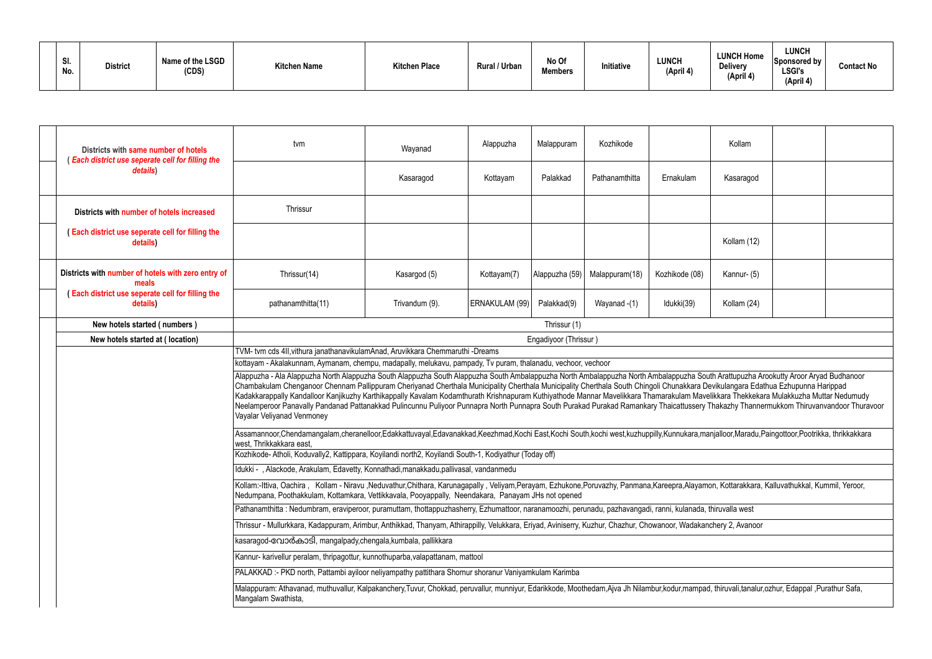| SI.<br>No. | <b>District</b> | Name of the LSGD<br>(CDS) | <b>Kitchen Name</b> | <b>Kitchen Place</b> | <b>Rural / Urban</b> | No Of<br><b>Members</b> | Initiative | <b>LUNCH</b><br>(April 4) | <b>LUNCH Home</b><br><b>Delivery</b><br>(April 4) | LUNCH<br>Sponsored by<br><b>LSGI's</b><br>(April 4) | <b>Contact No</b> |
|------------|-----------------|---------------------------|---------------------|----------------------|----------------------|-------------------------|------------|---------------------------|---------------------------------------------------|-----------------------------------------------------|-------------------|
|------------|-----------------|---------------------------|---------------------|----------------------|----------------------|-------------------------|------------|---------------------------|---------------------------------------------------|-----------------------------------------------------|-------------------|

|                                                                                                                                                                                                   | Kollam                                                  |  |  |  |  |  |  |  |  |  |  |  |
|---------------------------------------------------------------------------------------------------------------------------------------------------------------------------------------------------|---------------------------------------------------------|--|--|--|--|--|--|--|--|--|--|--|
|                                                                                                                                                                                                   | Kasaragod                                               |  |  |  |  |  |  |  |  |  |  |  |
|                                                                                                                                                                                                   |                                                         |  |  |  |  |  |  |  |  |  |  |  |
|                                                                                                                                                                                                   | Kollam (12)                                             |  |  |  |  |  |  |  |  |  |  |  |
|                                                                                                                                                                                                   | Kannur- (5)                                             |  |  |  |  |  |  |  |  |  |  |  |
|                                                                                                                                                                                                   | Kollam (24)                                             |  |  |  |  |  |  |  |  |  |  |  |
|                                                                                                                                                                                                   |                                                         |  |  |  |  |  |  |  |  |  |  |  |
|                                                                                                                                                                                                   |                                                         |  |  |  |  |  |  |  |  |  |  |  |
|                                                                                                                                                                                                   |                                                         |  |  |  |  |  |  |  |  |  |  |  |
| uth Arattupuzha Arookutty Aroor Aryad Budhanoor<br>Devikulangara Edathua Ezhupunna Harippad<br>elikkara Thekkekara Mulakkuzha Muttar Nedumudy<br>Thakazhy Thannermukkom Thiruvanvandoor Thuravoor |                                                         |  |  |  |  |  |  |  |  |  |  |  |
|                                                                                                                                                                                                   | anjalloor, Maradu, Paingottoor, Pootrikka, thrikkakkara |  |  |  |  |  |  |  |  |  |  |  |
|                                                                                                                                                                                                   |                                                         |  |  |  |  |  |  |  |  |  |  |  |
| non, Kottarakkara, Kalluvathukkal, Kummil, Yeroor,                                                                                                                                                |                                                         |  |  |  |  |  |  |  |  |  |  |  |
|                                                                                                                                                                                                   |                                                         |  |  |  |  |  |  |  |  |  |  |  |
|                                                                                                                                                                                                   | thiruvalla west                                         |  |  |  |  |  |  |  |  |  |  |  |
|                                                                                                                                                                                                   | nchery 2, Avanoor                                       |  |  |  |  |  |  |  |  |  |  |  |
|                                                                                                                                                                                                   |                                                         |  |  |  |  |  |  |  |  |  |  |  |
|                                                                                                                                                                                                   |                                                         |  |  |  |  |  |  |  |  |  |  |  |
|                                                                                                                                                                                                   |                                                         |  |  |  |  |  |  |  |  |  |  |  |
|                                                                                                                                                                                                   | d, thiruvali,tanalur,ozhur, Edappal ,Purathur Safa,     |  |  |  |  |  |  |  |  |  |  |  |

| Districts with same number of hotels<br><b>Each district use seperate cell for filling the</b> | tvm                                                                                                                                                                                                                                                                                                                                                                                                                                                                                                                                                                                                                                                                                                                                                                     | Wayanad        | Alappuzha      | Malappuram            | Kozhikode      |                | Kollam      |  |
|------------------------------------------------------------------------------------------------|-------------------------------------------------------------------------------------------------------------------------------------------------------------------------------------------------------------------------------------------------------------------------------------------------------------------------------------------------------------------------------------------------------------------------------------------------------------------------------------------------------------------------------------------------------------------------------------------------------------------------------------------------------------------------------------------------------------------------------------------------------------------------|----------------|----------------|-----------------------|----------------|----------------|-------------|--|
| details)                                                                                       |                                                                                                                                                                                                                                                                                                                                                                                                                                                                                                                                                                                                                                                                                                                                                                         | Kasaragod      | Kottayam       | Palakkad              | Pathanamthitta | Ernakulam      | Kasaragod   |  |
| Districts with number of hotels increased                                                      | Thrissur                                                                                                                                                                                                                                                                                                                                                                                                                                                                                                                                                                                                                                                                                                                                                                |                |                |                       |                |                |             |  |
| (Each district use seperate cell for filling the<br>details)                                   |                                                                                                                                                                                                                                                                                                                                                                                                                                                                                                                                                                                                                                                                                                                                                                         |                |                |                       |                |                | Kollam (12) |  |
| Districts with number of hotels with zero entry of<br>meals                                    | Thrissur(14)                                                                                                                                                                                                                                                                                                                                                                                                                                                                                                                                                                                                                                                                                                                                                            | Kasargod (5)   | Kottayam(7)    | Alappuzha (59)        | Malappuram(18) | Kozhikode (08) | Kannur- (5) |  |
| (Each district use seperate cell for filling the<br>details)                                   | pathanamthitta(11)                                                                                                                                                                                                                                                                                                                                                                                                                                                                                                                                                                                                                                                                                                                                                      | Trivandum (9). | ERNAKULAM (99) | Palakkad(9)           | Wayanad -(1)   | Idukki(39)     | Kollam (24) |  |
| New hotels started (numbers)                                                                   |                                                                                                                                                                                                                                                                                                                                                                                                                                                                                                                                                                                                                                                                                                                                                                         |                |                | Thrissur (1)          |                |                |             |  |
| New hotels started at (location)                                                               |                                                                                                                                                                                                                                                                                                                                                                                                                                                                                                                                                                                                                                                                                                                                                                         |                |                | Engadiyoor (Thrissur) |                |                |             |  |
|                                                                                                | TVM- tvm cds 4II, vithura janathanavikulamAnad, Aruvikkara Chemmaruthi -Dreams                                                                                                                                                                                                                                                                                                                                                                                                                                                                                                                                                                                                                                                                                          |                |                |                       |                |                |             |  |
|                                                                                                | kottayam - Akalakunnam, Aymanam, chempu, madapally, melukavu, pampady, Tv puram, thalanadu, vechoor, vechoor                                                                                                                                                                                                                                                                                                                                                                                                                                                                                                                                                                                                                                                            |                |                |                       |                |                |             |  |
|                                                                                                | Alappuzha - Ala Alappuzha North Alappuzha South Alappuzha South Alappuzha South Ambalappuzha North Ambalappuzha South Arattupuzha Arookutty Aroor Aryad Budhanoor<br>Chambakulam Chenganoor Chennam Pallippuram Cheriyanad Cherthala Municipality Cherthala Municipality Cherthala South Chingoli Chunakkara Devikulangara Edathua Ezhupunna Harippad<br>Kadakkarappally Kandalloor Kanjikuzhy Karthikappally Kavalam Kodamthurath Krishnapuram Kuthiyathode Mannar Mavelikkara Thamarakulam Mavelikkara Thekkekara Mulakkuzha Muttar Nedumudy<br>Neelamperoor Panavally Pandanad Pattanakkad Pulincunnu Puliyoor Punnapra North Punnapra South Purakad Purakad Ramankary Thaicattussery Thakazhy Thannermukkom Thiruvanvandoor Thuravoor<br>Vayalar Veliyanad Venmoney |                |                |                       |                |                |             |  |
|                                                                                                | Assamannoor,Chendamangalam,cheranelloor,Edakkattuvayal,Edavanakkad,Keezhmad,Kochi East,Kochi South,kochi west,kuzhuppilly,Kunnukara,manjalloor,Maradu,Paingottoor,Pootrikka, thrikkakkara<br>west, Thrikkakkara east,                                                                                                                                                                                                                                                                                                                                                                                                                                                                                                                                                   |                |                |                       |                |                |             |  |
|                                                                                                | Kozhikode-Atholi, Koduvally2, Kattippara, Koyilandi north2, Koyilandi South-1, Kodiyathur (Today off)                                                                                                                                                                                                                                                                                                                                                                                                                                                                                                                                                                                                                                                                   |                |                |                       |                |                |             |  |
|                                                                                                | Idukki - , Alackode, Arakulam, Edavetty, Konnathadi, manakkadu, pallivasal, vandanmedu                                                                                                                                                                                                                                                                                                                                                                                                                                                                                                                                                                                                                                                                                  |                |                |                       |                |                |             |  |
|                                                                                                | Kollam:-Ittiva, Oachira, Kollam - Niravu ,Neduvathur,Chithara, Karunagapally, Veliyam,Perayam, Ezhukone,Poruvazhy, Panmana,Kareepra,Alayamon, Kottarakkara, Kalluvathukkal, Kummil, Yeroor,<br>Nedumpana, Poothakkulam, Kottamkara, Vettikkavala, Pooyappally, Neendakara, Panayam JHs not opened                                                                                                                                                                                                                                                                                                                                                                                                                                                                       |                |                |                       |                |                |             |  |
|                                                                                                | Pathanamthitta: Nedumbram, eraviperoor, puramuttam, thottappuzhasherry, Ezhumattoor, naranamoozhi, perunadu, pazhavangadi, ranni, kulanada, thiruvalla west                                                                                                                                                                                                                                                                                                                                                                                                                                                                                                                                                                                                             |                |                |                       |                |                |             |  |
|                                                                                                | Thrissur - Mullurkkara, Kadappuram, Arimbur, Anthikkad, Thanyam, Athirappilly, Velukkara, Eriyad, Aviniserry, Kuzhur, Chazhur, Chowanoor, Wadakanchery 2, Avanoor                                                                                                                                                                                                                                                                                                                                                                                                                                                                                                                                                                                                       |                |                |                       |                |                |             |  |
|                                                                                                | kasaragod-റോർകാടി, mangalpady,chengala,kumbala, pallikkara                                                                                                                                                                                                                                                                                                                                                                                                                                                                                                                                                                                                                                                                                                              |                |                |                       |                |                |             |  |
|                                                                                                | Kannur- karivellur peralam, thripagottur, kunnothuparba, valapattanam, mattool                                                                                                                                                                                                                                                                                                                                                                                                                                                                                                                                                                                                                                                                                          |                |                |                       |                |                |             |  |
|                                                                                                | PALAKKAD:- PKD north, Pattambi ayiloor neliyampathy pattithara Shornur shoranur Vaniyamkulam Karimba                                                                                                                                                                                                                                                                                                                                                                                                                                                                                                                                                                                                                                                                    |                |                |                       |                |                |             |  |
|                                                                                                | Malappuram: Athavanad, muthuvallur, Kalpakanchery,Tuvur, Chokkad, peruvallur, munniyur, Edarikkode, Moothedam,Ajva Jh Nilambur,kodur,mampad, thiruvali,tanalur,ozhur, Edappal ,Purathur Safa,<br>Mangalam Swathista,                                                                                                                                                                                                                                                                                                                                                                                                                                                                                                                                                    |                |                |                       |                |                |             |  |
|                                                                                                |                                                                                                                                                                                                                                                                                                                                                                                                                                                                                                                                                                                                                                                                                                                                                                         |                |                |                       |                |                |             |  |